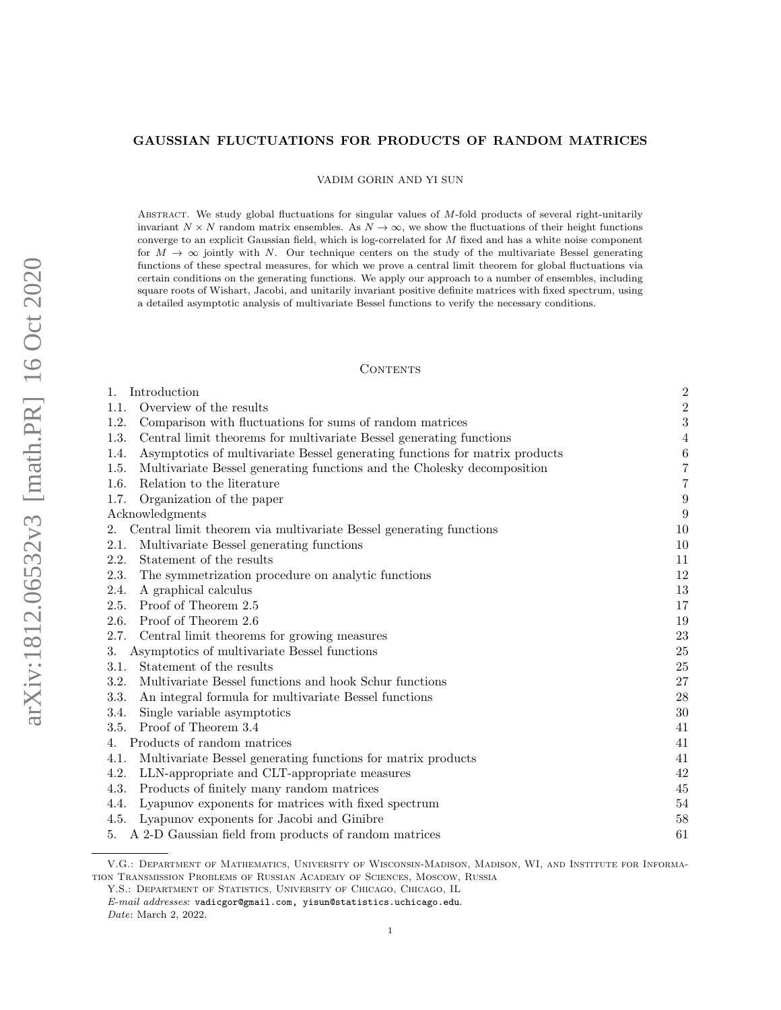# GAUSSIAN FLUCTUATIONS FOR PRODUCTS OF RANDOM MATRICES

VADIM GORIN AND YI SUN

ABSTRACT. We study global fluctuations for singular values of M-fold products of several right-unitarily invariant  $N \times N$  random matrix ensembles. As  $N \to \infty$ , we show the fluctuations of their height functions converge to an explicit Gaussian field, which is log-correlated for M fixed and has a white noise component for  $M \to \infty$  jointly with N. Our technique centers on the study of the multivariate Bessel generating functions of these spectral measures, for which we prove a central limit theorem for global fluctuations via certain conditions on the generating functions. We apply our approach to a number of ensembles, including square roots of Wishart, Jacobi, and unitarily invariant positive definite matrices with fixed spectrum, using a detailed asymptotic analysis of multivariate Bessel functions to verify the necessary conditions.

## **CONTENTS**

| Introduction<br>1.                                                                  | $\overline{2}$   |
|-------------------------------------------------------------------------------------|------------------|
| Overview of the results<br>1.1.                                                     | $\overline{2}$   |
| 1.2.<br>Comparison with fluctuations for sums of random matrices                    | 3                |
| 1.3.<br>Central limit theorems for multivariate Bessel generating functions         | $\overline{4}$   |
| Asymptotics of multivariate Bessel generating functions for matrix products<br>1.4. | $\boldsymbol{6}$ |
| Multivariate Bessel generating functions and the Cholesky decomposition<br>1.5.     | $\overline{7}$   |
| Relation to the literature<br>1.6.                                                  | $\overline{7}$   |
| 1.7.<br>Organization of the paper                                                   | 9                |
| Acknowledgments                                                                     | 9                |
| Central limit theorem via multivariate Bessel generating functions<br>2.            | 10               |
| Multivariate Bessel generating functions<br>2.1.                                    | 10               |
| 2.2.<br>Statement of the results                                                    | 11               |
| 2.3.<br>The symmetrization procedure on analytic functions                          | 12               |
| A graphical calculus<br>2.4.                                                        | 13               |
| Proof of Theorem 2.5<br>2.5.                                                        | 17               |
| Proof of Theorem 2.6<br>2.6.                                                        | 19               |
| Central limit theorems for growing measures<br>2.7.                                 | 23               |
| Asymptotics of multivariate Bessel functions<br>3.                                  | 25               |
| 3.1.<br>Statement of the results                                                    | 25               |
| Multivariate Bessel functions and hook Schur functions<br>3.2.                      | 27               |
| 3.3.<br>An integral formula for multivariate Bessel functions                       | 28               |
| Single variable asymptotics<br>3.4.                                                 | 30               |
| Proof of Theorem 3.4<br>3.5.                                                        | 41               |
| Products of random matrices<br>4.                                                   | 41               |
| Multivariate Bessel generating functions for matrix products<br>4.1.                | 41               |
| 4.2.<br>LLN-appropriate and CLT-appropriate measures                                | 42               |
| Products of finitely many random matrices<br>4.3.                                   | 45               |
| Lyapunov exponents for matrices with fixed spectrum<br>4.4.                         | 54               |
| Lyapunov exponents for Jacobi and Ginibre<br>4.5.                                   | 58               |
| A 2-D Gaussian field from products of random matrices<br>5.                         | 61               |

V.G.: Department of Mathematics, University of Wisconsin-Madison, Madison, WI, and Institute for Information Transmission Problems of Russian Academy of Sciences, Moscow, Russia

Y.S.: DEPARTMENT OF STATISTICS, UNIVERSITY OF CHICAGO, CHICAGO, IL  $\it E\mbox{-}mail\; addresses:$ vadicgor@gmail.com, yisun@statistics.uchicago.edu. Date: March 2, 2022.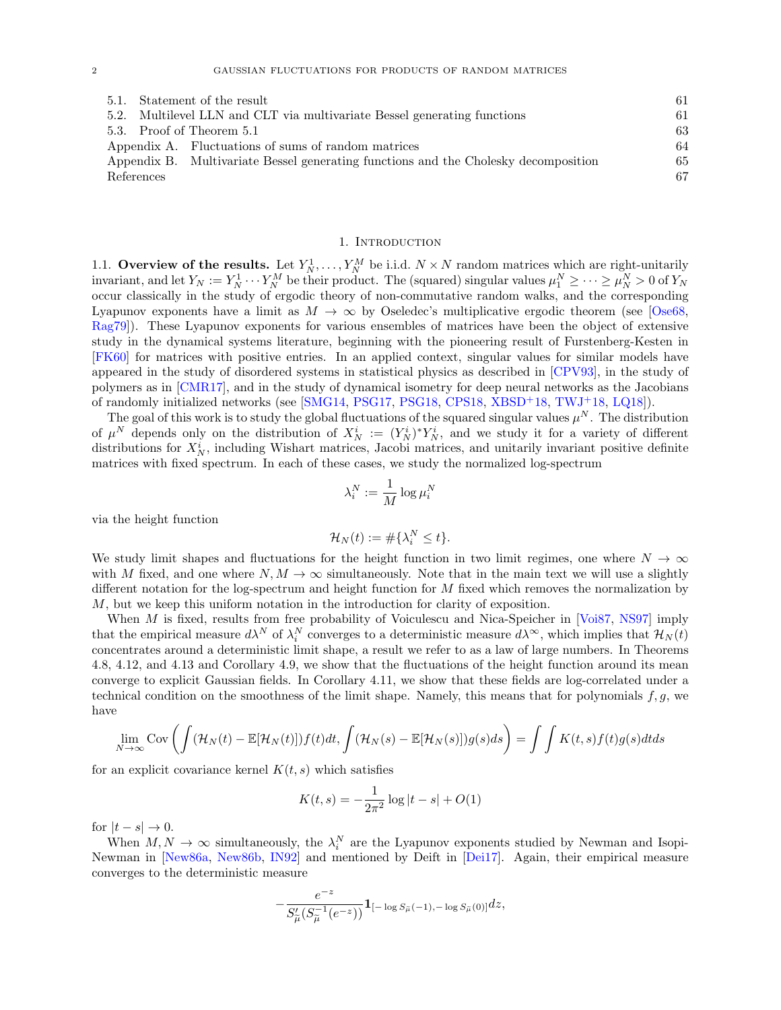|                                                                          | 5.1. Statement of the result                                                        | 61 |
|--------------------------------------------------------------------------|-------------------------------------------------------------------------------------|----|
| 5.2. Multilevel LLN and CLT via multivariate Bessel generating functions |                                                                                     |    |
|                                                                          | 5.3. Proof of Theorem 5.1                                                           | 63 |
|                                                                          | Appendix A. Fluctuations of sums of random matrices                                 | 64 |
|                                                                          | Appendix B. Multivariate Bessel generating functions and the Cholesky decomposition | 65 |
| References                                                               |                                                                                     | 67 |
|                                                                          |                                                                                     |    |

# 1. INTRODUCTION

<span id="page-1-1"></span><span id="page-1-0"></span>1.1. Overview of the results. Let  $Y_N^1, \ldots, Y_N^M$  be i.i.d.  $N \times N$  random matrices which are right-unitarily invariant, and let  $Y_N := Y_N^1 \cdots Y_N^M$  be their product. The (squared) singular values  $\mu_1^N \geq \cdots \geq \mu_N^N > 0$  of  $Y_N$ occur classically in the study of ergodic theory of non-commutative random walks, and the corresponding Lyapunov exponents have a limit as  $M \to \infty$  by Oseledec's multiplicative ergodic theorem (see [\[Ose68,](#page-68-0) [Rag79\]](#page-68-1)). These Lyapunov exponents for various ensembles of matrices have been the object of extensive study in the dynamical systems literature, beginning with the pioneering result of Furstenberg-Kesten in [\[FK60\]](#page-67-0) for matrices with positive entries. In an applied context, singular values for similar models have appeared in the study of disordered systems in statistical physics as described in [\[CPV93\]](#page-66-1), in the study of polymers as in [\[CMR17\]](#page-66-2), and in the study of dynamical isometry for deep neural networks as the Jacobians of randomly initialized networks (see [\[SMG14,](#page-68-2) [PSG17,](#page-68-3) [PSG18,](#page-68-4) [CPS18,](#page-66-3) [XBSD](#page-68-5)+18, [TWJ](#page-68-6)+18, [LQ18\]](#page-67-1)).

The goal of this work is to study the global fluctuations of the squared singular values  $\mu^N$ . The distribution of  $\mu^N$  depends only on the distribution of  $X_N^i := (Y_N^i)^* Y_N^i$ , and we study it for a variety of different distributions for  $X_N^i$ , including Wishart matrices, Jacobi matrices, and unitarily invariant positive definite matrices with fixed spectrum. In each of these cases, we study the normalized log-spectrum

$$
\lambda_i^N := \frac{1}{M} \log \mu_i^N
$$

via the height function

$$
\mathcal{H}_N(t) := \#\{\lambda_i^N \le t\}.
$$

We study limit shapes and fluctuations for the height function in two limit regimes, one where  $N \to \infty$ with M fixed, and one where  $N, M \to \infty$  simultaneously. Note that in the main text we will use a slightly different notation for the log-spectrum and height function for M fixed which removes the normalization by M, but we keep this uniform notation in the introduction for clarity of exposition.

When  $M$  is fixed, results from free probability of Voiculescu and Nica-Speicher in [\[Voi87,](#page-68-7) [NS97\]](#page-68-8) imply that the empirical measure  $d\lambda^N$  of  $\lambda_i^N$  converges to a deterministic measure  $d\lambda^{\infty}$ , which implies that  $\mathcal{H}_N(t)$ concentrates around a deterministic limit shape, a result we refer to as a law of large numbers. In Theorems [4.8,](#page-45-0) [4.12,](#page-50-0) and [4.13](#page-51-0) and Corollary [4.9,](#page-46-0) we show that the fluctuations of the height function around its mean converge to explicit Gaussian fields. In Corollary [4.11,](#page-48-0) we show that these fields are log-correlated under a technical condition on the smoothness of the limit shape. Namely, this means that for polynomials  $f, g$ , we have

$$
\lim_{N \to \infty} \text{Cov}\left(\int (\mathcal{H}_N(t) - \mathbb{E}[\mathcal{H}_N(t)]) f(t) dt, \int (\mathcal{H}_N(s) - \mathbb{E}[\mathcal{H}_N(s)]) g(s) ds\right) = \int \int K(t,s) f(t) g(s) dt ds
$$

for an explicit covariance kernel  $K(t, s)$  which satisfies

$$
K(t,s) = -\frac{1}{2\pi^2} \log|t-s| + O(1)
$$

for  $|t - s| \to 0$ .

When  $M, N \to \infty$  simultaneously, the  $\lambda_i^N$  are the Lyapunov exponents studied by Newman and Isopi-Newman in [\[New86a,](#page-68-9) [New86b,](#page-68-10) [IN92\]](#page-67-2) and mentioned by Deift in [\[Dei17\]](#page-67-3). Again, their empirical measure converges to the deterministic measure

$$
-\frac{e^{-z}}{S'_{\widetilde{\mu}}(S_{\widetilde{\mu}}^{-1}(e^{-z}))}\mathbf{1}_{[-\log S_{\widetilde{\mu}}(-1), -\log S_{\widetilde{\mu}}(0)]}dz,
$$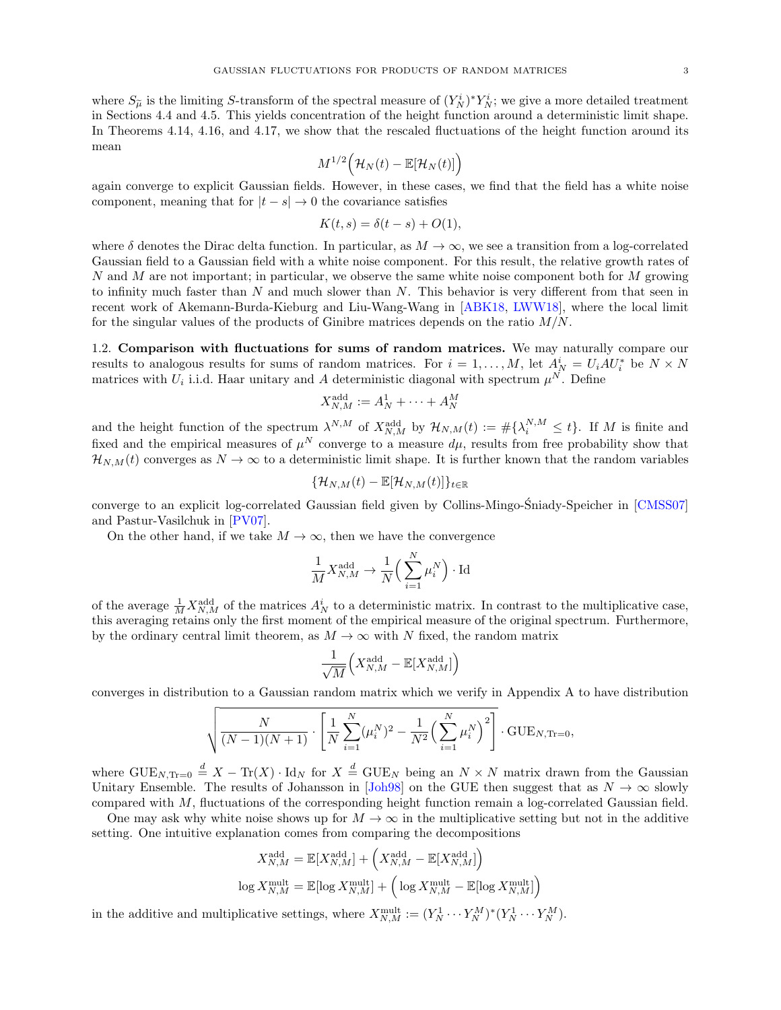where  $S_{\tilde{\mu}}$  is the limiting S-transform of the spectral measure of  $(Y_N^i)^* Y_N^i$ ; we give a more detailed treatment<br>in Sections 4.4 and 4.5. This vial deconomisation of the height function append a deterministic limit in Sections [4.4](#page-53-0) and [4.5.](#page-57-0) This yields concentration of the height function around a deterministic limit shape. In Theorems [4.14,](#page-53-1) [4.16,](#page-58-0) and [4.17,](#page-58-1) we show that the rescaled fluctuations of the height function around its mean

$$
M^{1/2}(\mathcal{H}_N(t)-\mathbb{E}[\mathcal{H}_N(t)]\Big)
$$

again converge to explicit Gaussian fields. However, in these cases, we find that the field has a white noise component, meaning that for  $|t - s| \to 0$  the covariance satisfies

$$
K(t,s) = \delta(t-s) + O(1),
$$

where  $\delta$  denotes the Dirac delta function. In particular, as  $M \to \infty$ , we see a transition from a log-correlated Gaussian field to a Gaussian field with a white noise component. For this result, the relative growth rates of N and M are not important; in particular, we observe the same white noise component both for M growing to infinity much faster than  $N$  and much slower than  $N$ . This behavior is very different from that seen in recent work of Akemann-Burda-Kieburg and Liu-Wang-Wang in [\[ABK18,](#page-66-4) [LWW18\]](#page-67-4), where the local limit for the singular values of the products of Ginibre matrices depends on the ratio  $M/N$ .

<span id="page-2-0"></span>1.2. Comparison with fluctuations for sums of random matrices. We may naturally compare our results to analogous results for sums of random matrices. For  $i = 1, ..., M$ , let  $A^i_N = U_i A U^*_i$  be  $N \times N$ matrices with  $U_i$  i.i.d. Haar unitary and A deterministic diagonal with spectrum  $\mu^N$ . Define

$$
X_{N,M}^{\text{add}} := A_N^1 + \dots + A_N^M
$$

and the height function of the spectrum  $\lambda^{N,M}$  of  $X_{N,M}^{\text{add}}$  by  $\mathcal{H}_{N,M}(t) := \# \{\lambda_i^{N,M} \leq t\}$ . If M is finite and fixed and the empirical measures of  $\mu^N$  converge to a measure  $d\mu$ , results from free probability show that  $\mathcal{H}_{N,M}(t)$  converges as  $N \to \infty$  to a deterministic limit shape. It is further known that the random variables

$$
\{\mathcal{H}_{N,M}(t)-\mathbb{E}[\mathcal{H}_{N,M}(t)]\}_{t\in\mathbb{R}}
$$

converge to an explicit log-correlated Gaussian field given by Collins-Mingo-Sniady-Speicher in [[CMSS07\]](#page-66-5) and Pastur-Vasilchuk in [\[PV07\]](#page-68-11).

On the other hand, if we take  $M \to \infty$ , then we have the convergence

$$
\frac{1}{M} X_{N,M}^{\text{add}} \to \frac{1}{N} \left( \sum_{i=1}^{N} \mu_i^N \right) \cdot \text{Id}
$$

of the average  $\frac{1}{M} X_{N,M}^{\text{add}}$  of the matrices  $A_N^i$  to a deterministic matrix. In contrast to the multiplicative case, this averaging retains only the first moment of the empirical measure of the original spectrum. Furthermore, by the ordinary central limit theorem, as  $M \to \infty$  with N fixed, the random matrix

$$
\frac{1}{\sqrt{M}}\Big( X_{N,M}^{\mathrm{add}} - \mathbb{E}[X_{N,M}^{\mathrm{add}}] \Big)
$$

converges in distribution to a Gaussian random matrix which we verify in Appendix [A](#page-63-0) to have distribution

$$
\sqrt{\frac{N}{(N-1)(N+1)} \cdot \left[ \frac{1}{N} \sum_{i=1}^{N} (\mu_i^N)^2 - \frac{1}{N^2} \left( \sum_{i=1}^{N} \mu_i^N \right)^2 \right]} \cdot \text{GUE}_{N, \text{Tr}=0},
$$

where  $\text{GUE}_{N,\text{Tr}=0} \stackrel{d}{=} X - \text{Tr}(X) \cdot \text{Id}_N$  for  $X \stackrel{d}{=} \text{GUE}_N$  being an  $N \times N$  matrix drawn from the Gaussian Unitary Ensemble. The results of Johansson in [\[Joh98\]](#page-67-5) on the GUE then suggest that as  $N \to \infty$  slowly compared with M, fluctuations of the corresponding height function remain a log-correlated Gaussian field.

One may ask why white noise shows up for  $M \to \infty$  in the multiplicative setting but not in the additive setting. One intuitive explanation comes from comparing the decompositions

$$
\begin{aligned} X_{N,M}^{\text{add}} &= \mathbb{E}[X_{N,M}^{\text{add}}] + \left( X_{N,M}^{\text{add}} - \mathbb{E}[X_{N,M}^{\text{add}}] \right) \\ \log X_{N,M}^{\text{mult}} &= \mathbb{E}[\log X_{N,M}^{\text{mult}}] + \left( \log X_{N,M}^{\text{mult}} - \mathbb{E}[\log X_{N,M}^{\text{mult}}] \right) \end{aligned}
$$

in the additive and multiplicative settings, where  $X_{N,M}^{\text{mult}} := (Y_N^1 \cdots Y_N^M)^* (Y_N^1 \cdots Y_N^M)$ .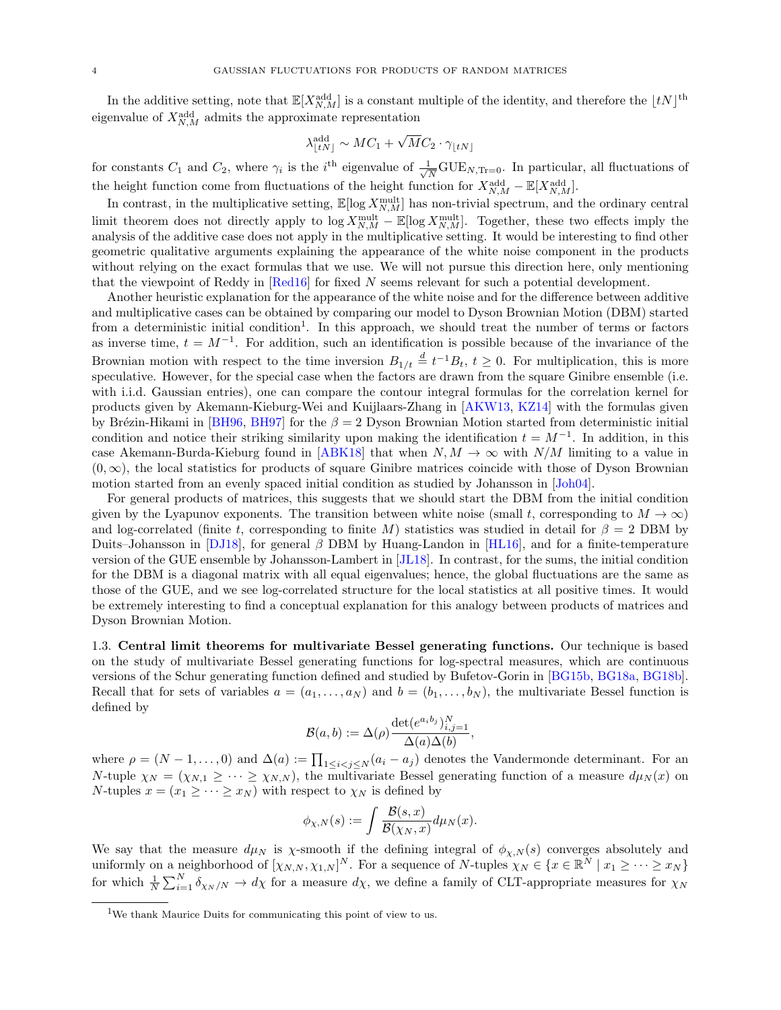In the additive setting, note that  $\mathbb{E}[X_{N,M}^{\text{add}}]$  is a constant multiple of the identity, and therefore the  $\lfloor tN \rfloor^{\text{th}}$ eigenvalue of  $X_{N,M}^{\text{add}}$  admits the approximate representation

$$
\lambda_{\lfloor tN \rfloor}^{\text{add}} \sim MC_1 + \sqrt{M}C_2 \cdot \gamma_{\lfloor tN \rfloor}
$$

for constants  $C_1$  and  $C_2$ , where  $\gamma_i$  is the i<sup>th</sup> eigenvalue of  $\frac{1}{\sqrt{2}}$  $\frac{1}{\overline{N}}$ GUE<sub>N,Tr=0</sub>. In particular, all fluctuations of the height function come from fluctuations of the height function for  $X_{N,M}^{\text{add}} - \mathbb{E}[X_{N,M}^{\text{add}}]$ .

In contrast, in the multiplicative setting,  $\mathbb{E}[\log X_{N,M}^{\text{mult}}]$  has non-trivial spectrum, and the ordinary central limit theorem does not directly apply to  $\log X_{N,M}^{\text{mult}} - \mathbb{E}[\log X_{N,M}^{\text{mult}}]$ . Together, these two effects imply the analysis of the additive case does not apply in the multiplicative setting. It would be interesting to find other geometric qualitative arguments explaining the appearance of the white noise component in the products without relying on the exact formulas that we use. We will not pursue this direction here, only mentioning that the viewpoint of Reddy in [\[Red16\]](#page-68-12) for fixed N seems relevant for such a potential development.

Another heuristic explanation for the appearance of the white noise and for the difference between additive and multiplicative cases can be obtained by comparing our model to Dyson Brownian Motion (DBM) started from a deterministic initial condition<sup>[1](#page-3-1)</sup>. In this approach, we should treat the number of terms or factors as inverse time,  $t = M^{-1}$ . For addition, such an identification is possible because of the invariance of the Brownian motion with respect to the time inversion  $B_{1/t} \stackrel{d}{=} t^{-1}B_t$ ,  $t \geq 0$ . For multiplication, this is more speculative. However, for the special case when the factors are drawn from the square Ginibre ensemble (i.e. with i.i.d. Gaussian entries), one can compare the contour integral formulas for the correlation kernel for products given by Akemann-Kieburg-Wei and Kuijlaars-Zhang in [\[AKW13,](#page-66-6) [KZ14\]](#page-67-6) with the formulas given by Brézin-Hikami in [\[BH96,](#page-66-7) [BH97\]](#page-66-8) for the  $\beta = 2$  Dyson Brownian Motion started from deterministic initial condition and notice their striking similarity upon making the identification  $t = M^{-1}$ . In addition, in this case Akemann-Burda-Kieburg found in [\[ABK18\]](#page-66-4) that when  $N, M \to \infty$  with  $N/M$  limiting to a value in  $(0, \infty)$ , the local statistics for products of square Ginibre matrices coincide with those of Dyson Brownian motion started from an evenly spaced initial condition as studied by Johansson in [\[Joh04\]](#page-67-7).

For general products of matrices, this suggests that we should start the DBM from the initial condition given by the Lyapunov exponents. The transition between white noise (small t, corresponding to  $M \to \infty$ ) and log-correlated (finite t, corresponding to finite M) statistics was studied in detail for  $\beta = 2$  DBM by Duits–Johansson in [\[DJ18\]](#page-67-8), for general  $\beta$  DBM by Huang-Landon in [\[HL16\]](#page-67-9), and for a finite-temperature version of the GUE ensemble by Johansson-Lambert in [\[JL18\]](#page-67-10). In contrast, for the sums, the initial condition for the DBM is a diagonal matrix with all equal eigenvalues; hence, the global fluctuations are the same as those of the GUE, and we see log-correlated structure for the local statistics at all positive times. It would be extremely interesting to find a conceptual explanation for this analogy between products of matrices and Dyson Brownian Motion.

<span id="page-3-0"></span>1.3. Central limit theorems for multivariate Bessel generating functions. Our technique is based on the study of multivariate Bessel generating functions for log-spectral measures, which are continuous versions of the Schur generating function defined and studied by Bufetov-Gorin in [\[BG15b,](#page-66-9) [BG18a,](#page-66-10) [BG18b\]](#page-66-11). Recall that for sets of variables  $a = (a_1, \ldots, a_N)$  and  $b = (b_1, \ldots, b_N)$ , the multivariate Bessel function is defined by

$$
\mathcal{B}(a,b):=\Delta(\rho)\frac{\det(e^{a_ib_j})_{i,j=1}^N}{\Delta(a)\Delta(b)},
$$

where  $\rho = (N-1, \ldots, 0)$  and  $\Delta(a) := \prod_{1 \leq i < j \leq N} (a_i - a_j)$  denotes the Vandermonde determinant. For an N-tuple  $\chi_N = (\chi_{N,1} \geq \cdots \geq \chi_{N,N})$ , the multivariate Bessel generating function of a measure  $d\mu_N(x)$  on N-tuples  $x = (x_1 \geq \cdots \geq x_N)$  with respect to  $\chi_N$  is defined by

$$
\phi_{\chi,N}(s) := \int \frac{\mathcal{B}(s,x)}{\mathcal{B}(\chi_N,x)} d\mu_N(x).
$$

We say that the measure  $d\mu_N$  is  $\chi$ -smooth if the defining integral of  $\phi_{\chi,N}(s)$  converges absolutely and uniformly on a neighborhood of  $[\chi_{N,N}, \chi_{1,N}]^N$ . For a sequence of N-tuples  $\chi_N \in \{x \in \mathbb{R}^N \mid x_1 \geq \cdots \geq x_N\}$ for which  $\frac{1}{N}\sum_{i=1}^{N} \delta_{\chi N/N} \to d\chi$  for a measure  $d\chi$ , we define a family of CLT-appropriate measures for  $\chi_N$ 

<span id="page-3-1"></span><sup>1</sup>We thank Maurice Duits for communicating this point of view to us.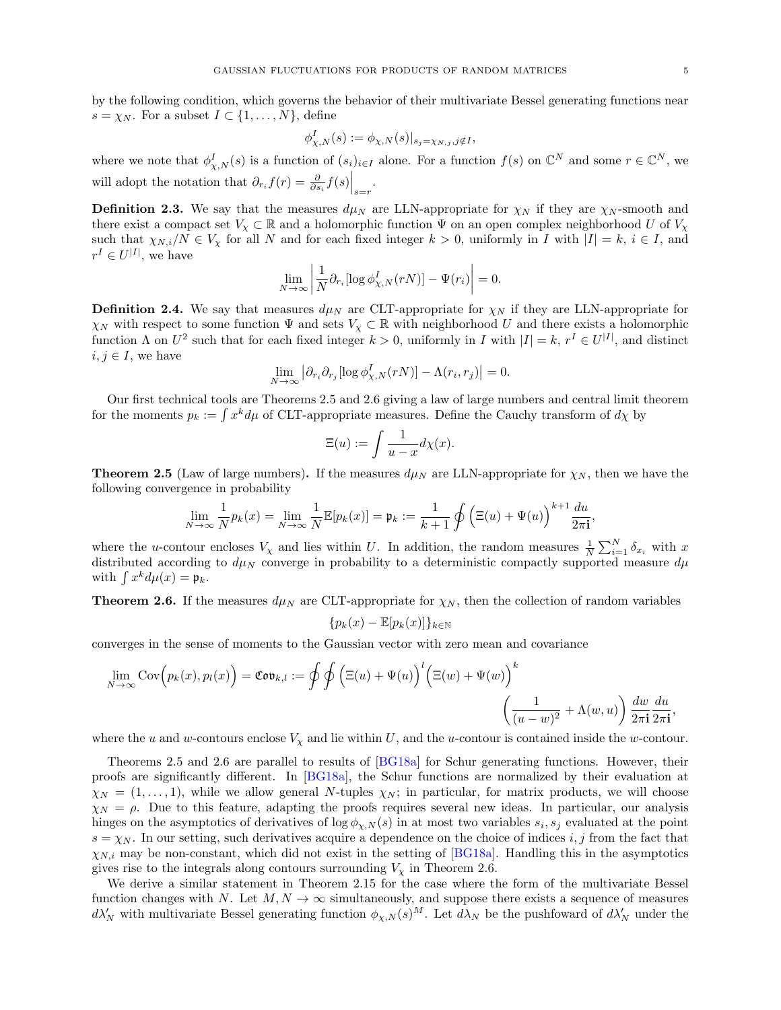,

by the following condition, which governs the behavior of their multivariate Bessel generating functions near  $s = \chi_N$ . For a subset  $I \subset \{1, \ldots, N\}$ , define

$$
\phi_{\chi,N}^I(s) := \phi_{\chi,N}(s)|_{s_j = \chi_{N,j}, j \notin I},
$$

where we note that  $\phi_{\chi,N}^I(s)$  is a function of  $(s_i)_{i\in I}$  alone. For a function  $f(s)$  on  $\mathbb{C}^N$  and some  $r \in \mathbb{C}^N$ , we will adopt the notation that  $\partial_{r_i} f(r) = \frac{\partial}{\partial s_i} f(s) \Big|_{s=r}$ .

**Definition [2.3.](#page-10-2)** We say that the measures  $d\mu_N$  are LLN-appropriate for  $\chi_N$  if they are  $\chi_N$ -smooth and there exist a compact set  $V_\chi \subset \mathbb{R}$  and a holomorphic function  $\Psi$  on an open complex neighborhood U of  $V_\chi$ such that  $\chi_{N,i}/N \in V_{\chi}$  for all N and for each fixed integer  $k > 0$ , uniformly in I with  $|I| = k$ ,  $i \in I$ , and  $r^I \in U^{|I|}$ , we have

$$
\lim_{N \to \infty} \left| \frac{1}{N} \partial_{r_i} [\log \phi_{\chi,N}^I(rN)] - \Psi(r_i) \right| = 0.
$$

**Definition [2.4.](#page-10-3)** We say that measures  $d\mu_N$  are CLT-appropriate for  $\chi_N$  if they are LLN-appropriate for  $\chi_N$  with respect to some function  $\Psi$  and sets  $V_\chi \subset \mathbb{R}$  with neighborhood U and there exists a holomorphic function  $\Lambda$  on  $U^2$  such that for each fixed integer  $k > 0$ , uniformly in I with  $|I| = k$ ,  $r^I \in U^{|I|}$ , and distinct  $i, j \in I$ , we have

$$
\lim_{N \to \infty} \left| \partial_{r_i} \partial_{r_j} [\log \phi_{\chi,N}^I(rN)] - \Lambda(r_i,r_j) \right| = 0.
$$

Our first technical tools are Theorems [2.5](#page-10-1) and [2.6](#page-11-1) giving a law of large numbers and central limit theorem for the moments  $p_k := \int x^k d\mu$  of CLT-appropriate measures. Define the Cauchy transform of  $d\chi$  by

$$
\Xi(u) := \int \frac{1}{u - x} d\chi(x).
$$

**Theorem [2.5](#page-10-1)** (Law of large numbers). If the measures  $d\mu_N$  are LLN-appropriate for  $\chi_N$ , then we have the following convergence in probability

$$
\lim_{N \to \infty} \frac{1}{N} p_k(x) = \lim_{N \to \infty} \frac{1}{N} \mathbb{E}[p_k(x)] = \mathfrak{p}_k := \frac{1}{k+1} \oint \left(\Xi(u) + \Psi(u)\right)^{k+1} \frac{du}{2\pi \mathbf{i}}
$$

where the u-contour encloses  $V_\chi$  and lies within U. In addition, the random measures  $\frac{1}{N}\sum_{i=1}^N \delta_{x_i}$  with x distributed according to  $d\mu_N$  converge in probability to a deterministic compactly supported measure  $d\mu$ with  $\int x^k d\mu(x) = \mathfrak{p}_k$ .

**Theorem [2.6.](#page-11-1)** If the measures  $d\mu_N$  are CLT-appropriate for  $\chi_N$ , then the collection of random variables

$$
\{p_k(x) - \mathbb{E}[p_k(x)]\}_{k \in \mathbb{N}}
$$

converges in the sense of moments to the Gaussian vector with zero mean and covariance

$$
\lim_{N \to \infty} \text{Cov}\Big(p_k(x), p_l(x)\Big) = \text{Cov}_{k,l} := \oint \oint \Big(\Xi(u) + \Psi(u)\Big)^l \Big(\Xi(w) + \Psi(w)\Big)^k \left(\frac{1}{(u-w)^2} + \Lambda(w, u)\right) \frac{dw}{2\pi \mathbf{i}} \frac{du}{2\pi \mathbf{i}},
$$

where the u and w-contours enclose  $V_x$  and lie within U, and the u-contour is contained inside the w-contour.

Theorems [2.5](#page-10-1) and [2.6](#page-11-1) are parallel to results of [\[BG18a\]](#page-66-10) for Schur generating functions. However, their proofs are significantly different. In [\[BG18a\]](#page-66-10), the Schur functions are normalized by their evaluation at  $\chi_N = (1, \ldots, 1)$ , while we allow general N-tuples  $\chi_N$ ; in particular, for matrix products, we will choose  $\chi_N = \rho$ . Due to this feature, adapting the proofs requires several new ideas. In particular, our analysis hinges on the asymptotics of derivatives of  $\log \phi_{\chi,N}(s)$  in at most two variables  $s_i, s_j$  evaluated at the point  $s = \chi_N$ . In our setting, such derivatives acquire a dependence on the choice of indices i, j from the fact that  $\chi_{N,i}$  may be non-constant, which did not exist in the setting of [\[BG18a\]](#page-66-10). Handling this in the asymptotics gives rise to the integrals along contours surrounding  $V_\chi$  in Theorem [2.6.](#page-11-1)

We derive a similar statement in Theorem [2.15](#page-23-0) for the case where the form of the multivariate Bessel function changes with N. Let  $M, N \to \infty$  simultaneously, and suppose there exists a sequence of measures  $d\lambda'_N$  with multivariate Bessel generating function  $\phi_{\chi,N}(s)^M$ . Let  $d\lambda_N$  be the pushfoward of  $d\lambda'_N$  under the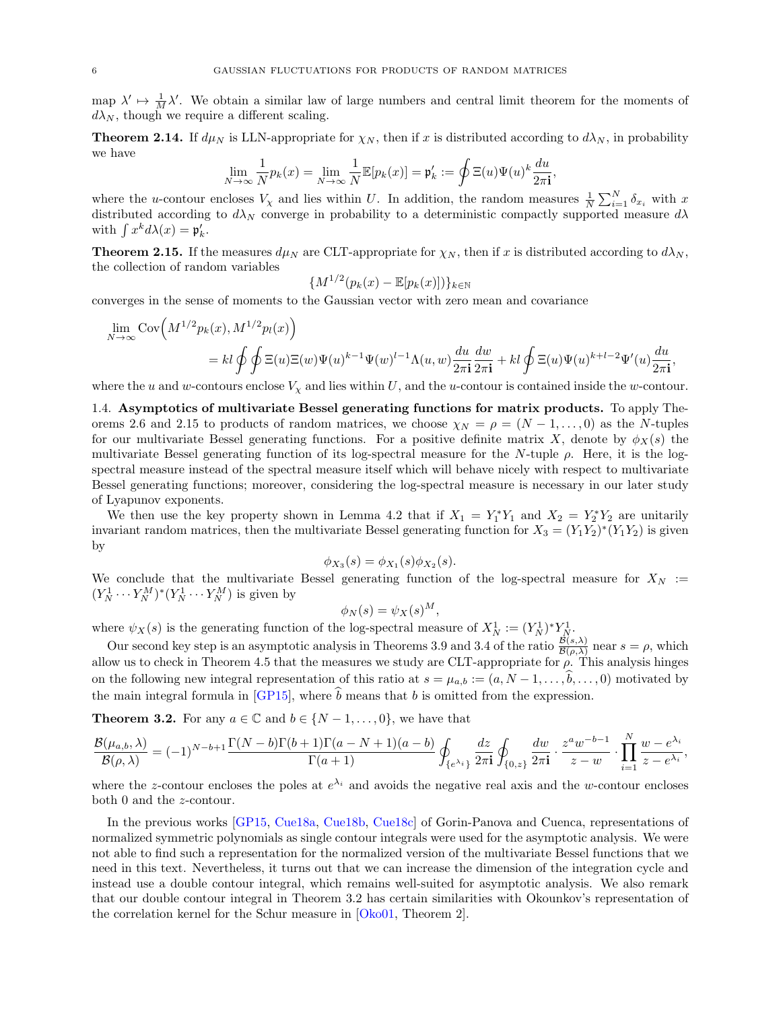map  $\lambda' \mapsto \frac{1}{M} \lambda'$ . We obtain a similar law of large numbers and central limit theorem for the moments of  $d\lambda_N$ , though we require a different scaling.

**Theorem [2.14.](#page-22-1)** If  $d\mu_N$  is LLN-appropriate for  $\chi_N$ , then if x is distributed according to  $d\lambda_N$ , in probability we have

$$
\lim_{N \to \infty} \frac{1}{N} p_k(x) = \lim_{N \to \infty} \frac{1}{N} \mathbb{E}[p_k(x)] = \mathfrak{p}'_k := \oint \Xi(u) \Psi(u)^k \frac{du}{2\pi \mathbf{i}}
$$

,

where the u-contour encloses  $V_\chi$  and lies within U. In addition, the random measures  $\frac{1}{N}\sum_{i=1}^N \delta_{x_i}$  with x distributed according to  $d\lambda_N$  converge in probability to a deterministic compactly supported measure  $d\lambda$ with  $\int x^k d\lambda(x) = \mathfrak{p}'_k$ .

**Theorem [2.15.](#page-23-0)** If the measures  $d\mu_N$  are CLT-appropriate for  $\chi_N$ , then if x is distributed according to  $d\lambda_N$ , the collection of random variables

$$
\{M^{1/2}(p_k(x)-\mathbb{E}[p_k(x)])\}_{k\in\mathbb{N}}
$$

converges in the sense of moments to the Gaussian vector with zero mean and covariance

$$
\lim_{N \to \infty} \text{Cov}\Big(M^{1/2}p_k(x), M^{1/2}p_l(x)\Big)
$$
\n
$$
= kl \oint \oint \Xi(u) \Xi(w) \Psi(u)^{k-1} \Psi(w)^{l-1} \Lambda(u, w) \frac{du}{2\pi \mathbf{i}} \frac{dw}{2\pi \mathbf{i}} + kl \oint \Xi(u) \Psi(u)^{k+l-2} \Psi'(u) \frac{du}{2\pi \mathbf{i}},
$$

where the u and w-contours enclose  $V_{\chi}$  and lies within U, and the u-contour is contained inside the w-contour.

<span id="page-5-0"></span>1.4. Asymptotics of multivariate Bessel generating functions for matrix products. To apply The-orems [2.6](#page-11-1) and [2.15](#page-23-0) to products of random matrices, we choose  $\chi_N = \rho = (N-1,\ldots,0)$  as the N-tuples for our multivariate Bessel generating functions. For a positive definite matrix X, denote by  $\phi_X(s)$  the multivariate Bessel generating function of its log-spectral measure for the N-tuple  $\rho$ . Here, it is the logspectral measure instead of the spectral measure itself which will behave nicely with respect to multivariate Bessel generating functions; moreover, considering the log-spectral measure is necessary in our later study of Lyapunov exponents.

We then use the key property shown in Lemma [4.2](#page-41-1) that if  $X_1 = Y_1^* Y_1$  and  $X_2 = Y_2^* Y_2$  are unitarily invariant random matrices, then the multivariate Bessel generating function for  $X_3 = (Y_1 Y_2)^*(Y_1 Y_2)$  is given by

$$
\phi_{X_3}(s) = \phi_{X_1}(s)\phi_{X_2}(s).
$$

We conclude that the multivariate Bessel generating function of the log-spectral measure for  $X_N :=$  $(Y_N^1 \cdots Y_N^M)^*(Y_N^1 \cdots Y_N^M)$  is given by

$$
\phi_N(s) = \psi_X(s)^M,
$$

where  $\psi_X(s)$  is the generating function of the log-spectral measure of  $X_N^1 := (Y_N^1)^* Y_N^1$ .

Our second key step is an asymptotic analysis in Theorems [3.9](#page-29-1) and [3.4](#page-25-0) of the ratio  $\frac{\mathcal{B}(s,\lambda)}{\mathcal{B}(\rho,\lambda)}$  near  $s=\rho$ , which allow us to check in Theorem [4.5](#page-42-0) that the measures we study are CLT-appropriate for  $\rho$ . This analysis hinges on the following new integral representation of this ratio at  $s = \mu_{a,b} := (a, N-1, \ldots, b, \ldots, 0)$  motivated by the main integral formula in [\[GP15\]](#page-67-11), where  $\hat{b}$  means that b is omitted from the expression.

**Theorem [3.2.](#page-24-2)** For any  $a \in \mathbb{C}$  and  $b \in \{N-1,\ldots,0\}$ , we have that

$$
\frac{\mathcal{B}(\mu_{a,b},\lambda)}{\mathcal{B}(\rho,\lambda)}=(-1)^{N-b+1}\frac{\Gamma(N-b)\Gamma(b+1)\Gamma(a-N+1)(a-b)}{\Gamma(a+1)}\oint_{\{e^{\lambda_i}\}}\frac{dz}{2\pi\mathbf{i}}\oint_{\{0,z\}}\frac{dw}{2\pi\mathbf{i}}\cdot\frac{z^aw^{-b-1}}{z-w}\cdot\prod_{i=1}^N\frac{w-e^{\lambda_i}}{z-e^{\lambda_i}},
$$

where the z-contour encloses the poles at  $e^{\lambda_i}$  and avoids the negative real axis and the w-contour encloses both 0 and the z-contour.

In the previous works [\[GP15,](#page-67-11) [Cue18a,](#page-66-12) [Cue18b,](#page-67-12) [Cue18c\]](#page-67-13) of Gorin-Panova and Cuenca, representations of normalized symmetric polynomials as single contour integrals were used for the asymptotic analysis. We were not able to find such a representation for the normalized version of the multivariate Bessel functions that we need in this text. Nevertheless, it turns out that we can increase the dimension of the integration cycle and instead use a double contour integral, which remains well-suited for asymptotic analysis. We also remark that our double contour integral in Theorem [3.2](#page-24-2) has certain similarities with Okounkov's representation of the correlation kernel for the Schur measure in [\[Oko01,](#page-68-13) Theorem 2].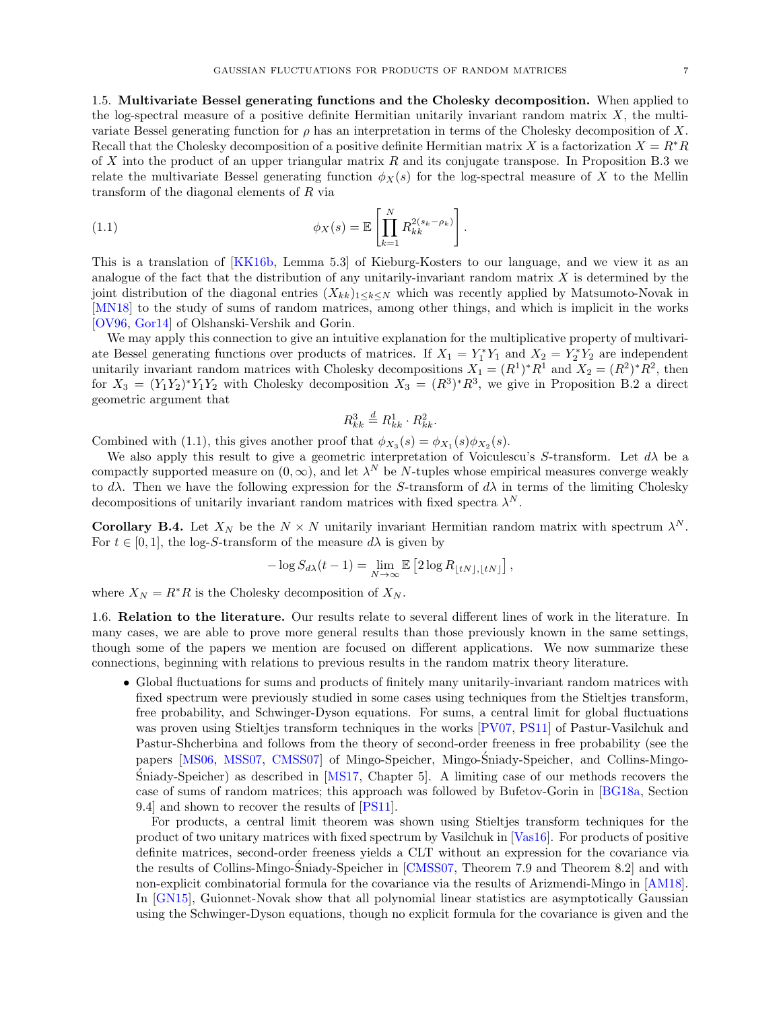<span id="page-6-0"></span>1.5. Multivariate Bessel generating functions and the Cholesky decomposition. When applied to the log-spectral measure of a positive definite Hermitian unitarily invariant random matrix  $X$ , the multivariate Bessel generating function for  $\rho$  has an interpretation in terms of the Cholesky decomposition of X. Recall that the Cholesky decomposition of a positive definite Hermitian matrix X is a factorization  $X = R^*R$ of X into the product of an upper triangular matrix  $R$  and its conjugate transpose. In Proposition [B.3](#page-64-1) we relate the multivariate Bessel generating function  $\phi_X(s)$  for the log-spectral measure of X to the Mellin transform of the diagonal elements of R via

(1.1) 
$$
\phi_X(s) = \mathbb{E}\left[\prod_{k=1}^N R_{kk}^{2(s_k - \rho_k)}\right].
$$

This is a translation of [\[KK16b,](#page-67-14) Lemma 5.3] of Kieburg-Kosters to our language, and we view it as an analogue of the fact that the distribution of any unitarily-invariant random matrix  $X$  is determined by the joint distribution of the diagonal entries  $(X_{kk})_{1\leq k\leq N}$  which was recently applied by Matsumoto-Novak in [\[MN18\]](#page-68-14) to the study of sums of random matrices, among other things, and which is implicit in the works [\[OV96,](#page-68-15) [Gor14\]](#page-67-15) of Olshanski-Vershik and Gorin.

We may apply this connection to give an intuitive explanation for the multiplicative property of multivariate Bessel generating functions over products of matrices. If  $X_1 = Y_1^* Y_1$  and  $X_2 = Y_2^* Y_2$  are independent unitarily invariant random matrices with Cholesky decompositions  $X_1 = (R^1)^* R^1$  and  $X_2 = (R^2)^* R^2$ , then for  $X_3 = (Y_1 Y_2)^* Y_1 Y_2$  with Cholesky decomposition  $X_3 = (R^3)^* R^3$ , we give in Proposition [B.2](#page-64-2) a direct geometric argument that

<span id="page-6-2"></span>
$$
R_{kk}^3 \stackrel{d}{=} R_{kk}^1 \cdot R_{kk}^2.
$$

Combined with [\(1.1\)](#page-6-2), this gives another proof that  $\phi_{X_3}(s) = \phi_{X_1}(s)\phi_{X_2}(s)$ .

We also apply this result to give a geometric interpretation of Voiculescu's S-transform. Let  $d\lambda$  be a compactly supported measure on  $(0, \infty)$ , and let  $\lambda^N$  be N-tuples whose empirical measures converge weakly to  $d\lambda$ . Then we have the following expression for the S-transform of  $d\lambda$  in terms of the limiting Cholesky decompositions of unitarily invariant random matrices with fixed spectra  $\lambda^N$ .

**Corollary [B.4.](#page-65-0)** Let  $X_N$  be the  $N \times N$  unitarily invariant Hermitian random matrix with spectrum  $\lambda^N$ . For  $t \in [0, 1]$ , the log-S-transform of the measure  $d\lambda$  is given by

$$
-\log S_{d\lambda}(t-1) = \lim_{N \to \infty} \mathbb{E} \left[ 2 \log R_{\lfloor tN \rfloor, \lfloor tN \rfloor} \right],
$$

where  $X_N = R^*R$  is the Cholesky decomposition of  $X_N$ .

<span id="page-6-1"></span>1.6. Relation to the literature. Our results relate to several different lines of work in the literature. In many cases, we are able to prove more general results than those previously known in the same settings, though some of the papers we mention are focused on different applications. We now summarize these connections, beginning with relations to previous results in the random matrix theory literature.

• Global fluctuations for sums and products of finitely many unitarily-invariant random matrices with fixed spectrum were previously studied in some cases using techniques from the Stieltjes transform, free probability, and Schwinger-Dyson equations. For sums, a central limit for global fluctuations was proven using Stieltjes transform techniques in the works [\[PV07,](#page-68-11) [PS11\]](#page-68-16) of Pastur-Vasilchuk and Pastur-Shcherbina and follows from the theory of second-order freeness in free probability (see the papers [\[MS06,](#page-68-17) [MSS07,](#page-68-18) [CMSS07\]](#page-66-5) of Mingo-Speicher, Mingo-Sniady-Speicher, and Collins-Mingo- ´ Sniady-Speicher) as described in  $[MS17, Chapter 5]$  $[MS17, Chapter 5]$  $[MS17, Chapter 5]$ . A limiting case of our methods recovers the case of sums of random matrices; this approach was followed by Bufetov-Gorin in [\[BG18a,](#page-66-10) Section 9.4] and shown to recover the results of [\[PS11\]](#page-68-16).

For products, a central limit theorem was shown using Stieltjes transform techniques for the product of two unitary matrices with fixed spectrum by Vasilchuk in [\[Vas16\]](#page-68-20). For products of positive definite matrices, second-order freeness yields a CLT without an expression for the covariance via the results of Collins-Mingo-Sniady-Speicher in [[CMSS07,](#page-66-5) Theorem 7.9 and Theorem 8.2] and with non-explicit combinatorial formula for the covariance via the results of Arizmendi-Mingo in [\[AM18\]](#page-66-13). In [\[GN15\]](#page-67-16), Guionnet-Novak show that all polynomial linear statistics are asymptotically Gaussian using the Schwinger-Dyson equations, though no explicit formula for the covariance is given and the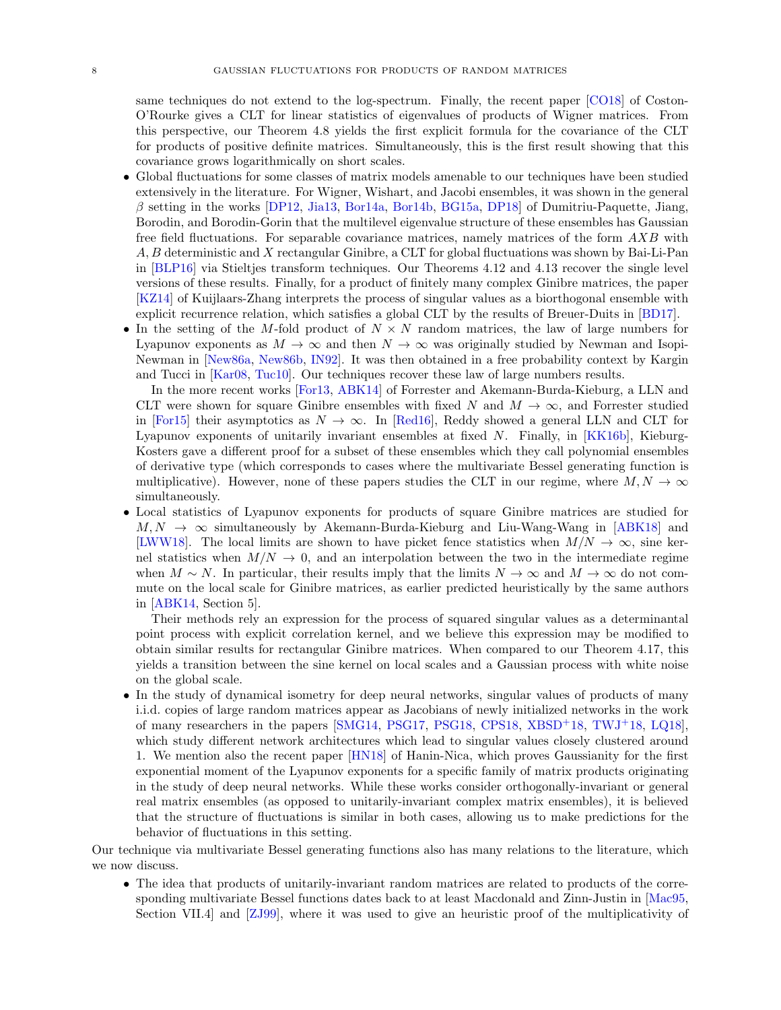same techniques do not extend to the log-spectrum. Finally, the recent paper [\[CO18\]](#page-66-14) of Coston-O'Rourke gives a CLT for linear statistics of eigenvalues of products of Wigner matrices. From this perspective, our Theorem [4.8](#page-45-0) yields the first explicit formula for the covariance of the CLT for products of positive definite matrices. Simultaneously, this is the first result showing that this covariance grows logarithmically on short scales.

- Global fluctuations for some classes of matrix models amenable to our techniques have been studied extensively in the literature. For Wigner, Wishart, and Jacobi ensembles, it was shown in the general β setting in the works [\[DP12,](#page-67-17) [Jia13,](#page-67-18) [Bor14a,](#page-66-15) [Bor14b,](#page-66-16) [BG15a,](#page-66-17) [DP18\]](#page-67-19) of Dumitriu-Paquette, Jiang, Borodin, and Borodin-Gorin that the multilevel eigenvalue structure of these ensembles has Gaussian free field fluctuations. For separable covariance matrices, namely matrices of the form AXB with A, B deterministic and X rectangular Ginibre, a CLT for global fluctuations was shown by Bai-Li-Pan in [\[BLP16\]](#page-66-18) via Stieltjes transform techniques. Our Theorems [4.12](#page-50-0) and [4.13](#page-51-0) recover the single level versions of these results. Finally, for a product of finitely many complex Ginibre matrices, the paper [\[KZ14\]](#page-67-6) of Kuijlaars-Zhang interprets the process of singular values as a biorthogonal ensemble with explicit recurrence relation, which satisfies a global CLT by the results of Breuer-Duits in [\[BD17\]](#page-66-19).
- In the setting of the M-fold product of  $N \times N$  random matrices, the law of large numbers for Lyapunov exponents as  $M \to \infty$  and then  $N \to \infty$  was originally studied by Newman and Isopi-Newman in [\[New86a,](#page-68-9) [New86b,](#page-68-10) [IN92\]](#page-67-2). It was then obtained in a free probability context by Kargin and Tucci in [\[Kar08,](#page-67-20) [Tuc10\]](#page-68-21). Our techniques recover these law of large numbers results.

In the more recent works [\[For13,](#page-67-21) [ABK14\]](#page-66-20) of Forrester and Akemann-Burda-Kieburg, a LLN and CLT were shown for square Ginibre ensembles with fixed N and  $M \to \infty$ , and Forrester studied in [\[For15\]](#page-67-22) their asymptotics as  $N \to \infty$ . In [\[Red16\]](#page-68-12), Reddy showed a general LLN and CLT for Lyapunov exponents of unitarily invariant ensembles at fixed N. Finally, in [\[KK16b\]](#page-67-14), Kieburg-Kosters gave a different proof for a subset of these ensembles which they call polynomial ensembles of derivative type (which corresponds to cases where the multivariate Bessel generating function is multiplicative). However, none of these papers studies the CLT in our regime, where  $M, N \to \infty$ simultaneously.

• Local statistics of Lyapunov exponents for products of square Ginibre matrices are studied for  $M, N \rightarrow \infty$  simultaneously by Akemann-Burda-Kieburg and Liu-Wang-Wang in [\[ABK18\]](#page-66-4) and [\[LWW18\]](#page-67-4). The local limits are shown to have picket fence statistics when  $M/N \to \infty$ , sine kernel statistics when  $M/N \to 0$ , and an interpolation between the two in the intermediate regime when  $M \sim N$ . In particular, their results imply that the limits  $N \to \infty$  and  $M \to \infty$  do not commute on the local scale for Ginibre matrices, as earlier predicted heuristically by the same authors in [\[ABK14,](#page-66-20) Section 5].

Their methods rely an expression for the process of squared singular values as a determinantal point process with explicit correlation kernel, and we believe this expression may be modified to obtain similar results for rectangular Ginibre matrices. When compared to our Theorem [4.17,](#page-58-1) this yields a transition between the sine kernel on local scales and a Gaussian process with white noise on the global scale.

• In the study of dynamical isometry for deep neural networks, singular values of products of many i.i.d. copies of large random matrices appear as Jacobians of newly initialized networks in the work of many researchers in the papers [\[SMG14,](#page-68-2) [PSG17,](#page-68-3) [PSG18,](#page-68-4) [CPS18,](#page-66-3) [XBSD](#page-68-5)<sup>+</sup>18, [TWJ](#page-68-6)<sup>+</sup>18, [LQ18\]](#page-67-1), which study different network architectures which lead to singular values closely clustered around 1. We mention also the recent paper [\[HN18\]](#page-67-23) of Hanin-Nica, which proves Gaussianity for the first exponential moment of the Lyapunov exponents for a specific family of matrix products originating in the study of deep neural networks. While these works consider orthogonally-invariant or general real matrix ensembles (as opposed to unitarily-invariant complex matrix ensembles), it is believed that the structure of fluctuations is similar in both cases, allowing us to make predictions for the behavior of fluctuations in this setting.

Our technique via multivariate Bessel generating functions also has many relations to the literature, which we now discuss.

• The idea that products of unitarily-invariant random matrices are related to products of the corresponding multivariate Bessel functions dates back to at least Macdonald and Zinn-Justin in [\[Mac95,](#page-68-22) Section VII.4] and [\[ZJ99\]](#page-68-23), where it was used to give an heuristic proof of the multiplicativity of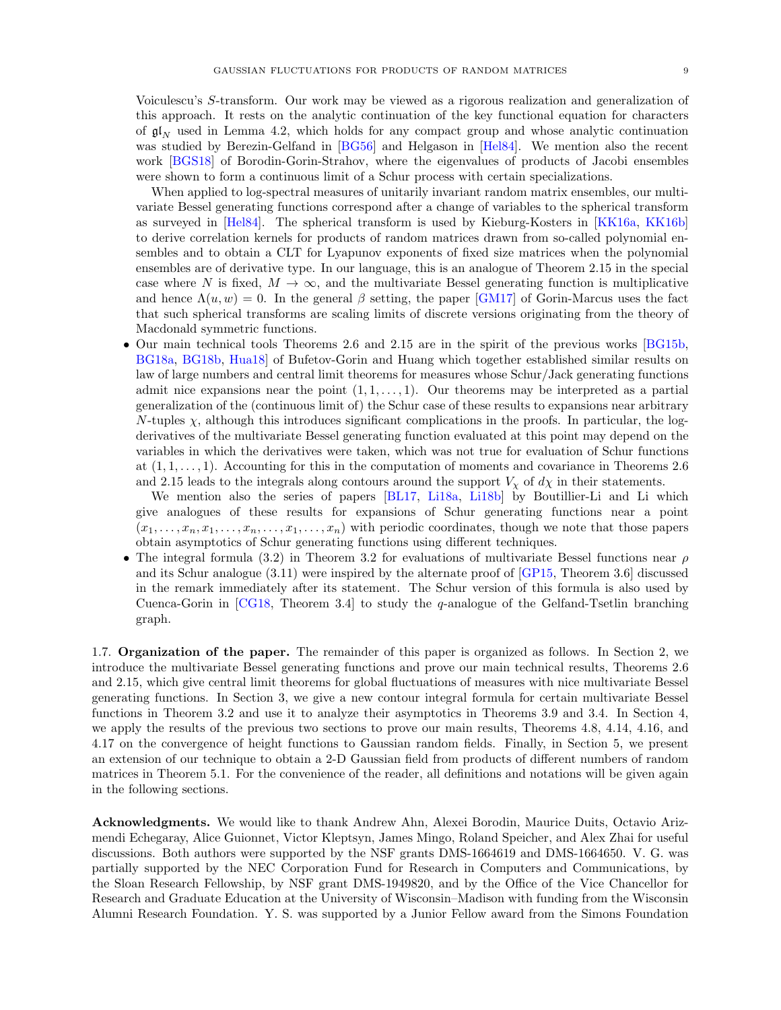Voiculescu's S-transform. Our work may be viewed as a rigorous realization and generalization of this approach. It rests on the analytic continuation of the key functional equation for characters of  $\mathfrak{gl}_N$  used in Lemma [4.2,](#page-41-1) which holds for any compact group and whose analytic continuation was studied by Berezin-Gelfand in [\[BG56\]](#page-66-21) and Helgason in [\[Hel84\]](#page-67-24). We mention also the recent work [\[BGS18\]](#page-66-22) of Borodin-Gorin-Strahov, where the eigenvalues of products of Jacobi ensembles were shown to form a continuous limit of a Schur process with certain specializations.

When applied to log-spectral measures of unitarily invariant random matrix ensembles, our multivariate Bessel generating functions correspond after a change of variables to the spherical transform as surveyed in [\[Hel84\]](#page-67-24). The spherical transform is used by Kieburg-Kosters in [\[KK16a,](#page-67-25) [KK16b\]](#page-67-14) to derive correlation kernels for products of random matrices drawn from so-called polynomial ensembles and to obtain a CLT for Lyapunov exponents of fixed size matrices when the polynomial ensembles are of derivative type. In our language, this is an analogue of Theorem [2.15](#page-23-0) in the special case where N is fixed,  $M \to \infty$ , and the multivariate Bessel generating function is multiplicative and hence  $\Lambda(u, w) = 0$ . In the general  $\beta$  setting, the paper [\[GM17\]](#page-67-26) of Gorin-Marcus uses the fact that such spherical transforms are scaling limits of discrete versions originating from the theory of Macdonald symmetric functions.

• Our main technical tools Theorems [2.6](#page-11-1) and [2.15](#page-23-0) are in the spirit of the previous works [\[BG15b,](#page-66-9) [BG18a,](#page-66-10) [BG18b,](#page-66-11) [Hua18\]](#page-67-27) of Bufetov-Gorin and Huang which together established similar results on law of large numbers and central limit theorems for measures whose Schur/Jack generating functions admit nice expansions near the point  $(1, 1, \ldots, 1)$ . Our theorems may be interpreted as a partial generalization of the (continuous limit of) the Schur case of these results to expansions near arbitrary  $N$ -tuples  $\chi$ , although this introduces significant complications in the proofs. In particular, the logderivatives of the multivariate Bessel generating function evaluated at this point may depend on the variables in which the derivatives were taken, which was not true for evaluation of Schur functions at  $(1, 1, \ldots, 1)$ . Accounting for this in the computation of moments and covariance in Theorems [2.6](#page-11-1) and [2.15](#page-23-0) leads to the integrals along contours around the support  $V_{\chi}$  of  $d\chi$  in their statements.

We mention also the series of papers [\[BL17,](#page-66-23) [Li18a,](#page-67-28) [Li18b\]](#page-67-29) by Boutillier-Li and Li which give analogues of these results for expansions of Schur generating functions near a point  $(x_1, \ldots, x_n, x_1, \ldots, x_n, \ldots, x_1, \ldots, x_n)$  with periodic coordinates, though we note that those papers obtain asymptotics of Schur generating functions using different techniques.

• The integral formula [\(3.2\)](#page-24-3) in Theorem [3.2](#page-24-2) for evaluations of multivariate Bessel functions near  $\rho$ and its Schur analogue [\(3.11\)](#page-29-2) were inspired by the alternate proof of [\[GP15,](#page-67-11) Theorem 3.6] discussed in the remark immediately after its statement. The Schur version of this formula is also used by Cuenca-Gorin in [\[CG18,](#page-66-24) Theorem 3.4] to study the q-analogue of the Gelfand-Tsetlin branching graph.

<span id="page-8-0"></span>1.7. Organization of the paper. The remainder of this paper is organized as follows. In Section [2,](#page-9-0) we introduce the multivariate Bessel generating functions and prove our main technical results, Theorems [2.6](#page-11-1) and [2.15,](#page-23-0) which give central limit theorems for global fluctuations of measures with nice multivariate Bessel generating functions. In Section [3,](#page-24-0) we give a new contour integral formula for certain multivariate Bessel functions in Theorem [3.2](#page-24-2) and use it to analyze their asymptotics in Theorems [3.9](#page-29-1) and [3.4.](#page-25-0) In Section [4,](#page-40-1) we apply the results of the previous two sections to prove our main results, Theorems [4.8,](#page-45-0) [4.14,](#page-53-1) [4.16,](#page-58-0) and [4.17](#page-58-1) on the convergence of height functions to Gaussian random fields. Finally, in Section [5,](#page-60-0) we present an extension of our technique to obtain a 2-D Gaussian field from products of different numbers of random matrices in Theorem [5.1.](#page-60-3) For the convenience of the reader, all definitions and notations will be given again in the following sections.

<span id="page-8-1"></span>Acknowledgments. We would like to thank Andrew Ahn, Alexei Borodin, Maurice Duits, Octavio Arizmendi Echegaray, Alice Guionnet, Victor Kleptsyn, James Mingo, Roland Speicher, and Alex Zhai for useful discussions. Both authors were supported by the NSF grants DMS-1664619 and DMS-1664650. V. G. was partially supported by the NEC Corporation Fund for Research in Computers and Communications, by the Sloan Research Fellowship, by NSF grant DMS-1949820, and by the Office of the Vice Chancellor for Research and Graduate Education at the University of Wisconsin–Madison with funding from the Wisconsin Alumni Research Foundation. Y. S. was supported by a Junior Fellow award from the Simons Foundation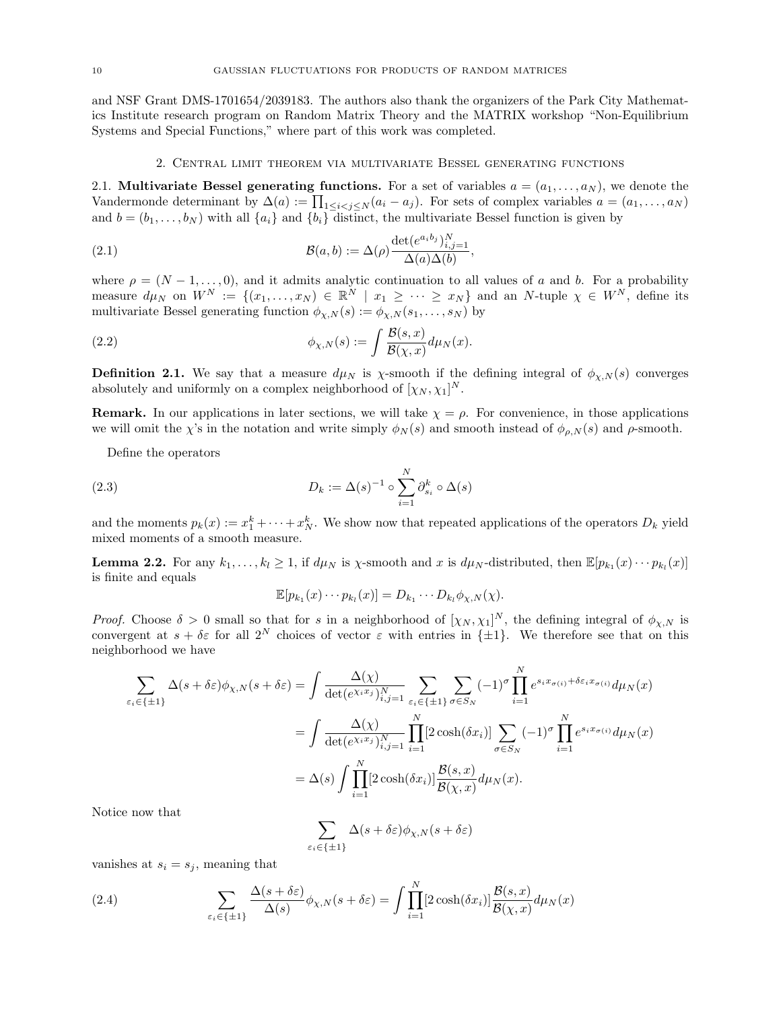and NSF Grant DMS-1701654/2039183. The authors also thank the organizers of the Park City Mathematics Institute research program on Random Matrix Theory and the MATRIX workshop "Non-Equilibrium Systems and Special Functions," where part of this work was completed.

### <span id="page-9-4"></span>2. Central limit theorem via multivariate Bessel generating functions

<span id="page-9-1"></span><span id="page-9-0"></span>2.1. Multivariate Bessel generating functions. For a set of variables  $a = (a_1, \ldots, a_N)$ , we denote the Vandermonde determinant by  $\Delta(a) := \prod_{1 \leq i < j \leq N} (a_i - a_j)$ . For sets of complex variables  $a = (a_1, \ldots, a_N)$ and  $b = (b_1, \ldots, b_N)$  with all  $\{a_i\}$  and  $\{b_i\}$  distinct, the multivariate Bessel function is given by

(2.1) 
$$
\mathcal{B}(a,b) := \Delta(\rho) \frac{\det(e^{a_i b_j})_{i,j=1}^N}{\Delta(a)\Delta(b)},
$$

where  $\rho = (N-1, \ldots, 0)$ , and it admits analytic continuation to all values of a and b. For a probability measure  $d\mu_N$  on  $W^N := \{(x_1, \ldots, x_N) \in \mathbb{R}^N \mid x_1 \geq \cdots \geq x_N\}$  and an N-tuple  $\chi \in W^N$ , define its multivariate Bessel generating function  $\phi_{\chi,N}(s) := \phi_{\chi,N}(s_1,\ldots,s_N)$  by

<span id="page-9-5"></span>(2.2) 
$$
\phi_{\chi,N}(s) := \int \frac{\mathcal{B}(s,x)}{\mathcal{B}(\chi,x)} d\mu_N(x).
$$

**Definition 2.1.** We say that a measure  $d\mu_N$  is  $\chi$ -smooth if the defining integral of  $\phi_{\chi,N}(s)$  converges absolutely and uniformly on a complex neighborhood of  $[\chi_N, \chi_1]^N$ .

**Remark.** In our applications in later sections, we will take  $\chi = \rho$ . For convenience, in those applications we will omit the  $\chi$ 's in the notation and write simply  $\phi_N(s)$  and smooth instead of  $\phi_{\rho,N}(s)$  and  $\rho$ -smooth.

Define the operators

(2.3) 
$$
D_k := \Delta(s)^{-1} \circ \sum_{i=1}^N \partial_{s_i}^k \circ \Delta(s)
$$

and the moments  $p_k(x) := x_1^k + \cdots + x_N^k$ . We show now that repeated applications of the operators  $D_k$  yield mixed moments of a smooth measure.

<span id="page-9-3"></span>**Lemma 2.2.** For any  $k_1, \ldots, k_l \geq 1$ , if  $d\mu_N$  is  $\chi$ -smooth and x is  $d\mu_N$ -distributed, then  $\mathbb{E}[p_{k_1}(x) \cdots p_{k_l}(x)]$ is finite and equals

$$
\mathbb{E}[p_{k_1}(x)\cdots p_{k_l}(x)]=D_{k_1}\cdots D_{k_l}\phi_{\chi,N}(\chi).
$$

*Proof.* Choose  $\delta > 0$  small so that for s in a neighborhood of  $[\chi_N, \chi_1]^N$ , the defining integral of  $\phi_{\chi,N}$  is convergent at  $s + \delta \varepsilon$  for all  $2^N$  choices of vector  $\varepsilon$  with entries in  $\{\pm 1\}$ . We therefore see that on this neighborhood we have

$$
\sum_{\varepsilon_i \in \{\pm 1\}} \Delta(s + \delta \varepsilon) \phi_{\chi, N}(s + \delta \varepsilon) = \int \frac{\Delta(\chi)}{\det(e^{\chi_i x_j})_{i,j=1}^N} \sum_{\varepsilon_i \in \{\pm 1\}} \sum_{\sigma \in S_N} (-1)^{\sigma} \prod_{i=1}^N e^{s_i x_{\sigma(i)} + \delta \varepsilon_i x_{\sigma(i)}} d\mu_N(x)
$$

$$
= \int \frac{\Delta(\chi)}{\det(e^{\chi_i x_j})_{i,j=1}^N} \prod_{i=1}^N [2 \cosh(\delta x_i)] \sum_{\sigma \in S_N} (-1)^{\sigma} \prod_{i=1}^N e^{s_i x_{\sigma(i)}} d\mu_N(x)
$$

$$
= \Delta(s) \int \prod_{i=1}^N [2 \cosh(\delta x_i)] \frac{\mathcal{B}(s, x)}{\mathcal{B}(\chi, x)} d\mu_N(x).
$$

Notice now that

$$
\sum_{\varepsilon_i \in \{\pm 1\}} \Delta(s + \delta \varepsilon) \phi_{\chi, N}(s + \delta \varepsilon)
$$

vanishes at  $s_i = s_j$ , meaning that

<span id="page-9-2"></span>(2.4) 
$$
\sum_{\varepsilon_i \in \{\pm 1\}} \frac{\Delta(s + \delta \varepsilon)}{\Delta(s)} \phi_{\chi, N}(s + \delta \varepsilon) = \int \prod_{i=1}^N [2 \cosh(\delta x_i)] \frac{\mathcal{B}(s, x)}{\mathcal{B}(\chi, x)} d\mu_N(x)
$$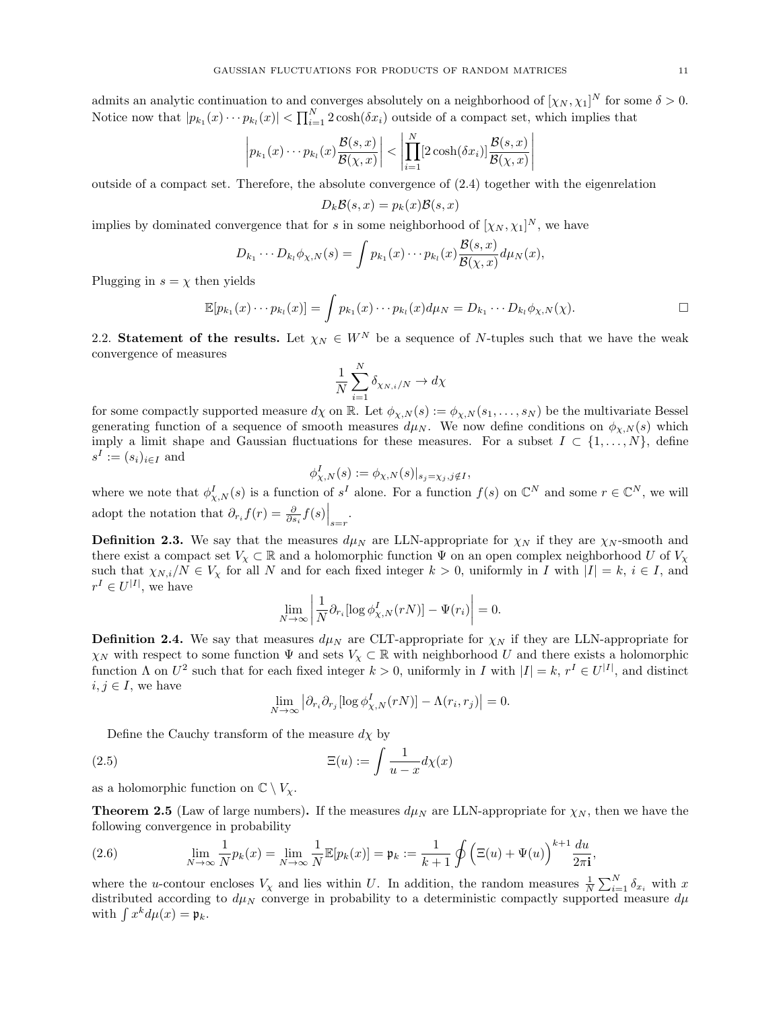admits an analytic continuation to and converges absolutely on a neighborhood of  $[\chi_N, \chi_1]^N$  for some  $\delta > 0$ . Notice now that  $|p_{k_1}(x)\cdots p_{k_l}(x)| < \prod_{i=1}^N 2\cosh(\delta x_i)$  outside of a compact set, which implies that

$$
\left| p_{k_1}(x) \cdots p_{k_l}(x) \frac{\mathcal{B}(s, x)}{\mathcal{B}(\chi, x)} \right| < \left| \prod_{i=1}^N [2 \cosh(\delta x_i)] \frac{\mathcal{B}(s, x)}{\mathcal{B}(\chi, x)} \right|
$$

outside of a compact set. Therefore, the absolute convergence of [\(2.4\)](#page-9-2) together with the eigenrelation

$$
D_k \mathcal{B}(s, x) = p_k(x) \mathcal{B}(s, x)
$$

implies by dominated convergence that for s in some neighborhood of  $[\chi_N, \chi_1]^N$ , we have

$$
D_{k_1}\cdots D_{k_l}\phi_{\chi,N}(s)=\int p_{k_1}(x)\cdots p_{k_l}(x)\frac{\mathcal{B}(s,x)}{\mathcal{B}(\chi,x)}d\mu_N(x),
$$

Plugging in  $s = \chi$  then yields

$$
\mathbb{E}[p_{k_1}(x)\cdots p_{k_l}(x)]=\int p_{k_1}(x)\cdots p_{k_l}(x)d\mu_N=D_{k_1}\cdots D_{k_l}\phi_{\chi,N}(\chi).
$$

<span id="page-10-0"></span>2.2. Statement of the results. Let  $\chi_N \in W^N$  be a sequence of N-tuples such that we have the weak convergence of measures

$$
\frac{1}{N} \sum_{i=1}^{N} \delta_{\chi_{N,i}/N} \to d\chi
$$

for some compactly supported measure  $d\chi$  on R. Let  $\phi_{\chi,N}(s) := \phi_{\chi,N}(s_1,\ldots,s_N)$  be the multivariate Bessel generating function of a sequence of smooth measures  $d\mu_N$ . We now define conditions on  $\phi_{\chi,N}(s)$  which imply a limit shape and Gaussian fluctuations for these measures. For a subset  $I \subset \{1, \ldots, N\}$ , define  $s^I := (s_i)_{i \in I}$  and

$$
\phi_{\chi,N}^I(s) := \phi_{\chi,N}(s)|_{s_j = \chi_j, j \notin I},
$$

where we note that  $\phi_{\chi,N}^I(s)$  is a function of  $s^I$  alone. For a function  $f(s)$  on  $\mathbb{C}^N$  and some  $r \in \mathbb{C}^N$ , we will adopt the notation that  $\partial_{r_i} f(r) = \frac{\partial}{\partial s_i} f(s) \Big|_{s=r}$ .

<span id="page-10-2"></span>**Definition 2.3.** We say that the measures  $d\mu_N$  are LLN-appropriate for  $\chi_N$  if they are  $\chi_N$ -smooth and there exist a compact set  $V_\chi \subset \mathbb{R}$  and a holomorphic function  $\Psi$  on an open complex neighborhood U of  $V_\chi$ such that  $\chi_{N,i}/N \in V_{\chi}$  for all N and for each fixed integer  $k > 0$ , uniformly in I with  $|I| = k$ ,  $i \in I$ , and  $r^I \in U^{|I|}$ , we have

$$
\lim_{N \to \infty} \left| \frac{1}{N} \partial_{r_i} [\log \phi_{\chi,N}^I(rN)] - \Psi(r_i) \right| = 0.
$$

<span id="page-10-3"></span>**Definition 2.4.** We say that measures  $d\mu_N$  are CLT-appropriate for  $\chi_N$  if they are LLN-appropriate for  $\chi_N$  with respect to some function  $\Psi$  and sets  $V_\chi \subset \mathbb{R}$  with neighborhood U and there exists a holomorphic function  $\Lambda$  on  $U^2$  such that for each fixed integer  $k > 0$ , uniformly in I with  $|I| = k$ ,  $r^I \in U^{|I|}$ , and distinct  $i, j \in I$ , we have

$$
\lim_{N \to \infty} \left| \partial_{r_i} \partial_{r_j} [\log \phi_{\chi,N}^I(rN)] - \Lambda(r_i, r_j) \right| = 0.
$$

Define the Cauchy transform of the measure  $d\chi$  by

(2.5) 
$$
\Xi(u) := \int \frac{1}{u - x} d\chi(x)
$$

as a holomorphic function on  $\mathbb{C} \setminus V_{\mathbf{y}}$ .

<span id="page-10-1"></span>**Theorem 2.5** (Law of large numbers). If the measures  $d\mu_N$  are LLN-appropriate for  $\chi_N$ , then we have the following convergence in probability

,

(2.6) 
$$
\lim_{N \to \infty} \frac{1}{N} p_k(x) = \lim_{N \to \infty} \frac{1}{N} \mathbb{E}[p_k(x)] = \mathfrak{p}_k := \frac{1}{k+1} \oint \left( \Xi(u) + \Psi(u) \right)^{k+1} \frac{du}{2\pi \mathbf{i}}
$$

where the u-contour encloses  $V_\chi$  and lies within U. In addition, the random measures  $\frac{1}{N}\sum_{i=1}^N \delta_{x_i}$  with x distributed according to  $d\mu_N$  converge in probability to a deterministic compactly supported measure  $d\mu$ with  $\int x^k d\mu(x) = \mathfrak{p}_k$ .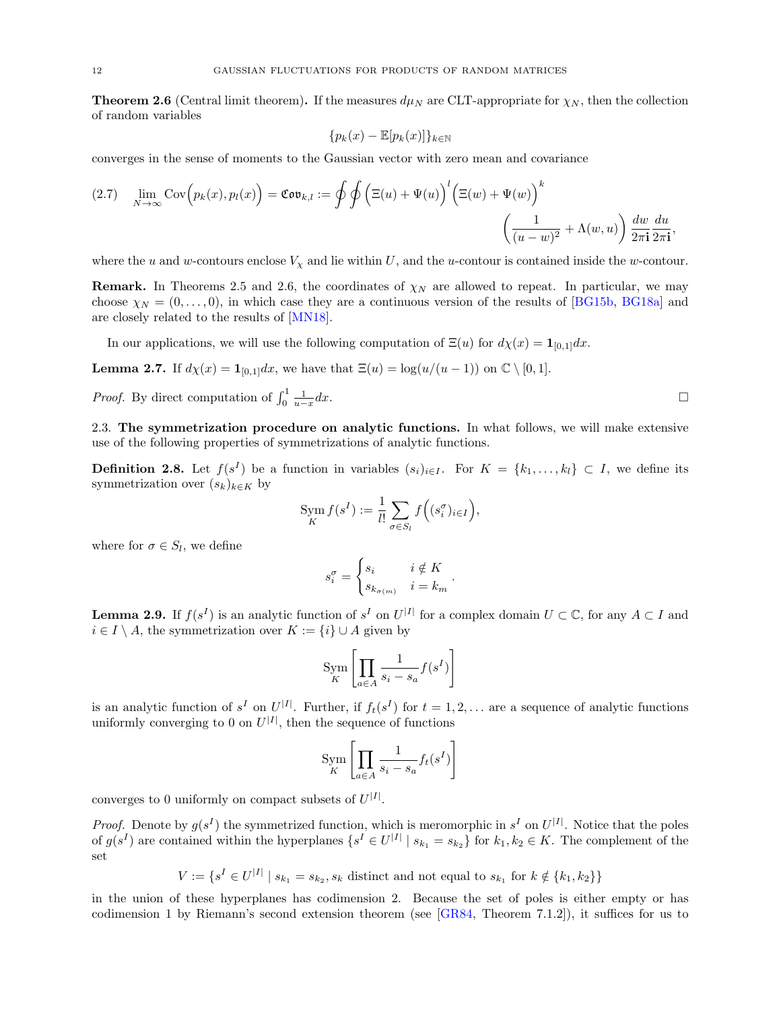<span id="page-11-1"></span>**Theorem 2.6** (Central limit theorem). If the measures  $d\mu_N$  are CLT-appropriate for  $\chi_N$ , then the collection of random variables

$$
\{p_k(x) - \mathbb{E}[p_k(x)]\}_{k \in \mathbb{N}}
$$

converges in the sense of moments to the Gaussian vector with zero mean and covariance

$$
(2.7) \quad \lim_{N \to \infty} \text{Cov}\Big(p_k(x), p_l(x)\Big) = \text{Cov}_{k,l} := \oint \oint \Big(\Xi(u) + \Psi(u)\Big)^l \Big(\Xi(w) + \Psi(w)\Big)^k \\ \left(\frac{1}{(u-w)^2} + \Lambda(w, u)\right) \frac{dw}{2\pi \mathbf{i}} \frac{du}{2\pi \mathbf{i}},
$$

where the u and w-contours enclose  $V_x$  and lie within U, and the u-contour is contained inside the w-contour.

**Remark.** In Theorems [2.5](#page-10-1) and [2.6,](#page-11-1) the coordinates of  $\chi_N$  are allowed to repeat. In particular, we may choose  $\chi_N = (0, \ldots, 0)$ , in which case they are a continuous version of the results of [\[BG15b,](#page-66-9) [BG18a\]](#page-66-10) and are closely related to the results of [\[MN18\]](#page-68-14).

In our applications, we will use the following computation of  $\Xi(u)$  for  $d\chi(x) = \mathbf{1}_{[0,1]}dx$ .

<span id="page-11-3"></span>**Lemma 2.7.** If  $d\chi(x) = \mathbf{1}_{[0,1]}dx$ , we have that  $\Xi(u) = \log(u/(u-1))$  on  $\mathbb{C} \setminus [0,1]$ .

*Proof.* By direct computation of  $\int_0^1 \frac{1}{u-x}$  $dx$ .

<span id="page-11-0"></span>2.3. The symmetrization procedure on analytic functions. In what follows, we will make extensive use of the following properties of symmetrizations of analytic functions.

**Definition 2.8.** Let  $f(s^I)$  be a function in variables  $(s_i)_{i\in I}$ . For  $K = \{k_1, \ldots, k_l\} \subset I$ , we define its symmetrization over  $(s_k)_{k\in K}$  by

$$
\operatorname{Sym}_{K} f(s^{I}) := \frac{1}{l!} \sum_{\sigma \in S_{l}} f\Big((s_{i}^{\sigma})_{i \in I}\Big),
$$

where for  $\sigma \in S_l$ , we define

$$
s_i^{\sigma} = \begin{cases} s_i & i \notin K \\ s_{k_{\sigma(m)}} & i = k_m \end{cases}.
$$

<span id="page-11-2"></span>**Lemma 2.9.** If  $f(s^I)$  is an analytic function of  $s^I$  on  $U^{|I|}$  for a complex domain  $U \subset \mathbb{C}$ , for any  $A \subset I$  and  $i \in I \setminus A$ , the symmetrization over  $K := \{i\} \cup A$  given by

$$
\operatorname{Sym}_{K} \left[ \prod_{a \in A} \frac{1}{s_i - s_a} f(s^I) \right]
$$

is an analytic function of  $s^I$  on  $U^{|I|}$ . Further, if  $f_t(s^I)$  for  $t = 1, 2, \ldots$  are a sequence of analytic functions uniformly converging to 0 on  $U^{|I|}$ , then the sequence of functions

$$
\operatorname{Sym}_{K} \left[ \prod_{a \in A} \frac{1}{s_i - s_a} f_t(s^I) \right]
$$

converges to 0 uniformly on compact subsets of  $U^{|I|}$ .

*Proof.* Denote by  $g(s^I)$  the symmetrized function, which is meromorphic in  $s^I$  on  $U^{|I|}$ . Notice that the poles of  $g(s^I)$  are contained within the hyperplanes  $\{s^I \in U^{|I|} \mid s_{k_1} = s_{k_2}\}\$  for  $k_1, k_2 \in K$ . The complement of the set

 $V := \{ s^I \in U^{|I|} \mid s_{k_1} = s_{k_2}, s_k \text{ distinct and not equal to } s_{k_1} \text{ for } k \notin \{k_1, k_2\} \}$ 

in the union of these hyperplanes has codimension 2. Because the set of poles is either empty or has codimension 1 by Riemann's second extension theorem (see [\[GR84,](#page-67-30) Theorem 7.1.2]), it suffices for us to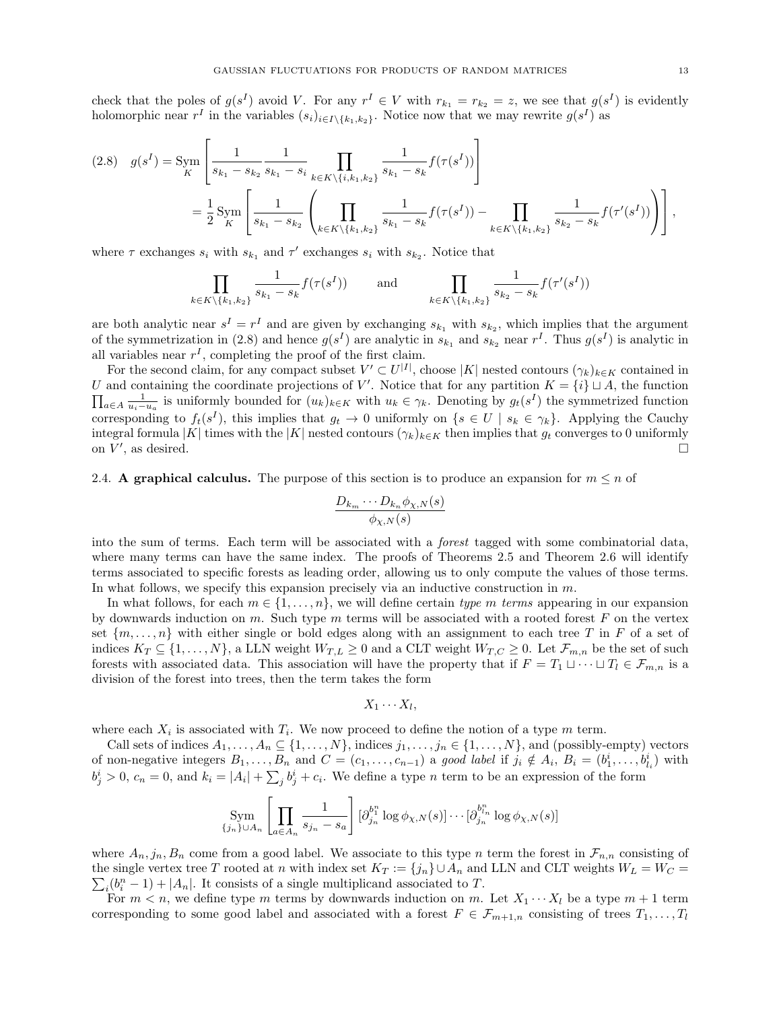check that the poles of  $g(s^I)$  avoid V. For any  $r^I \in V$  with  $r_{k_1} = r_{k_2} = z$ , we see that  $g(s^I)$  is evidently holomorphic near  $r^I$  in the variables  $(s_i)_{i \in I \setminus \{k_1,k_2\}}$ . Notice now that we may rewrite  $g(s^I)$  as

<span id="page-12-1"></span>
$$
(2.8) \quad g(s^I) = \text{Sym} \left[ \frac{1}{s_{k_1} - s_{k_2}} \frac{1}{s_{k_1} - s_i} \prod_{k \in K \setminus \{i, k_1, k_2\}} \frac{1}{s_{k_1} - s_k} f(\tau(s^I)) \right]
$$
  
=  $\frac{1}{2} \text{Sym} \left[ \frac{1}{s_{k_1} - s_{k_2}} \left( \prod_{k \in K \setminus \{k_1, k_2\}} \frac{1}{s_{k_1} - s_k} f(\tau(s^I)) - \prod_{k \in K \setminus \{k_1, k_2\}} \frac{1}{s_{k_2} - s_k} f(\tau'(s^I)) \right) \right],$ 

where  $\tau$  exchanges  $s_i$  with  $s_{k_1}$  and  $\tau'$  exchanges  $s_i$  with  $s_{k_2}$ . Notice that

$$
\prod_{k \in K \setminus \{k_1, k_2\}} \frac{1}{s_{k_1} - s_k} f(\tau(s^I)) \quad \text{and} \quad \prod_{k \in K \setminus \{k_1, k_2\}} \frac{1}{s_{k_2} - s_k} f(\tau'(s^I))
$$

are both analytic near  $s^I = r^I$  and are given by exchanging  $s_{k_1}$  with  $s_{k_2}$ , which implies that the argument of the symmetrization in [\(2.8\)](#page-12-1) and hence  $g(s^I)$  are analytic in  $s_{k_1}$  and  $s_{k_2}$  near  $r^I$ . Thus  $g(s^I)$  is analytic in all variables near  $r<sup>I</sup>$ , completing the proof of the first claim.

For the second claim, for any compact subset  $V' \subset U^{|I|}$ , choose |K| nested contours  $(\gamma_k)_{k \in K}$  contained in U and containing the coordinate projections of V'. Notice that for any partition  $K = \{i\} \sqcup A$ , the function  $\prod_{a\in A} \frac{1}{u_i-u_a}$  is uniformly bounded for  $(u_k)_{k\in K}$  with  $u_k \in \gamma_k$ . Denoting by  $g_t(s^I)$  the symmetrized function corresponding to  $f_t(s^I)$ , this implies that  $g_t \to 0$  uniformly on  $\{s \in U \mid s_k \in \gamma_k\}$ . Applying the Cauchy integral formula |K| times with the |K| nested contours  $(\gamma_k)_{k \in K}$  then implies that  $g_t$  converges to 0 uniformly on  $V'$ , as desired. on  $V'$ , as desired.  $\hfill \square$ 

<span id="page-12-0"></span>2.4. A graphical calculus. The purpose of this section is to produce an expansion for  $m \leq n$  of

$$
\frac{D_{k_m}\cdots D_{k_n}\phi_{\chi,N}(s)}{\phi_{\chi,N}(s)}
$$

into the sum of terms. Each term will be associated with a forest tagged with some combinatorial data, where many terms can have the same index. The proofs of Theorems [2.5](#page-10-1) and Theorem [2.6](#page-11-1) will identify terms associated to specific forests as leading order, allowing us to only compute the values of those terms. In what follows, we specify this expansion precisely via an inductive construction in  $m$ .

In what follows, for each  $m \in \{1, \ldots, n\}$ , we will define certain type m terms appearing in our expansion by downwards induction on m. Such type m terms will be associated with a rooted forest F on the vertex set  $\{m, \ldots, n\}$  with either single or bold edges along with an assignment to each tree T in F of a set of indices  $K_T \subseteq \{1,\ldots,N\}$ , a LLN weight  $W_{T,L} \geq 0$  and a CLT weight  $W_{T,C} \geq 0$ . Let  $\mathcal{F}_{m,n}$  be the set of such forests with associated data. This association will have the property that if  $F = T_1 \cup \cdots \cup T_l \in \mathcal{F}_{m,n}$  is a division of the forest into trees, then the term takes the form

$$
X_1\cdots X_l,
$$

where each  $X_i$  is associated with  $T_i$ . We now proceed to define the notion of a type m term.

Call sets of indices  $A_1, \ldots, A_n \subseteq \{1, \ldots, N\}$ , indices  $j_1, \ldots, j_n \in \{1, \ldots, N\}$ , and (possibly-empty) vectors of non-negative integers  $B_1, \ldots, B_n$  and  $C = (c_1, \ldots, c_{n-1})$  a good label if  $j_i \notin A_i$ ,  $B_i = (b_1^i, \ldots, b_{l_i}^i)$  with  $b_j^i > 0, c_n = 0$ , and  $k_i = |A_i| + \sum_j b_j^i + c_i$ . We define a type n term to be an expression of the form

$$
\operatorname{Sym}_{\{j_n\}\cup A_n} \left[ \prod_{a \in A_n} \frac{1}{s_{j_n} - s_a} \right] [\partial_{j_n}^{b_1^n} \log \phi_{\chi,N}(s)] \cdots [\partial_{j_n}^{b_{l_n}^n} \log \phi_{\chi,N}(s)]
$$

where  $A_n, j_n, B_n$  come from a good label. We associate to this type n term the forest in  $\mathcal{F}_{n,n}$  consisting of the single vertex tree T rooted at n with index set  $K_T := \{j_n\} \cup A_n$  and LLN and CLT weights  $W_L = W_C = \sum_{i=1}^N \sum_{j=1}^N \sum_{j=1}^N \sum_{j=1}^N \sum_{j=1}^N \sum_{j=1}^N \sum_{j=1}^N \sum_{j=1}^N \sum_{j=1}^N \sum_{j=1}^N \sum_{j=1}^N \sum_{j=1}^N \sum_{j=1}^N \sum_{j=$  $\sum_i (b_i^n - 1) + |A_n|$ . It consists of a single multiplicand associated to T.

For  $m < n$ , we define type m terms by downwards induction on m. Let  $X_1 \cdots X_l$  be a type  $m + 1$  term corresponding to some good label and associated with a forest  $F \in \mathcal{F}_{m+1,n}$  consisting of trees  $T_1, \ldots, T_l$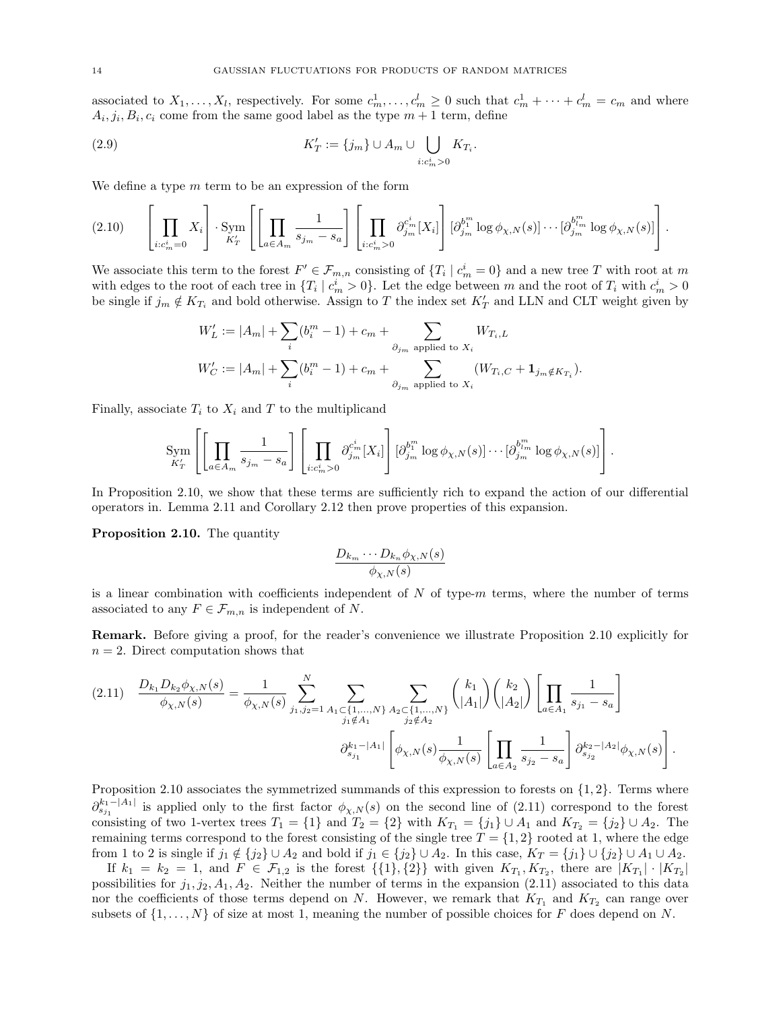associated to  $X_1, \ldots, X_l$ , respectively. For some  $c_m^1, \ldots, c_m^l \geq 0$  such that  $c_m^1 + \cdots + c_m^l = c_m$  and where  $A_i, j_i, B_i, c_i$  come from the same good label as the type  $m + 1$  term, define

<span id="page-13-2"></span>(2.9) 
$$
K'_T := \{j_m\} \cup A_m \cup \bigcup_{i:c_m^i > 0} K_{T_i}.
$$

We define a type  $m$  term to be an expression of the form

$$
(2.10) \qquad \left[\prod_{i:c_m^i=0} X_i\right] \cdot \text{Sym}_{K'_T} \left[\left[\prod_{a\in A_m} \frac{1}{s_{j_m}-s_a}\right] \left[\prod_{i:c_m^i>0} \partial_{j_m}^{c_m^i}[X_i]\right] [\partial_{j_m}^{b_1^m} \log \phi_{\chi,N}(s)] \cdots [\partial_{j_m}^{b_{l_m}^m} \log \phi_{\chi,N}(s)]\right].
$$

We associate this term to the forest  $F' \in \mathcal{F}_{m,n}$  consisting of  $\{T_i \mid c_m^i = 0\}$  and a new tree T with root at m with edges to the root of each tree in  $\{T_i \mid c_m^i > 0\}$ . Let the edge between m and the root of  $T_i$  with  $c_m^i > 0$ be single if  $j_m \notin K_{T_i}$  and bold otherwise. Assign to T the index set  $K'_T$  and LLN and CLT weight given by

$$
W'_L := |A_m| + \sum_i (b_i^m - 1) + c_m + \sum_{\partial_{j_m} \text{ applied to } X_i} W_{T_i, L}
$$
  

$$
W'_C := |A_m| + \sum_i (b_i^m - 1) + c_m + \sum_{\partial_{j_m} \text{ applied to } X_i} (W_{T_i, C} + \mathbf{1}_{j_m \notin K_{T_i}}).
$$

Finally, associate  $T_i$  to  $X_i$  and T to the multiplicand

$$
\operatorname{Sym}_{K'_T} \left[ \left[ \prod_{a \in A_m} \frac{1}{s_{j_m} - s_a} \right] \left[ \prod_{i:c_m^i > 0} \partial_{j_m}^{c_m^i}[X_i] \right] [\partial_{j_m}^{b_1^m} \log \phi_{\chi,N}(s)] \cdots [\partial_{j_m}^{b_{l_m}^m} \log \phi_{\chi,N}(s)] \right].
$$

In Proposition [2.10,](#page-13-0) we show that these terms are sufficiently rich to expand the action of our differential operators in. Lemma [2.11](#page-14-0) and Corollary [2.12](#page-16-1) then prove properties of this expansion.

<span id="page-13-0"></span>Proposition 2.10. The quantity

$$
\frac{D_{k_m}\cdots D_{k_n}\phi_{\chi,N}(s)}{\phi_{\chi,N}(s)}
$$

is a linear combination with coefficients independent of  $N$  of type- $m$  terms, where the number of terms associated to any  $F \in \mathcal{F}_{m,n}$  is independent of N.

Remark. Before giving a proof, for the reader's convenience we illustrate Proposition [2.10](#page-13-0) explicitly for  $n = 2$ . Direct computation shows that

<span id="page-13-1"></span>
$$
(2.11) \quad \frac{D_{k_1}D_{k_2}\phi_{\chi,N}(s)}{\phi_{\chi,N}(s)} = \frac{1}{\phi_{\chi,N}(s)} \sum_{j_1,j_2=1}^N \sum_{\substack{A_1 \subset \{1,\ldots,N\} \\ j_1 \notin A_1}} \sum_{\substack{A_2 \subset \{1,\ldots,N\} \\ j_2 \notin A_2}} \binom{k_1}{|A_1|} \binom{k_2}{|A_2|} \left[ \prod_{a \in A_1} \frac{1}{s_{j_1} - s_a} \right]
$$

$$
\partial_{s_{j_1}}^{k_1 - |A_1|} \left[ \phi_{\chi,N}(s) \frac{1}{\phi_{\chi,N}(s)} \left[ \prod_{a \in A_2} \frac{1}{s_{j_2} - s_a} \right] \partial_{s_{j_2}}^{k_2 - |A_2|} \phi_{\chi,N}(s) \right].
$$

Proposition [2.10](#page-13-0) associates the symmetrized summands of this expression to forests on  $\{1, 2\}$ . Terms where  $\partial_{s_{j_1}}^{k_1-|A_1|}$  is applied only to the first factor  $\phi_{\chi,N}(s)$  on the second line of [\(2.11\)](#page-13-1) correspond to the forest consisting of two 1-vertex trees  $T_1 = \{1\}$  and  $T_2 = \{2\}$  with  $K_{T_1} = \{j_1\} \cup A_1$  and  $K_{T_2} = \{j_2\} \cup A_2$ . The remaining terms correspond to the forest consisting of the single tree  $T = \{1, 2\}$  rooted at 1, where the edge from 1 to 2 is single if  $j_1 \notin \{j_2\} \cup A_2$  and bold if  $j_1 \in \{j_2\} \cup A_2$ . In this case,  $K_T = \{j_1\} \cup \{j_2\} \cup A_1 \cup A_2$ .

If  $k_1 = k_2 = 1$ , and  $F \in \mathcal{F}_{1,2}$  is the forest  $\{\{1\},\{2\}\}\$  with given  $K_{T_1}, K_{T_2}$ , there are  $|K_{T_1}| \cdot |K_{T_2}|$ possibilities for  $j_1, j_2, A_1, A_2$ . Neither the number of terms in the expansion [\(2.11\)](#page-13-1) associated to this data nor the coefficients of those terms depend on N. However, we remark that  $K_{T_1}$  and  $K_{T_2}$  can range over subsets of  $\{1, \ldots, N\}$  of size at most 1, meaning the number of possible choices for F does depend on N.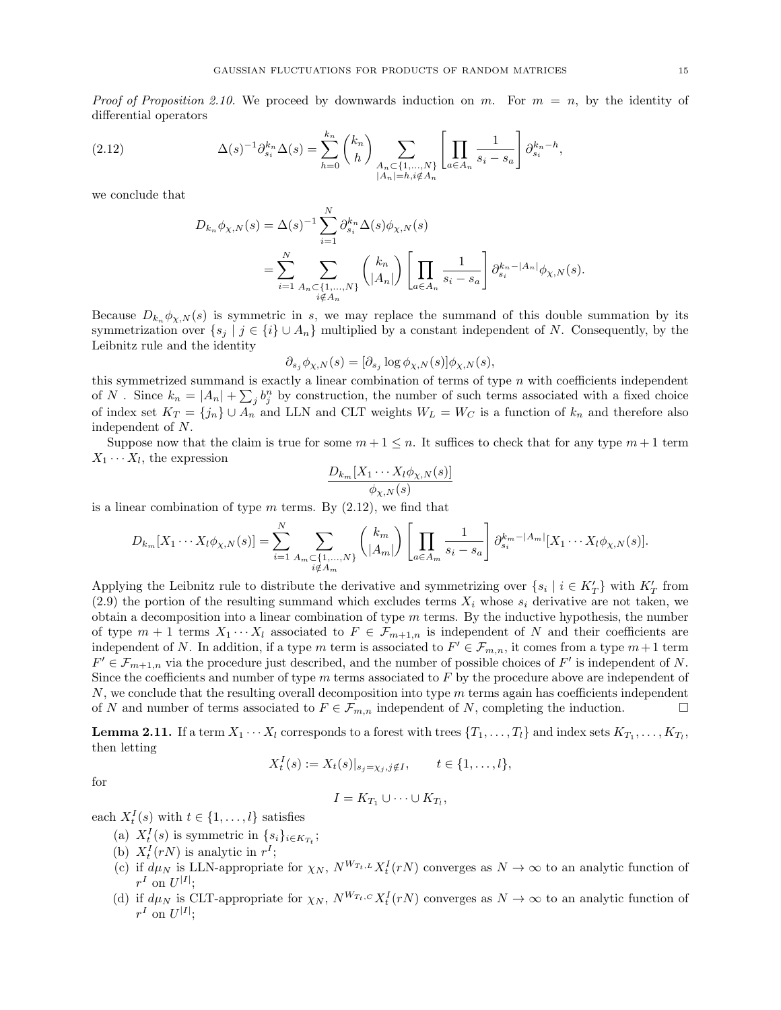*Proof of Proposition [2.10.](#page-13-0)* We proceed by downwards induction on m. For  $m = n$ , by the identity of differential operators

(2.12) 
$$
\Delta(s)^{-1} \partial_{s_i}^{k_n} \Delta(s) = \sum_{h=0}^{k_n} {k_n \choose h} \sum_{\substack{A_n \subset \{1, ..., N\} \\ |A_n| = h, i \notin A_n}} \left[ \prod_{a \in A_n} \frac{1}{s_i - s_a} \right] \partial_{s_i}^{k_n - h},
$$

we conclude that

<span id="page-14-1"></span>
$$
D_{k_n} \phi_{\chi, N}(s) = \Delta(s)^{-1} \sum_{i=1}^N \partial_{s_i}^{k_n} \Delta(s) \phi_{\chi, N}(s)
$$
  
= 
$$
\sum_{i=1}^N \sum_{\substack{A_n \subset \{1, ..., N\} \\ i \notin A_n}} \binom{k_n}{|A_n|} \left[ \prod_{a \in A_n} \frac{1}{s_i - s_a} \right] \partial_{s_i}^{k_n - |A_n|} \phi_{\chi, N}(s).
$$

Because  $D_{k_n} \phi_{\chi,N}(s)$  is symmetric in s, we may replace the summand of this double summation by its symmetrization over  $\{s_j \mid j \in \{i\} \cup A_n\}$  multiplied by a constant independent of N. Consequently, by the Leibnitz rule and the identity

$$
\partial_{s_j} \phi_{\chi,N}(s) = [\partial_{s_j} \log \phi_{\chi,N}(s)] \phi_{\chi,N}(s),
$$

this symmetrized summand is exactly a linear combination of terms of type  $n$  with coefficients independent of N. Since  $k_n = |A_n| + \sum_j b_j^n$  by construction, the number of such terms associated with a fixed choice of index set  $K_T = \{j_n\} \cup A_n$  and LLN and CLT weights  $W_L = W_C$  is a function of  $k_n$  and therefore also independent of N.

Suppose now that the claim is true for some  $m + 1 \leq n$ . It suffices to check that for any type  $m + 1$  term  $X_1 \cdots X_l$ , the expression

$$
\frac{D_{k_m}[X_1\cdots X_l\phi_{\chi,N}(s)]}{\phi_{\chi,N}(s)}
$$

is a linear combination of type  $m$  terms. By  $(2.12)$ , we find that

$$
D_{k_m}[X_1\cdots X_l\phi_{\chi,N}(s)] = \sum_{i=1}^N \sum_{\substack{A_m \subset \{1,\ldots,N\} \\ i \notin A_m}} \binom{k_m}{|A_m|} \left[ \prod_{a \in A_m} \frac{1}{s_i - s_a} \right] \partial_{s_i}^{k_m - |A_m|} [X_1 \cdots X_l \phi_{\chi,N}(s)].
$$

Applying the Leibnitz rule to distribute the derivative and symmetrizing over  $\{s_i \mid i \in K_T'\}$  with  $K_T'$  from  $(2.9)$  the portion of the resulting summand which excludes terms  $X_i$  whose  $s_i$  derivative are not taken, we obtain a decomposition into a linear combination of type  $m$  terms. By the inductive hypothesis, the number of type  $m + 1$  terms  $X_1 \cdots X_l$  associated to  $F \in \mathcal{F}_{m+1,n}$  is independent of N and their coefficients are independent of N. In addition, if a type m term is associated to  $F' \in \mathcal{F}_{m,n}$ , it comes from a type  $m+1$  term  $F' \in \mathcal{F}_{m+1,n}$  via the procedure just described, and the number of possible choices of  $F'$  is independent of N. Since the coefficients and number of type  $m$  terms associated to  $F$  by the procedure above are independent of  $N$ , we conclude that the resulting overall decomposition into type  $m$  terms again has coefficients independent of N and number of terms associated to  $F \in \mathcal{F}_{m,n}$  independent of N, completing the induction.

<span id="page-14-0"></span>**Lemma 2.11.** If a term  $X_1 \cdots X_l$  corresponds to a forest with trees  $\{T_1, \ldots, T_l\}$  and index sets  $K_{T_1}, \ldots, K_{T_l}$ , then letting

$$
X_t^I(s) := X_t(s)|_{s_j = \chi_j, j \notin I}, \qquad t \in \{1, \dots, l\},\
$$

for

$$
I=K_{T_1}\cup\cdots\cup K_{T_l},
$$

each  $X_t^I(s)$  with  $t \in \{1, \ldots, l\}$  satisfies

- (a)  $X_t^I(s)$  is symmetric in  $\{s_i\}_{i \in K_{T_t}}$ ;
- (b)  $X_t^I(rN)$  is analytic in  $r^I$ ;
- (c) if  $d\mu_N$  is LLN-appropriate for  $\chi_N$ ,  $N^{W_{T_t,L}} X_t^I(rN)$  converges as  $N \to \infty$  to an analytic function of  $r^I$  on  $U^{|I|}$ ;
- (d) if  $d\mu_N$  is CLT-appropriate for  $\chi_N$ ,  $N^{W_{T_t,C}} X_t^I(rN)$  converges as  $N \to \infty$  to an analytic function of  $r^I$  on  $U^{|I|}$ ;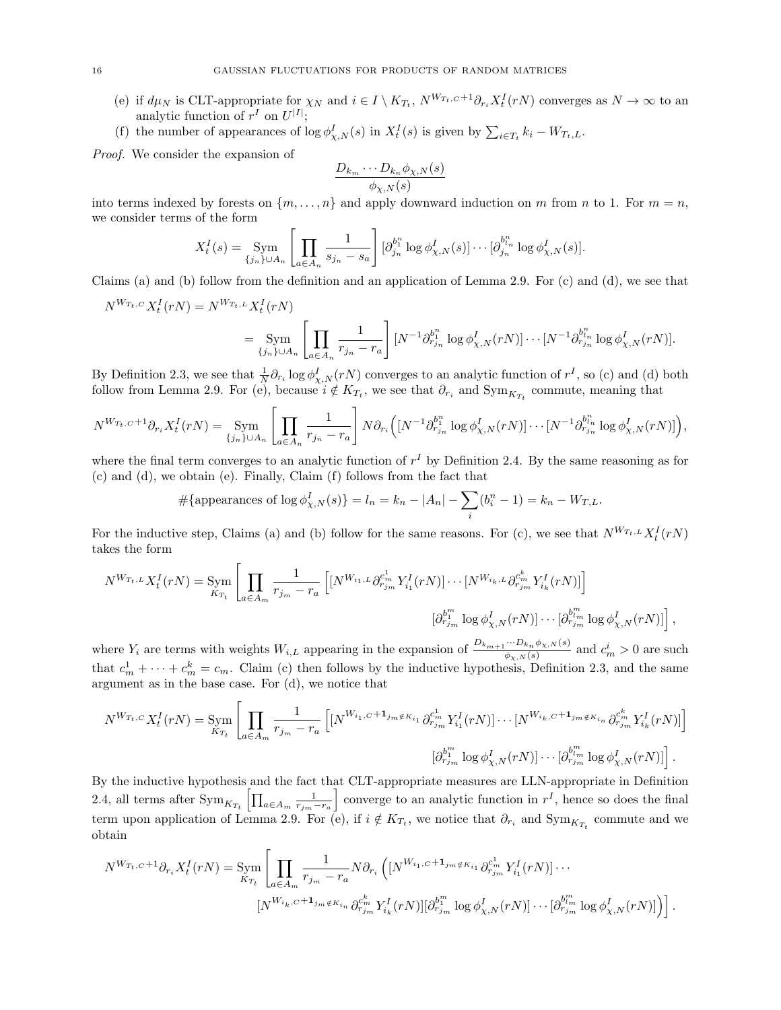- (e) if  $d\mu_N$  is CLT-appropriate for  $\chi_N$  and  $i \in I \setminus K_{T_t}$ ,  $N^{W_{T_t,C}+1}\partial_{r_i}X_t^I(rN)$  converges as  $N \to \infty$  to an analytic function of  $r^I$  on  $U^{|I|}$ ;
- (f) the number of appearances of  $\log \phi_{\chi,N}^I(s)$  in  $X_t^I(s)$  is given by  $\sum_{i \in T_t} k_i W_{T_t,L}$ .

Proof. We consider the expansion of

$$
\frac{D_{k_m}\cdots D_{k_n}\phi_{\chi,N}(s)}{\phi_{\chi,N}(s)}
$$

into terms indexed by forests on  $\{m, \ldots, n\}$  and apply downward induction on m from n to 1. For  $m = n$ , we consider terms of the form

$$
X_t^I(s) = \operatorname{Sym}_{\{j_n\}\cup A_n} \left[ \prod_{a \in A_n} \frac{1}{s_{j_n} - s_a} \right] [\partial_{j_n}^{b_1^n} \log \phi_{\chi,N}^I(s)] \cdots [\partial_{j_n}^{b_{i_n}^n} \log \phi_{\chi,N}^I(s)].
$$

Claims (a) and (b) follow from the definition and an application of Lemma [2.9.](#page-11-2) For (c) and (d), we see that

$$
N^{W_{T_t,C}} X_t^I(rN) = N^{W_{T_t,L}} X_t^I(rN)
$$
  
= 
$$
\text{Sym}_{\{j_n\}\cup A_n} \left[ \prod_{a \in A_n} \frac{1}{r_{j_n} - r_a} \right] [N^{-1} \partial_{r_{j_n}}^{b_{1_n}^n} \log \phi_{\chi,N}^I(rN)] \cdots [N^{-1} \partial_{r_{j_n}}^{b_{l_n}^n} \log \phi_{\chi,N}^I(rN)].
$$

By Definition [2.3,](#page-10-2) we see that  $\frac{1}{N} \partial_{r_i} \log \phi_{\chi,N}^I(rN)$  converges to an analytic function of  $r^I$ , so (c) and (d) both follow from Lemma [2.9.](#page-11-2) For (e), because  $i \notin K_{T_t}$ , we see that  $\partial_{r_i}$  and  $Sym_{K_{T_t}}$  commute, meaning that

$$
N^{W_{T_t,C}+1}\partial_{r_i}X_t^I(rN)=\underset{\{j_n\}\cup A_n}{\text{Sym}}\left[\prod_{a\in A_n}\frac{1}{r_{j_n}-r_a}\right]N\partial_{r_i}\left([N^{-1}\partial_{r_{j_n}}^{b_1^n}\log\phi_{\chi,N}^I(rN)]\cdots[N^{-1}\partial_{r_{j_n}}^{b_n^n}\log\phi_{\chi,N}^I(rN)]\right),
$$

where the final term converges to an analytic function of  $r<sup>I</sup>$  by Definition [2.4.](#page-10-3) By the same reasoning as for (c) and (d), we obtain (e). Finally, Claim (f) follows from the fact that

#{appearances of 
$$
\log \phi_{\chi,N}^I(s)
$$
} =  $l_n = k_n - |A_n| - \sum_i (b_i^n - 1) = k_n - W_{T,L}$ .

For the inductive step, Claims (a) and (b) follow for the same reasons. For (c), we see that  $N^{W_{T_t,L}} X_t^I(rN)$ takes the form

$$
N^{W_{T_t,L}} X_t^I(rN) = \lim_{K_{T_t}} \left[ \prod_{a \in A_m} \frac{1}{r_{j_m} - r_a} \left[ [N^{W_{i_1,L}} \partial_{r_{j_m}}^{c_m} Y_i^I(rN)] \cdots [N^{W_{i_k,L}} \partial_{r_{j_m}}^{c_m^k} Y_{i_k}^I(rN)] \right] \right]
$$

$$
[\partial_{r_{j_m}}^{b_1^m} \log \phi_{\chi,N}^I(rN)] \cdots [\partial_{r_{j_m}}^{b_m^m} \log \phi_{\chi,N}^I(rN)] \right],
$$

where  $Y_i$  are terms with weights  $W_{i,L}$  appearing in the expansion of  $\frac{D_{k_{m+1}}\cdots D_{k_n}\phi_{\chi,N}(s)}{\phi_{\chi,N}(s)}$  and  $c_m^i > 0$  are such that  $c_m^1 + \cdots + c_m^k = c_m$ . Claim (c) then follows by the inductive hypothesis, Definition [2.3,](#page-10-2) and the same argument as in the base case. For (d), we notice that

$$
N^{W_{T_t,C}} X_t^I(rN) = \lim_{K_{T_t}} \left[ \prod_{a \in A_m} \frac{1}{r_{j_m} - r_a} \left[ \left[ N^{W_{i_1,C} + 1_{j_m \notin K_{i_1}}} \partial_{r_{j_m}}^{c_m^1} Y_{i_1}^I(rN) \right] \cdots \left[ N^{W_{i_k,C} + 1_{j_m \notin K_{i_n}}} \partial_{r_{j_m}}^{c_m^k} Y_{i_k}^I(rN) \right] \right] \right]
$$

$$
[\partial_{r_{j_m}}^{b_1^m} \log \phi_{\chi,N}^I(rN)] \cdots [\partial_{r_{j_m}}^{b_m^m} \log \phi_{\chi,N}^I(rN)] \right].
$$

By the inductive hypothesis and the fact that CLT-appropriate measures are LLN-appropriate in Definition [2.4,](#page-10-3) all terms after  $\operatorname{Sym}_{K_{T_t}}\left[\prod_{a \in A_m} \frac{1}{r_{j_m}-r_a}\right]$ converge to an analytic function in  $r^I$ , hence so does the final term upon application of Lemma [2.9.](#page-11-2) For (e), if  $i \notin K_{T_t}$ , we notice that  $\partial_{r_i}$  and  $\text{Sym}_{K_{T_t}}$  commute and we obtain

$$
N^{W_{T_t,C}+1}\partial_{r_i}X_t^I(rN) = \lim_{K_{T_t}}\left[\prod_{a\in A_m} \frac{1}{r_{j_m}-r_a}N\partial_{r_i}\left( [N^{W_{i_1,C}+1_{j_m\notin K_{i_1}}} \partial_{r_{j_m}}^{c_m^1}Y_i^I(rN)]\cdots \right. \right. \\ \left. [N^{W_{i_k,C}+1_{j_m\notin K_{i_n}}} \partial_{r_{j_m}}^{c_m^k}Y_i^I(rN)][\partial_{r_{j_m}}^{b_m^m} \log \phi_{\chi,N}^I(rN)]\cdots [\partial_{r_{j_m}}^{b_m^m} \log \phi_{\chi,N}^I(rN)] \right].
$$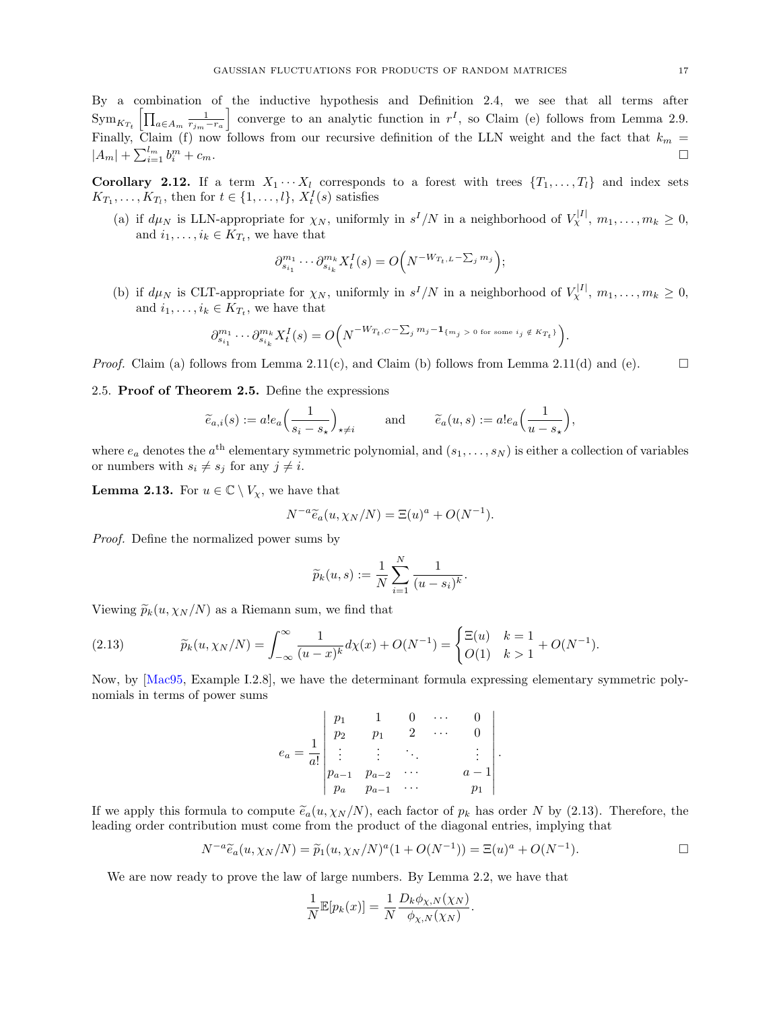By a combination of the inductive hypothesis and Definition [2.4,](#page-10-3) we see that all terms after  $\operatorname{Sym}_{K_{T_t}} \left[ \prod_{a \in A_m} \frac{1}{r_{j_m} - r_a} \right]$ converge to an analytic function in  $r^I$ , so Claim (e) follows from Lemma [2.9.](#page-11-2) Finally, Claim (f) now follows from our recursive definition of the LLN weight and the fact that  $k_m$  =  $|A_m| + \sum_{i=1}^{l_m} b_i^m$  $\sum_{i=1}^{m} + c_m.$ 

<span id="page-16-1"></span>Corollary 2.12. If a term  $X_1 \cdots X_l$  corresponds to a forest with trees  $\{T_1, \ldots, T_l\}$  and index sets  $K_{T_1}, \ldots, K_{T_l}$ , then for  $t \in \{1, \ldots, l\}$ ,  $X_t^I(s)$  satisfies

(a) if  $d\mu_N$  is LLN-appropriate for  $\chi_N$ , uniformly in  $s^I/N$  in a neighborhood of  $V_\chi^{|I|}$ ,  $m_1, \ldots, m_k \geq 0$ , and  $i_1, \ldots, i_k \in K_{T_t}$ , we have that

$$
\partial_{s_{i_1}}^{m_1} \cdots \partial_{s_{i_k}}^{m_k} X_t^I(s) = O\Big(N^{-W_{T_t,L}-\sum_j m_j}\Big);
$$

(b) if  $d\mu_N$  is CLT-appropriate for  $\chi_N$ , uniformly in  $s^I/N$  in a neighborhood of  $V_\chi^{|I|}$ ,  $m_1, \ldots, m_k \geq 0$ , and  $i_1, \ldots, i_k \in K_{T_t}$ , we have that

$$
\partial_{s_{i_1}}^{m_1}\cdots\partial_{s_{i_k}}^{m_k}X_t^I(s)=O\Big(N^{-W_{T_t,C}-\sum_jm_j-1_{\{m_j\ >\ 0\ \mathrm{for\ some\ }i_j\notin\ K_{T_t}\}}}\Big).
$$

*Proof.* Claim (a) follows from Lemma [2.11\(](#page-14-0)c), and Claim (b) follows from Lemma 2.11(d) and (e).

<span id="page-16-0"></span>2.5. Proof of Theorem [2.5.](#page-10-1) Define the expressions

$$
\widetilde{e}_{a,i}(s) := a! e_a \left( \frac{1}{s_i - s_\star} \right)_{\star \neq i} \quad \text{and} \quad \widetilde{e}_a(u,s) := a! e_a \left( \frac{1}{u - s_\star} \right),
$$

where  $e_a$  denotes the  $a^{\text{th}}$  elementary symmetric polynomial, and  $(s_1, \ldots, s_N)$  is either a collection of variables or numbers with  $s_i \neq s_j$  for any  $j \neq i$ .

<span id="page-16-3"></span>**Lemma 2.13.** For  $u \in \mathbb{C} \setminus V_{\chi}$ , we have that

$$
N^{-a}\widetilde{e}_a(u,\chi_N/N) = \Xi(u)^a + O(N^{-1}).
$$

Proof. Define the normalized power sums by

$$
\widetilde{p}_k(u,s) := \frac{1}{N} \sum_{i=1}^N \frac{1}{(u-s_i)^k}.
$$

Viewing  $\widetilde{p}_k(u, \chi_N/N)$  as a Riemann sum, we find that

<span id="page-16-2"></span>(2.13) 
$$
\widetilde{p}_k(u, \chi_N/N) = \int_{-\infty}^{\infty} \frac{1}{(u-x)^k} d\chi(x) + O(N^{-1}) = \begin{cases} \Xi(u) & k = 1 \\ O(1) & k > 1 \end{cases} + O(N^{-1}).
$$

Now, by [\[Mac95,](#page-68-22) Example I.2.8], we have the determinant formula expressing elementary symmetric polynomials in terms of power sums

$$
e_a = \frac{1}{a!} \begin{vmatrix} p_1 & 1 & 0 & \cdots & 0 \\ p_2 & p_1 & 2 & \cdots & 0 \\ \vdots & \vdots & \ddots & & \vdots \\ p_{a-1} & p_{a-2} & \cdots & a-1 \\ p_a & p_{a-1} & \cdots & p_1 \end{vmatrix}
$$

If we apply this formula to compute  $\tilde{e}_a(u, \chi_N/N)$ , each factor of  $p_k$  has order N by [\(2.13\)](#page-16-2). Therefore, the leading order contribution must come from the product of the diagonal entries, implying that

$$
N^{-a}\widetilde{e}_a(u, \chi_N/N) = \widetilde{p}_1(u, \chi_N/N)^a (1 + O(N^{-1})) = \Xi(u)^a + O(N^{-1}).
$$

.

We are now ready to prove the law of large numbers. By Lemma [2.2,](#page-9-3) we have that

$$
\frac{1}{N}\mathbb{E}[p_k(x)] = \frac{1}{N}\frac{D_k\phi_{\chi,N}(\chi_N)}{\phi_{\chi,N}(\chi_N)}.
$$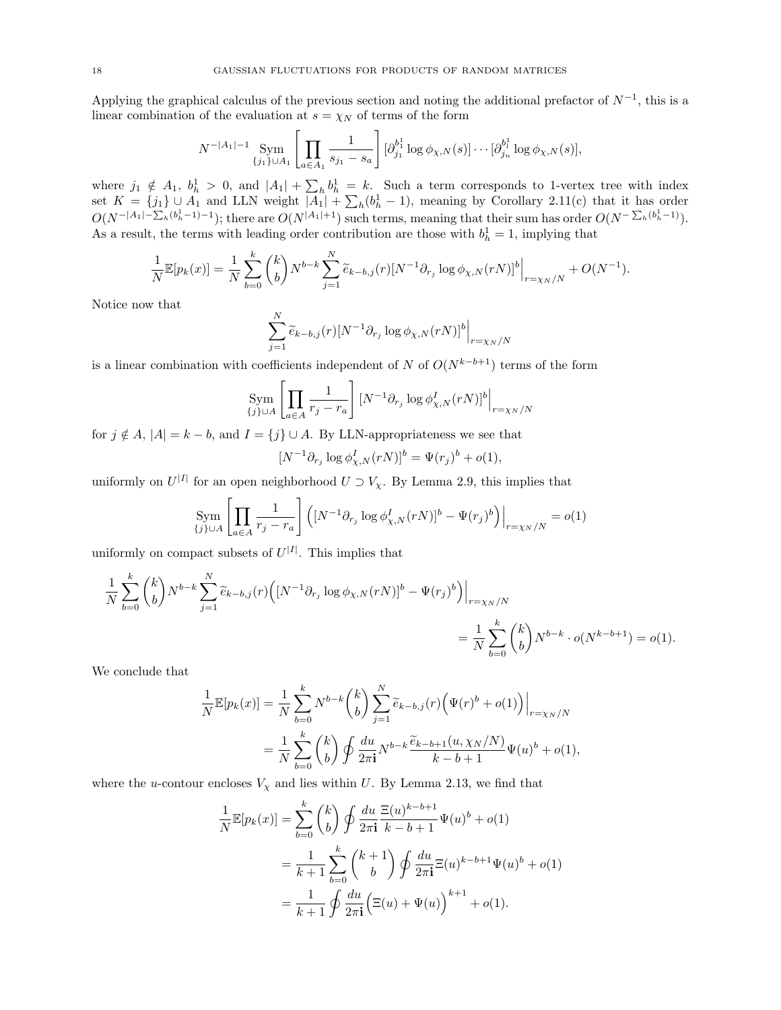Applying the graphical calculus of the previous section and noting the additional prefactor of  $N^{-1}$ , this is a linear combination of the evaluation at  $s = \chi_N$  of terms of the form

$$
N^{-|A_1|-1} \sum_{\{j_1\}\cup A_1} \left[ \prod_{a \in A_1} \frac{1}{s_{j_1} - s_a} \right] [\partial_{j_1}^{b_1^1} \log \phi_{\chi,N}(s)] \cdots [\partial_{j_n}^{b_n^1} \log \phi_{\chi,N}(s)],
$$

where  $j_1 \notin A_1$ ,  $b_h^1 > 0$ , and  $|A_1| + \sum_h b_h^1 = k$ . Such a term corresponds to 1-vertex tree with index set  $K = \{j_1\} \cup A_1$  and LLN weight  $|A_1| + \sum_h (b_h^1 - 1)$ , meaning by Corollary [2.11\(](#page-14-0)c) that it has order  $O(N^{-|A_1|-\sum_h (b_h^1-1)-1})$ ; there are  $O(N^{|A_1|+1})$  such terms, meaning that their sum has order  $O(N^{-\sum_h (b_h^1-1)})$ . As a result, the terms with leading order contribution are those with  $b<sub>h</sub><sup>1</sup> = 1$ , implying that

$$
\frac{1}{N} \mathbb{E}[p_k(x)] = \frac{1}{N} \sum_{b=0}^k {k \choose b} N^{b-k} \sum_{j=1}^N \widetilde{e}_{k-b,j}(r) [N^{-1} \partial_{r_j} \log \phi_{\chi,N}(rN)]^b \Big|_{r=\chi_N/N} + O(N^{-1}).
$$

Notice now that

$$
\sum_{j=1}^{N} \widetilde{e}_{k-b,j}(r) [N^{-1} \partial_{r_j} \log \phi_{\chi,N}(rN)]^b \Big|_{r=\chi_N/N}
$$

is a linear combination with coefficients independent of N of  $O(N^{k-b+1})$  terms of the form

$$
\operatorname*{Sym}_{\{j\}\cup A}\left[\prod_{a\in A}\frac{1}{r_j-r_a}\right]\left[N^{-1}\partial_{r_j}\log\phi_{\chi,N}^I(rN)\right]^b\Big|_{r=\chi_N/N}
$$

for  $j \notin A$ ,  $|A| = k - b$ , and  $I = \{j\} \cup A$ . By LLN-appropriateness we see that

$$
[N^{-1}\partial_{r_j}\log\phi_{\chi,N}^I(rN)]^b = \Psi(r_j)^b + o(1),
$$

uniformly on  $U^{|I|}$  for an open neighborhood  $U \supset V_{\chi}$ . By Lemma [2.9,](#page-11-2) this implies that

$$
\operatorname{Sym}_{\{j\}\cup A} \left[ \prod_{a \in A} \frac{1}{r_j - r_a} \right] \left( [N^{-1} \partial_{r_j} \log \phi_{\chi, N}^I(rN)]^b - \Psi(r_j)^b \right) \Big|_{r = \chi_N/N} = o(1)
$$

uniformly on compact subsets of  $U^{|I|}$ . This implies that

$$
\frac{1}{N} \sum_{b=0}^{k} {k \choose b} N^{b-k} \sum_{j=1}^{N} \widetilde{e}_{k-b,j}(r) \Big( [N^{-1} \partial_{r_j} \log \phi_{\chi,N}(rN)]^b - \Psi(r_j)^b \Big) \Big|_{r=\chi_N/N}
$$
  
= 
$$
\frac{1}{N} \sum_{b=0}^{k} {k \choose b} N^{b-k} \cdot o(N^{k-b+1}) = o(1).
$$

We conclude that

$$
\frac{1}{N} \mathbb{E}[p_k(x)] = \frac{1}{N} \sum_{b=0}^k N^{b-k} {k \choose b} \sum_{j=1}^N \widetilde{e}_{k-b,j}(r) \Big( \Psi(r)^b + o(1) \Big) \Big|_{r=\chi_N/N}
$$
  
= 
$$
\frac{1}{N} \sum_{b=0}^k {k \choose b} \oint \frac{du}{2\pi i} N^{b-k} \frac{\widetilde{e}_{k-b+1}(u, \chi_N/N)}{k-b+1} \Psi(u)^b + o(1),
$$

where the u-contour encloses  $V_{\chi}$  and lies within U. By Lemma [2.13,](#page-16-3) we find that

$$
\frac{1}{N} \mathbb{E}[p_k(x)] = \sum_{b=0}^k {k \choose b} \oint \frac{du}{2\pi i} \frac{\Xi(u)^{k-b+1}}{k-b+1} \Psi(u)^b + o(1)
$$

$$
= \frac{1}{k+1} \sum_{b=0}^k {k+1 \choose b} \oint \frac{du}{2\pi i} \Xi(u)^{k-b+1} \Psi(u)^b + o(1)
$$

$$
= \frac{1}{k+1} \oint \frac{du}{2\pi i} (\Xi(u) + \Psi(u))^{k+1} + o(1).
$$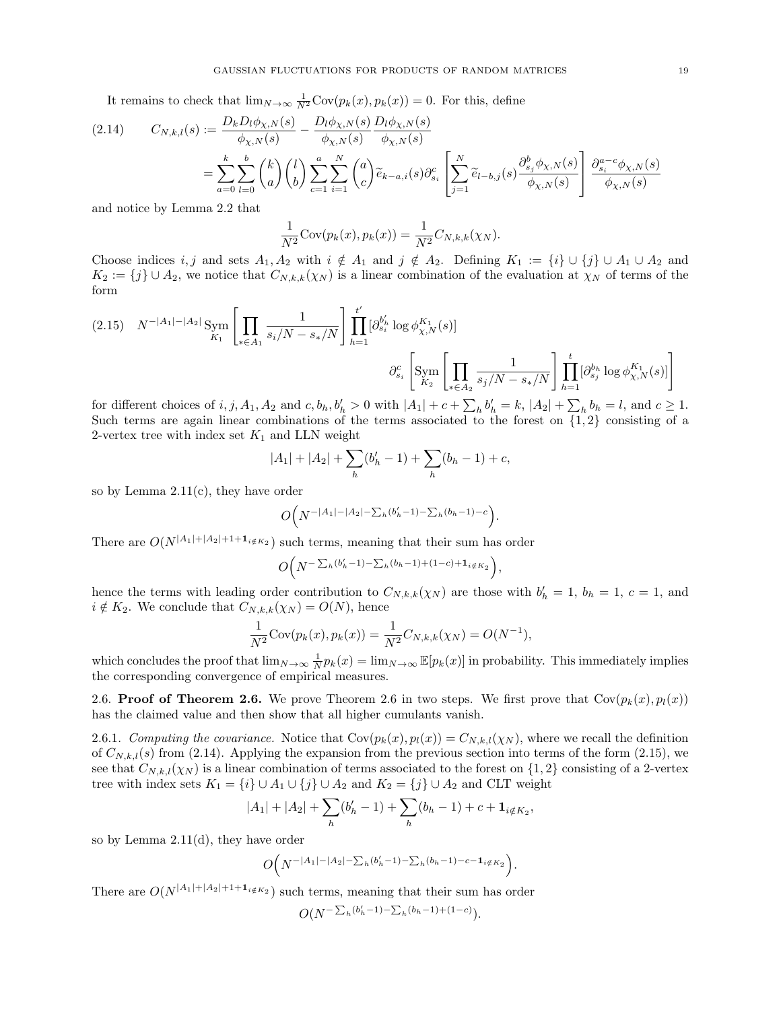It remains to check that  $\lim_{N\to\infty} \frac{1}{N^2} \text{Cov}(p_k(x), p_k(x)) = 0$ . For this, define

<span id="page-18-1"></span>
$$
(2.14) \t C_{N,k,l}(s) := \frac{D_k D_l \phi_{\chi,N}(s)}{\phi_{\chi,N}(s)} - \frac{D_l \phi_{\chi,N}(s)}{\phi_{\chi,N}(s)} \frac{D_l \phi_{\chi,N}(s)}{\phi_{\chi,N}(s)}
$$

$$
= \sum_{a=0}^k \sum_{l=0}^b {k \choose a} {l \choose b} \sum_{c=1}^a \sum_{i=1}^N {a \choose c} \tilde{e}_{k-a,i}(s) \partial_{s_i}^c \left[ \sum_{j=1}^N \tilde{e}_{l-b,j}(s) \frac{\partial_{s_j}^b \phi_{\chi,N}(s)}{\phi_{\chi,N}(s)} \right] \frac{\partial_{s_i}^{a-c} \phi_{\chi,N}(s)}{\phi_{\chi,N}(s)}
$$

and notice by Lemma [2.2](#page-9-3) that

$$
\frac{1}{N^2} \text{Cov}(p_k(x), p_k(x)) = \frac{1}{N^2} C_{N,k,k}(\chi_N).
$$

Choose indices i, j and sets  $A_1, A_2$  with  $i \notin A_1$  and  $j \notin A_2$ . Defining  $K_1 := \{i\} \cup \{j\} \cup A_1 \cup A_2$  and  $K_2 := \{j\} \cup A_2$ , we notice that  $C_{N,k,k}(\chi_N)$  is a linear combination of the evaluation at  $\chi_N$  of terms of the form

<span id="page-18-2"></span>
$$
(2.15) \quad N^{-|A_1|-|A_2|} \operatorname{Sym}_{K_1} \left[ \prod_{*\in A_1} \frac{1}{s_i/N - s_*/N} \right] \prod_{h=1}^{t'} [\partial_{s_i}^{b_h'} \log \phi_{\chi,N}^{K_1}(s)]
$$

$$
\partial_{s_i}^c \left[ \operatorname{Sym}_{K_2} \left[ \prod_{*\in A_2} \frac{1}{s_j/N - s_*/N} \right] \prod_{h=1}^t [\partial_{s_j}^{b_h} \log \phi_{\chi,N}^{K_1}(s)] \right]
$$

for different choices of  $i, j, A_1, A_2$  and  $c, b_h, b'_h > 0$  with  $|A_1| + c + \sum_h b'_h = k$ ,  $|A_2| + \sum_h b_h = l$ , and  $c \ge 1$ . Such terms are again linear combinations of the terms associated to the forest on  $\{1,2\}$  consisting of a 2-vertex tree with index set  $K_1$  and LLN weight

$$
|A_1| + |A_2| + \sum_h (b'_h - 1) + \sum_h (b_h - 1) + c,
$$

so by Lemma [2.11\(](#page-14-0)c), they have order

$$
O\Big(N^{-|A_1|-|A_2|-\sum_h(b'_h-1)-\sum_h(b_h-1)-c}\Big).
$$

There are  $O(N^{|A_1|+|A_2|+1+1_i \notin K_2})$  such terms, meaning that their sum has order

$$
O(N^{-\sum_h(b'_h-1)-\sum_h(b_h-1)+(1-c)+\mathbf{1}_{i\notin K_2}}),
$$

hence the terms with leading order contribution to  $C_{N,k,k}(\chi_N)$  are those with  $b'_h = 1, b_h = 1, c = 1$ , and  $i \notin K_2$ . We conclude that  $C_{N,k,k}(\chi_N) = O(N)$ , hence

$$
\frac{1}{N^2} \text{Cov}(p_k(x), p_k(x)) = \frac{1}{N^2} C_{N,k,k}(\chi_N) = O(N^{-1}),
$$

which concludes the proof that  $\lim_{N\to\infty} \frac{1}{N} p_k(x) = \lim_{N\to\infty} \mathbb{E}[p_k(x)]$  in probability. This immediately implies the corresponding convergence of empirical measures.

<span id="page-18-0"></span>[2.6.](#page-11-1) Proof of Theorem [2.6](#page-11-1). We prove Theorem 2.6 in two steps. We first prove that  $Cov(p_k(x), p_l(x))$ has the claimed value and then show that all higher cumulants vanish.

2.6.1. Computing the covariance. Notice that  $Cov(p_k(x), p_l(x)) = C_{N,k,l}(x_N)$ , where we recall the definition of  $C_{N,k,l}(s)$  from [\(2.14\)](#page-18-1). Applying the expansion from the previous section into terms of the form [\(2.15\)](#page-18-2), we see that  $C_{N,k,l}(\chi_N)$  is a linear combination of terms associated to the forest on  $\{1,2\}$  consisting of a 2-vertex tree with index sets  $K_1 = \{i\} \cup A_1 \cup \{j\} \cup A_2$  and  $K_2 = \{j\} \cup A_2$  and CLT weight

$$
|A_1| + |A_2| + \sum_h (b'_h - 1) + \sum_h (b_h - 1) + c + \mathbf{1}_{i \notin K_2},
$$

so by Lemma [2.11\(](#page-14-0)d), they have order

$$
O(N^{-|A_1|-|A_2|- \sum_h (b'_h-1)-\sum_h (b_h-1)-c-1_{i\notin K_2}}).
$$

There are  $O(N^{|A_1|+|A_2|+1+1_{i \notin K_2}})$  such terms, meaning that their sum has order

$$
O(N^{-\sum_h(b'_h-1)-\sum_h(b_h-1)+(1-c)}).
$$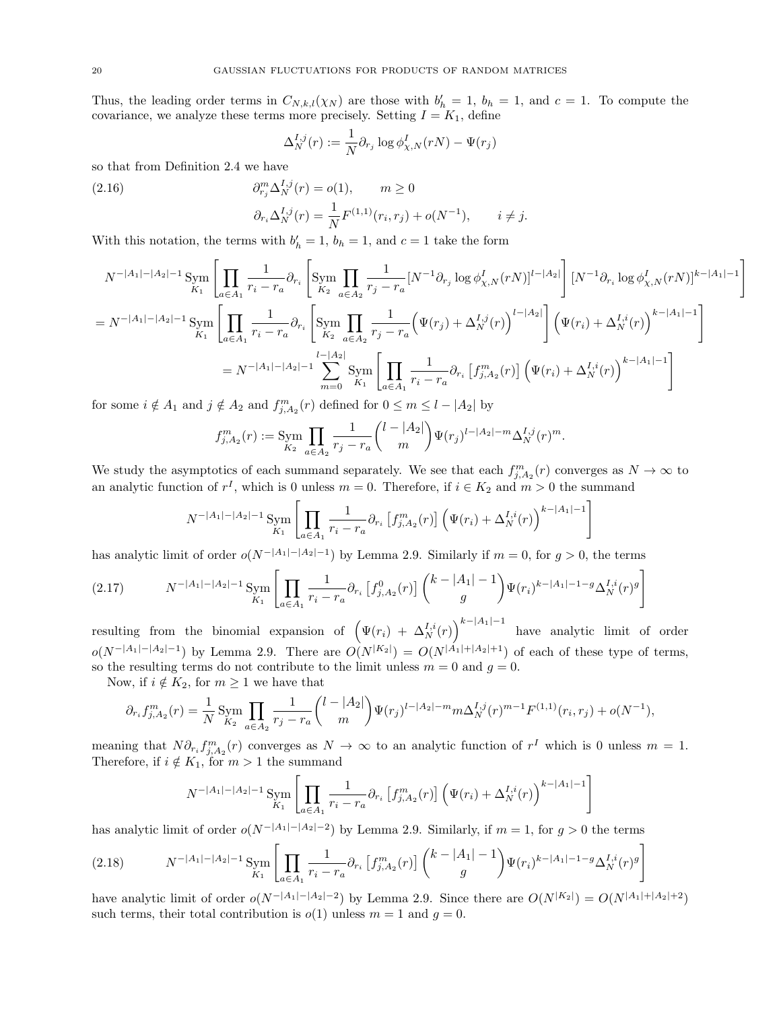Thus, the leading order terms in  $C_{N,k,l}(\chi_N)$  are those with  $b'_h = 1$ ,  $b_h = 1$ , and  $c = 1$ . To compute the covariance, we analyze these terms more precisely. Setting  $I = K_1$ , define

$$
\Delta_N^{I,j}(r) := \frac{1}{N} \partial_{r_j} \log \phi_{\chi,N}^I(rN) - \Psi(r_j)
$$

so that from Definition [2.4](#page-10-3) we have

(2.16) 
$$
\partial_{r_j}^m \Delta_N^{I,j}(r) = o(1), \qquad m \ge 0
$$

$$
\partial_{r_i} \Delta_N^{I,j}(r) = \frac{1}{N} F^{(1,1)}(r_i, r_j) + o(N^{-1}), \qquad i \ne j.
$$

With this notation, the terms with  $b'_h = 1$ ,  $b_h = 1$ , and  $c = 1$  take the form

$$
N^{-|A_1|-|A_2|-1} \operatorname{Sym}_{K_1} \left[ \prod_{a \in A_1} \frac{1}{r_i - r_a} \partial_{r_i} \left[ \operatorname{Sym}_{K_2} \prod_{a \in A_2} \frac{1}{r_j - r_a} [N^{-1} \partial_{r_j} \log \phi_{\chi, N}^I(rN)]^{l-|A_2|} \right] [N^{-1} \partial_{r_i} \log \phi_{\chi, N}^I(rN)]^{k-|A_1|-1} \right]
$$
  
\n
$$
= N^{-|A_1|-|A_2|-1} \operatorname{Sym}_{K_1} \left[ \prod_{a \in A_1} \frac{1}{r_i - r_a} \partial_{r_i} \left[ \operatorname{Sym}_{K_2} \prod_{a \in A_2} \frac{1}{r_j - r_a} \left( \Psi(r_j) + \Delta_N^{I,j}(r) \right)^{l-|A_2|} \right] \left( \Psi(r_i) + \Delta_N^{I,i}(r) \right)^{k-|A_1|-1} \right]
$$
  
\n
$$
= N^{-|A_1|-|A_2|-1} \sum_{m=0}^{l-|A_2|} \operatorname{Sym}_{K_1} \left[ \prod_{a \in A_1} \frac{1}{r_i - r_a} \partial_{r_i} \left[ f_{j,A_2}^m(r) \right] \left( \Psi(r_i) + \Delta_N^{I,i}(r) \right)^{k-|A_1|-1} \right]
$$

for some  $i \notin A_1$  and  $j \notin A_2$  and  $f_{j,A_2}^m(r)$  defined for  $0 \le m \le l - |A_2|$  by

$$
f_{j,A_2}^m(r) := \operatorname{Sym}_{K_2} \prod_{a \in A_2} \frac{1}{r_j - r_a} {l - |A_2| \choose m} \Psi(r_j)^{l - |A_2| - m} \Delta_N^{I,j}(r)^m.
$$

We study the asymptotics of each summand separately. We see that each  $f_{j,A_2}^m(r)$  converges as  $N \to \infty$  to an analytic function of  $r^I$ , which is 0 unless  $m = 0$ . Therefore, if  $i \in K_2$  and  $m > 0$  the summand

$$
N^{-|A_1|-|A_2|-1} \operatorname{Sym}_{K_1} \left[ \prod_{a \in A_1} \frac{1}{r_i - r_a} \partial_{r_i} \left[ f_{j, A_2}^m(r) \right] \left( \Psi(r_i) + \Delta_N^{I, i}(r) \right)^{k-|A_1|-1} \right]
$$

has analytic limit of order  $o(N^{-|A_1| - |A_2| - 1})$  by Lemma [2.9.](#page-11-2) Similarly if  $m = 0$ , for  $g > 0$ , the terms

<span id="page-19-0"></span>
$$
(2.17) \qquad N^{-|A_1|-|A_2|-1} \operatorname{Sym}_{K_1} \left[ \prod_{a \in A_1} \frac{1}{r_i - r_a} \partial_{r_i} \left[ f_{j, A_2}^0(r) \right] \binom{k - |A_1| - 1}{g} \Psi(r_i)^{k - |A_1| - 1 - g} \Delta_N^{I, i}(r)^g \right]
$$

resulting from the binomial expansion of  $(\Psi(r_i) + \Delta_N^{I,i}(r))^{k-|A_1|-1}$  have analytic limit of order  $o(N^{-|A_1| - |A_2| - 1})$  by Lemma [2.9.](#page-11-2) There are  $O(N^{|K_2|}) = O(N^{|A_1| + |A_2| + 1})$  of each of these type of terms, so the resulting terms do not contribute to the limit unless  $m = 0$  and  $g = 0$ .

Now, if  $i \notin K_2$ , for  $m \geq 1$  we have that

$$
\partial_{r_i} f_{j,A_2}^m(r) = \frac{1}{N} \operatorname{Sym}_{K_2} \prod_{a \in A_2} \frac{1}{r_j - r_a} {l - |A_2| \choose m} \Psi(r_j)^{l - |A_2| - m} m \Delta_N^{I,j}(r)^{m-1} F^{(1,1)}(r_i, r_j) + o(N^{-1}),
$$

meaning that  $N \partial_{r_i} f_{j,A_2}^m(r)$  converges as  $N \to \infty$  to an analytic function of  $r^I$  which is 0 unless  $m = 1$ . Therefore, if  $i \notin K_1$ , for  $m > 1$  the summand

$$
N^{-|A_1|-|A_2|-1} \lim_{K_1} \left[ \prod_{a \in A_1} \frac{1}{r_i - r_a} \partial_{r_i} \left[ f_{j, A_2}^m(r) \right] \left( \Psi(r_i) + \Delta_N^{I, i}(r) \right)^{k-|A_1|-1} \right]
$$

has analytic limit of order  $o(N^{-|A_1| - |A_2| - 2})$  by Lemma [2.9.](#page-11-2) Similarly, if  $m = 1$ , for  $g > 0$  the terms

<span id="page-19-1"></span>
$$
(2.18) \qquad N^{-|A_1|-|A_2|-1} \operatorname{Sym}_{K_1} \left[ \prod_{a \in A_1} \frac{1}{r_i - r_a} \partial_{r_i} \left[ f_{j, A_2}^m(r) \right] \binom{k - |A_1| - 1}{g} \Psi(r_i)^{k - |A_1| - 1 - g} \Delta_N^{I, i}(r)^g \right]
$$

have analytic limit of order  $o(N^{-|A_1| - |A_2| - 2})$  by Lemma [2.9.](#page-11-2) Since there are  $O(N^{|K_2|}) = O(N^{|A_1| + |A_2| + 2})$ such terms, their total contribution is  $o(1)$  unless  $m = 1$  and  $g = 0$ .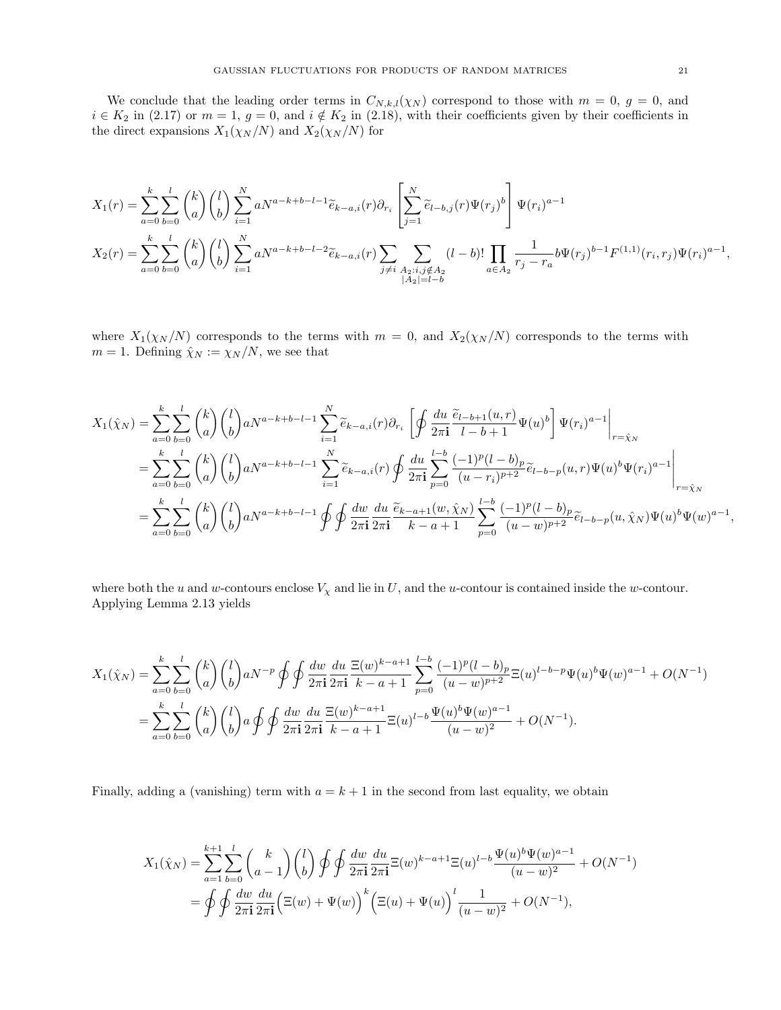We conclude that the leading order terms in  $C_{N,k,l}(\chi_N)$  correspond to those with  $m = 0, g = 0$ , and  $i \in K_2$  in [\(2.17\)](#page-19-0) or  $m = 1$ ,  $g = 0$ , and  $i \notin K_2$  in [\(2.18\)](#page-19-1), with their coefficients given by their coefficients in the direct expansions  $X_1(\chi_N/N)$  and  $X_2(\chi_N/N)$  for

$$
X_1(r) = \sum_{a=0}^k \sum_{b=0}^l \binom{k}{a} \binom{l}{b} \sum_{i=1}^N a N^{a-k+b-l-1} \tilde{e}_{k-a,i}(r) \partial_{r_i} \left[ \sum_{j=1}^N \tilde{e}_{l-b,j}(r) \Psi(r_j)^b \right] \Psi(r_i)^{a-1}
$$
  

$$
X_2(r) = \sum_{a=0}^k \sum_{b=0}^l \binom{k}{a} \binom{l}{b} \sum_{i=1}^N a N^{a-k+b-l-2} \tilde{e}_{k-a,i}(r) \sum_{j \neq i} \sum_{\substack{A_2: i,j \notin A_2 \\ |A_2| = l-b}} (l-b)! \prod_{a \in A_2} \frac{1}{r_j - r_a} b \Psi(r_j)^{b-1} F^{(1,1)}(r_i, r_j) \Psi(r_i)^{a-1},
$$

where  $X_1(\chi_N/N)$  corresponds to the terms with  $m = 0$ , and  $X_2(\chi_N/N)$  corresponds to the terms with  $m = 1$ . Defining  $\hat{\chi}_N := \hat{\chi}_N/N$ , we see that

$$
X_{1}(\hat{\chi}_{N}) = \sum_{a=0}^{k} \sum_{b=0}^{l} {k \choose a} {l \choose b} a^{Na-k+b-l-1} \sum_{i=1}^{N} \tilde{e}_{k-a,i}(r) \partial_{r_{i}} \left[ \oint \frac{du}{2\pi i} \frac{\tilde{e}_{l-b+1}(u,r)}{l-b+1} \Psi(u)^{b} \right] \Psi(r_{i})^{a-1} \Big|_{r=\hat{\chi}_{N}}
$$
  
\n
$$
= \sum_{a=0}^{k} \sum_{b=0}^{l} {k \choose a} {l \choose b} a^{Na-k+b-l-1} \sum_{i=1}^{N} \tilde{e}_{k-a,i}(r) \oint \frac{du}{2\pi i} \sum_{p=0}^{l-b} \frac{(-1)^{p} (l-b)_{p}}{(u-r_{i})^{p+2}} \tilde{e}_{l-b-p}(u,r) \Psi(u)^{b} \Psi(r_{i})^{a-1} \Big|_{r=\hat{\chi}_{N}}
$$
  
\n
$$
= \sum_{a=0}^{k} \sum_{b=0}^{l} {k \choose a} {l \choose b} a^{Na-k+b-l-1} \oint \oint \frac{dw}{2\pi i} \frac{du}{2\pi i} \frac{\tilde{e}_{k-a+1}(w,\hat{\chi}_{N})}{k-a+1} \sum_{p=0}^{l-b} \frac{(-1)^{p} (l-b)_{p}}{(u-w)^{p+2}} \tilde{e}_{l-b-p}(u,\hat{\chi}_{N}) \Psi(u)^{b} \Psi(w)^{a-1},
$$

where both the u and w-contours enclose  $V_{\chi}$  and lie in U, and the u-contour is contained inside the w-contour. Applying Lemma [2.13](#page-16-3) yields

$$
X_1(\hat{\chi}_N) = \sum_{a=0}^k \sum_{b=0}^l \binom{k}{a} \binom{l}{b} aN^{-p} \oint \oint \frac{dw}{2\pi \mathbf{i}} \frac{du}{2\pi \mathbf{i}} \frac{\Xi(w)^{k-a+1}}{k-a+1} \sum_{p=0}^{l-b} \frac{(-1)^p (l-b)_p}{(u-w)^{p+2}} \Xi(u)^{l-b-p} \Psi(u)^b \Psi(w)^{a-1} + O(N^{-1})
$$
  
= 
$$
\sum_{a=0}^k \sum_{b=0}^l \binom{k}{a} \binom{l}{b} a \oint \oint \frac{dw}{2\pi \mathbf{i}} \frac{du}{2\pi \mathbf{i}} \frac{\Xi(w)^{k-a+1}}{k-a+1} \Xi(u)^{l-b} \frac{\Psi(u)^b \Psi(w)^{a-1}}{(u-w)^2} + O(N^{-1}).
$$

Finally, adding a (vanishing) term with  $a = k + 1$  in the second from last equality, we obtain

$$
X_1(\hat{\chi}_N) = \sum_{a=1}^{k+1} \sum_{b=0}^{l} {k \choose a-1} {l \choose b} \oint \oint \frac{dw}{2\pi \mathbf{i}} \frac{du}{2\pi \mathbf{i}} \Xi(w)^{k-a+1} \Xi(u)^{l-b} \frac{\Psi(u)^b \Psi(w)^{a-1}}{(u-w)^2} + O(N^{-1})
$$
  
=  $\oint \oint \frac{dw}{2\pi \mathbf{i}} \frac{du}{2\pi \mathbf{i}} \left( \Xi(w) + \Psi(w) \right)^k \left( \Xi(u) + \Psi(u) \right)^l \frac{1}{(u-w)^2} + O(N^{-1}),$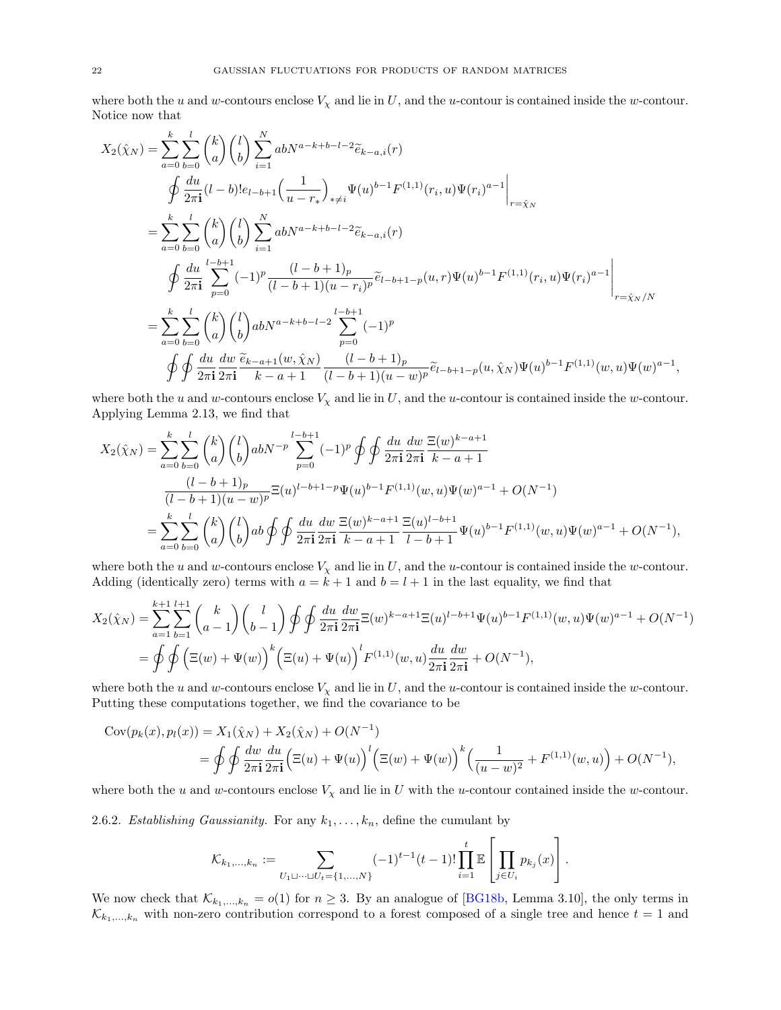where both the u and w-contours enclose  $V_x$  and lie in U, and the u-contour is contained inside the w-contour. Notice now that

$$
X_{2}(\hat{\chi}_{N}) = \sum_{a=0}^{k} \sum_{b=0}^{l} {k \choose a} {l \choose b} \sum_{i=1}^{N} abN^{a-k+b-l-2} \tilde{e}_{k-a,i}(r)
$$
  
\n
$$
\oint \frac{du}{2\pi i} (l-b)! e_{l-b+1} \left(\frac{1}{u-r_{*}}\right)_{*\neq i} \Psi(u)^{b-1} F^{(1,1)}(r_{i}, u) \Psi(r_{i})^{a-1} \Big|_{r=\hat{\chi}_{N}}
$$
  
\n
$$
= \sum_{a=0}^{k} \sum_{b=0}^{l} {k \choose a} {l \choose b} \sum_{i=1}^{N} abN^{a-k+b-l-2} \tilde{e}_{k-a,i}(r)
$$
  
\n
$$
\oint \frac{du}{2\pi i} \sum_{p=0}^{l-b+1} (-1)^{p} \frac{(l-b+1)_{p}}{(l-b+1)(u-r_{i})^{p}} \tilde{e}_{l-b+1-p}(u,r) \Psi(u)^{b-1} F^{(1,1)}(r_{i}, u) \Psi(r_{i})^{a-1} \Big|_{r=\hat{\chi}_{N}/N}
$$
  
\n
$$
= \sum_{a=0}^{k} \sum_{b=0}^{l} {k \choose a} {l \choose b} abN^{a-k+b-l-2} \sum_{p=0}^{l-b+1} (-1)^{p}
$$
  
\n
$$
\oint \oint \frac{du}{2\pi i} \frac{dw}{2\pi i} \frac{\tilde{e}_{k-a+1}(w, \hat{\chi}_{N})}{k-a+1} \frac{(l-b+1)_{p}}{(l-b+1)(u-w)^{p}} \tilde{e}_{l-b+1-p}(u, \hat{\chi}_{N}) \Psi(u)^{b-1} F^{(1,1)}(w, u) \Psi(w)^{a-1}
$$

where both the u and w-contours enclose  $V_{\chi}$  and lie in U, and the u-contour is contained inside the w-contour. Applying Lemma [2.13,](#page-16-3) we find that

,

$$
X_2(\hat{\chi}_N) = \sum_{a=0}^k \sum_{b=0}^l \binom{k}{a} \binom{l}{b} abN^{-p} \sum_{p=0}^{l-b+1} (-1)^p \oint \oint \frac{du}{2\pi i} \frac{dw}{2\pi i} \frac{\Xi(w)^{k-a+1}}{k-a+1}
$$
  

$$
\frac{(l-b+1)_p}{(l-b+1)(u-w)^p} \Xi(u)^{l-b+1-p} \Psi(u)^{b-1} F^{(1,1)}(w,u) \Psi(w)^{a-1} + O(N^{-1})
$$
  

$$
= \sum_{a=0}^k \sum_{b=0}^l \binom{k}{a} \binom{l}{b} ab \oint \oint \frac{du}{2\pi i} \frac{dw}{2\pi i} \frac{\Xi(w)^{k-a+1}}{k-a+1} \frac{\Xi(u)^{l-b+1}}{l-b+1} \Psi(u)^{b-1} F^{(1,1)}(w,u) \Psi(w)^{a-1} + O(N^{-1}),
$$

where both the u and w-contours enclose  $V_{\chi}$  and lie in U, and the u-contour is contained inside the w-contour. Adding (identically zero) terms with  $a = k + 1$  and  $b = l + 1$  in the last equality, we find that

$$
X_2(\hat{\chi}_N) = \sum_{a=1}^{k+1} \sum_{b=1}^{l+1} {k \choose a-1} {l \choose b-1} \oint \oint \frac{du}{2\pi \mathbf{i}} \frac{dw}{2\pi \mathbf{i}} \Xi(w)^{k-a+1} \Xi(u)^{l-b+1} \Psi(u)^{b-1} F^{(1,1)}(w,u) \Psi(w)^{a-1} + O(N^{-1})
$$
  
=  $\oint \oint \left( \Xi(w) + \Psi(w) \right)^k \left( \Xi(u) + \Psi(u) \right)^l F^{(1,1)}(w,u) \frac{du}{2\pi \mathbf{i}} \frac{dw}{2\pi \mathbf{i}} + O(N^{-1}),$ 

where both the u and w-contours enclose  $V_{\chi}$  and lie in U, and the u-contour is contained inside the w-contour. Putting these computations together, we find the covariance to be

$$
Cov(p_k(x), p_l(x)) = X_1(\hat{\chi}_N) + X_2(\hat{\chi}_N) + O(N^{-1})
$$
  
=  $\oint \oint \frac{dw}{2\pi \mathbf{i}} \frac{du}{2\pi \mathbf{i}} \Big( \Xi(u) + \Psi(u) \Big)^l \Big( \Xi(w) + \Psi(w) \Big)^k \Big( \frac{1}{(u - w)^2} + F^{(1,1)}(w, u) \Big) + O(N^{-1}),$ 

where both the u and w-contours enclose  $V_\chi$  and lie in U with the u-contour contained inside the w-contour.

2.6.2. Establishing Gaussianity. For any  $k_1, \ldots, k_n$ , define the cumulant by

$$
\mathcal{K}_{k_1,...,k_n} := \sum_{U_1 \sqcup \cdots \sqcup U_t = \{1,...,N\}} (-1)^{t-1} (t-1)! \prod_{i=1}^t \mathbb{E}\left[\prod_{j \in U_i} p_{k_j}(x)\right].
$$

We now check that  $\mathcal{K}_{k_1,\dots,k_n} = o(1)$  for  $n \geq 3$ . By an analogue of [\[BG18b,](#page-66-11) Lemma 3.10], the only terms in  $\mathcal{K}_{k_1,\dots,k_n}$  with non-zero contribution correspond to a forest composed of a single tree and hence  $t = 1$  and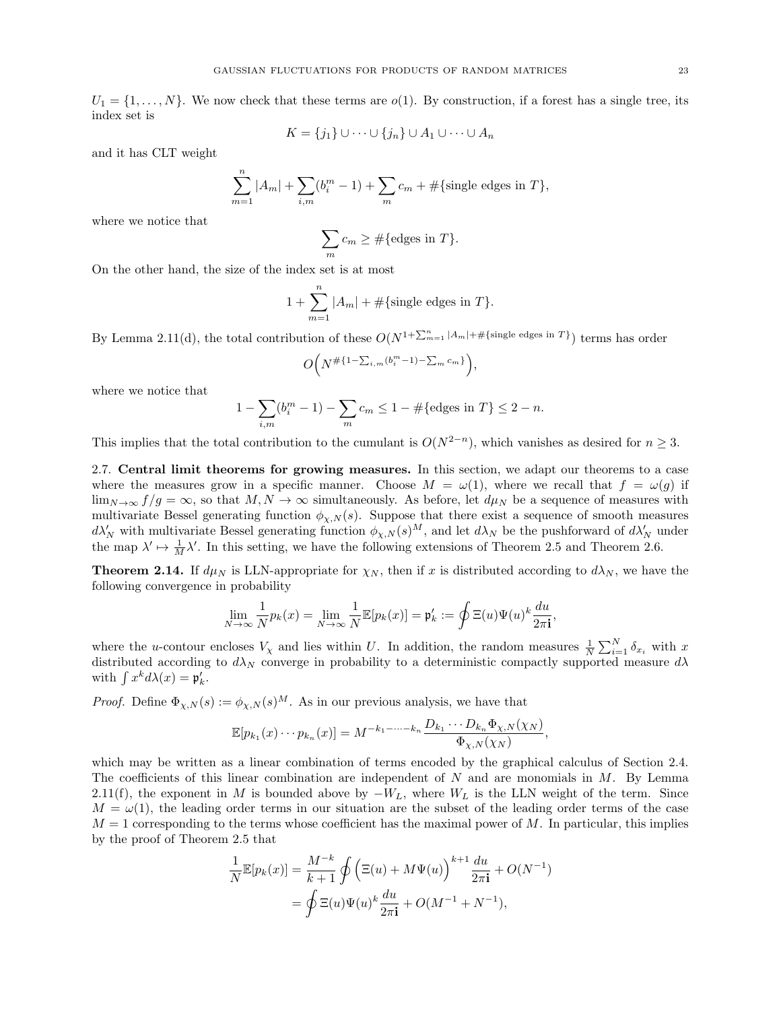$U_1 = \{1, \ldots, N\}$ . We now check that these terms are  $o(1)$ . By construction, if a forest has a single tree, its index set is

$$
K = \{j_1\} \cup \cdots \cup \{j_n\} \cup A_1 \cup \cdots \cup A_n
$$

and it has CLT weight

$$
\sum_{m=1}^{n} |A_m| + \sum_{i,m} (b_i^m - 1) + \sum_m c_m + # \{ \text{single edges in } T \},\
$$

where we notice that

$$
\sum_{m} c_m \geq \#\{\text{edges in } T\}.
$$

On the other hand, the size of the index set is at most

$$
1 + \sum_{m=1}^{n} |A_m| + \#\{\text{single edges in } T\}.
$$

By Lemma [2.11\(](#page-14-0)d), the total contribution of these  $O(N^{1+\sum_{m=1}^{n}|A_m|+\#\{\text{single edges in }T\}})$  terms has order

$$
O\Big(N^{\#\{1-\sum_{i,m}(b_i^m-1)-\sum_m c_m\}}\Big),
$$

where we notice that

$$
1 - \sum_{i,m} (b_i^m - 1) - \sum_m c_m \le 1 - \#\{\text{edges in } T\} \le 2 - n.
$$

This implies that the total contribution to the cumulant is  $O(N^{2-n})$ , which vanishes as desired for  $n \geq 3$ .

<span id="page-22-0"></span>2.7. Central limit theorems for growing measures. In this section, we adapt our theorems to a case where the measures grow in a specific manner. Choose  $M = \omega(1)$ , where we recall that  $f = \omega(g)$  if  $\lim_{N\to\infty} f/q = \infty$ , so that  $M, N \to \infty$  simultaneously. As before, let  $d\mu_N$  be a sequence of measures with multivariate Bessel generating function  $\phi_{\chi,N}(s)$ . Suppose that there exist a sequence of smooth measures  $d\lambda_N'$  with multivariate Bessel generating function  $\phi_{\chi,N}(s)^M$ , and let  $d\lambda_N$  be the pushforward of  $d\lambda_N'$  under the map  $\lambda' \mapsto \frac{1}{M} \lambda'$ . In this setting, we have the following extensions of Theorem [2.5](#page-10-1) and Theorem [2.6.](#page-11-1)

<span id="page-22-1"></span>**Theorem 2.14.** If  $d\mu_N$  is LLN-appropriate for  $\chi_N$ , then if x is distributed according to  $d\lambda_N$ , we have the following convergence in probability

$$
\lim_{N \to \infty} \frac{1}{N} p_k(x) = \lim_{N \to \infty} \frac{1}{N} \mathbb{E}[p_k(x)] = \mathfrak{p}'_k := \oint \Xi(u) \Psi(u)^k \frac{du}{2\pi \mathbf{i}}
$$

,

where the u-contour encloses  $V_\chi$  and lies within U. In addition, the random measures  $\frac{1}{N}\sum_{i=1}^N \delta_{x_i}$  with x distributed according to  $d\lambda_N$  converge in probability to a deterministic compactly supported measure  $d\lambda$ with  $\int x^k d\lambda(x) = \mathfrak{p}'_k$ .

*Proof.* Define  $\Phi_{\chi,N}(s) := \phi_{\chi,N}(s)^M$ . As in our previous analysis, we have that

$$
\mathbb{E}[p_{k_1}(x)\cdots p_{k_n}(x)]=M^{-k_1-\cdots-k_n}\frac{D_{k_1}\cdots D_{k_n}\Phi_{\chi,N}(\chi_N)}{\Phi_{\chi,N}(\chi_N)},
$$

which may be written as a linear combination of terms encoded by the graphical calculus of Section [2.4.](#page-12-0) The coefficients of this linear combination are independent of  $N$  and are monomials in  $M$ . By Lemma [2.11\(](#page-14-0)f), the exponent in M is bounded above by  $-W_L$ , where  $W_L$  is the LLN weight of the term. Since  $M = \omega(1)$ , the leading order terms in our situation are the subset of the leading order terms of the case  $M = 1$  corresponding to the terms whose coefficient has the maximal power of M. In particular, this implies by the proof of Theorem [2.5](#page-10-1) that

$$
\frac{1}{N} \mathbb{E}[p_k(x)] = \frac{M^{-k}}{k+1} \oint \left(\Xi(u) + M\Psi(u)\right)^{k+1} \frac{du}{2\pi \mathbf{i}} + O(N^{-1})
$$
  
= 
$$
\oint \Xi(u)\Psi(u)^k \frac{du}{2\pi \mathbf{i}} + O(M^{-1} + N^{-1}),
$$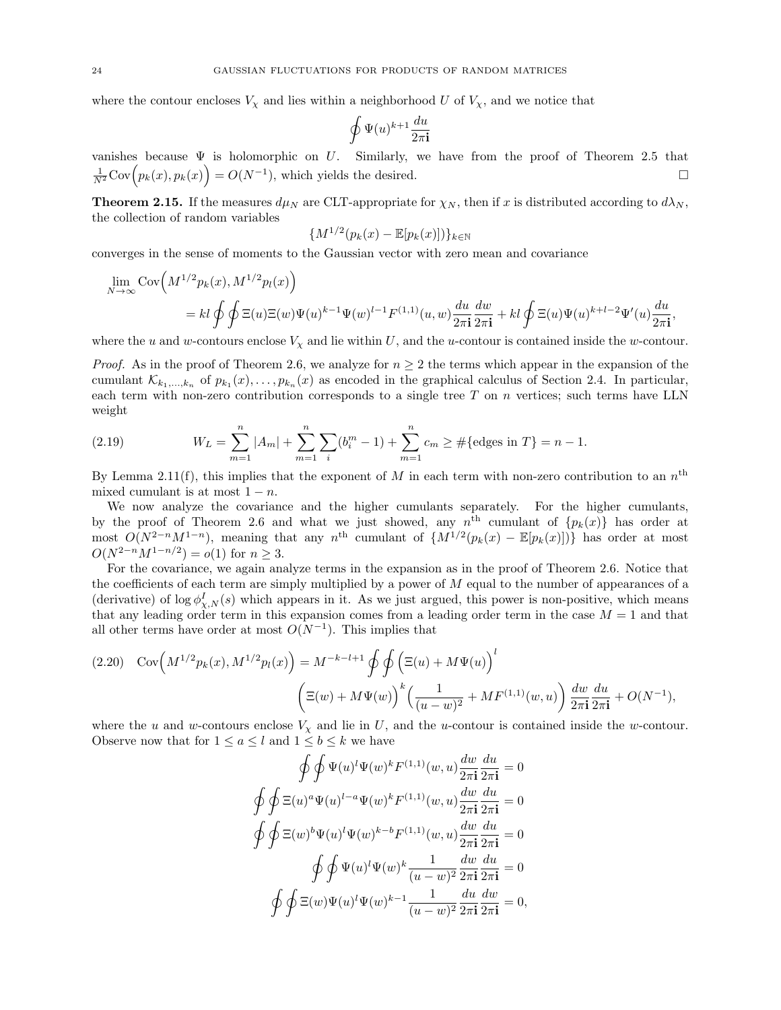where the contour encloses  $V_x$  and lies within a neighborhood U of  $V_x$ , and we notice that

$$
\oint \Psi(u)^{k+1} \frac{du}{2\pi \mathbf{i}}
$$

vanishes because  $\Psi$  is holomorphic on U. Similarly, we have from the proof of Theorem [2.5](#page-10-1) that  $\frac{1}{N^2} \text{Cov}\Big(p_k(x), p_k(x)\Big) = O(N^{-1}),$  which yields the desired.

<span id="page-23-0"></span>**Theorem 2.15.** If the measures  $d\mu_N$  are CLT-appropriate for  $\chi_N$ , then if x is distributed according to  $d\lambda_N$ , the collection of random variables

$$
\{M^{1/2}(p_k(x)-\mathbb{E}[p_k(x)])\}_{k\in\mathbb{N}}
$$

converges in the sense of moments to the Gaussian vector with zero mean and covariance

$$
\lim_{N \to \infty} \text{Cov}\Big(M^{1/2}p_k(x), M^{1/2}p_l(x)\Big)
$$
\n
$$
= kl \oint \oint \Xi(u) \Xi(w) \Psi(u)^{k-1} \Psi(w)^{l-1} F^{(1,1)}(u,w) \frac{du}{2\pi \mathbf{i}} \frac{dw}{2\pi \mathbf{i}} + kl \oint \Xi(u) \Psi(u)^{k+l-2} \Psi'(u) \frac{du}{2\pi \mathbf{i}},
$$

where the u and w-contours enclose  $V_x$  and lie within U, and the u-contour is contained inside the w-contour.

*Proof.* As in the proof of Theorem [2.6,](#page-11-1) we analyze for  $n \geq 2$  the terms which appear in the expansion of the cumulant  $\mathcal{K}_{k_1,\dots,k_n}$  of  $p_{k_1}(x),\dots,p_{k_n}(x)$  as encoded in the graphical calculus of Section [2.4.](#page-12-0) In particular, each term with non-zero contribution corresponds to a single tree  $T$  on  $n$  vertices; such terms have LLN weight

<span id="page-23-1"></span>(2.19) 
$$
W_L = \sum_{m=1}^n |A_m| + \sum_{m=1}^n \sum_i (b_i^m - 1) + \sum_{m=1}^n c_m \geq #\{\text{edges in } T\} = n - 1.
$$

By Lemma [2.11\(](#page-14-0)f), this implies that the exponent of M in each term with non-zero contribution to an  $n^{\text{th}}$ mixed cumulant is at most  $1 - n$ .

We now analyze the covariance and the higher cumulants separately. For the higher cumulants, by the proof of Theorem [2.6](#page-11-1) and what we just showed, any  $n^{\text{th}}$  cumulant of  $\{p_k(x)\}\$  has order at most  $O(N^{2-n}M^{1-n})$ , meaning that any n<sup>th</sup> cumulant of  $\{M^{1/2}(p_k(x) - \mathbb{E}[p_k(x)])\}$  has order at most  $O(N^{2-n}M^{1-n/2}) = o(1)$  for  $n \ge 3$ .

For the covariance, we again analyze terms in the expansion as in the proof of Theorem [2.6.](#page-11-1) Notice that the coefficients of each term are simply multiplied by a power of M equal to the number of appearances of a (derivative) of  $\log \phi_{\chi,N}^I(s)$  which appears in it. As we just argued, this power is non-positive, which means that any leading order term in this expansion comes from a leading order term in the case  $M = 1$  and that all other terms have order at most  $O(N^{-1})$ . This implies that

<span id="page-23-2"></span>
$$
(2.20) \quad \text{Cov}\Big(M^{1/2}p_k(x), M^{1/2}p_l(x)\Big) = M^{-k-l+1} \oint \oint \Big(\Xi(u) + M\Psi(u)\Big)^l \cdot \left(\frac{1}{(u-w)^2} + MF^{(1,1)}(w,u)\right) \frac{dw}{2\pi \mathbf{i}} \frac{du}{2\pi \mathbf{i}} + O(N^{-1}),
$$

where the u and w-contours enclose  $V_\chi$  and lie in U, and the u-contour is contained inside the w-contour. Observe now that for  $1 \le a \le l$  and  $1 \le b \le k$  we have

$$
\oint \oint \Psi(u)^{l} \Psi(w)^{k} F^{(1,1)}(w, u) \frac{dw}{2\pi i} \frac{du}{2\pi i} = 0
$$
  

$$
\oint \oint \Xi(u)^{a} \Psi(u)^{l-a} \Psi(w)^{k} F^{(1,1)}(w, u) \frac{dw}{2\pi i} \frac{du}{2\pi i} = 0
$$
  

$$
\oint \oint \Xi(w)^{b} \Psi(u)^{l} \Psi(w)^{k-b} F^{(1,1)}(w, u) \frac{dw}{2\pi i} \frac{du}{2\pi i} = 0
$$
  

$$
\oint \oint \Psi(u)^{l} \Psi(w)^{k} \frac{1}{(u-w)^{2}} \frac{dw}{2\pi i} \frac{du}{2\pi i} = 0
$$
  

$$
\oint \oint \Xi(w) \Psi(u)^{l} \Psi(w)^{k-1} \frac{1}{(u-w)^{2}} \frac{du}{2\pi i} \frac{dw}{2\pi i} = 0,
$$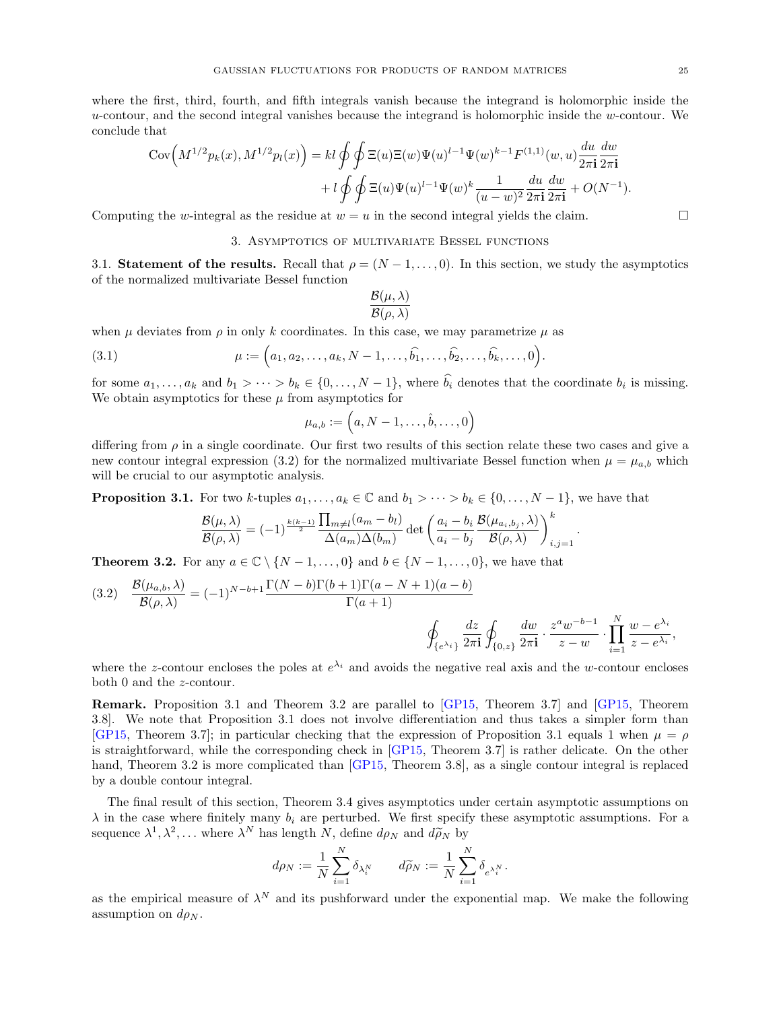where the first, third, fourth, and fifth integrals vanish because the integrand is holomorphic inside the  $u$ -contour, and the second integral vanishes because the integrand is holomorphic inside the  $w$ -contour. We conclude that

$$
\begin{split} \text{Cov}\Big(M^{1/2}p_k(x), M^{1/2}p_l(x)\Big) &= kl \oint \oint \Xi(u)\Xi(w)\Psi(u)^{l-1}\Psi(w)^{k-1}F^{(1,1)}(w,u)\frac{du}{2\pi \mathbf{i}}\frac{dw}{2\pi \mathbf{i}} \\ &+ l \oint \oint \Xi(u)\Psi(u)^{l-1}\Psi(w)^k \frac{1}{(u-w)^2}\frac{du}{2\pi \mathbf{i}}\frac{dw}{2\pi \mathbf{i}} + O(N^{-1}). \end{split}
$$

<span id="page-24-0"></span>Computing the w-integral as the residue at  $w = u$  in the second integral yields the claim.

#### 3. Asymptotics of multivariate Bessel functions

<span id="page-24-1"></span>3.1. Statement of the results. Recall that  $\rho = (N-1, \ldots, 0)$ . In this section, we study the asymptotics of the normalized multivariate Bessel function

$$
\frac{\mathcal{B}(\mu,\lambda)}{\mathcal{B}(\rho,\lambda)}
$$

when  $\mu$  deviates from  $\rho$  in only k coordinates. In this case, we may parametrize  $\mu$  as

(3.1) 
$$
\mu := (a_1, a_2, \dots, a_k, N-1, \dots, \widehat{b_1}, \dots, \widehat{b_2}, \dots, \widehat{b_k}, \dots, 0).
$$

for some  $a_1, \ldots, a_k$  and  $b_1 > \cdots > b_k \in \{0, \ldots, N-1\}$ , where  $b_i$  denotes that the coordinate  $b_i$  is missing. We obtain asymptotics for these  $\mu$  from asymptotics for

<span id="page-24-5"></span>
$$
\mu_{a,b}:=\Big(a,N-1,\ldots,\hat{b},\ldots,0\Big)
$$

differing from  $\rho$  in a single coordinate. Our first two results of this section relate these two cases and give a new contour integral expression [\(3.2\)](#page-24-3) for the normalized multivariate Bessel function when  $\mu = \mu_{a,b}$  which will be crucial to our asymptotic analysis.

<span id="page-24-4"></span>**Proposition 3.1.** For two k-tuples  $a_1, \ldots, a_k \in \mathbb{C}$  and  $b_1 > \cdots > b_k \in \{0, \ldots, N-1\}$ , we have that

$$
\frac{\mathcal{B}(\mu,\lambda)}{\mathcal{B}(\rho,\lambda)} = (-1)^{\frac{k(k-1)}{2}} \frac{\prod_{m \neq l} (a_m - b_l)}{\Delta(a_m) \Delta(b_m)} \det \left( \frac{a_i - b_i}{a_i - b_j} \frac{\mathcal{B}(\mu_{a_i,b_j}, \lambda)}{\mathcal{B}(\rho,\lambda)} \right)_{i,j=1}^k.
$$

<span id="page-24-2"></span>**Theorem 3.2.** For any  $a \in \mathbb{C} \setminus \{N-1,\ldots,0\}$  and  $b \in \{N-1,\ldots,0\}$ , we have that

<span id="page-24-3"></span>(3.2) 
$$
\frac{\mathcal{B}(\mu_{a,b}, \lambda)}{\mathcal{B}(\rho, \lambda)} = (-1)^{N-b+1} \frac{\Gamma(N-b)\Gamma(b+1)\Gamma(a-N+1)(a-b)}{\Gamma(a+1)} \qquad \oint_{\{e^{\lambda_i}\}} \frac{dz}{2\pi i} \oint_{\{0,z\}} \frac{dw}{2\pi i} \cdot \frac{z^a w^{-b-1}}{z-w} \cdot \prod_{i=1}^N \frac{w-e^{\lambda_i}}{z-e^{\lambda_i}},
$$

where the z-contour encloses the poles at  $e^{\lambda_i}$  and avoids the negative real axis and the w-contour encloses both 0 and the z-contour.

Remark. Proposition [3.1](#page-24-4) and Theorem [3.2](#page-24-2) are parallel to [\[GP15,](#page-67-11) Theorem 3.7] and [\[GP15,](#page-67-11) Theorem 3.8]. We note that Proposition [3.1](#page-24-4) does not involve differentiation and thus takes a simpler form than [\[GP15,](#page-67-11) Theorem 3.7]; in particular checking that the expression of Proposition [3.1](#page-24-4) equals 1 when  $\mu = \rho$ is straightforward, while the corresponding check in [\[GP15,](#page-67-11) Theorem 3.7] is rather delicate. On the other hand, Theorem [3.2](#page-24-2) is more complicated than [\[GP15,](#page-67-11) Theorem 3.8], as a single contour integral is replaced by a double contour integral.

The final result of this section, Theorem [3.4](#page-25-0) gives asymptotics under certain asymptotic assumptions on  $\lambda$  in the case where finitely many  $b_i$  are perturbed. We first specify these asymptotic assumptions. For a sequence  $\lambda^1, \lambda^2, \dots$  where  $\lambda^N$  has length N, define  $d\rho_N$  and  $d\rho_N$  by

$$
d\rho_N:=\frac{1}{N}\sum_{i=1}^N \delta_{\lambda_i^N} \qquad d\widetilde{\rho}_N:=\frac{1}{N}\sum_{i=1}^N \delta_{e^{\lambda_i^N}}
$$

.

as the empirical measure of  $\lambda^N$  and its pushforward under the exponential map. We make the following assumption on  $d\rho_N$ .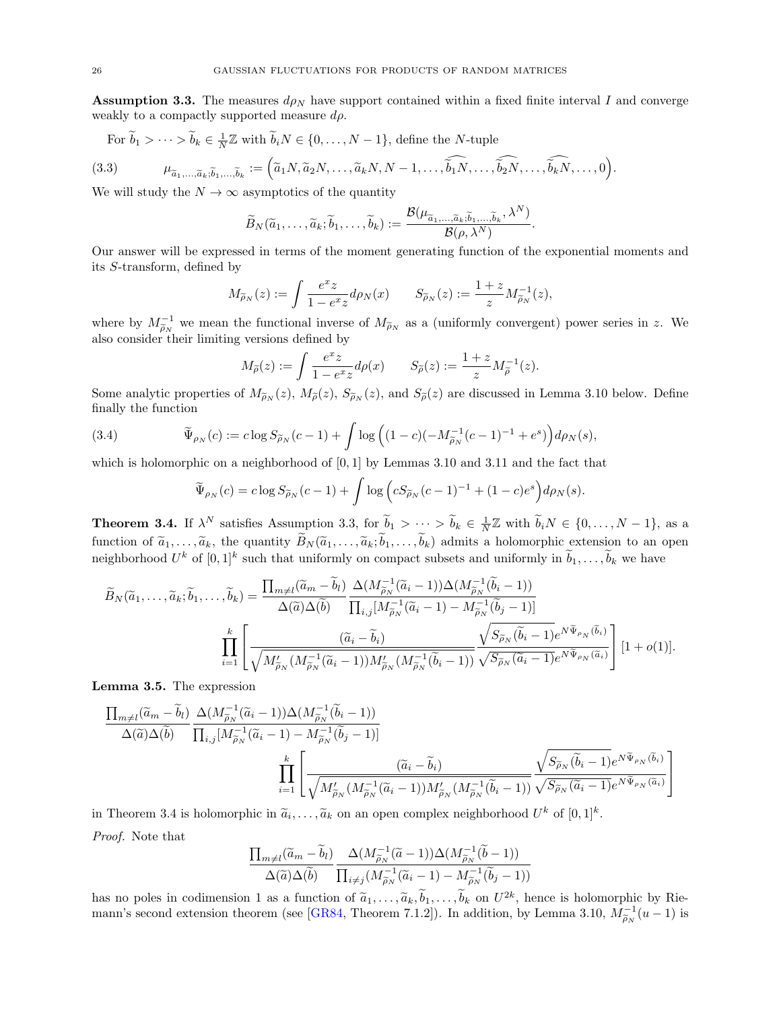<span id="page-25-1"></span>**Assumption 3.3.** The measures  $d\rho_N$  have support contained within a fixed finite interval I and converge weakly to a compactly supported measure  $d\rho$ .

<span id="page-25-3"></span>For 
$$
\widetilde{b}_1 > \cdots > \widetilde{b}_k \in \frac{1}{N} \mathbb{Z}
$$
 with  $\widetilde{b}_i N \in \{0, \ldots, N-1\}$ , define the *N*-tuple

(3.3) 
$$
\mu_{\widetilde{a}_1,\ldots,\widetilde{a}_k;\widetilde{b}_1,\ldots,\widetilde{b}_k} := \left(\widetilde{a}_1N,\widetilde{a}_2N,\ldots,\widetilde{a}_kN,N-1,\ldots,\widehat{\widetilde{b}_1N},\ldots,\widehat{\widetilde{b}_2N},\ldots,\widehat{\widetilde{b}_kN},\ldots,0\right).
$$

We will study the  $N \to \infty$  asymptotics of the quantity

$$
\widetilde{B}_N(\widetilde{a}_1,\ldots,\widetilde{a}_k;\widetilde{b}_1,\ldots,\widetilde{b}_k):=\frac{\mathcal{B}(\mu_{\widetilde{a}_1,\ldots,\widetilde{a}_k;\widetilde{b}_1,\ldots,\widetilde{b}_k},\lambda^N)}{\mathcal{B}(\rho,\lambda^N)}.
$$

Our answer will be expressed in terms of the moment generating function of the exponential moments and its S-transform, defined by

$$
M_{\widetilde{\rho}_N}(z) := \int \frac{e^x z}{1 - e^x z} d\rho_N(x) \qquad S_{\widetilde{\rho}_N}(z) := \frac{1 + z}{z} M_{\widetilde{\rho}_N}^{-1}(z),
$$

where by  $M_{\tilde{\rho}_N}^{-1}$  we mean the functional inverse of  $M_{\tilde{\rho}_N}$  as a (uniformly convergent) power series in z. We also consider their limiting versions defined by also consider their limiting versions defined by

$$
M_{\widetilde{\rho}}(z):=\int \frac{e^x z}{1-e^x z} d\rho(x) \qquad S_{\widetilde{\rho}}(z):=\frac{1+z}{z}M_{\widetilde{\rho}}^{-1}(z).
$$

Some analytic properties of  $M_{\tilde{\rho}_N}(z)$ ,  $M_{\tilde{\rho}}(z)$ ,  $S_{\tilde{\rho}_N}(z)$ , and  $S_{\tilde{\rho}}(z)$  are discussed in Lemma [3.10](#page-30-0) below. Define finally the function

(3.4) 
$$
\widetilde{\Psi}_{\rho_N}(c) := c \log S_{\widetilde{\rho}_N}(c-1) + \int \log \left( (1-c)(-M_{\widetilde{\rho}_N}^{-1}(c-1)^{-1} + e^s) \right) d\rho_N(s),
$$

which is holomorphic on a neighborhood of  $[0, 1]$  by Lemmas [3.10](#page-30-0) and [3.11](#page-30-1) and the fact that

<span id="page-25-4"></span>
$$
\widetilde{\Psi}_{\rho_N}(c) = c \log S_{\widetilde{\rho}_N}(c-1) + \int \log \left( c S_{\widetilde{\rho}_N}(c-1)^{-1} + (1-c)e^s \right) d\rho_N(s).
$$

<span id="page-25-0"></span>**Theorem 3.4.** If  $\lambda^N$  satisfies Assumption [3.3,](#page-25-1) for  $\widetilde{b}_1 > \cdots > \widetilde{b}_k \in \frac{1}{N} \mathbb{Z}$  with  $\widetilde{b}_i N \in \{0, \ldots, N-1\}$ , as a function of  $\tilde{a}_1, \ldots, \tilde{a}_k$ , the quantity  $\tilde{B}_N(\tilde{a}_1, \ldots, \tilde{a}_k; \tilde{b}_1, \ldots, \tilde{b}_k)$  admits a holomorphic extension to an open neighborhood  $U^k$  of  $[0,1]^k$  such that uniformly on compact subsets and uniformly in  $\tilde{b}_1, \ldots, \tilde{b}_k$  we have

$$
\widetilde{B}_{N}(\widetilde{a}_{1},\ldots,\widetilde{a}_{k};\widetilde{b}_{1},\ldots,\widetilde{b}_{k}) = \frac{\prod_{m\neq l}(\widetilde{a}_{m}-\widetilde{b}_{l})}{\Delta(\widetilde{a})\Delta(\widetilde{b})} \frac{\Delta(M_{\widetilde{\rho}_{N}}^{-1}(\widetilde{a}_{i}-1))\Delta(M_{\widetilde{\rho}_{N}}^{-1}(\widetilde{b}_{i}-1))}{\prod_{i,j}[M_{\widetilde{\rho}_{N}}^{-1}(\widetilde{a}_{i}-1)-M_{\widetilde{\rho}_{N}}^{-1}(\widetilde{b}_{j}-1)]}
$$
\n
$$
\prod_{i=1}^{k} \left[ \frac{(\widetilde{a}_{i}-\widetilde{b}_{i})}{\sqrt{M_{\widetilde{\rho}_{N}}'(M_{\widetilde{\rho}_{N}}^{-1}(\widetilde{a}_{i}-1))M_{\widetilde{\rho}_{N}}'(M_{\widetilde{\rho}_{N}}^{-1}(\widetilde{b}_{i}-1))}} \frac{\sqrt{S_{\widetilde{\rho}_{N}}(\widetilde{b}_{i}-1)e^{N\widetilde{\Psi}_{\rho_{N}}(\widetilde{b}_{i})}}}{\sqrt{S_{\widetilde{\rho}_{N}}(\widetilde{a}_{i}-1)e^{N\widetilde{\Psi}_{\rho_{N}}(\widetilde{a}_{i})}}} \right] [1+o(1)].
$$

<span id="page-25-2"></span>Lemma 3.5. The expression

$$
\frac{\prod_{m\neq l}(\widetilde{a}_m - \widetilde{b}_l)}{\Delta(\widetilde{a})\Delta(\widetilde{b})} \frac{\Delta(M_{\widetilde{\rho}_N}^{-1}(\widetilde{a}_i - 1))\Delta(M_{\widetilde{\rho}_N}^{-1}(\widetilde{b}_i - 1))}{\prod_{i,j}[M_{\widetilde{\rho}_N}^{-1}(\widetilde{a}_i - 1) - M_{\widetilde{\rho}_N}^{-1}(\widetilde{b}_j - 1)]}
$$
\n
$$
\prod_{i=1}^k \left[ \frac{(\widetilde{a}_i - \widetilde{b}_i)}{\sqrt{M_{\widetilde{\rho}_N}'(M_{\widetilde{\rho}_N}^{-1}(\widetilde{a}_i - 1))M_{\widetilde{\rho}_N}'(M_{\widetilde{\rho}_N}^{-1}(\widetilde{b}_i - 1))}} \frac{\sqrt{S_{\widetilde{\rho}_N}(\widetilde{b}_i - 1)} e^{N\widetilde{\Psi}_{\rho_N}(\widetilde{b}_i)}}{\sqrt{S_{\widetilde{\rho}_N}(\widetilde{a}_i - 1)} e^{N\widetilde{\Psi}_{\rho_N}(\widetilde{a}_i)}} \right]
$$

in Theorem [3.4](#page-25-0) is holomorphic in  $\tilde{a}_i, \ldots, \tilde{a}_k$  on an open complex neighborhood  $U^k$  of  $[0,1]^k$ . Proof. Note that

$$
\frac{\prod_{m\neq l}(\widetilde{a}_m-\widetilde{b}_l)}{\Delta(\widetilde{a})\Delta(\widetilde{b})}\frac{\Delta(M_{\widetilde{\rho}_N}^{-1}(\widetilde{a}-1))\Delta(M_{\widetilde{\rho}_N}^{-1}(\widetilde{b}-1))}{\prod_{i\neq j}(M_{\widetilde{\rho}_N}^{-1}(\widetilde{a}_i-1)-M_{\widetilde{\rho}_N}^{-1}(\widetilde{b}_j-1))}
$$

has no poles in codimension 1 as a function of  $\tilde{a}_1, \ldots, \tilde{a}_k, \tilde{b}_1, \ldots, \tilde{b}_k$  on  $U^{2k}$ , hence is holomorphic by Rie-<br>we use a second extensive theorem (see CB84, Theorem 7.1.3)). In addition, he I survey 3.10 mann's second extension theorem (see [\[GR84,](#page-67-30) Theorem 7.1.2]). In addition, by Lemma [3.10,](#page-30-0)  $M_{\tilde{\rho}_N}^{-1}(u-1)$  is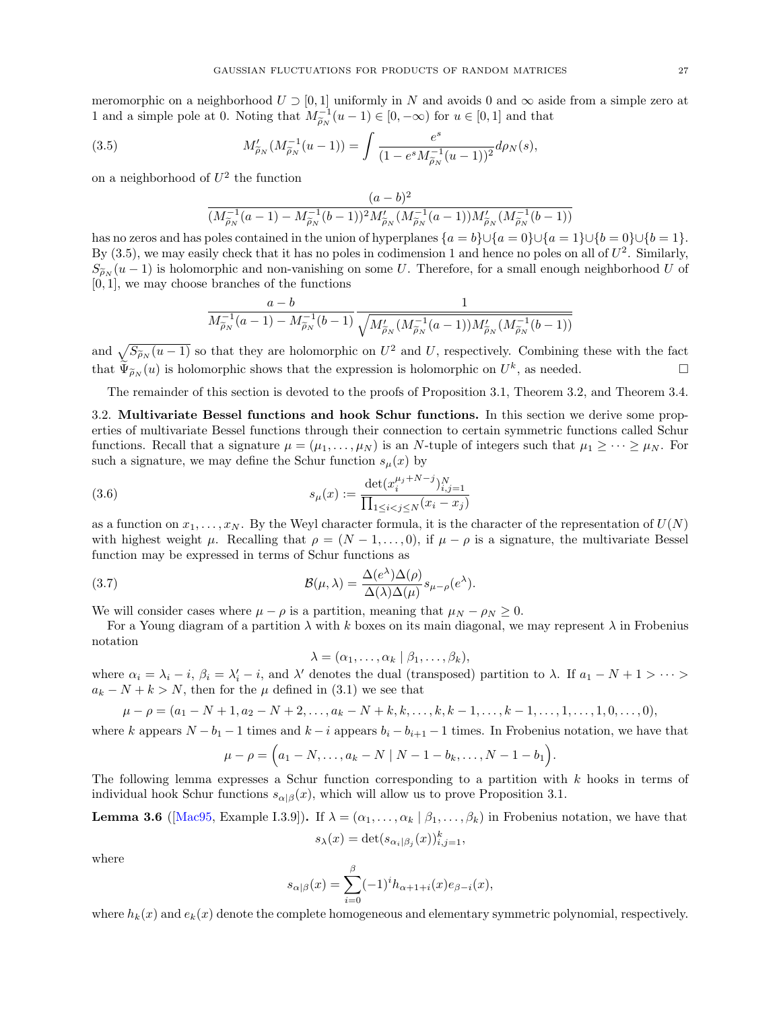meromorphic on a neighborhood  $U \supset [0,1]$  uniformly in N and avoids 0 and  $\infty$  aside from a simple zero at 1 and a simple pole at 0. Noting that  $M_{\tilde{\rho}_N}^{-1}(u-1) \in [0, -\infty)$  for  $u \in [0, 1]$  and that

(3.5) 
$$
M'_{\widetilde{\rho}_N}(M_{\widetilde{\rho}_N}^{-1}(u-1)) = \int \frac{e^s}{(1 - e^s M_{\widetilde{\rho}_N}^{-1}(u-1))^2} d\rho_N(s),
$$

on a neighborhood of  $U^2$  the function

<span id="page-26-1"></span>
$$
\frac{(a-b)^2}{(M_{\widetilde{\rho}_N}^{-1}(a-1) - M_{\widetilde{\rho}_N}^{-1}(b-1))^2 M_{\widetilde{\rho}_N}'(M_{\widetilde{\rho}_N}^{-1}(a-1)) M_{\widetilde{\rho}_N}'(M_{\widetilde{\rho}_N}^{-1}(b-1))}
$$

has no zeros and has poles contained in the union of hyperplanes  ${a = b} \cup {a = 0} \cup {a = 1} \cup {b = 0} \cup {b = 1}.$ By  $(3.5)$ , we may easily check that it has no poles in codimension 1 and hence no poles on all of  $U^2$ . Similarly,  $S_{\widetilde{\rho}_N}(u-1)$  is holomorphic and non-vanishing on some U. Therefore, for a small enough neighborhood U of  $[0, 1]$ , we may choose branches of the functions

$$
\frac{a-b}{M_{\widetilde{\rho}_N}^{-1}(a-1) - M_{\widetilde{\rho}_N}^{-1}(b-1)} \frac{1}{\sqrt{M_{\widetilde{\rho}_N}'(M_{\widetilde{\rho}_N}^{-1}(a-1))M_{\widetilde{\rho}_N}'(M_{\widetilde{\rho}_N}^{-1}(b-1))}}
$$

and  $\sqrt{S_{\tilde{\rho}_N}(u-1)}$  so that they are holomorphic on  $U^2$  and U, respectively. Combining these with the fact that  $\widetilde{\Psi}_{\widetilde{\rho}_N}(u)$  is holomorphic shows that the expression is holomorphic on  $U^k$ , as needed.

The remainder of this section is devoted to the proofs of Proposition [3.1,](#page-24-4) Theorem [3.2,](#page-24-2) and Theorem [3.4.](#page-25-0)

<span id="page-26-0"></span>3.2. Multivariate Bessel functions and hook Schur functions. In this section we derive some properties of multivariate Bessel functions through their connection to certain symmetric functions called Schur functions. Recall that a signature  $\mu = (\mu_1, \ldots, \mu_N)$  is an N-tuple of integers such that  $\mu_1 \geq \cdots \geq \mu_N$ . For such a signature, we may define the Schur function  $s_\mu(x)$  by

(3.6) 
$$
s_{\mu}(x) := \frac{\det(x_i^{\mu_j + N - j})_{i,j=1}^N}{\prod_{1 \le i < j \le N} (x_i - x_j)}
$$

as a function on  $x_1, \ldots, x_N$ . By the Weyl character formula, it is the character of the representation of  $U(N)$ with highest weight  $\mu$ . Recalling that  $\rho = (N-1,\ldots,0)$ , if  $\mu - \rho$  is a signature, the multivariate Bessel function may be expressed in terms of Schur functions as

(3.7) 
$$
\mathcal{B}(\mu,\lambda) = \frac{\Delta(e^{\lambda})\Delta(\rho)}{\Delta(\lambda)\Delta(\mu)} s_{\mu-\rho}(e^{\lambda}).
$$

We will consider cases where  $\mu - \rho$  is a partition, meaning that  $\mu_N - \rho_N \geq 0$ .

For a Young diagram of a partition  $\lambda$  with k boxes on its main diagonal, we may represent  $\lambda$  in Frobenius notation

<span id="page-26-4"></span><span id="page-26-3"></span>
$$
\lambda = (\alpha_1, \ldots, \alpha_k \mid \beta_1, \ldots, \beta_k),
$$

where  $\alpha_i = \lambda_i - i$ ,  $\beta_i = \lambda'_i - i$ , and  $\lambda'$  denotes the dual (transposed) partition to  $\lambda$ . If  $a_1 - N + 1 > \cdots >$  $a_k - N + k > N$ , then for the  $\mu$  defined in [\(3.1\)](#page-24-5) we see that

$$
\mu - \rho = (a_1 - N + 1, a_2 - N + 2, \dots, a_k - N + k, k, \dots, k, k - 1, \dots, k - 1, \dots, 1, \dots, 1, 0, \dots, 0),
$$

where k appears  $N - b_1 - 1$  times and  $k - i$  appears  $b_i - b_{i+1} - 1$  times. In Frobenius notation, we have that

$$
\mu - \rho = \Big(a_1 - N, \dots, a_k - N \mid N - 1 - b_k, \dots, N - 1 - b_1\Big).
$$

The following lemma expresses a Schur function corresponding to a partition with  $k$  hooks in terms of individual hook Schur functions  $s_{\alpha\beta}(x)$ , which will allow us to prove Proposition [3.1.](#page-24-4)

<span id="page-26-2"></span>**Lemma 3.6** ([Mac95, Example I.3.9]). If 
$$
\lambda = (\alpha_1, ..., \alpha_k | \beta_1, ..., \beta_k)
$$
 in Frobenius notation, we have that  $s_{\lambda}(x) = \det(s_{\alpha_i|\beta_j}(x))_{i,j=1}^k$ ,

where

$$
s_{\alpha|\beta}(x) = \sum_{i=0}^{\beta} (-1)^i h_{\alpha+1+i}(x) e_{\beta-i}(x),
$$

where  $h_k(x)$  and  $e_k(x)$  denote the complete homogeneous and elementary symmetric polynomial, respectively.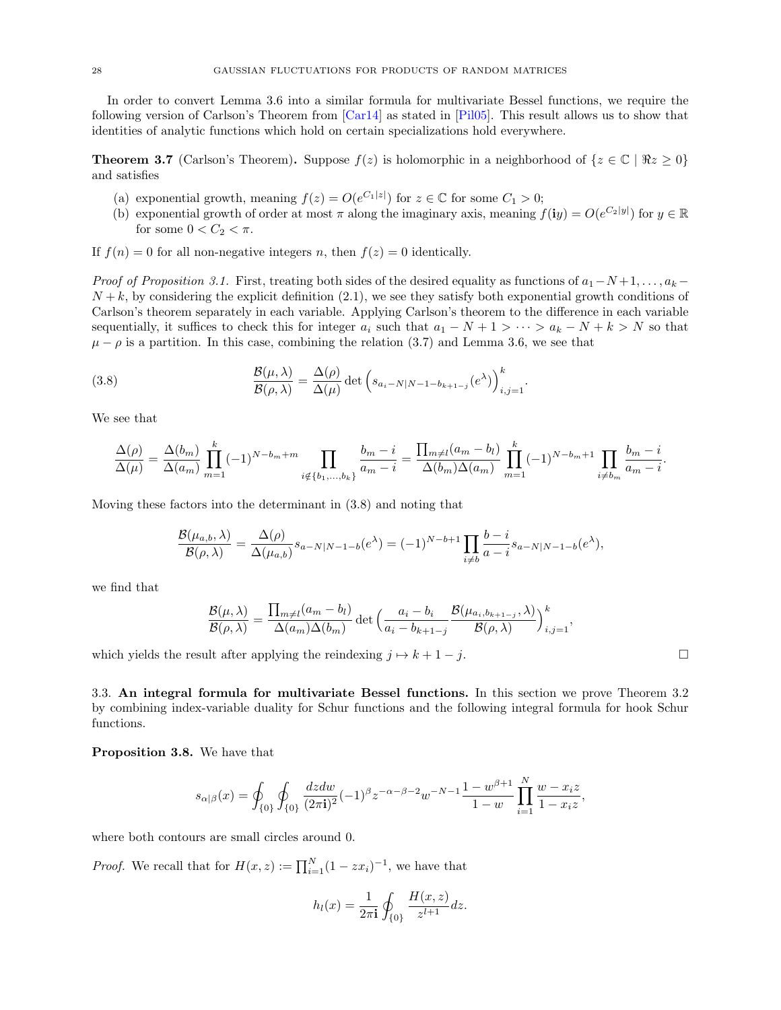In order to convert Lemma [3.6](#page-26-2) into a similar formula for multivariate Bessel functions, we require the following version of Carlson's Theorem from [\[Car14\]](#page-66-25) as stated in [\[Pil05\]](#page-68-24). This result allows us to show that identities of analytic functions which hold on certain specializations hold everywhere.

<span id="page-27-3"></span>**Theorem 3.7** (Carlson's Theorem). Suppose  $f(z)$  is holomorphic in a neighborhood of  $\{z \in \mathbb{C} \mid \Re z \geq 0\}$ and satisfies

- (a) exponential growth, meaning  $f(z) = O(e^{C_1|z|})$  for  $z \in \mathbb{C}$  for some  $C_1 > 0$ ;
- (b) exponential growth of order at most  $\pi$  along the imaginary axis, meaning  $f(iy) = O(e^{C_2|y|})$  for  $y \in \mathbb{R}$ for some  $0 < C_2 < \pi$ .

If  $f(n) = 0$  for all non-negative integers n, then  $f(z) = 0$  identically.

Proof of Proposition [3.1.](#page-24-4) First, treating both sides of the desired equality as functions of  $a_1-N+1, \ldots, a_k N + k$ , by considering the explicit definition [\(2.1\)](#page-9-4), we see they satisfy both exponential growth conditions of Carlson's theorem separately in each variable. Applying Carlson's theorem to the difference in each variable sequentially, it suffices to check this for integer  $a_i$  such that  $a_1 - N + 1 > \cdots > a_k - N + k > N$  so that  $\mu - \rho$  is a partition. In this case, combining the relation [\(3.7\)](#page-26-3) and Lemma [3.6,](#page-26-2) we see that

(3.8) 
$$
\frac{\mathcal{B}(\mu,\lambda)}{\mathcal{B}(\rho,\lambda)} = \frac{\Delta(\rho)}{\Delta(\mu)} \det \left( s_{a_i - N|N-1-b_{k+1-j}}(e^{\lambda}) \right)_{i,j=1}^k.
$$

We see that

<span id="page-27-1"></span>
$$
\frac{\Delta(\rho)}{\Delta(\mu)} = \frac{\Delta(b_m)}{\Delta(a_m)} \prod_{m=1}^k (-1)^{N-b_m+m} \prod_{i \notin \{b_1, \dots, b_k\}} \frac{b_m - i}{a_m - i} = \frac{\prod_{m \neq l} (a_m - b_l)}{\Delta(b_m) \Delta(a_m)} \prod_{m=1}^k (-1)^{N-b_m+1} \prod_{i \neq b_m} \frac{b_m - i}{a_m - i}.
$$

Moving these factors into the determinant in [\(3.8\)](#page-27-1) and noting that

$$
\frac{\mathcal{B}(\mu_{a,b}, \lambda)}{\mathcal{B}(\rho, \lambda)} = \frac{\Delta(\rho)}{\Delta(\mu_{a,b})} s_{a-N|N-1-b}(e^{\lambda}) = (-1)^{N-b+1} \prod_{i \neq b} \frac{b-i}{a-i} s_{a-N|N-1-b}(e^{\lambda}),
$$

we find that

$$
\frac{\mathcal{B}(\mu,\lambda)}{\mathcal{B}(\rho,\lambda)} = \frac{\prod_{m\neq l}(a_m - b_l)}{\Delta(a_m)\Delta(b_m)} \det \left(\frac{a_i - b_i}{a_i - b_{k+1-j}} \frac{\mathcal{B}(\mu_{a_i,b_{k+1-j}},\lambda)}{\mathcal{B}(\rho,\lambda)}\right)_{i,j=1}^k,
$$

which yields the result after applying the reindexing  $j \mapsto k + 1 - j$ .

<span id="page-27-0"></span>3.3. An integral formula for multivariate Bessel functions. In this section we prove Theorem [3.2](#page-24-2) by combining index-variable duality for Schur functions and the following integral formula for hook Schur functions.

<span id="page-27-2"></span>Proposition 3.8. We have that

$$
s_{\alpha|\beta}(x)=\oint_{\{0\}}\oint_{\{0\}}\frac{dzdw}{(2\pi{\bf i})^2}(-1)^{\beta}z^{-\alpha-\beta-2}w^{-N-1}\frac{1-w^{\beta+1}}{1-w}\prod_{i=1}^N\frac{w-x_iz}{1-x_iz},
$$

where both contours are small circles around 0.

*Proof.* We recall that for  $H(x, z) := \prod_{i=1}^{N} (1 - zx_i)^{-1}$ , we have that

$$
h_l(x) = \frac{1}{2\pi i} \oint_{\{0\}} \frac{H(x, z)}{z^{l+1}} dz.
$$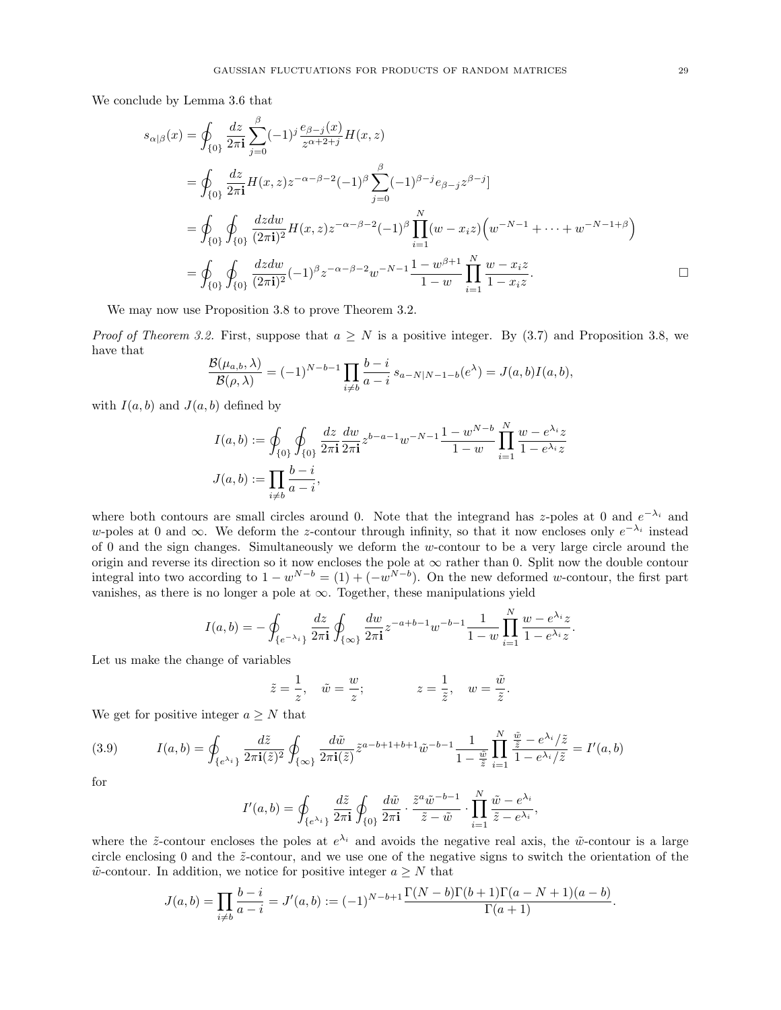We conclude by Lemma [3.6](#page-26-2) that

$$
s_{\alpha|\beta}(x) = \oint_{\{0\}} \frac{dz}{2\pi i} \sum_{j=0}^{\beta} (-1)^j \frac{e_{\beta-j}(x)}{z^{\alpha+2+j}} H(x, z)
$$
  
\n
$$
= \oint_{\{0\}} \frac{dz}{2\pi i} H(x, z) z^{-\alpha-\beta-2} (-1)^{\beta} \sum_{j=0}^{\beta} (-1)^{\beta-j} e_{\beta-j} z^{\beta-j}]
$$
  
\n
$$
= \oint_{\{0\}} \oint_{\{0\}} \frac{dz dw}{(2\pi i)^2} H(x, z) z^{-\alpha-\beta-2} (-1)^{\beta} \prod_{i=1}^{N} (w - x_i z) \left( w^{-N-1} + \dots + w^{-N-1+\beta} \right)
$$
  
\n
$$
= \oint_{\{0\}} \oint_{\{0\}} \frac{dz dw}{(2\pi i)^2} (-1)^{\beta} z^{-\alpha-\beta-2} w^{-N-1} \frac{1 - w^{\beta+1}}{1 - w} \prod_{i=1}^{N} \frac{w - x_i z}{1 - x_i z}.
$$

We may now use Proposition [3.8](#page-27-2) to prove Theorem [3.2.](#page-24-2)

*Proof of Theorem [3.2.](#page-24-2)* First, suppose that  $a \geq N$  is a positive integer. By [\(3.7\)](#page-26-3) and Proposition [3.8,](#page-27-2) we have that

$$
\frac{\mathcal{B}(\mu_{a,b}, \lambda)}{\mathcal{B}(\rho, \lambda)} = (-1)^{N-b-1} \prod_{i \neq b} \frac{b-i}{a-i} s_{a-N|N-1-b}(e^{\lambda}) = J(a, b)I(a, b),
$$

with  $I(a, b)$  and  $J(a, b)$  defined by

$$
I(a,b) := \oint_{\{0\}} \oint_{\{0\}} \frac{dz}{2\pi \mathbf{i}} \frac{dw}{2\pi \mathbf{i}} z^{b-a-1} w^{-N-1} \frac{1-w^{N-b}}{1-w} \prod_{i=1}^{N} \frac{w - e^{\lambda_i}z}{1 - e^{\lambda_i}z}
$$

$$
J(a,b) := \prod_{i \neq b} \frac{b-i}{a-i},
$$

where both contours are small circles around 0. Note that the integrand has z-poles at 0 and  $e^{-\lambda_i}$  and w-poles at 0 and  $\infty$ . We deform the z-contour through infinity, so that it now encloses only  $e^{-\lambda_i}$  instead of 0 and the sign changes. Simultaneously we deform the  $w$ -contour to be a very large circle around the origin and reverse its direction so it now encloses the pole at  $\infty$  rather than 0. Split now the double contour integral into two according to  $1 - w^{N-b} = (1) + (-w^{N-b})$ . On the new deformed w-contour, the first part vanishes, as there is no longer a pole at  $\infty$ . Together, these manipulations yield

$$
I(a,b) = -\oint_{\{e^{-\lambda_i}\}} \frac{dz}{2\pi i} \oint_{\{\infty\}} \frac{dw}{2\pi i} z^{-a+b-1} w^{-b-1} \frac{1}{1-w} \prod_{i=1}^N \frac{w - e^{\lambda_i} z}{1 - e^{\lambda_i} z}.
$$

Let us make the change of variables

$$
\tilde{z} = \frac{1}{z}, \quad \tilde{w} = \frac{w}{z}; \qquad z = \frac{1}{\tilde{z}}, \quad w = \frac{\tilde{w}}{\tilde{z}}.
$$

We get for positive integer  $a \geq N$  that

(3.9) 
$$
I(a,b) = \oint_{\{e^{\lambda_i}\}} \frac{d\tilde{z}}{2\pi i(\tilde{z})^2} \oint_{\{\infty\}} \frac{d\tilde{w}}{2\pi i(\tilde{z})} \tilde{z}^{a-b+1+b+1} \tilde{w}^{-b-1} \frac{1}{1-\frac{\tilde{w}}{\tilde{z}}} \prod_{i=1}^N \frac{\frac{\tilde{w}}{\tilde{z}} - e^{\lambda_i}/\tilde{z}}{1-e^{\lambda_i}/\tilde{z}} = I'(a,b)
$$

for

$$
I'(a,b) = \oint_{\{e^{\lambda_i}\}} \frac{d\tilde{z}}{2\pi \mathbf{i}} \oint_{\{0\}} \frac{d\tilde{w}}{2\pi \mathbf{i}} \cdot \frac{\tilde{z}^a \tilde{w}^{-b-1}}{\tilde{z} - \tilde{w}} \cdot \prod_{i=1}^N \frac{\tilde{w} - e^{\lambda_i}}{\tilde{z} - e^{\lambda_i}},
$$

where the  $\tilde{z}$ -contour encloses the poles at  $e^{\lambda_i}$  and avoids the negative real axis, the  $\tilde{w}$ -contour is a large circle enclosing 0 and the  $\tilde{z}$ -contour, and we use one of the negative signs to switch the orientation of the  $\tilde{w}$ -contour. In addition, we notice for positive integer  $a \geq N$  that

$$
J(a,b) = \prod_{i \neq b} \frac{b-i}{a-i} = J'(a,b) := (-1)^{N-b+1} \frac{\Gamma(N-b)\Gamma(b+1)\Gamma(a-N+1)(a-b)}{\Gamma(a+1)}.
$$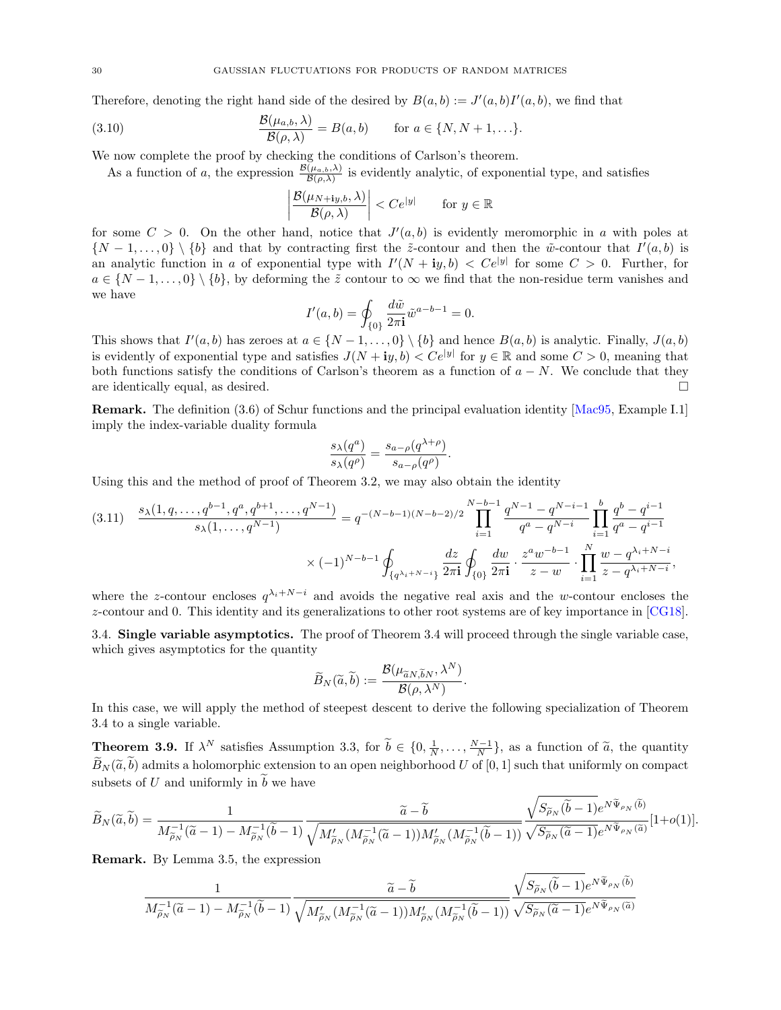Therefore, denoting the right hand side of the desired by  $B(a, b) := J'(a, b)I'(a, b)$ , we find that

(3.10) 
$$
\frac{\mathcal{B}(\mu_{a,b}, \lambda)}{\mathcal{B}(\rho, \lambda)} = B(a, b) \quad \text{for } a \in \{N, N+1, \ldots\}.
$$

We now complete the proof by checking the conditions of Carlson's theorem.

As a function of a, the expression  $\frac{\mathcal{B}(\mu_{a,b},\lambda)}{\mathcal{B}(\rho,\lambda)}$  is evidently analytic, of exponential type, and satisfies

$$
\left| \frac{\mathcal{B}(\mu_{N+{\bf i}y,b},\lambda)}{\mathcal{B}(\rho,\lambda)} \right| < Ce^{|y|} \qquad \text{for } y \in \mathbb{R}
$$

for some  $C > 0$ . On the other hand, notice that  $J'(a, b)$  is evidently meromorphic in a with poles at  $\{N-1,\ldots,0\} \setminus \{b\}$  and that by contracting first the  $\tilde{z}$ -contour and then the  $\tilde{w}$ -contour that  $I'(a,b)$  is an analytic function in a of exponential type with  $I'(N + iy, b) < Ce^{|y|}$  for some  $C > 0$ . Further, for  $a \in \{N-1,\ldots,0\} \setminus \{b\}$ , by deforming the  $\tilde{z}$  contour to  $\infty$  we find that the non-residue term vanishes and we have

$$
I'(a, b) = \oint_{\{0\}} \frac{d\tilde{w}}{2\pi i} \tilde{w}^{a-b-1} = 0.
$$

This shows that  $I'(a, b)$  has zeroes at  $a \in \{N-1, \ldots, 0\} \setminus \{b\}$  and hence  $B(a, b)$  is analytic. Finally,  $J(a, b)$ is evidently of exponential type and satisfies  $J(N + iy, b) < Ce^{|y|}$  for  $y \in \mathbb{R}$  and some  $C > 0$ , meaning that both functions satisfy the conditions of Carlson's theorem as a function of  $a - N$ . We conclude that they are identically equal, as desired. are identically equal, as desired.

Remark. The definition [\(3.6\)](#page-26-4) of Schur functions and the principal evaluation identity [\[Mac95,](#page-68-22) Example I.1] imply the index-variable duality formula

$$
\frac{s_{\lambda}(q^a)}{s_{\lambda}(q^{\rho})} = \frac{s_{a-\rho}(q^{\lambda+\rho})}{s_{a-\rho}(q^{\rho})}.
$$

Using this and the method of proof of Theorem [3.2,](#page-24-2) we may also obtain the identity

<span id="page-29-2"></span>
$$
(3.11) \quad \frac{s_{\lambda}(1, q, \dots, q^{b-1}, q^a, q^{b+1}, \dots, q^{N-1})}{s_{\lambda}(1, \dots, q^{N-1})} = q^{-(N-b-1)(N-b-2)/2} \prod_{i=1}^{N-b-1} \frac{q^{N-1} - q^{N-i-1}}{q^a - q^{N-i}} \prod_{i=1}^b \frac{q^b - q^{i-1}}{q^a - q^{i-1}}
$$

$$
\times (-1)^{N-b-1} \oint_{\{q^{\lambda_i + N - i}\}} \frac{dz}{2\pi \mathbf{i}} \oint_{\{0\}} \frac{dw}{2\pi \mathbf{i}} \cdot \frac{z^a w^{-b-1}}{z - w} \cdot \prod_{i=1}^N \frac{w - q^{\lambda_i + N - i}}{z - q^{\lambda_i + N - i}},
$$

where the z-contour encloses  $q^{\lambda_i+N-i}$  and avoids the negative real axis and the w-contour encloses the z-contour and 0. This identity and its generalizations to other root systems are of key importance in [\[CG18\]](#page-66-24).

<span id="page-29-0"></span>3.4. Single variable asymptotics. The proof of Theorem [3.4](#page-25-0) will proceed through the single variable case, which gives asymptotics for the quantity

$$
\widetilde{B}_N(\widetilde{a},\widetilde{b}):=\frac{\mathcal{B}(\mu_{\widetilde{a}N,\widetilde{b}N},\lambda^N)}{\mathcal{B}(\rho,\lambda^N)}.
$$

In this case, we will apply the method of steepest descent to derive the following specialization of Theorem [3.4](#page-25-0) to a single variable.

<span id="page-29-1"></span>**Theorem 3.9.** If  $\lambda^N$  satisfies Assumption [3.3,](#page-25-1) for  $\widetilde{b} \in \{0, \frac{1}{N}, \ldots, \frac{N-1}{N}\}$ , as a function of  $\widetilde{a}$ , the quantity  $\widetilde{B}_N(\widetilde{a},\widetilde{b})$  admits a holomorphic extension to an open neighborhood U of [0, 1] such that uniformly on compact subsets of U and uniformly in  $\tilde{b}$  we have

$$
\widetilde{B}_N(\widetilde{a},\widetilde{b})=\frac{1}{M_{\widetilde{\rho}_N}^{-1}(\widetilde{a}-1)-M_{\widetilde{\rho}_N}^{-1}(\widetilde{b}-1)}\frac{\widetilde{a}-\widetilde{b}}{\sqrt{M_{\widetilde{\rho}_N}'(M_{\widetilde{\rho}_N}^{-1}(\widetilde{a}-1))M_{\widetilde{\rho}_N}'(M_{\widetilde{\rho}_N}^{-1}(\widetilde{b}-1))}}\frac{\sqrt{S_{\widetilde{\rho}_N}(\widetilde{b}-1)}e^{N\widetilde{\Psi}_{\rho_N}(\widetilde{b})}}{\sqrt{S_{\widetilde{\rho}_N}(\widetilde{a}-1)}e^{N\widetilde{\Psi}_{\rho_N}(\widetilde{a})}}[1+o(1)].
$$

Remark. By Lemma [3.5,](#page-25-2) the expression

$$
\frac{1}{M_{\widetilde{\rho}_N}^{-1}(\widetilde{a}-1)-M_{\widetilde{\rho}_N}^{-1}(\widetilde{b}-1)}\frac{\widetilde{a}-\widetilde{b}}{\sqrt{M_{\widetilde{\rho}_N}'(M_{\widetilde{\rho}_N}^{-1}(\widetilde{a}-1))M_{\widetilde{\rho}_N}'(M_{\widetilde{\rho}_N}^{-1}(\widetilde{b}-1))}}\frac{\sqrt{S_{\widetilde{\rho}_N}(\widetilde{b}-1)}e^{N\widetilde{\Psi}_{\rho_N}(\widetilde{b})}}{\sqrt{S_{\widetilde{\rho}_N}(\widetilde{a}-1)}e^{N\widetilde{\Psi}_{\rho_N}(\widetilde{a})}}
$$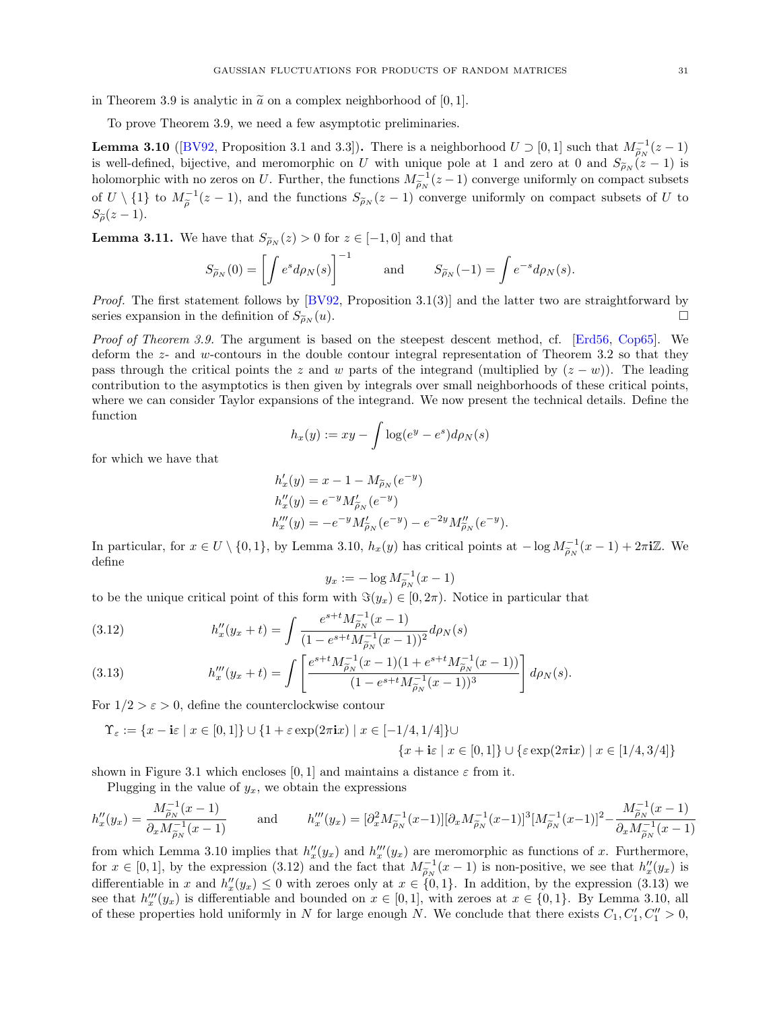in Theorem [3.9](#page-29-1) is analytic in  $\tilde{a}$  on a complex neighborhood of [0, 1].

To prove Theorem [3.9,](#page-29-1) we need a few asymptotic preliminaries.

<span id="page-30-0"></span>**Lemma 3.10** ([\[BV92,](#page-66-26) Proposition 3.1 and 3.3]). There is a neighborhood  $U \supset [0,1]$  such that  $M_{\tilde{\rho}_N}^{-1}(z-1)$ **Definite 3.10** ([DV32, 110position 3.1 and 3.3]). There is a neighborhood  $U \supseteq [0, 1]$  such that  $M_{\widetilde{\rho}_N}(z-1)$  is well-defined, bijective, and meromorphic on U with unique pole at 1 and zero at 0 and  $S_{\widetilde{\rho}_N}(z-1$ holomorphic with no zeros on U. Further, the functions  $M_{\tilde{\rho}_N}^{-1}(z-1)$  converge uniformly on compact subsets of  $U \setminus \{1\}$  to  $M_{\tilde{\rho}}^{-1}(z-1)$ , and the functions  $S_{\tilde{\rho}_N}(z-1)$  converge uniformly on compact subsets of U to  $S_{\widetilde{\rho}}(z-1).$ 

<span id="page-30-1"></span>**Lemma 3.11.** We have that  $S_{\widetilde{\rho}_N}(z) > 0$  for  $z \in [-1,0]$  and that

$$
S_{\widetilde{\rho}_N}(0) = \left[ \int e^s d\rho_N(s) \right]^{-1} \quad \text{and} \quad S_{\widetilde{\rho}_N}(-1) = \int e^{-s} d\rho_N(s).
$$

*Proof.* The first statement follows by  $[BV92,$  Proposition 3.1(3)] and the latter two are straightforward by series expansion in the definition of  $S_{\tilde{\rho}_N}(u)$ .

Proof of Theorem [3.9.](#page-29-1) The argument is based on the steepest descent method, cf. [\[Erd56,](#page-67-31) [Cop65\]](#page-66-27). We deform the z- and w-contours in the double contour integral representation of Theorem [3.2](#page-24-2) so that they pass through the critical points the z and w parts of the integrand (multiplied by  $(z - w)$ ). The leading contribution to the asymptotics is then given by integrals over small neighborhoods of these critical points, where we can consider Taylor expansions of the integrand. We now present the technical details. Define the function

$$
h_x(y) := xy - \int \log(e^y - e^s) d\rho_N(s)
$$

for which we have that

$$
h'_x(y) = x - 1 - M_{\widetilde{\rho}_N}(e^{-y})
$$
  
\n
$$
h''_x(y) = e^{-y} M'_{\widetilde{\rho}_N}(e^{-y})
$$
  
\n
$$
h'''_x(y) = -e^{-y} M'_{\widetilde{\rho}_N}(e^{-y}) - e^{-2y} M''_{\widetilde{\rho}_N}(e^{-y}).
$$

In particular, for  $x \in U \setminus \{0,1\}$ , by Lemma [3.10,](#page-30-0)  $h_x(y)$  has critical points at  $-\log M_{\widetilde{\rho}_N}^{-1}(x-1) + 2\pi i \mathbb{Z}$ . We define

$$
y_x := -\log M_{\widetilde{\rho}_N}^{-1}(x-1)
$$

to be the unique critical point of this form with  $\Im(y_x) \in [0, 2\pi)$ . Notice in particular that

<span id="page-30-2"></span>(3.12) 
$$
h''_x(y_x + t) = \int \frac{e^{s+t} M_{\tilde{\rho}_N}^{-1} (x - 1)}{(1 - e^{s+t} M_{\tilde{\rho}_N}^{-1} (x - 1))^2} d\rho_N(s)
$$

<span id="page-30-3"></span>(3.13) 
$$
h'''_x(y_x + t) = \int \left[ \frac{e^{s+t} M_{\tilde{\rho}_N}^{-1} (x-1)(1 + e^{s+t} M_{\tilde{\rho}_N}^{-1} (x-1))}{(1 - e^{s+t} M_{\tilde{\rho}_N}^{-1} (x-1))^3} \right] d\rho_N(s).
$$

For  $1/2 > \varepsilon > 0$ , define the counterclockwise contour

$$
\Upsilon_{\varepsilon} := \{ x - i\varepsilon \mid x \in [0,1] \} \cup \{ 1 + \varepsilon \exp(2\pi i x) \mid x \in [-1/4, 1/4] \} \cup \{ \varepsilon \exp(2\pi i x) \mid x \in [1/4, 3/4] \}
$$
  

$$
\{ x + i\varepsilon \mid x \in [0,1] \} \cup \{ \varepsilon \exp(2\pi i x) \mid x \in [1/4, 3/4] \}
$$

shown in Figure [3.1](#page-31-0) which encloses  $[0, 1]$  and maintains a distance  $\varepsilon$  from it.

Plugging in the value of  $y_x$ , we obtain the expressions

$$
h''_x(y_x) = \frac{M_{\widetilde{\rho}_N}^{-1}(x-1)}{\partial_x M_{\widetilde{\rho}_N}^{-1}(x-1)} \quad \text{and} \quad h'''_x(y_x) = [\partial_x^2 M_{\widetilde{\rho}_N}^{-1}(x-1)][\partial_x M_{\widetilde{\rho}_N}^{-1}(x-1)]^3 [M_{\widetilde{\rho}_N}^{-1}(x-1)]^2 - \frac{M_{\widetilde{\rho}_N}^{-1}(x-1)}{\partial_x M_{\widetilde{\rho}_N}^{-1}(x-1)}
$$

from which Lemma [3.10](#page-30-0) implies that  $h''_x(y_x)$  and  $h'''_x(y_x)$  are meromorphic as functions of x. Furthermore, for  $x \in [0,1]$ , by the expression [\(3.12\)](#page-30-2) and the fact that  $M_{\rho}^{-1}(x-1)$  is non-positive, we see that  $h''_x(y_x)$  is differentiable in g and  $h''_x(y) \leq 0$  with general only at  $g \in [0,1]$ . In addition, by the expression (2. differentiable in x and  $h''_x(y_x) \leq 0$  with zeroes only at  $x \in \{0,1\}$ . In addition, by the expression [\(3.13\)](#page-30-3) we see that  $h'''_x(y_x)$  is differentiable and bounded on  $x \in [0,1]$ , with zeroes at  $x \in \{0,1\}$ . By Lemma [3.10,](#page-30-0) all of these properties hold uniformly in N for large enough N. We conclude that there exists  $C_1, C'_1, C''_1 > 0$ ,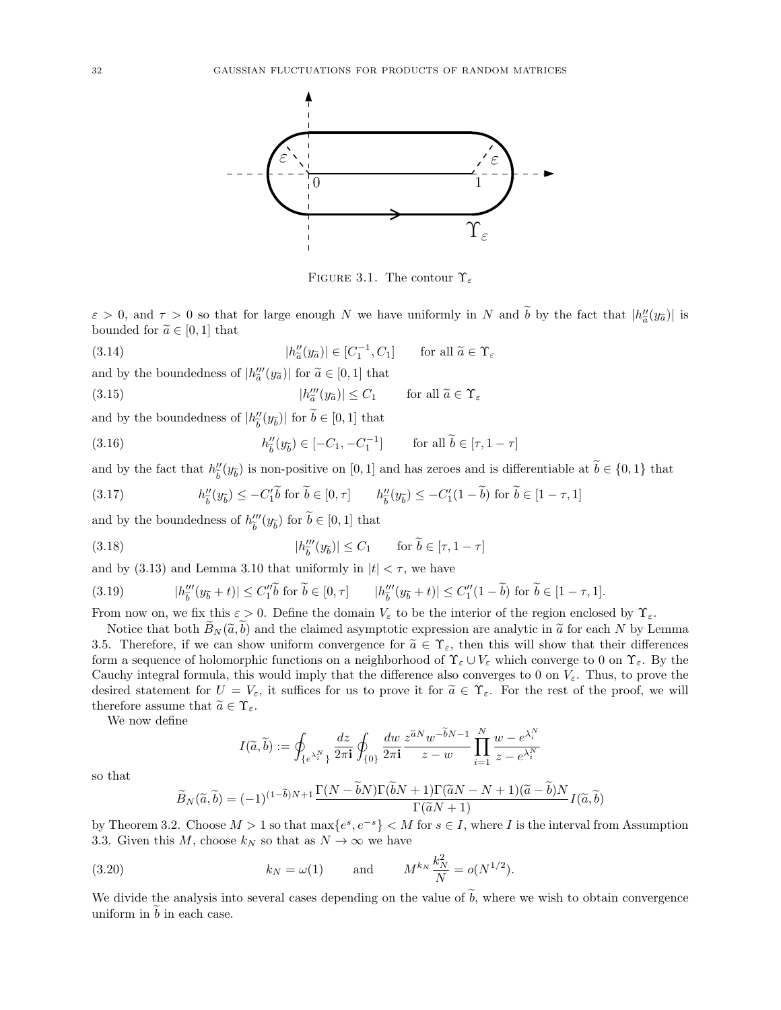<span id="page-31-0"></span>

<span id="page-31-4"></span><span id="page-31-3"></span><span id="page-31-1"></span>FIGURE 3.1. The contour  $\Upsilon_{\varepsilon}$ 

 $\varepsilon > 0$ , and  $\tau > 0$  so that for large enough N we have uniformly in N and  $\tilde{b}$  by the fact that  $|h''_a(y_{\tilde{a}})|$  is<br>bounded for  $\tilde{a} \in [0, 1]$  that bounded for  $\widetilde{a} \in [0,1]$  that

(3.14)  $|h''_{\tilde{a}}$  $\left(\begin{matrix} u' \\ \tilde{a} \end{matrix}\right) \in [C_1^{-1}, C_1] \quad \text{for all } \tilde{a} \in \Upsilon_{\varepsilon}$ 

and by the boundedness of  $|h''_a(y_{\tilde{a}})|$  for  $\tilde{a} \in [0,1]$  that

(3.15)  $|h''_{\tilde{a}}(y_{\tilde{a}})| \leq C_1$  for all  $\tilde{a} \in \Upsilon_{\varepsilon}$ 

and by the boundedness of  $|h^{\prime\prime}_{{\widetilde b}}$  $\binom{n}{b}(y_{\widetilde{b}})$  for  $b \in [0, 1]$  that

(3.16) 
$$
h''_{\tilde{b}}(y_{\tilde{b}}) \in [-C_1, -C_1^{-1}] \quad \text{for all } \tilde{b} \in [\tau, 1-\tau]
$$

and by the fact that  $h''_{\tilde{i}}$  $\frac{d}{b}(y_{\tilde{b}})$  is non-positive on [0, 1] and has zeroes and is differentiable at  $b \in \{0, 1\}$  that

<span id="page-31-2"></span>(3.17) 
$$
h''_{\widetilde{b}}(y_{\widetilde{b}}) \leq -C'_1 \widetilde{b} \text{ for } \widetilde{b} \in [0, \tau] \qquad h''_{\widetilde{b}}(y_{\widetilde{b}}) \leq -C'_1 (1 - \widetilde{b}) \text{ for } \widetilde{b} \in [1 - \tau, 1]
$$

and by the boundedness of  $h'''_i$  $_{\widetilde{b}}'''(y_{\widetilde{b}})$  for  $b \in [0,1]$  that

(3.18) 
$$
|h_b'''(y_{\widetilde{b}})| \le C_1 \quad \text{for } \widetilde{b} \in [\tau, 1 - \tau]
$$

and by [\(3.13\)](#page-30-3) and Lemma [3.10](#page-30-0) that uniformly in  $|t| < \tau$ , we have

<span id="page-31-5"></span>(3.19) 
$$
|h_{\widetilde{b}}'''(y_{\widetilde{b}}+t)| \leq C_1'' \widetilde{b} \text{ for } \widetilde{b} \in [0,\tau] \qquad |h_{\widetilde{b}}'''(y_{\widetilde{b}}+t)| \leq C_1''(1-\widetilde{b}) \text{ for } \widetilde{b} \in [1-\tau,1].
$$

From now on, we fix this  $\varepsilon > 0$ . Define the domain  $V_{\varepsilon}$  to be the interior of the region enclosed by  $\Upsilon_{\varepsilon}$ .

Notice that both  $\tilde{B}_N(\tilde{a},\tilde{b})$  and the claimed asymptotic expression are analytic in  $\tilde{a}$  for each N by Lemma [3.5.](#page-25-2) Therefore, if we can show uniform convergence for  $\tilde{a} \in \Upsilon_{\varepsilon}$ , then this will show that their differences form a sequence of holomorphic functions on a neighborhood of  $\Upsilon_{\varepsilon} \cup V_{\varepsilon}$  which converge to 0 on  $\Upsilon_{\varepsilon}$ . By the Cauchy integral formula, this would imply that the difference also converges to 0 on  $V_{\varepsilon}$ . Thus, to prove the desired statement for  $U = V_{\varepsilon}$ , it suffices for us to prove it for  $\tilde{a} \in \Upsilon_{\varepsilon}$ . For the rest of the proof, we will therefore assume that  $\widetilde{a} \in \Upsilon_{\varepsilon}$ .

We now define

$$
I(\widetilde{a},\widetilde{b}) := \oint_{\{e^{\lambda_i^N}\}} \frac{dz}{2\pi \mathbf{i}} \oint_{\{0\}} \frac{dw}{2\pi \mathbf{i}} \frac{z^{\widetilde{a}N} w^{-\widetilde{b}N-1}}{z-w} \prod_{i=1}^N \frac{w - e^{\lambda_i^N}}{z - e^{\lambda_i^N}}
$$

so that

<span id="page-31-6"></span>
$$
\widetilde{B}_N(\widetilde{a}, \widetilde{b}) = (-1)^{(1-\widetilde{b})N+1} \frac{\Gamma(N-bN)\Gamma(bN+1)\Gamma(\widetilde{a}N-N+1)(\widetilde{a}-\widetilde{b})N}{\Gamma(\widetilde{a}N+1)} I(\widetilde{a}, \widetilde{b})
$$

by Theorem [3.2.](#page-24-2) Choose  $M > 1$  so that  $\max\{e^s, e^{-s}\} < M$  for  $s \in I$ , where I is the interval from Assumption [3.3.](#page-25-1) Given this M, choose  $k_N$  so that as  $N \to \infty$  we have

(3.20) 
$$
k_N = \omega(1)
$$
 and  $M^{k_N} \frac{k_N^2}{N} = o(N^{1/2}).$ 

We divide the analysis into several cases depending on the value of  $\tilde{b}$ , where we wish to obtain convergence uniform in  $\overline{b}$  in each case.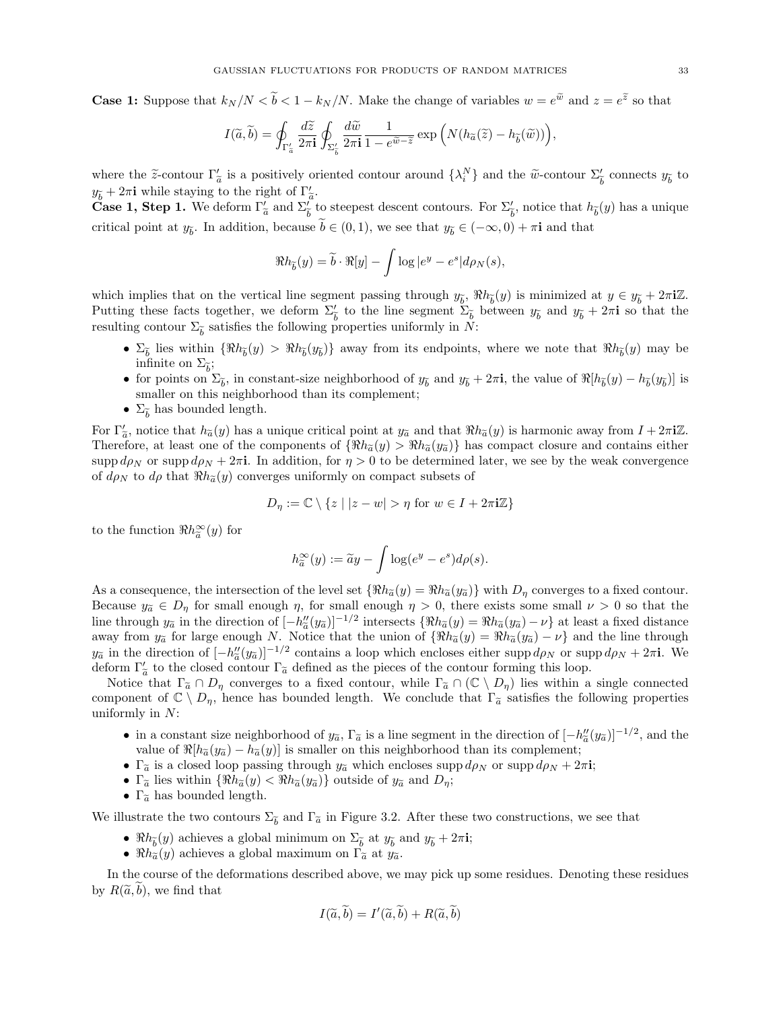**Case 1:** Suppose that  $k_N/N < \tilde{b} < 1 - k_N/N$ . Make the change of variables  $w = e^{\tilde{w}}$  and  $z = e^{\tilde{z}}$  so that

$$
I(\widetilde{a},\widetilde{b}) = \oint_{\Gamma_{\widetilde{a}}'} \frac{d\widetilde{z}}{2\pi \mathbf{i}} \oint_{\Sigma_{\widetilde{b}}'} \frac{d\widetilde{w}}{2\pi \mathbf{i}} \frac{1}{1 - e^{\widetilde{w} - \widetilde{z}}} \exp\left(N(h_{\widetilde{a}}(\widetilde{z}) - h_{\widetilde{b}}(\widetilde{w}))\right),\,
$$

where the  $\tilde{z}$ -contour  $\Gamma'_a$  is a positively oriented contour around  $\{\lambda_i^N\}$  and the  $\tilde{w}$ -contour  $\Sigma'_{\tilde{b}}$  connects  $y_{\tilde{b}}$  to  $y_b + 2\pi i$  while staying to the right of  $\Gamma_a'$ .

 $g_b + 2\pi i$  while staying to the right of  $\Gamma_{\tilde{a}}^{\tilde{a}}$ .<br>Case 1, Step 1. We deform  $\Gamma_a^{\prime}$  and  $\Sigma_{\tilde{b}}^{\prime}$  to steepest descent contours. For  $\Sigma_{\tilde{b}}^{\prime}$ , notice that  $h_{\tilde{b}}(y)$  has a unique critical point at  $y_{\tilde{b}}$ . In addition, because  $b \in (0, 1)$ , we see that  $y_{\tilde{b}} \in (-\infty, 0) + \pi i$  and that

$$
\Re h_{\widetilde{b}}(y) = \widetilde{b} \cdot \Re[y] - \int \log|e^y - e^s| d\rho_N(s),
$$

which implies that on the vertical line segment passing through  $y_{\tilde{b}}$ ,  $\Re h_{\tilde{b}}(y)$  is minimized at  $y \in y_{\tilde{b}} + 2\pi i \mathbb{Z}$ . Putting these facts together, we deform  $\Sigma_{\tilde{b}}^{\prime}$  to the line segment  $\Sigma_{\tilde{b}}$  between  $y_{\tilde{b}}$  and  $y_{\tilde{b}} + 2\pi i$  so that the resulting contour  $\Sigma_{\widetilde{b}}$  satisfies the following properties uniformly in N:

- $\Sigma_{\tilde{b}}$  lies within  $\{\Re h_{\tilde{b}}(y) > \Re h_{\tilde{b}}(y_{\tilde{b}})\}\$  away from its endpoints, where we note that  $\Re h_{\tilde{b}}(y)$  may be infinite on  $\Sigma_{\widetilde{b}}$ ;<br>for neighbors in
- for points on  $\Sigma_{\tilde{b}}$ , in constant-size neighborhood of  $y_{\tilde{b}}$  and  $y_{\tilde{b}} + 2\pi i$ , the value of  $\Re[h_{\tilde{b}}(y) h_{\tilde{b}}(y_{\tilde{b}})]$  is smaller on this neighborhood than its complement;
- $\Sigma_{\tilde{b}}$  has bounded length.

For  $\Gamma'_a$ , notice that  $h_{\tilde{a}}(y)$  has a unique critical point at  $y_{\tilde{a}}$  and that  $\Re h_{\tilde{a}}(y)$  is harmonic away from  $I + 2\pi i\mathbb{Z}$ . For  $\tilde{a}$ , notice that  $h_d(y)$  has a unique critical point at  $y_d$  and that  $\tilde{a}(y)$  is national away from  $I + 2\pi I \tilde{a}$ .<br>Therefore, at least one of the components of  $\{ \Re h_d(y) > \Re h_d(y_d) \}$  has compact closure and con supp  $d\rho_N$  or supp  $d\rho_N + 2\pi i$ . In addition, for  $\eta > 0$  to be determined later, we see by the weak convergence of  $d\rho_N$  to  $d\rho$  that  $\Re h_{\tilde{\alpha}}(y)$  converges uniformly on compact subsets of

$$
D_{\eta}:=\mathbb{C}\setminus\left\{z\mid|z-w|>\eta\,\,\text{for}\,\,w\in I+2\pi\mathbf{i}\mathbb{Z}\right\}
$$

to the function  $\Re h^{\infty}_{\tilde{a}}(y)$  for

$$
h_{\widetilde{a}}^{\infty}(y) := \widetilde{a}y - \int \log(e^y - e^s) d\rho(s).
$$

As a consequence, the intersection of the level set  $\{\Re h_{\tilde{a}}(y) = \Re h_{\tilde{a}}(y_{\tilde{a}})\}\$  with  $D_n$  converges to a fixed contour. Because  $y_{\tilde{a}} \in D_{\eta}$  for small enough  $\eta$ , for small enough  $\eta > 0$ , there exists some small  $\nu > 0$  so that the line through  $y_{\tilde{a}}$  in the direction of  $[-h''_a(y_{\tilde{a}})]^{-1/2}$  intersects  $\{\Re h_{\tilde{a}}(y) = \Re h_{\tilde{a}}(y_{\tilde{a}}) - \nu\}$  at least a fixed distance away from  $y_{\tilde{a}}$  for large enough N. Notice that the union of  $\{\Re h_{\tilde{a}}(y) = \Re h_{\tilde{a}}(y_{\tilde{a}}) - \nu\}$  and the line through  $y_{\tilde{a}}$  in the direction of  $[-h''_a(y_{\tilde{a}})]^{-1/2}$  contains a loop which encloses either supp  $d\rho_N$  or supp  $d\rho_N + 2\pi i$ . We  $g_a$  in the direction of  $[-n_{\tilde{a}}(g_a)]$  contains a loop which encloses either suppupy of sup<br>deform  $\Gamma'_a$  to the closed contour  $\Gamma_{\tilde{a}}$  defined as the pieces of the contour forming this loop.

begins to the closed contour  $\Gamma_a$  defined as the pieces of the contour forming this hop.<br>Notice that  $\Gamma_{\tilde{a}} \cap D_{\eta}$  converges to a fixed contour, while  $\Gamma_{\tilde{a}} \cap (\mathbb{C} \setminus D_{\eta})$  lies within a single connected component of  $\mathbb{C} \setminus D_n$ , hence has bounded length. We conclude that  $\Gamma_{\tilde{a}}$  satisfies the following properties uniformly in  $N$ :

- in a constant size neighborhood of  $y_{\tilde{a}}$ ,  $\Gamma_{\tilde{a}}$  is a line segment in the direction of  $[-h''_{\tilde{a}}(y_{\tilde{a}})]^{-1/2}$ , and the value of  $\mathbb{R}[h_{\tilde{a}}(w)]$ ,  $h_{\tilde{a}}(w)$  is smaller on this neighborhood than its value of  $\Re[h_{\tilde{a}}(y_{\tilde{a}}) - h_{\tilde{a}}(y)]$  is smaller on this neighborhood than its complement;
- Γ<sub>α</sub> is a closed loop passing through  $y_{\overline{\alpha}}$  which encloses supp  $d\rho_N$  or supp  $d\rho_N + 2\pi i$ ;
- $\Gamma_{\tilde{a}}$  lies within  $\{\Re h_{\tilde{a}}(y) < \Re h_{\tilde{a}}(y_{\tilde{a}})\}\)$  outside of  $y_{\tilde{a}}$  and  $D_{\eta}$ ;
- $\Gamma_{\tilde{a}}$  has bounded length.

We illustrate the two contours  $\Sigma_{\tilde{b}}$  and  $\Gamma_{\tilde{a}}$  in Figure [3.2.](#page-33-0) After these two constructions, we see that

- $\Re h_{\tilde{b}}(y)$  achieves a global minimum on  $\Sigma_{\tilde{b}}$  at  $y_{\tilde{b}}$  and  $y_{\tilde{b}} + 2\pi i$ ;
- $\Re h_{\tilde{a}}(y)$  achieves a global maximum on  $\Gamma_{\tilde{a}}$  at  $y_{\tilde{a}}$ .

In the course of the deformations described above, we may pick up some residues. Denoting these residues by  $R(\widetilde{a},\widetilde{b})$ , we find that

$$
I(\widetilde{a}, \widetilde{b}) = I'(\widetilde{a}, \widetilde{b}) + R(\widetilde{a}, \widetilde{b})
$$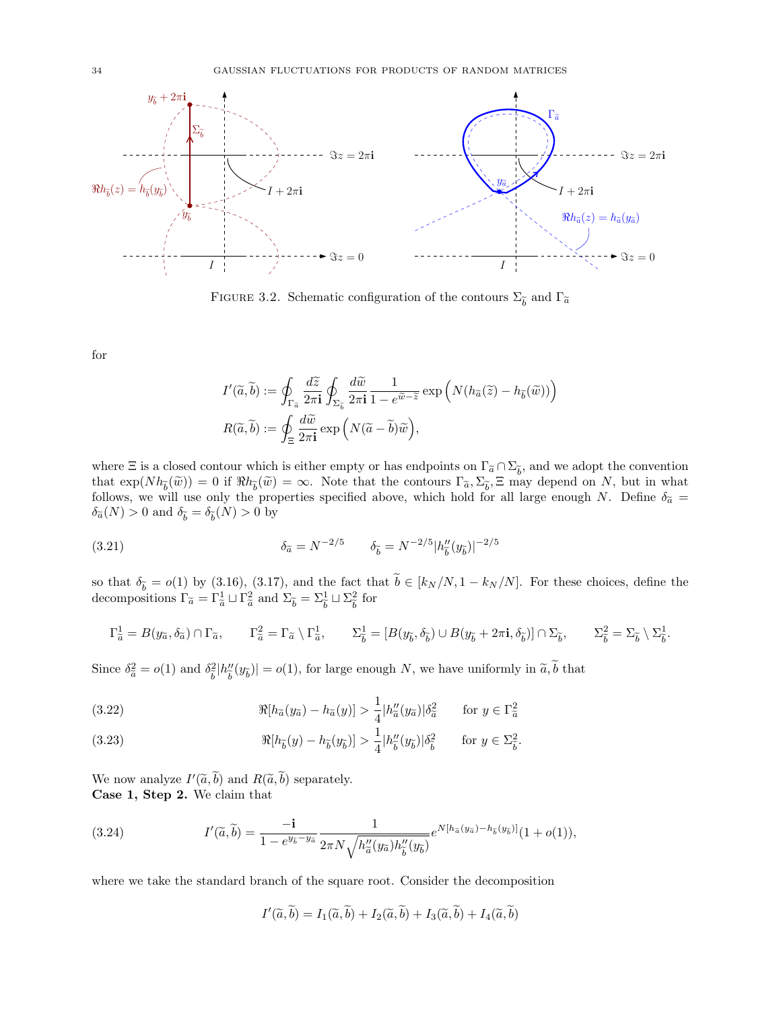<span id="page-33-0"></span>

FIGURE 3.2. Schematic configuration of the contours  $\Sigma_{\widetilde{b}}$  and  $\Gamma_{\widetilde{a}}$ 

for

<span id="page-33-1"></span>
$$
I'(\widetilde{a}, \widetilde{b}) := \oint_{\Gamma_{\widetilde{a}}} \frac{d\widetilde{z}}{2\pi \mathbf{i}} \oint_{\Sigma_{\widetilde{b}}} \frac{d\widetilde{w}}{2\pi \mathbf{i}} \frac{1}{1 - e^{\widetilde{w} - \widetilde{z}}} \exp\left(N(h_{\widetilde{a}}(\widetilde{z}) - h_{\widetilde{b}}(\widetilde{w}))\right)
$$

$$
R(\widetilde{a}, \widetilde{b}) := \oint_{\Xi} \frac{d\widetilde{w}}{2\pi \mathbf{i}} \exp\left(N(\widetilde{a} - \widetilde{b})\widetilde{w}\right),
$$

where  $\Xi$  is a closed contour which is either empty or has endpoints on  $\Gamma_{\tilde{a}} \cap \Sigma_{\tilde{b}}$ , and we adopt the convention that  $\Gamma_{\tilde{a}} \cap \Sigma_{\tilde{b}}$  and we adopt the convention that  $\exp(Nh_{\tilde{b}}(\tilde{w})) = 0$  if  $\Re h_{\tilde{b}}(\tilde{w}) = \infty$ . Note that the contours  $\Gamma_{\tilde{a}}, \Sigma_{\tilde{b}}, \Xi$  may depend on N, but in what follows, we will use only the properties specified above, which hold for all large enough N. Define  $\delta_{\tilde{a}} =$  $\delta_{\tilde{a}}(N) > 0$  and  $\delta_{\tilde{b}} = \delta_{\tilde{b}}(N) > 0$  by

(3.21) 
$$
\delta_{\tilde{a}} = N^{-2/5} \qquad \delta_{\tilde{b}} = N^{-2/5} |h''_{\tilde{b}}(y_{\tilde{b}})|^{-2/5}
$$

so that  $\delta_{\tilde{b}} = o(1)$  by [\(3.16\)](#page-31-1), [\(3.17\)](#page-31-2), and the fact that  $b \in [k_N/N, 1 - k_N/N]$ . For these choices, define the decompositions  $\Gamma_{\tilde{a}} = \Gamma_{\tilde{a}}^1 \sqcup \Gamma_{\tilde{a}}^2$  and  $\Sigma_{\tilde{b}} = \Sigma_{\tilde{b}}^1 \sqcup \Sigma_{\tilde{b}}^2$  $\frac{2}{b}$  for

$$
\Gamma_{\tilde{a}}^1 = B(y_{\tilde{a}}, \delta_{\tilde{a}}) \cap \Gamma_{\tilde{a}}, \qquad \Gamma_{\tilde{a}}^2 = \Gamma_{\tilde{a}} \setminus \Gamma_{\tilde{a}}^1, \qquad \Sigma_{\tilde{b}}^1 = [B(y_{\tilde{b}}, \delta_{\tilde{b}}) \cup B(y_{\tilde{b}} + 2\pi \mathbf{i}, \delta_{\tilde{b}})] \cap \Sigma_{\tilde{b}}, \qquad \Sigma_{\tilde{b}}^2 = \Sigma_{\tilde{b}} \setminus \Sigma_{\tilde{b}}^1.
$$

Since  $\delta_{\tilde{a}}^2 = o(1)$  and  $\delta_{\tilde{b}}^2$  $\frac{2}{\tilde{b}}|h''_{\tilde{b}}$  $\left|\frac{w}{\tilde{b}}(y_{\tilde{b}})\right| = o(1)$ , for large enough N, we have uniformly in  $\tilde{a}, b$  that

<span id="page-33-2"></span>(3.22) 
$$
\Re[h_{\widetilde{a}}(y_{\widetilde{a}}) - h_{\widetilde{a}}(y)] > \frac{1}{4} |h''_{\widetilde{a}}(y_{\widetilde{a}})| \delta_{\widetilde{a}}^2 \quad \text{for } y \in \Gamma_{\widetilde{a}}^2
$$

<span id="page-33-3"></span>(3.23) 
$$
\Re[h_{\widetilde{b}}(y) - h_{\widetilde{b}}(y_{\widetilde{b}})] > \frac{1}{4} |h''_{\widetilde{b}}(y_{\widetilde{b}})| \delta_{\widetilde{b}}^2 \quad \text{for } y \in \Sigma_{\widetilde{b}}^2.
$$

We now analyze  $I'(\tilde{a}, \tilde{b})$  and  $R(\tilde{a}, \tilde{b})$  separately. Case 1, Step 2. We claim that

(3.24) 
$$
I'(\tilde{a},\tilde{b}) = \frac{-\mathbf{i}}{1 - e^{y_{\tilde{b}} - y_{\tilde{a}}}} \frac{1}{2\pi N \sqrt{h''_{\tilde{a}}(y_{\tilde{a}})h''_{\tilde{b}}(y_{\tilde{b}})}} e^{N[h_{\tilde{a}}(y_{\tilde{a}}) - h_{\tilde{b}}(y_{\tilde{b}})]}(1 + o(1)),
$$

where we take the standard branch of the square root. Consider the decomposition

<span id="page-33-4"></span> $I'(\widetilde{a},\widetilde{b}) = I_1(\widetilde{a},\widetilde{b}) + I_2(\widetilde{a},\widetilde{b}) + I_3(\widetilde{a},\widetilde{b}) + I_4(\widetilde{a},\widetilde{b})$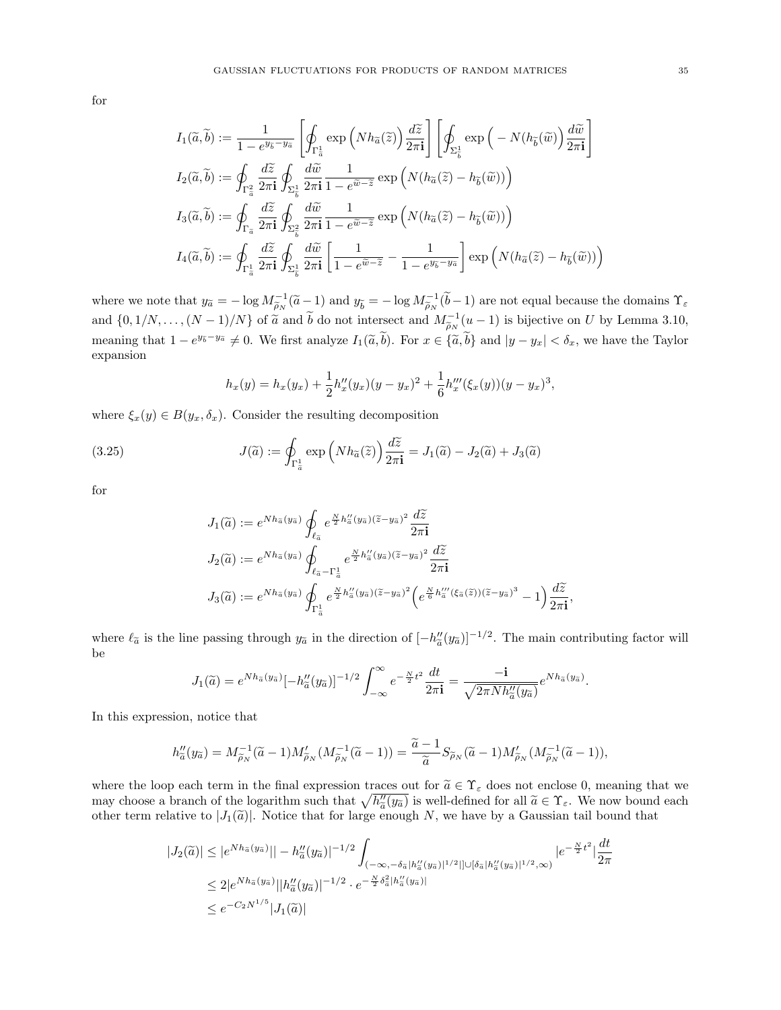for

$$
\begin{split} I_1(\widetilde{a},\widetilde{b}) &:= \frac{1}{1-e^{y_{\widetilde{b}}-y_{\widetilde{a}}}}\left[\oint_{\Gamma^1_{\widetilde{a}}}\exp\left(Nh_{\widetilde{a}}(\widetilde{z})\right)\frac{d\widetilde{z}}{2\pi\mathbf{i}}\right]\left[\oint_{\Sigma^1_{\widetilde{b}}}\exp\left(-N(h_{\widetilde{b}}(\widetilde{w})\right)\frac{d\widetilde{w}}{2\pi\mathbf{i}}\right] \right] \\ I_2(\widetilde{a},\widetilde{b}) &:= \oint_{\Gamma^2_{\widetilde{a}}}\frac{d\widetilde{z}}{2\pi\mathbf{i}}\oint_{\Sigma^1_{\widetilde{b}}}\frac{d\widetilde{w}}{2\pi\mathbf{i}}\frac{1}{1-e^{\widetilde{w}-\widetilde{z}}}\exp\left(N(h_{\widetilde{a}}(\widetilde{z})-h_{\widetilde{b}}(\widetilde{w}))\right) \\ I_3(\widetilde{a},\widetilde{b}) &:= \oint_{\Gamma_{\widetilde{a}}}\frac{d\widetilde{z}}{2\pi\mathbf{i}}\oint_{\Sigma^2_{\widetilde{b}}}\frac{d\widetilde{w}}{2\pi\mathbf{i}}\frac{1}{1-e^{\widetilde{w}-\widetilde{z}}}\exp\left(N(h_{\widetilde{a}}(\widetilde{z})-h_{\widetilde{b}}(\widetilde{w}))\right) \\ I_4(\widetilde{a},\widetilde{b}) &:= \oint_{\Gamma^1_{\widetilde{a}}}\frac{d\widetilde{z}}{2\pi\mathbf{i}}\oint_{\Sigma^1_{\widetilde{b}}}\frac{d\widetilde{w}}{2\pi\mathbf{i}}\left[\frac{1}{1-e^{\widetilde{w}-\widetilde{z}}}-\frac{1}{1-e^{y_{\widetilde{b}}-y_{\widetilde{a}}}}\right]\exp\left(N(h_{\widetilde{a}}(\widetilde{z})-h_{\widetilde{b}}(\widetilde{w}))\right) \end{split}
$$

where we note that  $y_{\tilde{a}} = -\log M_{\tilde{b}_N}^{-1}(\tilde{a}-1)$  and  $y_{\tilde{b}} = -\log M_{\tilde{b}_N}^{-1}(\tilde{b}-1)$  are not equal because the domains  $\Upsilon_{\varepsilon}$ and  $\{0, 1/N, \ldots, (N-1)/N\}$  of  $\tilde{a}$  and  $\tilde{b}$  do not intersect and  $M_{\tilde{\rho}_N}^{-1}(u-1)$  is bijective on U by Lemma [3.10,](#page-30-0) meaning that  $1 - e^{y_{\tilde{b}}-y_{\tilde{a}}} \neq 0$ . We first analyze  $I_1(\tilde{a}, \tilde{b})$ . For  $x \in {\tilde{a}, \tilde{b}}$  and  $|y - y_x| < \delta_x$ , we have the Taylor expansion

$$
h_x(y) = h_x(y_x) + \frac{1}{2}h''_x(y_x)(y - y_x)^2 + \frac{1}{6}h'''_x(\xi_x(y))(y - y_x)^3,
$$

where  $\xi_x(y) \in B(y_x, \delta_x)$ . Consider the resulting decomposition

(3.25) 
$$
J(\widetilde{a}) := \oint_{\Gamma_a^1} \exp\left(Nh_{\widetilde{a}}(\widetilde{z})\right) \frac{d\widetilde{z}}{2\pi \mathbf{i}} = J_1(\widetilde{a}) - J_2(\widetilde{a}) + J_3(\widetilde{a})
$$

for

$$
J_1(\widetilde{a}) := e^{Nh_{\widetilde{a}}(y_{\widetilde{a}})} \oint_{\ell_{\widetilde{a}}} e^{\frac{N}{2}h''_{\widetilde{a}}(y_{\widetilde{a}})(\widetilde{z}-y_{\widetilde{a}})^2} \frac{d\widetilde{z}}{2\pi i}
$$
  
\n
$$
J_2(\widetilde{a}) := e^{Nh_{\widetilde{a}}(y_{\widetilde{a}})} \oint_{\ell_{\widetilde{a}}-\Gamma_{\widetilde{a}}^{\perp}} e^{\frac{N}{2}h''_{\widetilde{a}}(y_{\widetilde{a}})(\widetilde{z}-y_{\widetilde{a}})^2} \frac{d\widetilde{z}}{2\pi i}
$$
  
\n
$$
J_3(\widetilde{a}) := e^{Nh_{\widetilde{a}}(y_{\widetilde{a}})} \oint_{\Gamma_{\widetilde{a}}^{\perp}} e^{\frac{N}{2}h''_{\widetilde{a}}(y_{\widetilde{a}})(\widetilde{z}-y_{\widetilde{a}})^2} \left(e^{\frac{N}{6}h'''_{\widetilde{a}}(\xi_{\widetilde{a}}(\widetilde{z}))(\widetilde{z}-y_{\widetilde{a}})^3} - 1\right) \frac{d\widetilde{z}}{2\pi i},
$$

where  $\ell_{\tilde{a}}$  is the line passing through  $y_{\tilde{a}}$  in the direction of  $[-h''_{\tilde{a}}(y_{\tilde{a}})]^{-1/2}$ . The main contributing factor will be

$$
J_1(\widetilde{a}) = e^{Nh_{\widetilde{a}}(y_{\widetilde{a}})}[-h''_{\widetilde{a}}(y_{\widetilde{a}})]^{-1/2} \int_{-\infty}^{\infty} e^{-\frac{N}{2}t^2} \frac{dt}{2\pi i} = \frac{-i}{\sqrt{2\pi N h''_{\widetilde{a}}(y_{\widetilde{a}})}} e^{Nh_{\widetilde{a}}(y_{\widetilde{a}})}.
$$

In this expression, notice that

$$
h''_{\tilde{a}}(y_{\tilde{a}}) = M_{\tilde{\rho}_N}^{-1}(\tilde{a}-1)M'_{\tilde{\rho}_N}(M_{\tilde{\rho}_N}^{-1}(\tilde{a}-1)) = \frac{\tilde{a}-1}{\tilde{a}}S_{\tilde{\rho}_N}(\tilde{a}-1)M'_{\tilde{\rho}_N}(M_{\tilde{\rho}_N}^{-1}(\tilde{a}-1)),
$$

where the loop each term in the final expression traces out for  $\tilde{a} \in \Upsilon_{\varepsilon}$  does not enclose 0, meaning that we may choose a branch of the logarithm such that  $\sqrt{h_a''(y_{\tilde{a}})}$  is well-defined for all  $\tilde{a} \in \Upsilon_{\varepsilon}$ . We now bound each the term relative to  $|J_1(\tilde{a})|$ . Notice that for large enough N, we have by a Gaussian tail bound that other term relative to  $|J_1(\tilde{a})|$ . Notice that for large enough N, we have by a Gaussian tail bound that

$$
|J_2(\tilde{a})| \le |e^{Nh_{\tilde{a}}(y_{\tilde{a}})}| - h''_{\tilde{a}}(y_{\tilde{a}})|^{-1/2} \int_{(-\infty, -\delta_{\tilde{a}}|h''_{\tilde{a}}(y_{\tilde{a}})|^{1/2}||\cup[\delta_{\tilde{a}}|h''_{\tilde{a}}(y_{\tilde{a}})|^{1/2}, \infty)} |e^{-\frac{N}{2}t^2}| \frac{dt}{2\pi}
$$
  

$$
\le 2|e^{Nh_{\tilde{a}}(y_{\tilde{a}})}||h''_{\tilde{a}}(y_{\tilde{a}})|^{-1/2} \cdot e^{-\frac{N}{2}\delta_{\tilde{a}}^2|h''_{\tilde{a}}(y_{\tilde{a}})|}
$$
  

$$
\le e^{-C_2 N^{1/5}}|J_1(\tilde{a})|
$$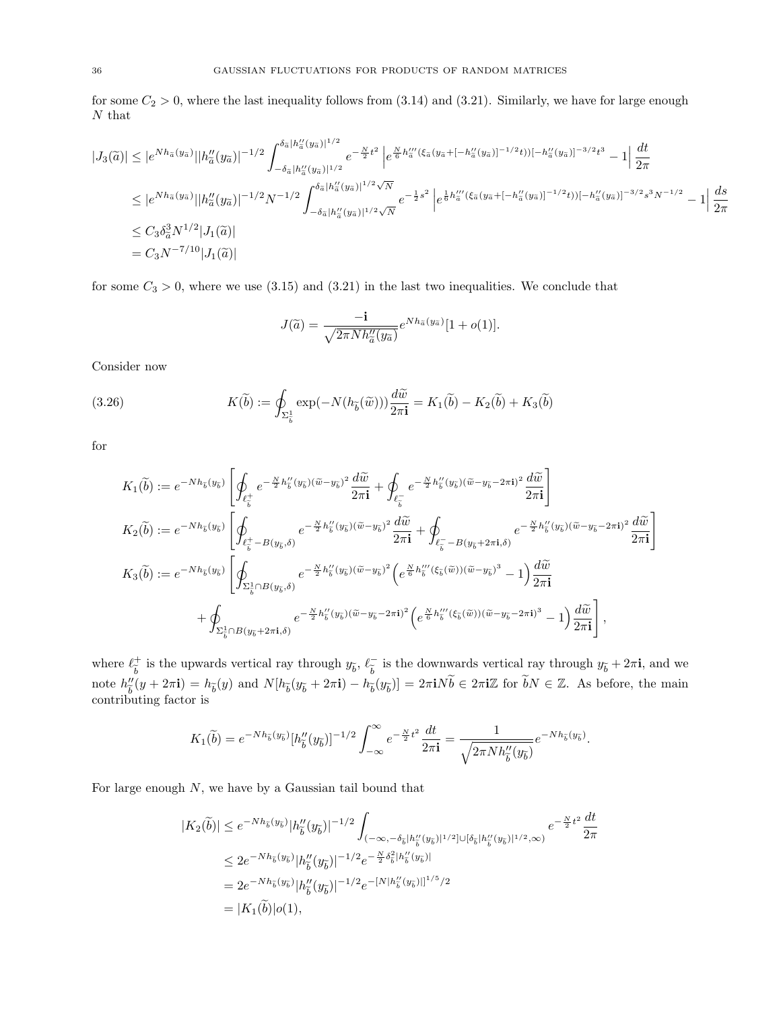for some  $C_2 > 0$ , where the last inequality follows from  $(3.14)$  and  $(3.21)$ . Similarly, we have for large enough  $\cal N$  that

$$
|J_3(\tilde{a})| \leq |e^{Nh_{\tilde{a}}(y_{\tilde{a}})}| |h''_{\tilde{a}}(y_{\tilde{a}})|^{-1/2} \int_{-\delta_{\tilde{a}}|h''_{\tilde{a}}(y_{\tilde{a}})|^{1/2}}^{\delta_{\tilde{a}}|h''_{\tilde{a}}(y_{\tilde{a}})|^{1/2}} e^{-\frac{N}{2}t^2} |e^{\frac{N}{6}h''_{\tilde{a}}(\xi_{\tilde{a}}(y_{\tilde{a}} + [-h''_{\tilde{a}}(y_{\tilde{a}})]^{-1/2}t)|[-h''_{\tilde{a}}(y_{\tilde{a}})]^{-3/2}t^3} - 1 | \frac{dt}{2\pi}
$$
  
\n
$$
\leq |e^{Nh_{\tilde{a}}(y_{\tilde{a}})}| |h''_{\tilde{a}}(y_{\tilde{a}})|^{-1/2} N^{-1/2} \int_{-\delta_{\tilde{a}}|h''_{\tilde{a}}(y_{\tilde{a}})|^{1/2} \sqrt{N}} e^{-\frac{1}{2}s^2} |e^{\frac{1}{6}h'''_{\tilde{a}}(\xi_{\tilde{a}}(y_{\tilde{a}} + [-h''_{\tilde{a}}(y_{\tilde{a}})]^{-1/2}t)|[-h''_{\tilde{a}}(y_{\tilde{a}})]^{-3/2}s^3 N^{-1/2}} - 1 | \frac{ds}{2\pi}
$$
  
\n
$$
\leq C_3 \delta_{\tilde{a}}^3 N^{1/2} |J_1(\tilde{a})|
$$
  
\n
$$
= C_3 N^{-7/10} |J_1(\tilde{a})|
$$

for some  $C_3 > 0$ , where we use [\(3.15\)](#page-31-4) and [\(3.21\)](#page-33-1) in the last two inequalities. We conclude that

$$
J(\widetilde{a}) = \frac{-\mathbf{i}}{\sqrt{2\pi N h''_{\widetilde{a}}(y_{\widetilde{a}})}} e^{N h_{\widetilde{a}}(y_{\widetilde{a}})} [1 + o(1)].
$$

Consider now

(3.26) 
$$
K(\widetilde{b}) := \oint_{\Sigma_{\widetilde{b}}^1} \exp(-N(h_{\widetilde{b}}(\widetilde{w}))) \frac{d\widetilde{w}}{2\pi i} = K_1(\widetilde{b}) - K_2(\widetilde{b}) + K_3(\widetilde{b})
$$

for

$$
K_{1}(\widetilde{b}) := e^{-Nh_{\widetilde{b}}(y_{\widetilde{b}})} \left[ \oint_{\ell_{\widetilde{b}}^{+}} e^{-\frac{N}{2}h_{\widetilde{b}}''(y_{\widetilde{b}})(\widetilde{w}-y_{\widetilde{b}})^{2}} \frac{d\widetilde{w}}{2\pi i} + \oint_{\ell_{\widetilde{b}}^{-}} e^{-\frac{N}{2}h_{\widetilde{b}}''(y_{\widetilde{b}})(\widetilde{w}-y_{\widetilde{b}}-2\pi i)^{2}} \frac{d\widetilde{w}}{2\pi i} \right]
$$
  
\n
$$
K_{2}(\widetilde{b}) := e^{-Nh_{\widetilde{b}}(y_{\widetilde{b}})} \left[ \oint_{\ell_{\widetilde{b}}^{+}-B(y_{\widetilde{b}},\delta)} e^{-\frac{N}{2}h_{\widetilde{b}}''(y_{\widetilde{b}})(\widetilde{w}-y_{\widetilde{b}})^{2}} \frac{d\widetilde{w}}{2\pi i} + \oint_{\ell_{\widetilde{b}}^{-}-B(y_{\widetilde{b}}+2\pi i,\delta)} e^{-\frac{N}{2}h_{\widetilde{b}}''(y_{\widetilde{b}})(\widetilde{w}-y_{\widetilde{b}}-2\pi i)^{2}} \frac{d\widetilde{w}}{2\pi i} \right]
$$
  
\n
$$
K_{3}(\widetilde{b}) := e^{-Nh_{\widetilde{b}}(y_{\widetilde{b}})} \left[ \oint_{\Sigma_{\widetilde{b}}^{+}\cap B(y_{\widetilde{b}},\delta)} e^{-\frac{N}{2}h_{\widetilde{b}}''(y_{\widetilde{b}})(\widetilde{w}-y_{\widetilde{b}})^{2}} \left( e^{\frac{N}{6}h_{\widetilde{b}}'''(\xi_{\widetilde{b}}(\widetilde{w}))(\widetilde{w}-y_{\widetilde{b}})^{3}} - 1 \right) \frac{d\widetilde{w}}{2\pi i} + \oint_{\Sigma_{\widetilde{b}}^{+}\cap B(y_{\widetilde{b}},\delta)} e^{-\frac{N}{2}h_{\widetilde{b}}''(y_{\widetilde{b}})(\widetilde{w}-y_{\widetilde{b}}-2\pi i)^{2
$$

where  $\ell_{\widetilde{\tau}}^+$ <sup>+</sup> is the upwards vertical ray through  $y_{\tilde{b}}$ ,  $\ell_{\tilde{b}}^ \overline{\widetilde{b}}$  is the downwards vertical ray through  $y_{\widetilde{b}} + 2\pi i$ , and we note  $h''_{\widetilde{k}}$  $\psi_b''(y + 2\pi \mathbf{i}) = h_{\tilde{b}}(y)$  and  $N[h_{\tilde{b}}(y_{\tilde{b}} + 2\pi \mathbf{i}) - h_{\tilde{b}}(y_{\tilde{b}})] = 2\pi \mathbf{i} N \tilde{b} \in 2\pi \mathbf{i} \mathbb{Z}$  for  $\tilde{b}N \in \mathbb{Z}$ . As before, the main contributing factor is

$$
K_1(\widetilde{b}) = e^{-Nh_{\widetilde{b}}(y_{\widetilde{b}})}[h''_{\widetilde{b}}(y_{\widetilde{b}})]^{-1/2} \int_{-\infty}^{\infty} e^{-\frac{N}{2}t^2} \frac{dt}{2\pi \mathbf{i}} = \frac{1}{\sqrt{2\pi N h''_{\widetilde{b}}(y_{\widetilde{b}})}} e^{-Nh_{\widetilde{b}}(y_{\widetilde{b}})}.
$$

For large enough  $N$ , we have by a Gaussian tail bound that

$$
|K_2(\tilde{b})| \leq e^{-Nh_{\tilde{b}}(y_{\tilde{b}})}|h''_{\tilde{b}}(y_{\tilde{b}})|^{-1/2} \int_{(-\infty, -\delta_{\tilde{b}}|h''_{\tilde{b}}(y_{\tilde{b}})|^{1/2}]\cup[\delta_{\tilde{b}}|h''_{\tilde{b}}(y_{\tilde{b}})|^{1/2}, \infty)} e^{-\frac{N}{2}t^2} \frac{dt}{2\pi}
$$
  
\n
$$
\leq 2e^{-Nh_{\tilde{b}}(y_{\tilde{b}})}|h''_{\tilde{b}}(y_{\tilde{b}})|^{-1/2}e^{-\frac{N}{2}\delta_{\tilde{b}}^2|h''_{\tilde{b}}(y_{\tilde{b}})|}
$$
  
\n
$$
= 2e^{-Nh_{\tilde{b}}(y_{\tilde{b}})}|h''_{\tilde{b}}(y_{\tilde{b}})|^{-1/2}e^{-[N|h''_{\tilde{b}}(y_{\tilde{b}})||^{1/5}/2}
$$
  
\n
$$
= |K_1(\tilde{b})|o(1),
$$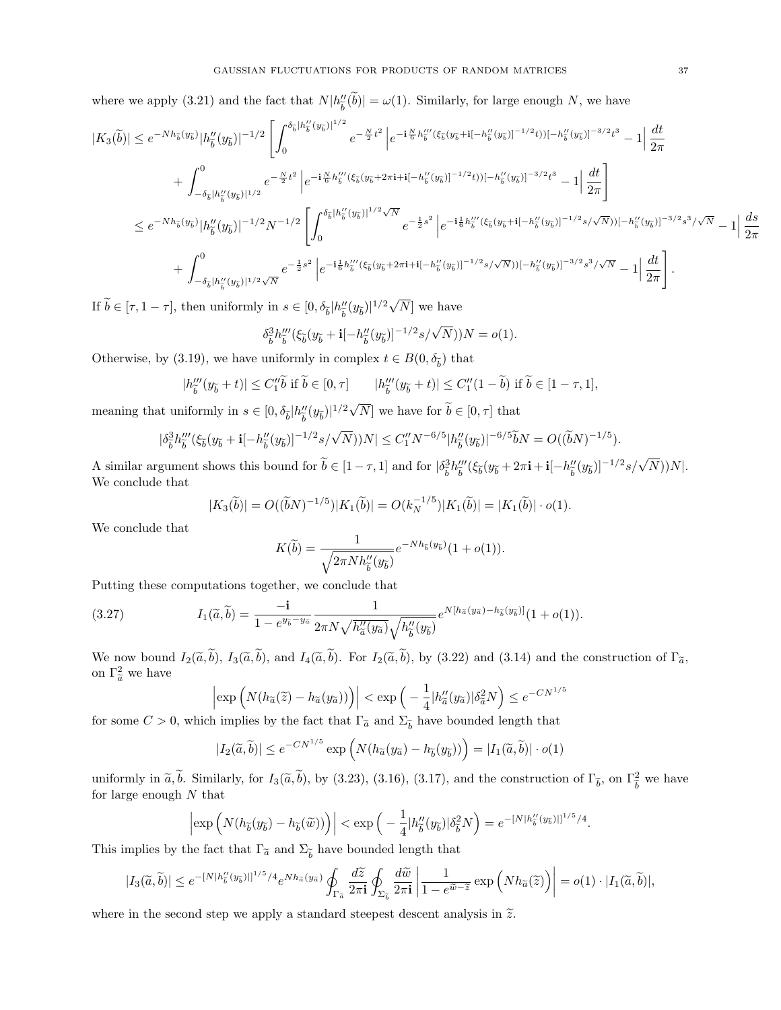where we apply [\(3.21\)](#page-33-1) and the fact that  $N|h''_{\tilde{b}}$  $\binom{n}{b} = \omega(1)$ . Similarly, for large enough N, we have

$$
|K_{3}(\tilde{b})| \leq e^{-Nh_{\tilde{b}}(y_{\tilde{b}})}|h_{\tilde{b}}''(y_{\tilde{b}})|^{-1/2} \left[\int_{0}^{\delta_{\tilde{b}}|h_{\tilde{b}}''(y_{\tilde{b}})|^{1/2}} e^{-\frac{N}{2}t^{2}} \left| e^{-i\frac{N}{6}h_{\tilde{b}}''(\xi_{\tilde{b}}(y_{\tilde{b}}+i[-h_{\tilde{b}}''(y_{\tilde{b}})]^{-1/2}t))[-h_{\tilde{b}}''(y_{\tilde{b}})]^{-3/2}t^{3}} - 1 \right| \frac{dt}{2\pi} + \int_{-\delta_{\tilde{b}}|h_{\tilde{b}}''(y_{\tilde{b}})|^{1/2}} e^{-\frac{N}{2}t^{2}} \left| e^{-i\frac{N}{6}h_{\tilde{b}}'''(\xi_{\tilde{b}}(y_{\tilde{b}}+2\pi i+i[-h_{\tilde{b}}''(y_{\tilde{b}})]^{-1/2}t))[-h_{\tilde{b}}''(y_{\tilde{b}})]^{-3/2}t^{3}} - 1 \right| \frac{dt}{2\pi} \right] \n\leq e^{-Nh_{\tilde{b}}(y_{\tilde{b}})} |h_{\tilde{b}}''(y_{\tilde{b}})|^{-1/2} N^{-1/2} \left[ \int_{0}^{\delta_{\tilde{b}}|h_{\tilde{b}}''(y_{\tilde{b}})|^{1/2}\sqrt{N}} e^{-\frac{1}{2}s^{2}} \left| e^{-i\frac{1}{6}h_{\tilde{b}}'''(\xi_{\tilde{b}}(y_{\tilde{b}}+i[-h_{\tilde{b}}''(y_{\tilde{b}})]^{-1/2}s/\sqrt{N}))[-h_{\tilde{b}}''(y_{\tilde{b}})]^{-3/2}s^{3}/\sqrt{N}} - 1 \right| \frac{ds}{2\pi} + \int_{-\delta_{\tilde{b}}|h_{\tilde{b}}''(y_{\tilde{b}})|^{1/2}\sqrt{N}} e^{-\frac{1}{2}s^{2}} \left| e^{-i\frac{1}{6}h_{\tilde{b}}'''(\xi_{\tilde{b}}(y_{\tilde{b}}+2\pi i+i[-h_{\tilde{b}}''(y_{\tilde{b}}
$$

If  $b \in [\tau, 1 - \tau]$ , then uniformly in  $s \in [0, \delta_{\tilde{b}}] h''_{\tilde{b}}$  $\int_{\tilde{b}}''(y_{\tilde{b}})|^{1/2}\sqrt{N}]$  we have

$$
\delta_{\tilde{b}}^3 h_{\tilde{b}}'''(\xi_{\tilde{b}}(y_{\tilde{b}} + \mathbf{i}[-h''_{\tilde{b}}(y_{\tilde{b}})]^{-1/2} s/\sqrt{N}))N = o(1).
$$

Otherwise, by [\(3.19\)](#page-31-5), we have uniformly in complex  $t \in B(0, \delta_{\tilde{b}})$  that

$$
|h_{\widetilde{b}}'''(y_{\widetilde{b}}+t)| \leq C_1'' \widetilde{b} \text{ if } \widetilde{b} \in [0,\tau] \qquad |h_{\widetilde{b}}'''(y_{\widetilde{b}}+t)| \leq C_1''(1-\widetilde{b}) \text{ if } \widetilde{b} \in [1-\tau,1],
$$

meaning that uniformly in  $s \in [0, \delta_{\widetilde{b}}]h''_{\widetilde{b}}$  $\left(\frac{n}{\tilde{b}}(y_{\tilde{b}})\right)^{1/2}\sqrt{N}$  we have for  $\tilde{b} \in [0, \tau]$  that

$$
|\delta_{\tilde{b}}^3 h'''_{\tilde{b}}(\xi_{\tilde{b}}(y_{\tilde{b}}+\mathbf{i}[-h''_{\tilde{b}}(y_{\tilde{b}})]^{-1/2}s/\sqrt{N}))N|\leq C_1'' N^{-6/5}|h''_{\tilde{b}}(y_{\tilde{b}})|^{-6/5}\widetilde{b}N=O((\widetilde{b}N)^{-1/5}).
$$

A similar argument shows this bound for  $\tilde{b} \in [1 - \tau, 1]$  and for  $\big| \delta_{\tilde{b}}^3$  $\frac{3}{b}h'''_{\widetilde{b}}$  $\frac{\partial}{\partial \widetilde{b}}$ (ξ<sub>δ</sub>( $y_{\widetilde{b}}$  + 2π**i** + **i**[- $h''_{\widetilde{b}}$  $\frac{n}{b}(y_{\widetilde{b}})^{-1/2} s/\sqrt{N})$ ) $N$ |. We conclude that

$$
|K_3(\widetilde{b})| = O((\widetilde{b}N)^{-1/5})|K_1(\widetilde{b})| = O(k_N^{-1/5})|K_1(\widetilde{b})| = |K_1(\widetilde{b})| \cdot o(1).
$$

We conclude that

$$
K(\widetilde{b}) = \frac{1}{\sqrt{2\pi N h_{\widetilde{b}}''(y_{\widetilde{b}})}} e^{-Nh_{\widetilde{b}}(y_{\widetilde{b}})} (1 + o(1)).
$$

Putting these computations together, we conclude that

(3.27) 
$$
I_1(\widetilde{a}, \widetilde{b}) = \frac{-\mathbf{i}}{1 - e^{y_{\widetilde{b}} - y_{\widetilde{a}}}} \frac{1}{2\pi N \sqrt{h''_{\widetilde{a}}(y_{\widetilde{a}})} \sqrt{h''_{\widetilde{b}}(y_{\widetilde{b}})}} e^{N[h_{\widetilde{a}}(y_{\widetilde{a}}) - h_{\widetilde{b}}(y_{\widetilde{b}})]} (1 + o(1)).
$$

We now bound  $I_2(\tilde{a}, b)$ ,  $I_3(\tilde{a}, b)$ , and  $I_4(\tilde{a}, b)$ . For  $I_2(\tilde{a}, b)$ , by [\(3.22\)](#page-33-2) and [\(3.14\)](#page-31-3) and the construction of  $\Gamma_{\tilde{a}}$ , on  $\Gamma_{\tilde{a}}^2$  we have

$$
\left|\exp\left(N(h_{\widetilde{a}}(\widetilde{z}) - h_{\widetilde{a}}(y_{\widetilde{a}}))\right)\right| < \exp\left(-\frac{1}{4}|h''_{\widetilde{a}}(y_{\widetilde{a}})|\delta_{\widetilde{a}}^2 N\right) \leq e^{-CN^{1/5}}
$$

for some  $C > 0$ , which implies by the fact that  $\Gamma_{\tilde{a}}$  and  $\Sigma_{\tilde{b}}$  have bounded length that

$$
|I_2(\widetilde{a}, \widetilde{b})| \le e^{-CN^{1/5}} \exp\left(N(h_{\widetilde{a}}(y_{\widetilde{a}}) - h_{\widetilde{b}}(y_{\widetilde{b}}))\right) = |I_1(\widetilde{a}, \widetilde{b})| \cdot o(1)
$$

uniformly in  $\tilde{a}, \tilde{b}$ . Similarly, for  $I_3(\tilde{a}, \tilde{b})$ , by [\(3.23\)](#page-33-3), [\(3.16\)](#page-31-1), [\(3.17\)](#page-31-2), and the construction of  $\Gamma_{\tilde{b}}$ , on  $\Gamma_{\tilde{b}}^2$  we have for large enough  $N$  that

$$
\left|\exp\Big(N(h_{\widetilde b}(y_{\widetilde b})-h_{\widetilde b}(\widetilde w))\Big)\right|<\exp\Big(-\frac{1}{4}|h_{\widetilde b}''(y_{\widetilde b})|\delta_{\widetilde b}^2N\Big)=e^{-[N|h_{\widetilde b}''(y_{\widetilde b})]|^{1/5}/4}.
$$

This implies by the fact that  $\Gamma_{\tilde{a}}$  and  $\Sigma_{\tilde{b}}$  have bounded length that

$$
|I_3(\widetilde{a},\widetilde{b})| \leq e^{-[N|h_b''(y_{\widetilde{b}})|]^{1/5}/4} e^{Nh_{\widetilde{a}}(y_{\widetilde{a}})} \oint_{\Gamma_{\widetilde{a}}} \frac{d\widetilde{z}}{2\pi \mathbf{i}}\oint_{\Sigma_{\widetilde{b}}} \frac{d\widetilde{w}}{2\pi \mathbf{i}} \left|\frac{1}{1-e^{\widetilde{w}-\widetilde{z}}} \exp\Big(Nh_{\widetilde{a}}(\widetilde{z})\Big)\right| = o(1)\cdot |I_1(\widetilde{a},\widetilde{b})|,
$$

where in the second step we apply a standard steepest descent analysis in  $\tilde{z}$ .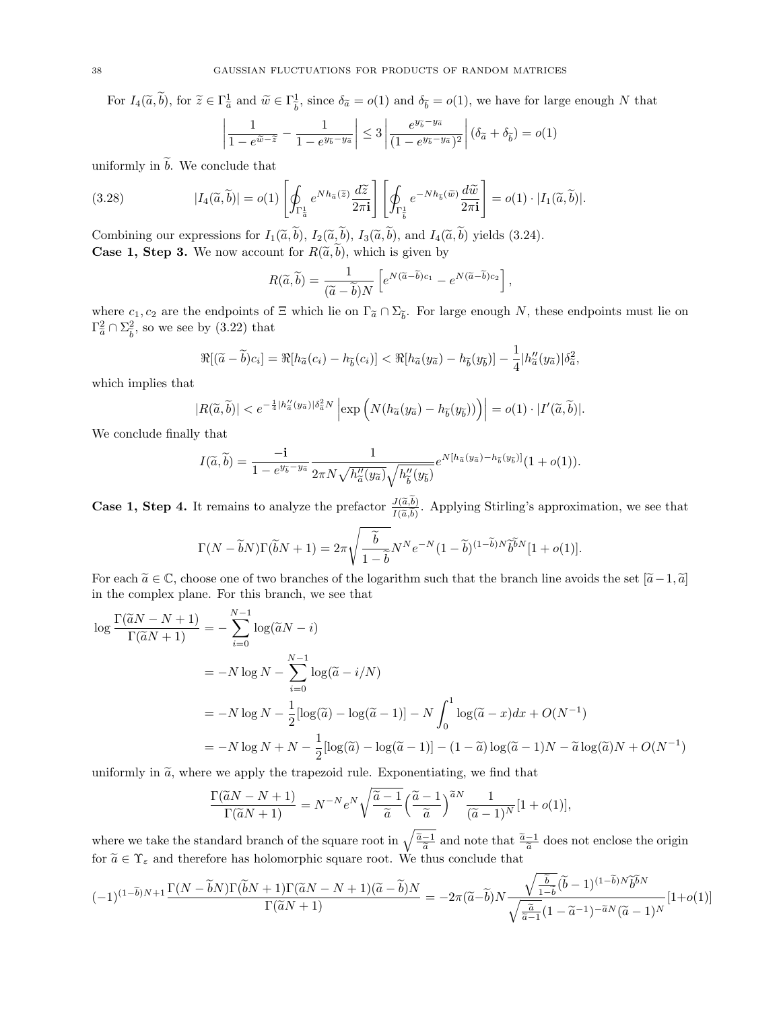For  $I_4(\tilde{a}, \tilde{b})$ , for  $\tilde{z} \in \Gamma_{\tilde{a}}^1$  and  $\tilde{w} \in \Gamma_{\tilde{b}}^1$  $\frac{1}{b}$ , since  $\delta_{\tilde{a}} = o(1)$  and  $\delta_{\tilde{b}} = o(1)$ , we have for large enough N that  $\begin{array}{|c} \hline \end{array}$  $\left| \frac{1}{\epsilon} \right| < 3 \left| \frac{e^{y_{\tilde{b}}-y_{\tilde{a}}}}{e^{y_{\tilde{b}}-y_{\tilde{a}}}} \right|$  $\overline{\phantom{a}}$  $\overline{\phantom{a}}$  $\left( \right)$ 

$$
\left|\frac{1}{1-e^{\tilde{w}-\tilde{z}}}-\frac{1}{1-e^{y_{\tilde{b}}-y_{\tilde{a}}}}\right| \leq 3\left|\frac{e^{y_{\tilde{b}}-y_{\tilde{a}}}}{(1-e^{y_{\tilde{b}}-y_{\tilde{a}}})^2}\right|(\delta_{\tilde{a}}+\delta_{\tilde{b}})=o(1)
$$

uniformly in  $\widetilde{b}$ . We conclude that

(3.28) 
$$
|I_4(\widetilde{a}, \widetilde{b})| = o(1) \left[ \oint_{\Gamma_{\overline{a}}^1} e^{Nh_{\widetilde{a}}(\widetilde{z})} \frac{d\widetilde{z}}{2\pi i} \right] \left[ \oint_{\Gamma_{\overline{b}}^1} e^{-Nh_{\widetilde{b}}(\widetilde{w})} \frac{d\widetilde{w}}{2\pi i} \right] = o(1) \cdot |I_1(\widetilde{a}, \widetilde{b})|.
$$

Combining our expressions for  $I_1(\tilde{a},b)$ ,  $I_2(\tilde{a},b)$ ,  $I_3(\tilde{a},b)$ , and  $I_4(\tilde{a},b)$  yields [\(3.24\)](#page-33-4). **Case 1, Step 3.** We now account for  $R(\tilde{a},\tilde{b})$ , which is given by

$$
R(\widetilde{a},\widetilde{b}) = \frac{1}{(\widetilde{a}-\widetilde{b})N} \left[ e^{N(\widetilde{a}-\widetilde{b})c_1} - e^{N(\widetilde{a}-\widetilde{b})c_2} \right],
$$

where  $c_1, c_2$  are the endpoints of  $\Xi$  which lie on  $\Gamma_{\tilde{a}} \cap \Sigma_{\tilde{b}}$ . For large enough N, these endpoints must lie on  $\Gamma^2 \cap \Sigma^2$  $\Gamma_{\widetilde{a}}^2 \cap \Sigma_{\widetilde{b}}^2$  $\frac{2}{b}$ , so we see by [\(3.22\)](#page-33-2) that

$$
\Re[(\widetilde{a}-\widetilde{b})c_i] = \Re[h_{\widetilde{a}}(c_i) - h_{\widetilde{b}}(c_i)] < \Re[h_{\widetilde{a}}(y_{\widetilde{a}}) - h_{\widetilde{b}}(y_{\widetilde{b}})] - \frac{1}{4}|h''_{\widetilde{a}}(y_{\widetilde{a}})|\delta_{\widetilde{a}}^2,
$$

which implies that

$$
|R(\widetilde{a},\widetilde{b})| < e^{-\frac{1}{4}|h''_{\widetilde{a}}(y_{\widetilde{a}})|\delta_{\widetilde{a}}^2 N} \left| \exp \left( N(h_{\widetilde{a}}(y_{\widetilde{a}}) - h_{\widetilde{b}}(y_{\widetilde{b}})) \right) \right| = o(1) \cdot |I'(\widetilde{a},\widetilde{b})|.
$$

We conclude finally that

$$
I(\widetilde{a},\widetilde{b}) = \frac{-\mathbf{i}}{1 - e^{y_{\widetilde{b}} - y_{\widetilde{a}}}} \frac{1}{2\pi N \sqrt{h''_{\widetilde{a}}(y_{\widetilde{a}})} \sqrt{h''_{\widetilde{b}}(y_{\widetilde{b}})}} e^{N[h_{\widetilde{a}}(y_{\widetilde{a}}) - h_{\widetilde{b}}(y_{\widetilde{b}})]} (1 + o(1)).
$$

**Case 1, Step 4.** It remains to analyze the prefactor  $\frac{J(\widetilde{a},b)}{I(\widetilde{a},\widetilde{b})}$  $\frac{J(a,b)}{I(\tilde{a},\tilde{b})}$ . Applying Stirling's approximation, we see that

$$
\Gamma(N-\widetilde{b}N)\Gamma(\widetilde{b}N+1)=2\pi\sqrt{\frac{\widetilde{b}}{1-\widetilde{b}}}N^Ne^{-N}(1-\widetilde{b})^{(1-\widetilde{b})N}\widetilde{b}^{\widetilde{b}N}[1+o(1)].
$$

For each  $\tilde{a} \in \mathbb{C}$ , choose one of two branches of the logarithm such that the branch line avoids the set  $[\tilde{a}-1, \tilde{a}]$ in the complex plane. For this branch, we see that

$$
\log \frac{\Gamma(\tilde{a}N - N + 1)}{\Gamma(\tilde{a}N + 1)} = -\sum_{i=0}^{N-1} \log(\tilde{a}N - i)
$$
  
=  $-N \log N - \sum_{i=0}^{N-1} \log(\tilde{a} - i/N)$   
=  $-N \log N - \frac{1}{2} [\log(\tilde{a}) - \log(\tilde{a} - 1)] - N \int_0^1 \log(\tilde{a} - x) dx + O(N^{-1})$   
=  $-N \log N + N - \frac{1}{2} [\log(\tilde{a}) - \log(\tilde{a} - 1)] - (1 - \tilde{a}) \log(\tilde{a} - 1)N - \tilde{a} \log(\tilde{a})N + O(N^{-1})$ 

uniformly in  $\tilde{a}$ , where we apply the trapezoid rule. Exponentiating, we find that

 $\mathbf{v}$ 

$$
\frac{\Gamma(\widetilde{a}N-N+1)}{\Gamma(\widetilde{a}N+1)} = N^{-N}e^N \sqrt{\frac{\widetilde{a}-1}{\widetilde{a}}} \left(\frac{\widetilde{a}-1}{\widetilde{a}}\right)^{\widetilde{a}N} \frac{1}{(\widetilde{a}-1)^N} [1+o(1)],
$$

where we take the standard branch of the square root in  $\sqrt{\frac{\tilde{a}-1}{\tilde{a}}}$  and note that  $\frac{\tilde{a}-1}{\tilde{a}}$  does not enclose the origin for  $\widetilde{a} \in \Upsilon_{\varepsilon}$  and therefore has holomorphic square root. We thus conclude that

$$
(-1)^{(1-\tilde{b})N+1}\frac{\Gamma(N-\tilde{b}N)\Gamma(\tilde{b}N+1)\Gamma(\tilde{a}N-N+1)(\tilde{a}-\tilde{b})N}{\Gamma(\tilde{a}N+1)}=-2\pi(\tilde{a}-\tilde{b})N\frac{\sqrt{\frac{\tilde{b}}{1-\tilde{b}}}(\tilde{b}-1)^{(1-\tilde{b})N}\tilde{b}^{\tilde{b}N}}{\sqrt{\frac{\tilde{a}}{\tilde{a}-1}}(1-\tilde{a}^{-1})^{-\tilde{a}N}(\tilde{a}-1)^N}[1+o(1)]
$$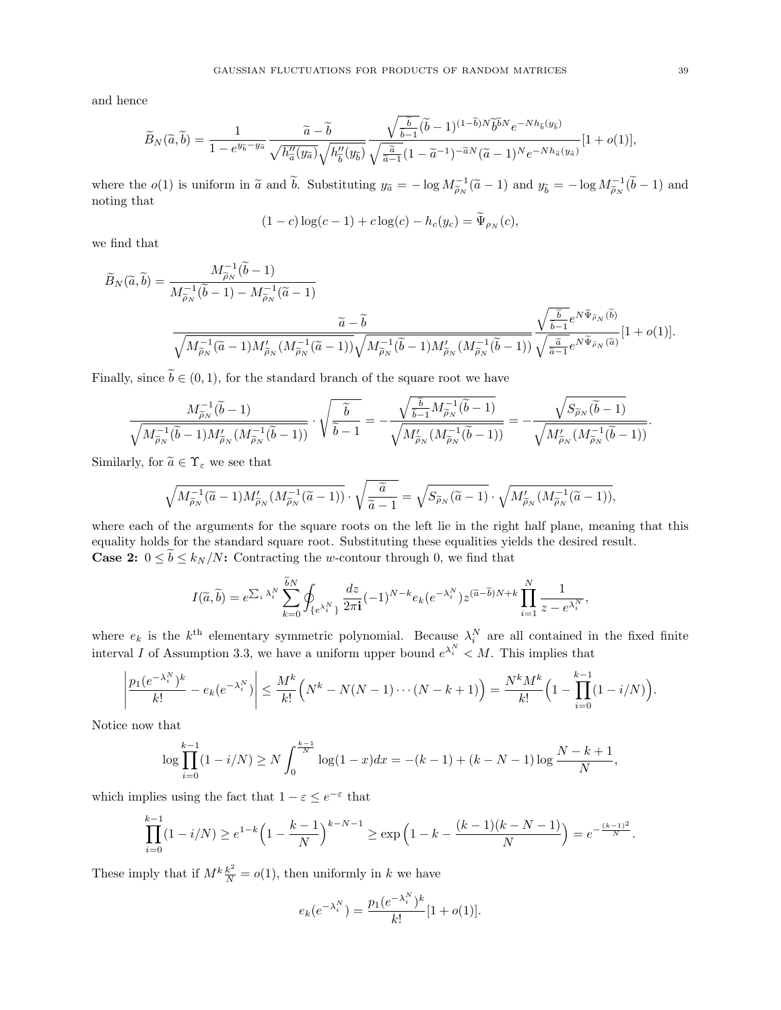and hence

$$
\widetilde{B}_{N}(\widetilde{a},\widetilde{b}) = \frac{1}{1 - e^{y_{\widetilde{b}} - y_{\widetilde{a}}}} \frac{\widetilde{a} - \widetilde{b}}{\sqrt{h_{\widetilde{a}}''(y_{\widetilde{a}})} \sqrt{h_{\widetilde{b}}''(y_{\widetilde{b}})}} \frac{\sqrt{\frac{\widetilde{b}}{\widetilde{b}-1}} (\widetilde{b} - 1)^{(1 - \widetilde{b})N} \widetilde{b}^{\widetilde{b}N} e^{-Nh_{\widetilde{b}}(y_{\widetilde{b}})}}{\sqrt{\frac{\widetilde{a}}{\widetilde{a}-1}} (1 - \widetilde{a}^{-1})^{-\widetilde{a}N} (\widetilde{a} - 1)^N e^{-Nh_{\widetilde{a}}(y_{\widetilde{a}})}} [1 + o(1)],
$$

where the  $o(1)$  is uniform in  $\tilde{a}$  and  $\tilde{b}$ . Substituting  $y_{\tilde{a}} = -\log M_{\tilde{\rho}_N}^{-1}(\tilde{a} - 1)$  and  $y_{\tilde{b}} = -\log M_{\tilde{\rho}_N}^{-1}(\tilde{b} - 1)$  and noting that noting that

$$
(1 - c)\log(c - 1) + c\log(c) - h_c(y_c) = \Psi_{\rho_N}(c),
$$

we find that

$$
\widetilde{B}_{N}(\widetilde{a},\widetilde{b}) = \frac{M_{\widetilde{\rho}_{N}}^{-1}(\widetilde{b}-1)}{M_{\widetilde{\rho}_{N}}^{-1}(\widetilde{b}-1) - M_{\widetilde{\rho}_{N}}^{-1}(\widetilde{a}-1)}} \frac{\widetilde{a}-\widetilde{b}}{\sqrt{M_{\widetilde{\rho}_{N}}^{-1}(\widetilde{a}-1)M_{\widetilde{\rho}_{N}}'(M_{\widetilde{\rho}_{N}}^{-1}(\widetilde{a}-1))}\sqrt{M_{\widetilde{\rho}_{N}}^{-1}(\widetilde{b}-1)M_{\widetilde{\rho}_{N}}'(M_{\widetilde{\rho}_{N}}^{-1}(\widetilde{b}-1))}} \frac{\sqrt{\frac{\widetilde{b}}{\widetilde{b}-1}}e^{N\widetilde{\Psi}_{\widetilde{\rho}_{N}}(\widetilde{b})}}{\sqrt{\frac{\widetilde{a}}{\widetilde{a}-1}}e^{N\widetilde{\Psi}_{\widetilde{\rho}_{N}}(\widetilde{a})}}[1+o(1)].
$$

Finally, since  $\tilde{b} \in (0,1)$ , for the standard branch of the square root we have

$$
\frac{M_{\widetilde{\rho}_N}^{-1}(\widetilde{b}-1)}{\sqrt{M_{\widetilde{\rho}_N}^{-1}(\widetilde{b}-1)M_{\widetilde{\rho}_N}'(M_{\widetilde{\rho}_N}^{-1}(\widetilde{b}-1))}}\cdot\sqrt{\frac{\widetilde{b}}{\widetilde{b}-1}}=-\frac{\sqrt{\frac{\widetilde{b}}{\widetilde{b}-1}M_{\widetilde{\rho}_N}^{-1}(\widetilde{b}-1)}}{\sqrt{M_{\widetilde{\rho}_N}'(M_{\widetilde{\rho}_N}^{-1}(\widetilde{b}-1))}}=-\frac{\sqrt{S_{\widetilde{\rho}_N}(\widetilde{b}-1)}}{\sqrt{M_{\widetilde{\rho}_N}'(M_{\widetilde{\rho}_N}^{-1}(\widetilde{b}-1))}}.
$$

Similarly, for  $\widetilde{a} \in \Upsilon_{\varepsilon}$  we see that

$$
\sqrt{M_{\widetilde{\rho}_N}^{-1}(\widetilde{a}-1)M_{\widetilde{\rho}_N}'(M_{\widetilde{\rho}_N}^{-1}(\widetilde{a}-1))}\cdot \sqrt{\frac{\widetilde{a}}{\widetilde{a}-1}}=\sqrt{S_{\widetilde{\rho}_N}(\widetilde{a}-1)}\cdot \sqrt{M_{\widetilde{\rho}_N}'(M_{\widetilde{\rho}_N}^{-1}(\widetilde{a}-1))},
$$

where each of the arguments for the square roots on the left lie in the right half plane, meaning that this equality holds for the standard square root. Substituting these equalities yields the desired result. **Case 2:**  $0 \le \tilde{b} \le k_N/N$ : Contracting the w-contour through 0, we find that

$$
I(\widetilde{a},\widetilde{b})=e^{\sum_i \lambda_i^N} \sum_{k=0}^{\widetilde{b}N} \oint_{\{e^{\lambda_i^N}\}} \frac{dz}{2\pi i}(-1)^{N-k} e_k(e^{-\lambda_i^N}) z^{(\widetilde{a}-\widetilde{b})N+k} \prod_{i=1}^N \frac{1}{z-e^{\lambda_i^N}},
$$

where  $e_k$  is the  $k^{\text{th}}$  elementary symmetric polynomial. Because  $\lambda_i^N$  are all contained in the fixed finite interval I of Assumption [3.3,](#page-25-1) we have a uniform upper bound  $e^{\lambda_i^N} < M$ . This implies that

$$
\left| \frac{p_1(e^{-\lambda_i^N})^k}{k!} - e_k(e^{-\lambda_i^N}) \right| \le \frac{M^k}{k!} \left( N^k - N(N-1) \cdots (N-k+1) \right) = \frac{N^k M^k}{k!} \left( 1 - \prod_{i=0}^{k-1} (1 - i/N) \right).
$$

Notice now that

$$
\log \prod_{i=0}^{k-1} (1 - i/N) \ge N \int_0^{\frac{k-1}{N}} \log(1 - x) dx = -(k-1) + (k - N - 1) \log \frac{N - k + 1}{N},
$$

which implies using the fact that  $1 - \varepsilon \le e^{-\varepsilon}$  that

$$
\prod_{i=0}^{k-1} (1 - i/N) \ge e^{1-k} \left( 1 - \frac{k-1}{N} \right)^{k-N-1} \ge \exp\left( 1 - k - \frac{(k-1)(k-N-1)}{N} \right) = e^{-\frac{(k-1)^2}{N}}.
$$

These imply that if  $M^k \frac{k^2}{N} = o(1)$ , then uniformly in k we have

$$
e_k(e^{-\lambda_i^N}) = \frac{p_1(e^{-\lambda_i^N})^k}{k!} [1 + o(1)].
$$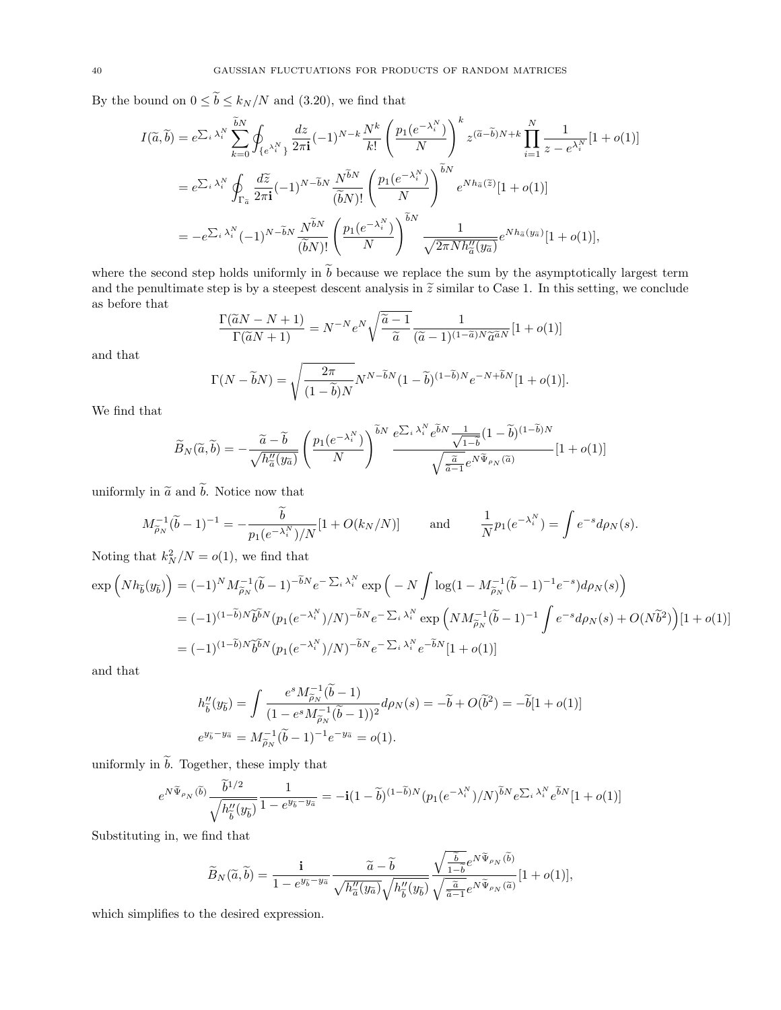By the bound on  $0 \leq \widetilde{b} \leq k_N/N$  and [\(3.20\)](#page-31-6), we find that

$$
I(\widetilde{a},\widetilde{b}) = e^{\sum_{i} \lambda_{i}^{N}} \sum_{k=0}^{\widetilde{b}N} \oint_{\{e^{\lambda_{i}^{N}}\}} \frac{dz}{2\pi i} (-1)^{N-k} \frac{N^{k}}{k!} \left(\frac{p_{1}(e^{-\lambda_{i}^{N}})}{N}\right)^{k} z^{(\widetilde{a}-\widetilde{b})N+k} \prod_{i=1}^{N} \frac{1}{z - e^{\lambda_{i}^{N}}}[1+o(1)]
$$
  

$$
= e^{\sum_{i} \lambda_{i}^{N}} \oint_{\Gamma_{\widetilde{a}}} \frac{d\widetilde{z}}{2\pi i} (-1)^{N-\widetilde{b}N} \frac{N^{\widetilde{b}N}}{(\widetilde{b}N)!} \left(\frac{p_{1}(e^{-\lambda_{i}^{N}})}{N}\right)^{\widetilde{b}N} e^{N h_{\widetilde{a}}(\widetilde{z})}[1+o(1)]
$$
  

$$
= -e^{\sum_{i} \lambda_{i}^{N}} (-1)^{N-\widetilde{b}N} \frac{N^{\widetilde{b}N}}{(\widetilde{b}N)!} \left(\frac{p_{1}(e^{-\lambda_{i}^{N}})}{N}\right)^{\widetilde{b}N} \frac{1}{\sqrt{2\pi N h_{\widetilde{a}}''(y_{\widetilde{a}})}} e^{N h_{\widetilde{a}}(y_{\widetilde{a}})}[1+o(1)],
$$

where the second step holds uniformly in  $\tilde{b}$  because we replace the sum by the asymptotically largest term and the penultimate step is by a steepest descent analysis in  $\tilde{z}$  similar to Case 1. In this setting, we conclude as before that

$$
\frac{\Gamma(\widetilde{a}N - N + 1)}{\Gamma(\widetilde{a}N + 1)} = N^{-N} e^N \sqrt{\frac{\widetilde{a} - 1}{\widetilde{a}}} \frac{1}{(\widetilde{a} - 1)^{(1 - \widetilde{a})N} \widetilde{a}^{\widetilde{a}N}} [1 + o(1)]
$$

and that

$$
\Gamma(N - \widetilde{b}N) = \sqrt{\frac{2\pi}{(1 - \widetilde{b})N}} N^{N - \widetilde{b}N} (1 - \widetilde{b})^{(1 - \widetilde{b})N} e^{-N + \widetilde{b}N} [1 + o(1)].
$$

We find that

$$
\widetilde{B}_{N}(\widetilde{a},\widetilde{b}) = -\frac{\widetilde{a} - \widetilde{b}}{\sqrt{h''_{\widetilde{a}}(y_{\widetilde{a}})}} \left( \frac{p_1(e^{-\lambda_i^N})}{N} \right)^{\widetilde{b}N} \frac{e^{\sum_i \lambda_i^N} e^{\widetilde{b}N} \frac{1}{\sqrt{1-\widetilde{b}}}(1-\widetilde{b})^{(1-\widetilde{b})N}}{\sqrt{\frac{\widetilde{a}}{\widetilde{a}-1}} e^{N\widetilde{\Psi}_{\rho_N}(\widetilde{a})}} [1+o(1)]
$$

uniformly in  $\tilde{a}$  and  $\tilde{b}$ . Notice now that

$$
M_{\widetilde{\rho}_N}^{-1}(\widetilde{b}-1)^{-1} = -\frac{\widetilde{b}}{p_1(e^{-\lambda_i^N})/N} [1 + O(k_N/N)] \quad \text{and} \quad \frac{1}{N} p_1(e^{-\lambda_i^N}) = \int e^{-s} d\rho_N(s).
$$

Noting that  $k_N^2/N = o(1)$ , we find that

$$
\exp\left(Nh_{\widetilde{b}}(y_{\widetilde{b}})\right) = (-1)^{N}M_{\widetilde{\rho}_{N}}^{-1}(\widetilde{b}-1)^{-\widetilde{b}N}e^{-\sum_{i}\lambda_{i}^{N}}\exp\left(-N\int \log(1-M_{\widetilde{\rho}_{N}}^{-1}(\widetilde{b}-1)^{-1}e^{-s})d\rho_{N}(s)\right)
$$
  
\n
$$
= (-1)^{(1-\widetilde{b})N}\widetilde{b}^{\widetilde{b}N}(p_{1}(e^{-\lambda_{i}^{N}})/N)^{-\widetilde{b}N}e^{-\sum_{i}\lambda_{i}^{N}}\exp\left(NM_{\widetilde{\rho}_{N}}^{-1}(\widetilde{b}-1)^{-1}\int e^{-s}d\rho_{N}(s)+O(N\widetilde{b}^{2})\right)[1+o(1)]
$$
  
\n
$$
= (-1)^{(1-\widetilde{b})N}\widetilde{b}^{\widetilde{b}N}(p_{1}(e^{-\lambda_{i}^{N}})/N)^{-\widetilde{b}N}e^{-\sum_{i}\lambda_{i}^{N}}e^{-\widetilde{b}N}[1+o(1)]
$$

and that

$$
h''_{\tilde{b}}(y_{\tilde{b}}) = \int \frac{e^s M_{\tilde{\rho}_N}^{-1} (\tilde{b} - 1)}{(1 - e^s M_{\tilde{\rho}_N}^{-1} (\tilde{b} - 1))^2} d\rho_N(s) = -\tilde{b} + O(\tilde{b}^2) = -\tilde{b}[1 + o(1)]
$$
  

$$
e^{y_{\tilde{b}} - y_{\tilde{a}}} = M_{\tilde{\rho}_N}^{-1} (\tilde{b} - 1)^{-1} e^{-y_{\tilde{a}}} = o(1).
$$

uniformly in  $\tilde{b}$ . Together, these imply that

$$
e^{N\widetilde{\Psi}_{\rho_N}(\widetilde{b})} \frac{\widetilde{b}^{1/2}}{\sqrt{h''_{\widetilde{b}}(y_{\widetilde{b}})}} \frac{1}{1 - e^{y_{\widetilde{b}} - y_{\widetilde{a}}}} = -\mathbf{i}(1 - \widetilde{b})^{(1 - \widetilde{b})N} (p_1(e^{-\lambda_i^N})/N)^{\widetilde{b}N} e^{\sum_i \lambda_i^N} e^{\widetilde{b}N} [1 + o(1)]
$$

Substituting in, we find that

$$
\widetilde{B}_N(\widetilde{a},\widetilde{b})=\frac{\mathbf{i}}{1-e^{y_{\widetilde{b}}-y_{\widetilde{a}}}}\frac{\widetilde{a}-\widetilde{b}}{\sqrt{h_{\widetilde{a}}''(y_{\widetilde{a}})}\sqrt{h_{\widetilde{b}}''(y_{\widetilde{b}})}}\frac{\sqrt{\frac{\widetilde{b}}{1-\widetilde{b}}}e^{N\widetilde{\Psi}_{\rho_N}(\widetilde{b})}}{\sqrt{\frac{\widetilde{a}}{\widetilde{a}-1}}e^{N\widetilde{\Psi}_{\rho_N}(\widetilde{a})}}[1+o(1)],
$$

which simplifies to the desired expression.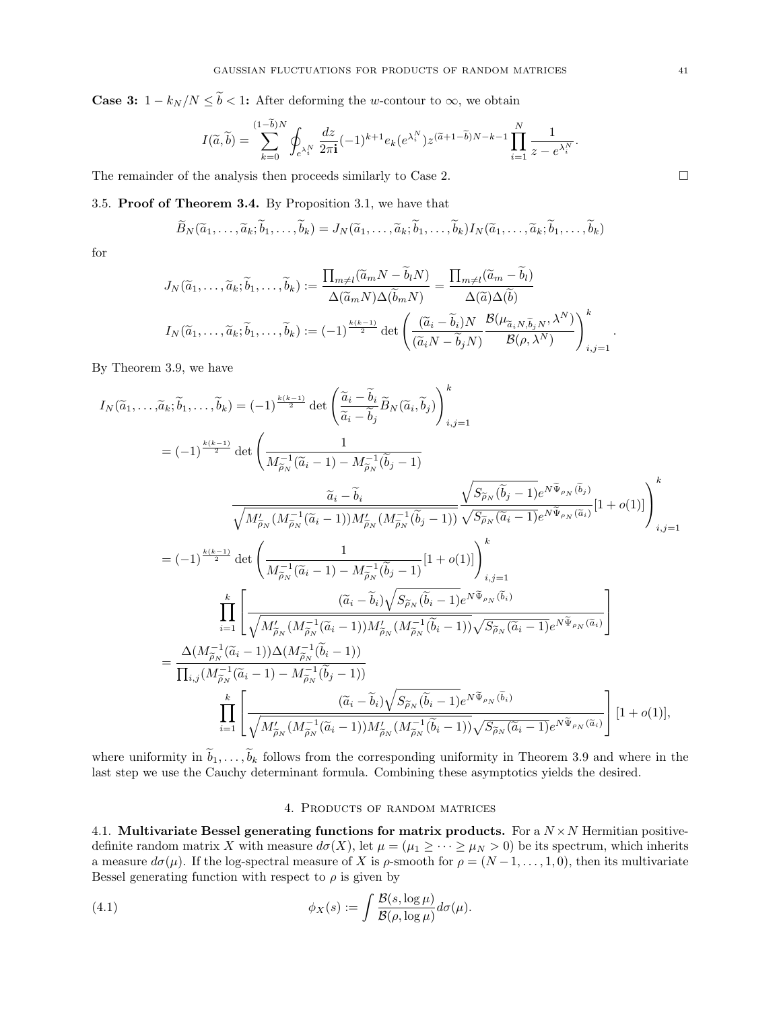**Case 3:**  $1 - k_N/N \leq \tilde{b} < 1$ : After deforming the w-contour to  $\infty$ , we obtain

$$
I(\widetilde{a},\widetilde{b}) = \sum_{k=0}^{(1-b)N} \oint_{e^{\lambda_i^N}} \frac{dz}{2\pi \mathbf{i}} (-1)^{k+1} e_k(e^{\lambda_i^N}) z^{(\widetilde{a}+1-\widetilde{b})N-k-1} \prod_{i=1}^N \frac{1}{z - e^{\lambda_i^N}}.
$$

The remainder of the analysis then proceeds similarly to Case 2.  $\Box$ 

<span id="page-40-0"></span>3.5. Proof of Theorem [3.4.](#page-25-0) By Proposition [3.1,](#page-24-4) we have that

$$
\widetilde{B}_N(\widetilde{a}_1,\ldots,\widetilde{a}_k;\widetilde{b}_1,\ldots,\widetilde{b}_k)=J_N(\widetilde{a}_1,\ldots,\widetilde{a}_k;\widetilde{b}_1,\ldots,\widetilde{b}_k)I_N(\widetilde{a}_1,\ldots,\widetilde{a}_k;\widetilde{b}_1,\ldots,\widetilde{b}_k)
$$

for

$$
J_N(\tilde{a}_1, \ldots, \tilde{a}_k; \tilde{b}_1, \ldots, \tilde{b}_k) := \frac{\prod_{m \neq l} (\tilde{a}_m N - \tilde{b}_l N)}{\Delta(\tilde{a}_m N) \Delta(\tilde{b}_m N)} = \frac{\prod_{m \neq l} (\tilde{a}_m - \tilde{b}_l)}{\Delta(\tilde{a}) \Delta(\tilde{b})}
$$

$$
I_N(\tilde{a}_1, \ldots, \tilde{a}_k; \tilde{b}_1, \ldots, \tilde{b}_k) := (-1)^{\frac{k(k-1)}{2}} \det \left( \frac{(\tilde{a}_i - \tilde{b}_i) N}{(\tilde{a}_i N - \tilde{b}_j N)} \frac{\mathcal{B}(\mu_{\tilde{a}_i N, \tilde{b}_j N}, \lambda^N)}{\mathcal{B}(\rho, \lambda^N)} \right)_{i,j=1}^k.
$$

By Theorem [3.9,](#page-29-1) we have

$$
I_{N}(\tilde{a}_{1},\ldots,\tilde{a}_{k};\tilde{b}_{1},\ldots,\tilde{b}_{k}) = (-1)^{\frac{k(k-1)}{2}} \det \left( \frac{\tilde{a}_{i} - \tilde{b}_{i}}{\tilde{a}_{i} - \tilde{b}_{j}} \tilde{B}_{N}(\tilde{a}_{i},\tilde{b}_{j}) \right)_{i,j=1}^{k}
$$
  
\n
$$
= (-1)^{\frac{k(k-1)}{2}} \det \left( \frac{1}{M_{\tilde{\rho}_{N}}^{-1}(\tilde{a}_{i} - 1) - M_{\tilde{\rho}_{N}}^{-1}(\tilde{b}_{j} - 1)} \frac{\tilde{a}_{i} - \tilde{b}_{i}}{\sqrt{M_{\tilde{\rho}_{N}}^{2}(M_{\tilde{\rho}_{N}}^{-1}(\tilde{a}_{i} - 1))M_{\tilde{\rho}_{N}}^{2}(M_{\tilde{\rho}_{N}}^{-1}(\tilde{b}_{j} - 1))}} \frac{\sqrt{S_{\tilde{\rho}_{N}}(\tilde{b}_{j} - 1)} e^{N\tilde{\Psi}_{\rho_{N}}(\tilde{b}_{j})}}{\sqrt{S_{\tilde{\rho}_{N}}(\tilde{a}_{i} - 1)} e^{N\tilde{\Psi}_{\rho_{N}}(\tilde{a}_{i})}} [1 + o(1)] \right)_{i,j=1}^{k}
$$
  
\n
$$
= (-1)^{\frac{k(k-1)}{2}} \det \left( \frac{1}{M_{\tilde{\rho}_{N}}^{-1}(\tilde{a}_{i} - 1) - M_{\tilde{\rho}_{N}}^{-1}(\tilde{b}_{j} - 1)} [1 + o(1)] \right)_{i,j=1}^{k}
$$
  
\n
$$
\prod_{i=1}^{k} \left[ \frac{(\tilde{a}_{i} - \tilde{b}_{i}) \sqrt{S_{\tilde{\rho}_{N}}(\tilde{b}_{i} - 1)} e^{N\tilde{\Psi}_{\rho_{N}}(\tilde{b}_{i})}}{\sqrt{M_{\tilde{\rho}_{N}}^{-1}(\tilde{a}_{i} - 1)})M_{\rho_{N}}^{2}(M_{\tilde{\rho}_{N}}^{-1}(\tilde{b}_{i} - 1))} \sqrt{S_{\tilde{\rho}_{N}}(\tilde{a}_{i} - 1)} e^{N\tilde{\Psi}_{\rho_{N}}(\tilde{a}_{i})} \right]
$$
  
\n
$$
= \
$$

where uniformity in  $\widetilde{b}_1, \ldots, \widetilde{b}_k$  follows from the corresponding uniformity in Theorem [3.9](#page-29-1) and where in the last step we use the Cauchy determinant formula. Combining these asymptotics yields the desired.

## <span id="page-40-3"></span>4. Products of random matrices

<span id="page-40-2"></span><span id="page-40-1"></span>4.1. Multivariate Bessel generating functions for matrix products. For a  $N \times N$  Hermitian positivedefinite random matrix X with measure  $d\sigma(X)$ , let  $\mu = (\mu_1 \geq \cdots \geq \mu_N > 0)$  be its spectrum, which inherits a measure  $d\sigma(\mu)$ . If the log-spectral measure of X is  $\rho$ -smooth for  $\rho = (N-1, \ldots, 1, 0)$ , then its multivariate Bessel generating function with respect to  $\rho$  is given by

(4.1) 
$$
\phi_X(s) := \int \frac{\mathcal{B}(s, \log \mu)}{\mathcal{B}(\rho, \log \mu)} d\sigma(\mu).
$$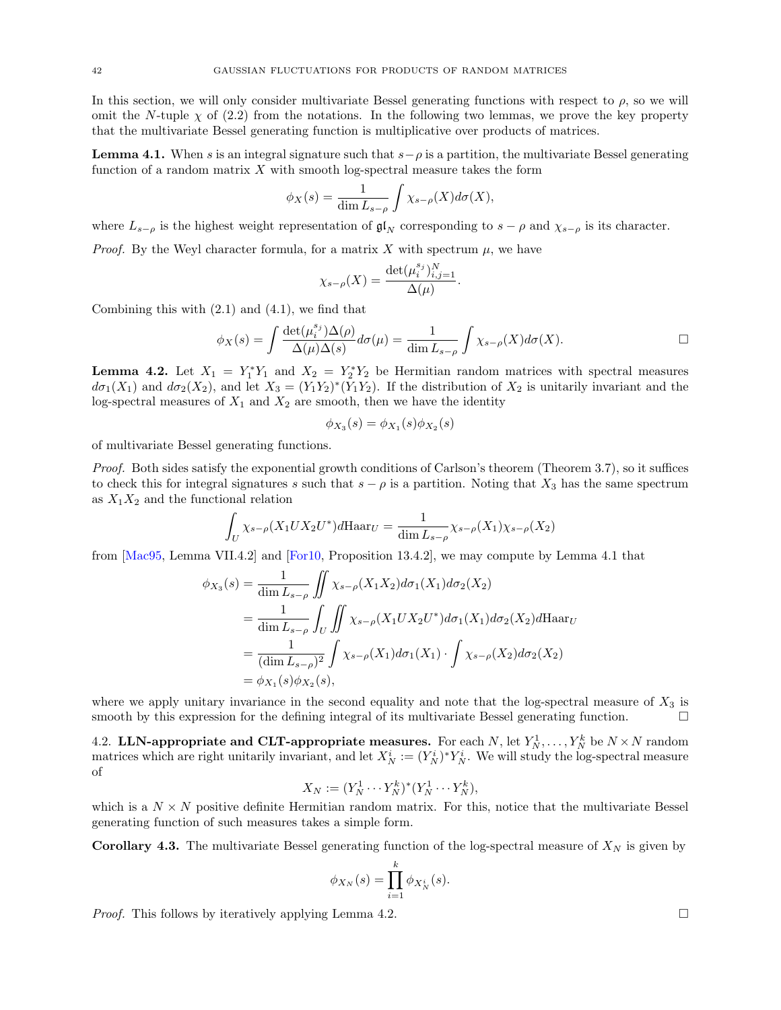In this section, we will only consider multivariate Bessel generating functions with respect to  $\rho$ , so we will omit the N-tuple  $\chi$  of [\(2.2\)](#page-9-5) from the notations. In the following two lemmas, we prove the key property that the multivariate Bessel generating function is multiplicative over products of matrices.

<span id="page-41-2"></span>**Lemma 4.1.** When s is an integral signature such that  $s - \rho$  is a partition, the multivariate Bessel generating function of a random matrix  $X$  with smooth log-spectral measure takes the form

$$
\phi_X(s) = \frac{1}{\dim L_{s-\rho}} \int \chi_{s-\rho}(X) d\sigma(X),
$$

where  $L_{s-\rho}$  is the highest weight representation of  $\mathfrak{gl}_N$  corresponding to  $s-\rho$  and  $\chi_{s-\rho}$  is its character.

*Proof.* By the Weyl character formula, for a matrix X with spectrum  $\mu$ , we have

$$
\chi_{s-\rho}(X) = \frac{\det(\mu_i^{s_j})_{i,j=1}^N}{\Delta(\mu)}.
$$

Combining this with  $(2.1)$  and  $(4.1)$ , we find that

$$
\phi_X(s) = \int \frac{\det(\mu_i^{s_j}) \Delta(\rho)}{\Delta(\mu) \Delta(s)} d\sigma(\mu) = \frac{1}{\dim L_{s-\rho}} \int \chi_{s-\rho}(X) d\sigma(X).
$$

<span id="page-41-1"></span>**Lemma 4.2.** Let  $X_1 = Y_1^* Y_1$  and  $X_2 = Y_2^* Y_2$  be Hermitian random matrices with spectral measures  $d\sigma_1(X_1)$  and  $d\sigma_2(X_2)$ , and let  $X_3 = (Y_1Y_2)^*(Y_1Y_2)$ . If the distribution of  $X_2$  is unitarily invariant and the log-spectral measures of  $X_1$  and  $X_2$  are smooth, then we have the identity

$$
\phi_{X_3}(s) = \phi_{X_1}(s)\phi_{X_2}(s)
$$

of multivariate Bessel generating functions.

Proof. Both sides satisfy the exponential growth conditions of Carlson's theorem (Theorem [3.7\)](#page-27-3), so it suffices to check this for integral signatures s such that  $s - \rho$  is a partition. Noting that  $X_3$  has the same spectrum as  $X_1X_2$  and the functional relation

$$
\int_U \chi_{s-\rho}(X_1 U X_2 U^*) d\text{Haar}_U = \frac{1}{\dim L_{s-\rho}} \chi_{s-\rho}(X_1) \chi_{s-\rho}(X_2)
$$

from [\[Mac95,](#page-68-22) Lemma VII.4.2] and [\[For10,](#page-67-32) Proposition 13.4.2], we may compute by Lemma [4.1](#page-41-2) that

$$
\phi_{X_3}(s) = \frac{1}{\dim L_{s-\rho}} \iint \chi_{s-\rho}(X_1 X_2) d\sigma_1(X_1) d\sigma_2(X_2)
$$
  
= 
$$
\frac{1}{\dim L_{s-\rho}} \iint_U \iint \chi_{s-\rho}(X_1 U X_2 U^*) d\sigma_1(X_1) d\sigma_2(X_2) d\text{Haar}_U
$$
  
= 
$$
\frac{1}{(\dim L_{s-\rho})^2} \int \chi_{s-\rho}(X_1) d\sigma_1(X_1) \cdot \int \chi_{s-\rho}(X_2) d\sigma_2(X_2)
$$
  
= 
$$
\phi_{X_1}(s) \phi_{X_2}(s),
$$

where we apply unitary invariance in the second equality and note that the log-spectral measure of  $X_3$  is smooth by this expression for the defining integral of its multivariate Bessel generating function.

<span id="page-41-0"></span>4.2. LLN-appropriate and CLT-appropriate measures. For each N, let  $Y_N^1, \ldots, Y_N^k$  be  $N \times N$  random matrices which are right unitarily invariant, and let  $X_N^i := (Y_N^i)^* Y_N^i$ . We will study the log-spectral measure of

$$
X_N := (Y_N^1 \cdots Y_N^k)^* (Y_N^1 \cdots Y_N^k),
$$

which is a  $N \times N$  positive definite Hermitian random matrix. For this, notice that the multivariate Bessel generating function of such measures takes a simple form.

<span id="page-41-3"></span>**Corollary 4.3.** The multivariate Bessel generating function of the log-spectral measure of  $X_N$  is given by

$$
\phi_{X_N}(s) = \prod_{i=1}^k \phi_{X_N^i}(s).
$$

*Proof.* This follows by iteratively applying Lemma [4.2.](#page-41-1)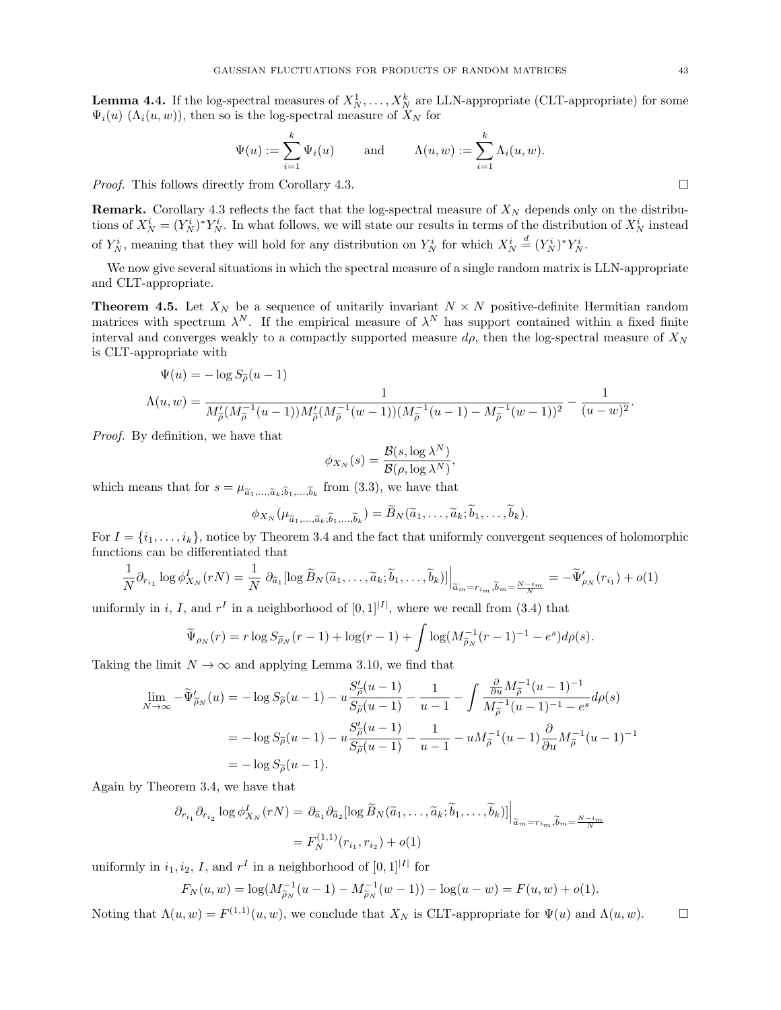<span id="page-42-1"></span>**Lemma 4.4.** If the log-spectral measures of  $X_N^1, \ldots, X_N^k$  are LLN-appropriate (CLT-appropriate) for some  $\Psi_i(u)$  ( $\Lambda_i(u, w)$ ), then so is the log-spectral measure of  $X_N$  for

$$
\Psi(u) := \sum_{i=1}^k \Psi_i(u) \quad \text{and} \quad \Lambda(u, w) := \sum_{i=1}^k \Lambda_i(u, w).
$$

*Proof.* This follows directly from Corollary [4.3.](#page-41-3) □

**Remark.** Corollary [4.3](#page-41-3) reflects the fact that the log-spectral measure of  $X_N$  depends only on the distributions of  $X_N^i = (Y_N^i)^* Y_N^i$ . In what follows, we will state our results in terms of the distribution of  $X_N^i$  instead of  $Y_N^i$ , meaning that they will hold for any distribution on  $Y_N^i$  for which  $X_N^i \stackrel{d}{=} (Y_N^i)^* Y_N^i$ .

We now give several situations in which the spectral measure of a single random matrix is LLN-appropriate and CLT-appropriate.

<span id="page-42-0"></span>**Theorem 4.5.** Let  $X_N$  be a sequence of unitarily invariant  $N \times N$  positive-definite Hermitian random matrices with spectrum  $\lambda^N$ . If the empirical measure of  $\lambda^N$  has support contained within a fixed finite interval and converges weakly to a compactly supported measure  $d\rho$ , then the log-spectral measure of  $X_N$ is CLT-appropriate with

$$
\Psi(u) = -\log S_{\tilde{\rho}}(u-1)
$$
  
\n
$$
\Lambda(u, w) = \frac{1}{M'_{\tilde{\rho}}(M_{\tilde{\rho}}^{-1}(u-1))M'_{\tilde{\rho}}(M_{\tilde{\rho}}^{-1}(w-1))(M_{\tilde{\rho}}^{-1}(u-1) - M_{\tilde{\rho}}^{-1}(w-1))^2} - \frac{1}{(u-w)^2}.
$$

Proof. By definition, we have that

$$
\phi_{X_N}(s) = \frac{\mathcal{B}(s, \log \lambda^N)}{\mathcal{B}(\rho, \log \lambda^N)},
$$

which means that for  $s = \mu_{\tilde{a}_1,\dots,\tilde{a}_k,\tilde{b}_1,\dots,\tilde{b}_k}$  from [\(3.3\)](#page-25-3), we have that

 $\phi_{X_N}(\mu_{\widetilde{a}_1,\ldots,\widetilde{a}_k;\widetilde{b}_1,\ldots,\widetilde{b}_k}) = B_N(\widetilde{a}_1,\ldots,\widetilde{a}_k;b_1,\ldots,b_k).$ 

For  $I = \{i_1, \ldots, i_k\}$ , notice by Theorem [3.4](#page-25-0) and the fact that uniformly convergent sequences of holomorphic functions can be differentiated that

$$
\frac{1}{N}\partial_{r_{i_1}}\log\phi_{X_N}^I(rN) = \frac{1}{N}\left.\partial_{\tilde{a}_1}[\log \tilde{B}_N(\tilde{a}_1,\ldots,\tilde{a}_k;\tilde{b}_1,\ldots,\tilde{b}_k)]\right|_{\tilde{a}_m = r_{i_m},\tilde{b}_m = \frac{N-i_m}{N}} = -\tilde{\Psi}_{\rho_N}'(r_{i_1}) + o(1)
$$

uniformly in i, I, and  $r<sup>I</sup>$  in a neighborhood of  $[0,1]^{|I|}$ , where we recall from [\(3.4\)](#page-25-4) that

$$
\widetilde{\Psi}_{\rho_N}(r) = r \log S_{\widetilde{\rho}_N}(r-1) + \log(r-1) + \int \log(M_{\widetilde{\rho}_N}^{-1}(r-1)^{-1} - e^s) d\rho(s).
$$

Taking the limit  $N \to \infty$  and applying Lemma [3.10,](#page-30-0) we find that

$$
\lim_{N \to \infty} -\tilde{\Psi}'_{\tilde{\rho}_N}(u) = -\log S_{\tilde{\rho}}(u-1) - u \frac{S'_{\tilde{\rho}}(u-1)}{S_{\tilde{\rho}}(u-1)} - \frac{1}{u-1} - \int \frac{\frac{\partial}{\partial u} M_{\tilde{\rho}}^{-1} (u-1)^{-1}}{M_{\tilde{\rho}}^{-1} (u-1)^{-1} - e^s} d\rho(s)
$$
  
=  $-\log S_{\tilde{\rho}}(u-1) - u \frac{S'_{\tilde{\rho}}(u-1)}{S_{\tilde{\rho}}(u-1)} - \frac{1}{u-1} - u M_{\tilde{\rho}}^{-1} (u-1) \frac{\partial}{\partial u} M_{\tilde{\rho}}^{-1} (u-1)^{-1}$   
=  $-\log S_{\tilde{\rho}}(u-1).$ 

Again by Theorem [3.4,](#page-25-0) we have that

$$
\partial_{r_{i_1}} \partial_{r_{i_2}} \log \phi_{X_N}^I(rN) = \partial_{\tilde{a}_1} \partial_{\tilde{a}_2} [\log \tilde{B}_N(\tilde{a}_1, \dots, \tilde{a}_k; \tilde{b}_1, \dots, \tilde{b}_k)] \Big|_{\tilde{a}_m = r_{i_m}, \tilde{b}_m = \frac{N - i_m}{N}}
$$

$$
= F_N^{(1,1)}(r_{i_1}, r_{i_2}) + o(1)
$$

uniformly in  $i_1, i_2, I$ , and  $r<sup>I</sup>$  in a neighborhood of  $[0, 1]$ <sup>[I]</sup> for

$$
F_N(u, w) = \log(M_{\widetilde{\rho}_N}^{-1}(u - 1) - M_{\widetilde{\rho}_N}^{-1}(w - 1)) - \log(u - w) = F(u, w) + o(1).
$$

Noting that  $\Lambda(u, w) = F^{(1,1)}(u, w)$ , we conclude that  $X_N$  is CLT-appropriate for  $\Psi(u)$  and  $\Lambda(u, w)$ .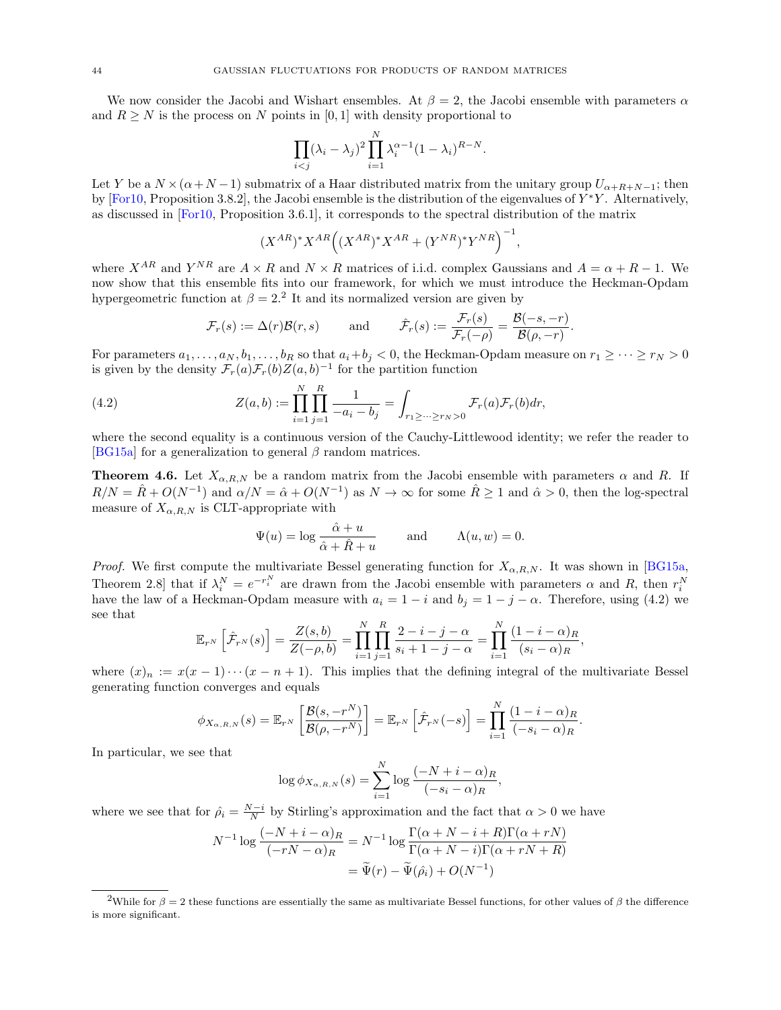We now consider the Jacobi and Wishart ensembles. At  $\beta = 2$ , the Jacobi ensemble with parameters  $\alpha$ and  $R \geq N$  is the process on N points in [0, 1] with density proportional to

$$
\prod_{i < j} (\lambda_i - \lambda_j)^2 \prod_{i=1}^N \lambda_i^{\alpha - 1} (1 - \lambda_i)^{R - N}.
$$

Let Y be a  $N \times (\alpha+N-1)$  submatrix of a Haar distributed matrix from the unitary group  $U_{\alpha+R+N-1}$ ; then by  $[For 10, Proposition 3.8.2],$  the Jacobi ensemble is the distribution of the eigenvalues of  $Y^*Y$ . Alternatively, as discussed in [\[For10,](#page-67-32) Proposition 3.6.1], it corresponds to the spectral distribution of the matrix

$$
(X^{AR})^* X^{AR} ((X^{AR})^* X^{AR} + (Y^{NR})^* Y^{NR})^{-1},
$$

where  $X^{AR}$  and  $Y^{NR}$  are  $A \times R$  and  $N \times R$  matrices of i.i.d. complex Gaussians and  $A = \alpha + R - 1$ . We now show that this ensemble fits into our framework, for which we must introduce the Heckman-Opdam hypergeometric function at  $\beta = 2$  $\beta = 2$ .<sup>2</sup> It and its normalized version are given by

<span id="page-43-1"></span>
$$
\mathcal{F}_r(s) := \Delta(r)\mathcal{B}(r,s)
$$
 and  $\hat{\mathcal{F}}_r(s) := \frac{\mathcal{F}_r(s)}{\mathcal{F}_r(-\rho)} = \frac{\mathcal{B}(-s,-r)}{\mathcal{B}(\rho,-r)}$ .

For parameters  $a_1, \ldots, a_N, b_1, \ldots, b_R$  so that  $a_i + b_j < 0$ , the Heckman-Opdam measure on  $r_1 \geq \cdots \geq r_N > 0$ is given by the density  $\mathcal{F}_r(a)\mathcal{F}_r(b)Z(a, b)^{-1}$  for the partition function

(4.2) 
$$
Z(a,b) := \prod_{i=1}^{N} \prod_{j=1}^{R} \frac{1}{-a_i - b_j} = \int_{r_1 \ge \dots \ge r_N > 0} \mathcal{F}_r(a) \mathcal{F}_r(b) dr,
$$

where the second equality is a continuous version of the Cauchy-Littlewood identity; we refer the reader to [\[BG15a\]](#page-66-17) for a generalization to general  $\beta$  random matrices.

<span id="page-43-2"></span>**Theorem 4.6.** Let  $X_{\alpha,R,N}$  be a random matrix from the Jacobi ensemble with parameters  $\alpha$  and R. If  $R/N = \hat{R} + O(N^{-1})$  and  $\alpha/N = \hat{\alpha} + O(N^{-1})$  as  $N \to \infty$  for some  $\hat{R} \ge 1$  and  $\hat{\alpha} > 0$ , then the log-spectral measure of  $X_{\alpha,R,N}$  is CLT-appropriate with

$$
\Psi(u) = \log \frac{\hat{\alpha} + u}{\hat{\alpha} + \hat{R} + u} \quad \text{and} \quad \Lambda(u, w) = 0.
$$

*Proof.* We first compute the multivariate Bessel generating function for  $X_{\alpha,R,N}$ . It was shown in [\[BG15a,](#page-66-17) Theorem 2.8 that if  $\lambda_i^N = e^{-r_i^N}$  are drawn from the Jacobi ensemble with parameters  $\alpha$  and R, then  $r_i^N$ have the law of a Heckman-Opdam measure with  $a_i = 1 - i$  and  $b_j = 1 - j - \alpha$ . Therefore, using [\(4.2\)](#page-43-1) we see that

$$
\mathbb{E}_{r^N}\left[\hat{\mathcal{F}}_{r^N}(s)\right] = \frac{Z(s,b)}{Z(-\rho,b)} = \prod_{i=1}^N \prod_{j=1}^R \frac{2-i-j-\alpha}{s_i+1-j-\alpha} = \prod_{i=1}^N \frac{(1-i-\alpha)_R}{(s_i-\alpha)_R},
$$

where  $(x)_n := x(x-1)\cdots(x-n+1)$ . This implies that the defining integral of the multivariate Bessel generating function converges and equals

$$
\phi_{X_{\alpha,R,N}}(s) = \mathbb{E}_{r^N} \left[ \frac{\mathcal{B}(s, -r^N)}{\mathcal{B}(\rho, -r^N)} \right] = \mathbb{E}_{r^N} \left[ \hat{\mathcal{F}}_{r^N}(-s) \right] = \prod_{i=1}^N \frac{(1 - i - \alpha)_R}{(-s_i - \alpha)_R}.
$$

In particular, we see that

$$
\log \phi_{X_{\alpha,R,N}}(s) = \sum_{i=1}^{N} \log \frac{(-N+i-\alpha)_R}{(-s_i-\alpha)_R},
$$

where we see that for  $\hat{\rho}_i = \frac{N-i}{N}$  by Stirling's approximation and the fact that  $\alpha > 0$  we have

$$
N^{-1} \log \frac{(-N+i-\alpha)_R}{(-rN-\alpha)_R} = N^{-1} \log \frac{\Gamma(\alpha+N-i+R)\Gamma(\alpha+rN)}{\Gamma(\alpha+N-i)\Gamma(\alpha+rN+R)}
$$

$$
= \widetilde{\Psi}(r) - \widetilde{\Psi}(\hat{\rho}_i) + O(N^{-1})
$$

<span id="page-43-0"></span><sup>&</sup>lt;sup>2</sup>While for  $\beta = 2$  these functions are essentially the same as multivariate Bessel functions, for other values of  $\beta$  the difference is more significant.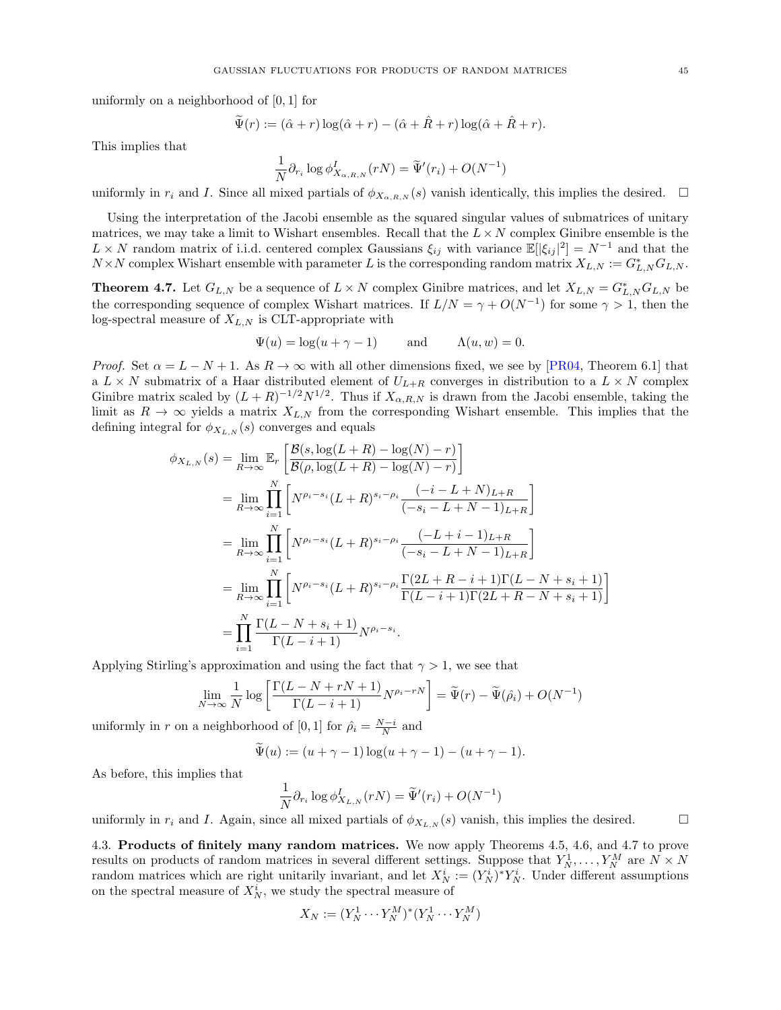uniformly on a neighborhood of [0, 1] for

$$
\widetilde{\Psi}(r) := (\hat{\alpha} + r) \log(\hat{\alpha} + r) - (\hat{\alpha} + \hat{R} + r) \log(\hat{\alpha} + \hat{R} + r).
$$

This implies that

$$
\frac{1}{N} \partial_{r_i} \log \phi_{X_{\alpha,R,N}}^I(rN) = \widetilde{\Psi}'(r_i) + O(N^{-1})
$$

uniformly in  $r_i$  and I. Since all mixed partials of  $\phi_{X_{\alpha,R,N}}(s)$  vanish identically, this implies the desired.  $\Box$ 

Using the interpretation of the Jacobi ensemble as the squared singular values of submatrices of unitary matrices, we may take a limit to Wishart ensembles. Recall that the  $L \times N$  complex Ginibre ensemble is the  $L \times N$  random matrix of i.i.d. centered complex Gaussians  $\xi_{ij}$  with variance  $\mathbb{E}[\xi_{ij}|^2] = N^{-1}$  and that the  $N \times N$  complex Wishart ensemble with parameter L is the corresponding random matrix  $X_{L,N} := G_{L,N}^* G_{L,N}$ .

<span id="page-44-1"></span>**Theorem 4.7.** Let  $G_{L,N}$  be a sequence of  $L \times N$  complex Ginibre matrices, and let  $X_{L,N} = G_{L,N}^* G_{L,N}$  be the corresponding sequence of complex Wishart matrices. If  $L/N = \gamma + O(N^{-1})$  for some  $\gamma > 1$ , then the log-spectral measure of  $X_{L,N}$  is CLT-appropriate with

$$
\Psi(u) = \log(u + \gamma - 1) \quad \text{and} \quad \Lambda(u, w) = 0.
$$

*Proof.* Set  $\alpha = L - N + 1$ . As  $R \to \infty$  with all other dimensions fixed, we see by [\[PR04,](#page-68-25) Theorem 6.1] that a  $L \times N$  submatrix of a Haar distributed element of  $U_{L+R}$  converges in distribution to a  $L \times N$  complex Ginibre matrix scaled by  $(L+R)^{-1/2}N^{1/2}$ . Thus if  $X_{\alpha,R,N}$  is drawn from the Jacobi ensemble, taking the limit as  $R \to \infty$  yields a matrix  $X_{L,N}$  from the corresponding Wishart ensemble. This implies that the defining integral for  $\phi_{X_{L,N}}(s)$  converges and equals

$$
\phi_{X_{L,N}}(s) = \lim_{R \to \infty} \mathbb{E}_r \left[ \frac{\mathcal{B}(s, \log(L+R) - \log(N) - r)}{\mathcal{B}(\rho, \log(L+R) - \log(N) - r)} \right]
$$
  
\n
$$
= \lim_{R \to \infty} \prod_{i=1}^{N} \left[ N^{\rho_i - s_i} (L+R)^{s_i - \rho_i} \frac{(-i - L + N)_{L+R}}{(-s_i - L + N - 1)_{L+R}} \right]
$$
  
\n
$$
= \lim_{R \to \infty} \prod_{i=1}^{N} \left[ N^{\rho_i - s_i} (L+R)^{s_i - \rho_i} \frac{(-L+i-1)_{L+R}}{(-s_i - L + N - 1)_{L+R}} \right]
$$
  
\n
$$
= \lim_{R \to \infty} \prod_{i=1}^{N} \left[ N^{\rho_i - s_i} (L+R)^{s_i - \rho_i} \frac{\Gamma(2L+R-i+1)\Gamma(L-N+s_i+1)}{\Gamma(L-i+1)\Gamma(2L+R-N+s_i+1)} \right]
$$
  
\n
$$
= \prod_{i=1}^{N} \frac{\Gamma(L-N+s_i+1)}{\Gamma(L-i+1)} N^{\rho_i - s_i}.
$$

Applying Stirling's approximation and using the fact that  $\gamma > 1$ , we see that

$$
\lim_{N \to \infty} \frac{1}{N} \log \left[ \frac{\Gamma(L - N + rN + 1)}{\Gamma(L - i + 1)} N^{\rho_i - rN} \right] = \widetilde{\Psi}(r) - \widetilde{\Psi}(\hat{\rho_i}) + O(N^{-1})
$$

uniformly in r on a neighborhood of [0, 1] for  $\hat{\rho}_i = \frac{N-i}{N}$  and

$$
\widetilde{\Psi}(u) := (u + \gamma - 1) \log(u + \gamma - 1) - (u + \gamma - 1).
$$

As before, this implies that

$$
\frac{1}{N}\partial_{r_i}\log\phi^I_{X_{L,N}}(rN)=\widetilde{\Psi}'(r_i)+O(N^{-1})
$$

uniformly in  $r_i$  and I. Again, since all mixed partials of  $\phi_{X_{L,N}}(s)$  vanish, this implies the desired.

<span id="page-44-0"></span>4.3. Products of finitely many random matrices. We now apply Theorems [4.5,](#page-42-0) [4.6,](#page-43-2) and [4.7](#page-44-1) to prove results on products of random matrices in several different settings. Suppose that  $Y_N^1, \ldots, Y_N^M$  are  $N \times N$ random matrices which are right unitarily invariant, and let  $X_N^i := (Y_N^i)^* Y_N^i$ . Under different assumptions on the spectral measure of  $X_N^i$ , we study the spectral measure of

$$
X_N := (Y_N^1 \cdots Y_N^M)^* (Y_N^1 \cdots Y_N^M)
$$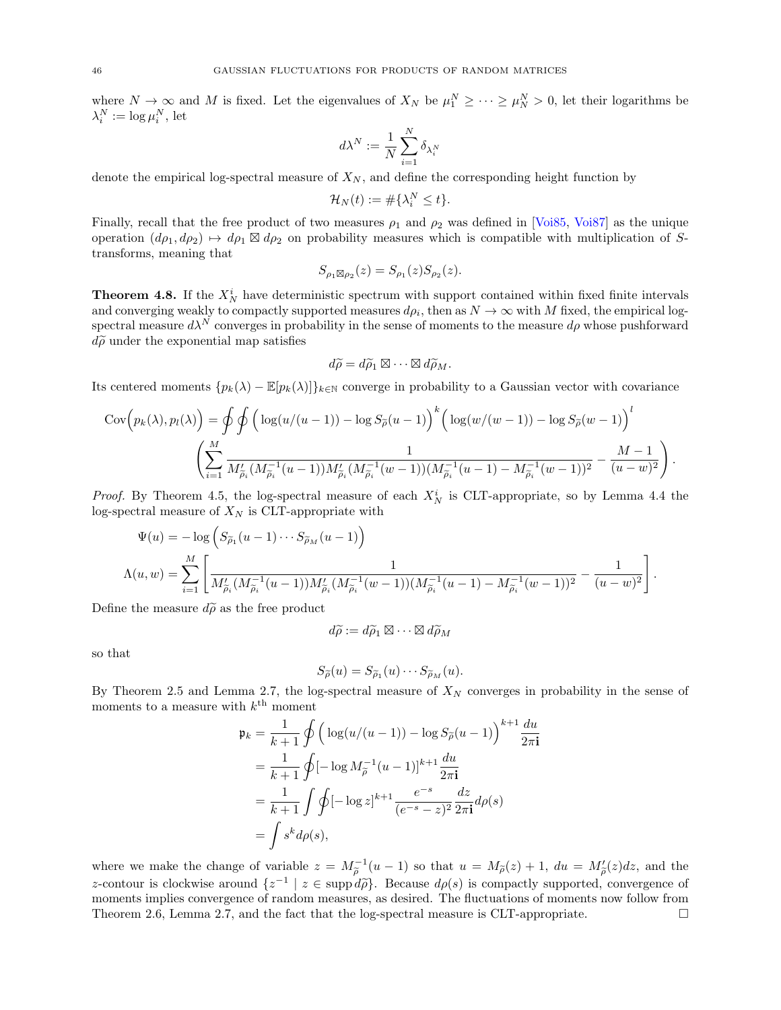where  $N \to \infty$  and M is fixed. Let the eigenvalues of  $X_N$  be  $\mu_1^N \geq \cdots \geq \mu_N^N > 0$ , let their logarithms be  $\lambda_i^N := \log \mu_i^N$ , let

$$
d\lambda^N:=\frac{1}{N}\sum_{i=1}^N\delta_{\lambda_i^N}
$$

denote the empirical log-spectral measure of  $X_N$ , and define the corresponding height function by

$$
\mathcal{H}_N(t) := \#\{\lambda_i^N \le t\}.
$$

Finally, recall that the free product of two measures  $\rho_1$  and  $\rho_2$  was defined in [\[Voi85,](#page-68-26) [Voi87\]](#page-68-7) as the unique operation  $(d\rho_1, d\rho_2) \rightarrow d\rho_1 \boxtimes d\rho_2$  on probability measures which is compatible with multiplication of Stransforms, meaning that

$$
S_{\rho_1 \boxtimes \rho_2}(z) = S_{\rho_1}(z) S_{\rho_2}(z).
$$

<span id="page-45-0"></span>**Theorem 4.8.** If the  $X_N^i$  have deterministic spectrum with support contained within fixed finite intervals and converging weakly to compactly supported measures  $d\rho_i$ , then as  $N \to \infty$  with M fixed, the empirical logspectral measure  $d\lambda^N$  converges in probability in the sense of moments to the measure  $d\rho$  whose pushforward  $d\widetilde{\rho}$  under the exponential map satisfies

$$
d\widetilde{\rho} = d\widetilde{\rho}_1 \boxtimes \cdots \boxtimes d\widetilde{\rho}_M.
$$

Its centered moments  ${p_k(\lambda) - \mathbb{E}[p_k(\lambda)]}_{k \in \mathbb{N}}$  converge in probability to a Gaussian vector with covariance

$$
Cov(p_k(\lambda), p_l(\lambda)) = \oint \oint \left( \log(u/(u-1)) - \log S_{\tilde{\rho}}(u-1) \right)^k \left( \log(w/(w-1)) - \log S_{\tilde{\rho}}(w-1) \right)^l
$$

$$
\left( \sum_{i=1}^M \frac{1}{M'_{\tilde{\rho}_i} (M_{\tilde{\rho}_i}^{-1}(u-1)) M'_{\tilde{\rho}_i} (M_{\tilde{\rho}_i}^{-1}(w-1)) (M_{\tilde{\rho}_i}^{-1}(u-1) - M_{\tilde{\rho}_i}^{-1}(w-1))^2} - \frac{M-1}{(u-w)^2} \right).
$$

*Proof.* By Theorem [4.5,](#page-42-0) the log-spectral measure of each  $X_N^i$  is CLT-appropriate, so by Lemma [4.4](#page-42-1) the log-spectral measure of  $X_N$  is CLT-appropriate with

$$
\Psi(u) = -\log\left(S_{\tilde{\rho}_1}(u-1)\cdots S_{\tilde{\rho}_M}(u-1)\right)
$$
  
\n
$$
\Lambda(u, w) = \sum_{i=1}^M \left[\frac{1}{M'_{\tilde{\rho}_i}(M_{\tilde{\rho}_i}^{-1}(u-1))M'_{\tilde{\rho}_i}(M_{\tilde{\rho}_i}^{-1}(w-1))(M_{\tilde{\rho}_i}^{-1}(u-1)-M_{\tilde{\rho}_i}^{-1}(w-1))^2} - \frac{1}{(u-w)^2}\right].
$$

Define the measure  $d\tilde{\rho}$  as the free product

$$
d\widetilde{\rho} := d\widetilde{\rho}_1 \boxtimes \cdots \boxtimes d\widetilde{\rho}_M
$$

so that

$$
S_{\widetilde{\rho}}(u) = S_{\widetilde{\rho}_1}(u) \cdots S_{\widetilde{\rho}_M}(u).
$$

By Theorem [2.5](#page-10-1) and Lemma [2.7,](#page-11-3) the log-spectral measure of  $X_N$  converges in probability in the sense of moments to a measure with  $k^{\text{th}}$  moment

$$
\mathfrak{p}_k = \frac{1}{k+1} \oint \left( \log(u/(u-1)) - \log S_{\tilde{\rho}}(u-1) \right)^{k+1} \frac{du}{2\pi \mathbf{i}}
$$
  
=  $\frac{1}{k+1} \oint [-\log M_{\tilde{\rho}}^{-1} (u-1)]^{k+1} \frac{du}{2\pi \mathbf{i}}$   
=  $\frac{1}{k+1} \int \oint [-\log z]^{k+1} \frac{e^{-s}}{(e^{-s} - z)^2} \frac{dz}{2\pi \mathbf{i}} d\rho(s)$   
=  $\int s^k d\rho(s),$ 

where we make the change of variable  $z = M_{\tilde{\rho}}^{-1}(u-1)$  so that  $u = M_{\tilde{\rho}}(z) + 1$ ,  $du = M'_{\tilde{\rho}}(z)dz$ , and the  $\tilde{\rho}$  (a - 1) so that  $a = M\rho(z) + 1$ ,  $aa = M\rho(\tilde{\rho})$ z-contour is clockwise around  $\{z^{-1} \mid z \in \text{supp } d\tilde{\rho}\}$ . Because  $d\rho(s)$  is compactly supported, convergence of moments implies convergence of random measures, as desired. The fluctuations of moments now follow from Theorem [2.6,](#page-11-1) Lemma [2.7,](#page-11-3) and the fact that the log-spectral measure is CLT-appropriate.  $\square$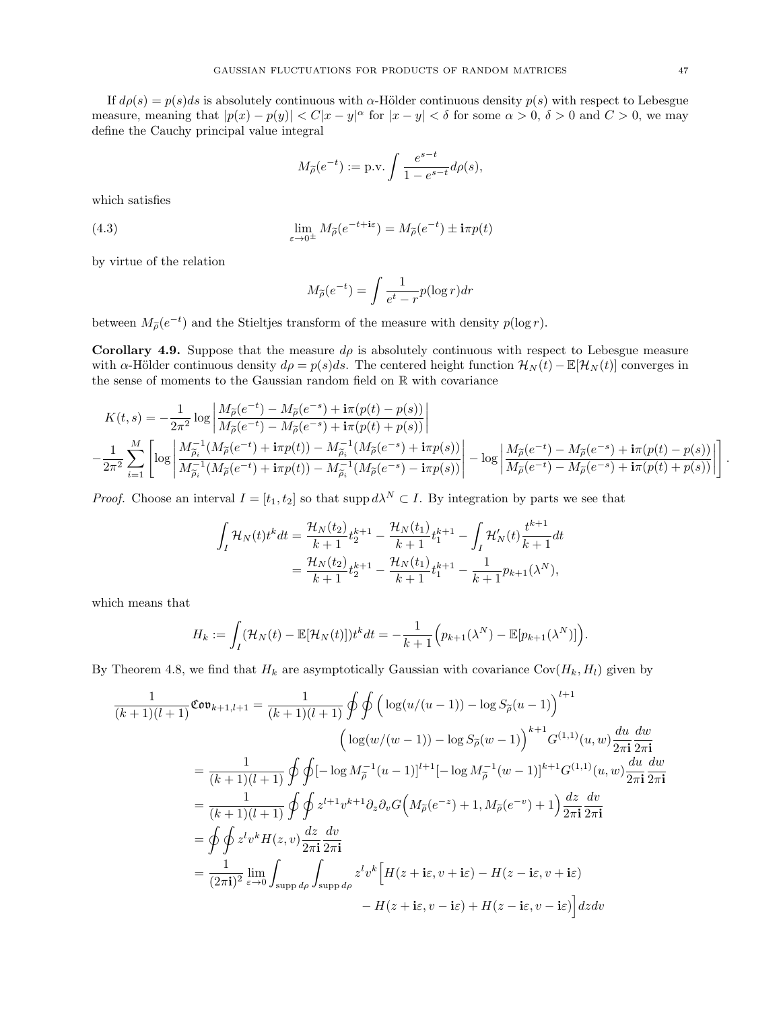If  $d\rho(s) = p(s)ds$  is absolutely continuous with  $\alpha$ -Hölder continuous density  $p(s)$  with respect to Lebesgue measure, meaning that  $|p(x) - p(y)| < C|x - y|^{\alpha}$  for  $|x - y| < \delta$  for some  $\alpha > 0$ ,  $\delta > 0$  and  $C > 0$ , we may define the Cauchy principal value integral

$$
M_{\widetilde{\rho}}(e^{-t}) := \text{p.v.} \int \frac{e^{s-t}}{1 - e^{s-t}} d\rho(s),
$$

which satisfies

(4.3) 
$$
\lim_{\varepsilon \to 0^{\pm}} M_{\tilde{\rho}}(e^{-t + i\varepsilon}) = M_{\tilde{\rho}}(e^{-t}) \pm i\pi p(t)
$$

by virtue of the relation

<span id="page-46-1"></span>
$$
M_{\widetilde{\rho}}(e^{-t}) = \int \frac{1}{e^t - r} p(\log r) dr
$$

between  $M_{\tilde{\rho}}(e^{-t})$  and the Stieltjes transform of the measure with density  $p(\log r)$ .

<span id="page-46-0"></span>Corollary 4.9. Suppose that the measure  $d\rho$  is absolutely continuous with respect to Lebesgue measure with  $\alpha$ -Hölder continuous density  $d\rho = p(s)ds$ . The centered height function  $\mathcal{H}_N(t) - \mathbb{E}[\mathcal{H}_N(t)]$  converges in the sense of moments to the Gaussian random field on R with covariance

$$
K(t,s) = -\frac{1}{2\pi^2} \log \left| \frac{M_{\widetilde{\rho}}(e^{-t}) - M_{\widetilde{\rho}}(e^{-s}) + \mathbf{i}\pi(p(t) - p(s))}{M_{\widetilde{\rho}}(e^{-t}) - M_{\widetilde{\rho}}(e^{-s}) + \mathbf{i}\pi(p(t) + p(s))} \right|
$$
  

$$
-\frac{1}{2\pi^2} \sum_{i=1}^M \left[ \log \left| \frac{M_{\widetilde{\rho}_i}^{-1}(M_{\widetilde{\rho}}(e^{-t}) + \mathbf{i}\pi p(t)) - M_{\widetilde{\rho}_i}^{-1}(M_{\widetilde{\rho}}(e^{-s}) + \mathbf{i}\pi p(s))}{M_{\widetilde{\rho}_i}^{-1}(M_{\widetilde{\rho}}(e^{-t}) + \mathbf{i}\pi p(t)) - M_{\widetilde{\rho}_i}^{-1}(M_{\widetilde{\rho}}(e^{-s}) - \mathbf{i}\pi p(s))} \right| - \log \left| \frac{M_{\widetilde{\rho}}(e^{-t}) - M_{\widetilde{\rho}}(e^{-s}) + \mathbf{i}\pi(p(t) - p(s))}{M_{\widetilde{\rho}}(e^{-t}) - M_{\widetilde{\rho}}(e^{-s}) + \mathbf{i}\pi(p(t) + p(s))} \right| \right]
$$

*Proof.* Choose an interval  $I = [t_1, t_2]$  so that supp  $d\lambda^N \subset I$ . By integration by parts we see that

$$
\int_{I} \mathcal{H}_{N}(t)t^{k}dt = \frac{\mathcal{H}_{N}(t_{2})}{k+1}t_{2}^{k+1} - \frac{\mathcal{H}_{N}(t_{1})}{k+1}t_{1}^{k+1} - \int_{I} \mathcal{H}'_{N}(t)\frac{t^{k+1}}{k+1}dt
$$
\n
$$
= \frac{\mathcal{H}_{N}(t_{2})}{k+1}t_{2}^{k+1} - \frac{\mathcal{H}_{N}(t_{1})}{k+1}t_{1}^{k+1} - \frac{1}{k+1}p_{k+1}(\lambda^{N}),
$$

which means that

$$
H_k := \int_I (\mathcal{H}_N(t) - \mathbb{E}[\mathcal{H}_N(t)]) t^k dt = -\frac{1}{k+1} \Big( p_{k+1}(\lambda^N) - \mathbb{E}[p_{k+1}(\lambda^N)] \Big).
$$

By Theorem [4.8,](#page-45-0) we find that  $H_k$  are asymptotically Gaussian with covariance  $Cov(H_k, H_l)$  given by

$$
\frac{1}{(k+1)(l+1)} \mathfrak{Cov}_{k+1,l+1} = \frac{1}{(k+1)(l+1)} \oint \oint \left( \log(u/(u-1)) - \log S_{\tilde{\rho}}(u-1) \right)^{l+1} \n\left( \log(w/(w-1)) - \log S_{\tilde{\rho}}(w-1) \right)^{k+1} G^{(1,1)}(u,w) \frac{du}{2\pi \mathbf{i}} \frac{dw}{2\pi \mathbf{i}} \n= \frac{1}{(k+1)(l+1)} \oint \oint [-\log M_{\tilde{\rho}}^{-1}(u-1)]^{l+1} [-\log M_{\tilde{\rho}}^{-1}(w-1)]^{k+1} G^{(1,1)}(u,w) \frac{du}{2\pi \mathbf{i}} \frac{dw}{2\pi \mathbf{i}} \n= \frac{1}{(k+1)(l+1)} \oint \oint z^{l+1} v^{k+1} \partial_z \partial_v G \left( M_{\tilde{\rho}}(e^{-z}) + 1, M_{\tilde{\rho}}(e^{-v}) + 1 \right) \frac{dz}{2\pi \mathbf{i}} \frac{dv}{2\pi \mathbf{i}} \n= \oint \oint z^l v^k H(z,v) \frac{dz}{2\pi \mathbf{i}} \frac{dv}{2\pi \mathbf{i}} \n= \frac{1}{(2\pi \mathbf{i})^2} \lim_{\varepsilon \to 0} \int_{\text{supp } d\rho} \int_{\text{supp } d\rho} z^l v^k \left[ H(z + \mathbf{i}\varepsilon, v + \mathbf{i}\varepsilon) - H(z - \mathbf{i}\varepsilon, v + \mathbf{i}\varepsilon) \right] dz dv \n= H(z + \mathbf{i}\varepsilon, v - \mathbf{i}\varepsilon) + H(z - \mathbf{i}\varepsilon, v - \mathbf{i}\varepsilon) \Big| dz dv
$$

.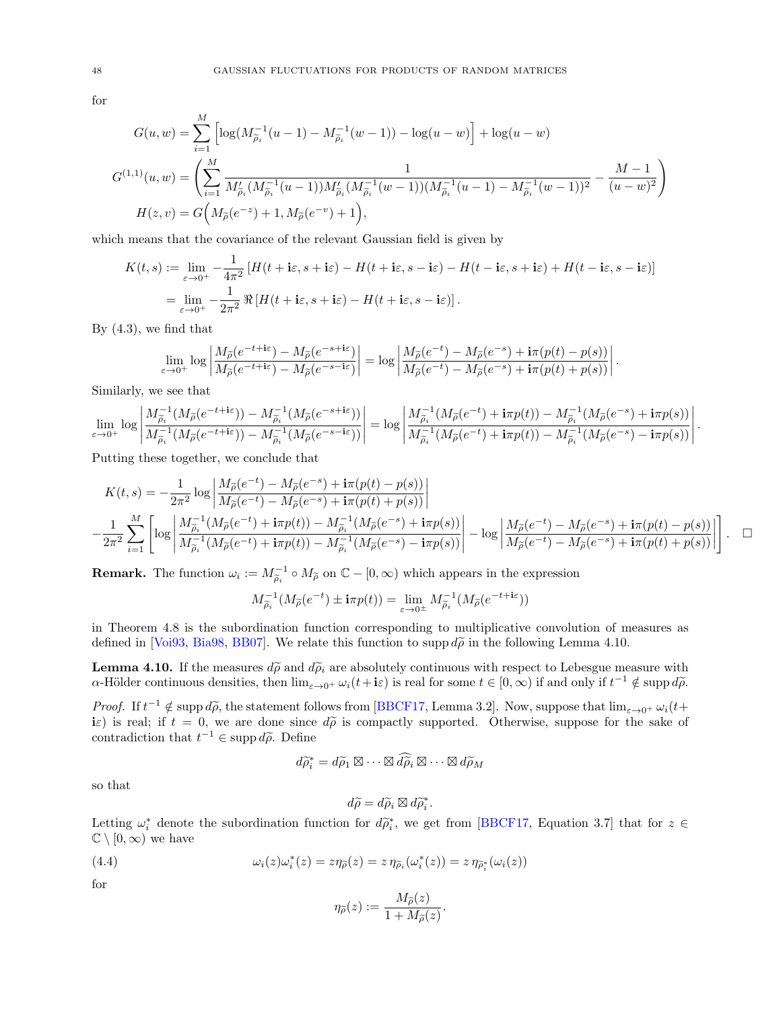for

$$
G(u, w) = \sum_{i=1}^{M} \left[ \log(M_{\tilde{\rho}_{i}}^{-1}(u-1) - M_{\tilde{\rho}_{i}}^{-1}(w-1)) - \log(u-w) \right] + \log(u-w)
$$
  

$$
G^{(1,1)}(u, w) = \left( \sum_{i=1}^{M} \frac{1}{M_{\tilde{\rho}_{i}}'(M_{\tilde{\rho}_{i}}^{-1}(u-1))M_{\tilde{\rho}_{i}}'(M_{\tilde{\rho}_{i}}^{-1}(w-1))(M_{\tilde{\rho}_{i}}^{-1}(u-1) - M_{\tilde{\rho}_{i}}^{-1}(w-1))^2} - \frac{M-1}{(u-w)^2} \right)
$$
  

$$
H(z, v) = G\Big(M_{\tilde{\rho}}(e^{-z}) + 1, M_{\tilde{\rho}}(e^{-v}) + 1\Big),
$$

which means that the covariance of the relevant Gaussian field is given by

$$
K(t,s) := \lim_{\varepsilon \to 0^+} -\frac{1}{4\pi^2} \left[ H(t + \mathbf{i}\varepsilon, s + \mathbf{i}\varepsilon) - H(t + \mathbf{i}\varepsilon, s - \mathbf{i}\varepsilon) - H(t - \mathbf{i}\varepsilon, s + \mathbf{i}\varepsilon) + H(t - \mathbf{i}\varepsilon, s - \mathbf{i}\varepsilon) \right]
$$
  
= 
$$
\lim_{\varepsilon \to 0^+} -\frac{1}{2\pi^2} \Re \left[ H(t + \mathbf{i}\varepsilon, s + \mathbf{i}\varepsilon) - H(t + \mathbf{i}\varepsilon, s - \mathbf{i}\varepsilon) \right].
$$

By [\(4.3\)](#page-46-1), we find that

$$
\lim_{\varepsilon\to0^+}\log\left|\frac{M_{\widetilde{\rho}}(e^{-t+\mathrm{i}\varepsilon})-M_{\widetilde{\rho}}(e^{-s+\mathrm{i}\varepsilon})}{M_{\widetilde{\rho}}(e^{-t+\mathrm{i}\varepsilon})-M_{\widetilde{\rho}}(e^{-s-\mathrm{i}\varepsilon})}\right|=\log\left|\frac{M_{\widetilde{\rho}}(e^{-t})-M_{\widetilde{\rho}}(e^{-s})+\mathrm{i}\pi(p(t)-p(s))}{M_{\widetilde{\rho}}(e^{-t})-M_{\widetilde{\rho}}(e^{-s})+\mathrm{i}\pi(p(t)+p(s))}\right|
$$

Similarly, we see that

$$
\lim_{\varepsilon\to 0^+}\log\left|\frac{M_{\widetilde{\rho}_{i}}^{-1}(M_{\widetilde{\rho}}(e^{-t+\mathbf{i}\varepsilon}))-M_{\widetilde{\rho}_{i}}^{-1}(M_{\widetilde{\rho}}(e^{-s+\mathbf{i}\varepsilon}))}{M_{\widetilde{\rho}_{i}}^{-1}(M_{\widetilde{\rho}}(e^{-t+\mathbf{i}\varepsilon}))-M_{\widetilde{\rho}_{i}}^{-1}(M_{\widetilde{\rho}}(e^{-s-\mathbf{i}\varepsilon}))}\right|= \log\left|\frac{M_{\widetilde{\rho}_{i}}^{-1}(M_{\widetilde{\rho}}(e^{-t})+\mathbf{i}\pi p(t))-M_{\widetilde{\rho}_{i}}^{-1}(M_{\widetilde{\rho}}(e^{-s})+\mathbf{i}\pi p(s))}{M_{\widetilde{\rho}_{i}}^{-1}(M_{\widetilde{\rho}}(e^{-t})+\mathbf{i}\pi p(t))-M_{\widetilde{\rho}_{i}}^{-1}(M_{\widetilde{\rho}}(e^{-s})-\mathbf{i}\pi p(s))}\right|.
$$

Putting these together, we conclude that

$$
\begin{split} &K(t,s)=-\frac{1}{2\pi^2}\log\left|\frac{M_{\widetilde{\rho}}(e^{-t})-M_{\widetilde{\rho}}(e^{-s})+\mathbf{i}\pi(p(t)-p(s))}{M_{\widetilde{\rho}}(e^{-t})-M_{\widetilde{\rho}}(e^{-s})+\mathbf{i}\pi(p(t)+p(s))}\right|\right.\\ &\left.-\frac{1}{2\pi^2}\sum_{i=1}^M\left[\log\left|\frac{M_{\widetilde{\rho}_i}^{-1}(M_{\widetilde{\rho}}(e^{-t})+\mathbf{i}\pi p(t))-M_{\widetilde{\rho}_i}^{-1}(M_{\widetilde{\rho}}(e^{-s})+\mathbf{i}\pi p(s))}{M_{\widetilde{\rho}_i}^{-1}(M_{\widetilde{\rho}}(e^{-t})+\mathbf{i}\pi p(t))-M_{\widetilde{\rho}_i}^{-1}(M_{\widetilde{\rho}}(e^{-s})-\mathbf{i}\pi p(s))}\right|-\log\left|\frac{M_{\widetilde{\rho}}(e^{-t})-M_{\widetilde{\rho}}(e^{-s})+\mathbf{i}\pi(p(t)-p(s))}{M_{\widetilde{\rho}}(e^{-t})-M_{\widetilde{\rho}}(e^{-s})+\mathbf{i}\pi(p(t)+p(s))}\right|\right]. \end{split}
$$

.

**Remark.** The function  $\omega_i := M_{\tilde{\rho}_i}^{-1} \circ M_{\tilde{\rho}}$  on  $\mathbb{C} - [0, \infty)$  which appears in the expression

$$
M_{\widetilde{\rho}_i}^{-1}(M_{\widetilde{\rho}}(e^{-t}) \pm \mathbf{i}\pi p(t)) = \lim_{\varepsilon \to 0^{\pm}} M_{\widetilde{\rho}_i}^{-1}(M_{\widetilde{\rho}}(e^{-t + \mathbf{i}\varepsilon}))
$$

in Theorem [4.8](#page-45-0) is the subordination function corresponding to multiplicative convolution of measures as defined in [\[Voi93,](#page-68-27) [Bia98,](#page-66-28) [BB07\]](#page-66-29). We relate this function to supp  $d\tilde{\rho}$  in the following Lemma [4.10.](#page-47-0)

<span id="page-47-0"></span>**Lemma 4.10.** If the measures  $d\tilde{\rho}$  and  $d\tilde{\rho}_i$  are absolutely continuous with respect to Lebesgue measure with  $\alpha$ -Hölder continuous densities, then  $\lim_{\varepsilon \to 0^+} \omega_i(t + i\varepsilon)$  is real for some  $t \in [0, \infty)$  if and only if  $t^{-1} \notin \text{supp } d\tilde{\rho}$ .

Proof. If  $t^{-1} \notin \text{supp } d\tilde{\rho}$ , the statement follows from [\[BBCF17,](#page-66-30) Lemma 3.2]. Now, suppose that  $\lim_{\varepsilon \to 0^+} \omega_i(t+\varepsilon)$ iε) is real; if  $t = 0$ , we are done since  $d\tilde{\rho}$  is compactly supported. Otherwise, suppose for the sake of contradiction that  $t^{-1} \in \text{supp } d\tilde{\rho}$ . Define

$$
d\widetilde{\rho}_i^* = d\widetilde{\rho}_1 \boxtimes \cdots \boxtimes d\widetilde{\rho}_i \boxtimes \cdots \boxtimes d\widetilde{\rho}_M
$$

so that

$$
d\widetilde{\rho} = d\widetilde{\rho}_i \boxtimes d\widetilde{\rho}_i^*.
$$

Letting  $\omega_i^*$  denote the subordination function for  $d\tilde{\rho}_i^*$ , we get from [\[BBCF17,](#page-66-30) Equation 3.7] that for  $z \in \mathbb{C} \setminus [0, \infty)$  are here  $\mathbb{C} \setminus [0,\infty)$  we have

(4.4) 
$$
\omega_i(z)\omega_i^*(z) = z\eta_{\widetilde{\rho}}(z) = z\eta_{\widetilde{\rho}_i}(\omega_i^*(z)) = z\eta_{\widetilde{\rho}_i^*}(\omega_i(z))
$$

for

<span id="page-47-1"></span>
$$
\eta_{\widetilde{\rho}}(z) := \frac{M_{\widetilde{\rho}}(z)}{1 + M_{\widetilde{\rho}}(z)}.
$$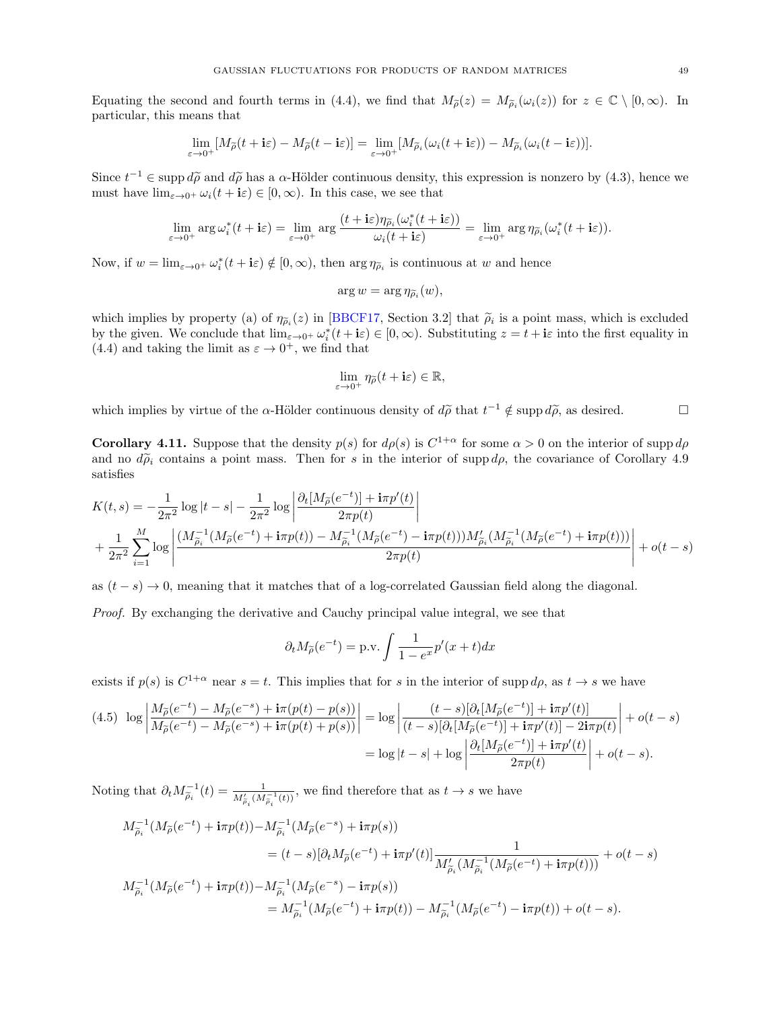Equating the second and fourth terms in [\(4.4\)](#page-47-1), we find that  $M_{\tilde{\rho}}(z) = M_{\tilde{\rho}_i}(\omega_i(z))$  for  $z \in \mathbb{C} \setminus [0, \infty)$ . In particular, this means that

$$
\lim_{\varepsilon \to 0^+} [M_{\widetilde{\rho}}(t + i\varepsilon) - M_{\widetilde{\rho}}(t - i\varepsilon)] = \lim_{\varepsilon \to 0^+} [M_{\widetilde{\rho}_i}(\omega_i(t + i\varepsilon)) - M_{\widetilde{\rho}_i}(\omega_i(t - i\varepsilon))].
$$

Since  $t^{-1} \in \text{supp } d\tilde{\rho}$  and  $d\tilde{\rho}$  has a  $\alpha$ -Hölder continuous density, this expression is nonzero by [\(4.3\)](#page-46-1), hence we must have  $\lim_{\varepsilon\to 0^+}\omega_i(t+\mathbf{i}\varepsilon)\in [0,\infty)$ . In this case, we see that

$$
\lim_{\varepsilon \to 0^+} \arg \omega_i^*(t + i\varepsilon) = \lim_{\varepsilon \to 0^+} \arg \frac{(t + i\varepsilon)\eta_{\widetilde{\rho}_i}(\omega_i^*(t + i\varepsilon))}{\omega_i(t + i\varepsilon)} = \lim_{\varepsilon \to 0^+} \arg \eta_{\widetilde{\rho}_i}(\omega_i^*(t + i\varepsilon)).
$$

Now, if  $w = \lim_{\varepsilon \to 0^+} \omega_i^*(t + i\varepsilon) \notin [0, \infty)$ , then  $\arg \eta_{\tilde{\rho}_i}$  is continuous at w and hence

$$
\arg w = \arg \eta_{\widetilde{\rho}_i}(w),
$$

which implies by property (a) of  $\eta_{\tilde{\rho}_i}(z)$  in [\[BBCF17,](#page-66-30) Section 3.2] that  $\tilde{\rho}_i$  is a point mass, which is excluded<br>that he given We conclude that line  $\chi^*(t+1) \in [0, \infty)$ . Substituting we at the intertal function by the given. We conclude that  $\lim_{\varepsilon\to 0^+} \omega_i^*(t+\mathbf{i}\varepsilon) \in [0,\infty)$ . Substituting  $z = t + \mathbf{i}\varepsilon$  into the first equality in [\(4.4\)](#page-47-1) and taking the limit as  $\varepsilon \to 0^+$ , we find that

$$
\lim_{\varepsilon \to 0^+} \eta_{\widetilde{\rho}}(t + i\varepsilon) \in \mathbb{R},
$$

which implies by virtue of the  $\alpha$ -Hölder continuous density of  $d\tilde{\rho}$  that  $t^{-1} \notin \text{supp } d\tilde{\rho}$ , as desired.

<span id="page-48-0"></span>**Corollary 4.11.** Suppose that the density  $p(s)$  for  $d\rho(s)$  is  $C^{1+\alpha}$  for some  $\alpha > 0$  on the interior of supp  $d\rho$ and no  $d\tilde{\rho}_i$  contains a point mass. Then for s in the interior of supp  $d\rho$ , the covariance of Corollary [4.9](#page-46-0) satisfies

$$
\begin{split} &K(t,s)=-\frac{1}{2\pi^2}\log|t-s|-\frac{1}{2\pi^2}\log\left|\frac{\partial_t[M_{\widetilde{\rho}}(e^{-t})]+\mathrm{i}\pi p'(t)}{2\pi p(t)}\right|\\ &+\frac{1}{2\pi^2}\sum_{i=1}^M\log\left|\frac{(M_{\widetilde{\rho}_i}^{-1}(M_{\widetilde{\rho}}(e^{-t})+\mathrm{i}\pi p(t))-M_{\widetilde{\rho}_i}^{-1}(M_{\widetilde{\rho}}(e^{-t})-\mathrm{i}\pi p(t)))M_{\widetilde{\rho}_i}'(M_{\widetilde{\rho}_i}^{-1}(M_{\widetilde{\rho}}(e^{-t})+\mathrm{i}\pi p(t)))}{2\pi p(t)}\right|+o(t-s) \end{split}
$$

as  $(t - s) \rightarrow 0$ , meaning that it matches that of a log-correlated Gaussian field along the diagonal.

Proof. By exchanging the derivative and Cauchy principal value integral, we see that

$$
\partial_t M_{\widetilde{\rho}}(e^{-t}) = \text{p.v.} \int \frac{1}{1 - e^x} p'(x + t) dx
$$

exists if  $p(s)$  is  $C^{1+\alpha}$  near  $s = t$ . This implies that for s in the interior of supp  $d\rho$ , as  $t \to s$  we have

<span id="page-48-1"></span>
$$
(4.5) \quad \log \left| \frac{M_{\widetilde{\rho}}(e^{-t}) - M_{\widetilde{\rho}}(e^{-s}) + i\pi(p(t) - p(s))}{M_{\widetilde{\rho}}(e^{-t}) - M_{\widetilde{\rho}}(e^{-s}) + i\pi(p(t) + p(s))} \right| = \log \left| \frac{(t - s)[\partial_t[M_{\widetilde{\rho}}(e^{-t})] + i\pi p'(t)]}{(t - s)[\partial_t[M_{\widetilde{\rho}}(e^{-t})] + i\pi p'(t)] - 2i\pi p(t)} \right| + o(t - s)
$$

$$
= \log |t - s| + \log \left| \frac{\partial_t[M_{\widetilde{\rho}}(e^{-t})] + i\pi p'(t)}{2\pi p(t)} \right| + o(t - s).
$$

Noting that  $\partial_t M_{\tilde{\rho}_i}^{-1}(t) = \frac{1}{M'_{\tilde{\rho}_i}(M_{\tilde{\rho}_i}^{-1}(t))}$ , we find therefore that as  $t \to s$  we have

$$
\begin{split} M_{\tilde{\rho}_{i}}^{-1}(M_{\tilde{\rho}}(e^{-t})+\text{i}\pi p(t))-M_{\tilde{\rho}_{i}}^{-1}(M_{\tilde{\rho}}(e^{-s})+\text{i}\pi p(s)) \\ &=(t-s)[\partial_{t}M_{\tilde{\rho}}(e^{-t})+\text{i}\pi p'(t)]\frac{1}{M_{\tilde{\rho}_{i}}'(M_{\tilde{\rho}_{i}}^{-1}(M_{\tilde{\rho}}(e^{-t})+\text{i}\pi p(t)))}+o(t-s) \\ M_{\tilde{\rho}_{i}}^{-1}(M_{\tilde{\rho}}(e^{-t})+\text{i}\pi p(t))-M_{\tilde{\rho}_{i}}^{-1}(M_{\tilde{\rho}}(e^{-s})-\text{i}\pi p(s)) \\ & =M_{\tilde{\rho}_{i}}^{-1}(M_{\tilde{\rho}}(e^{-t})+\text{i}\pi p(t))-M_{\tilde{\rho}_{i}}^{-1}(M_{\tilde{\rho}}(e^{-t})-\text{i}\pi p(t))+o(t-s). \end{split}
$$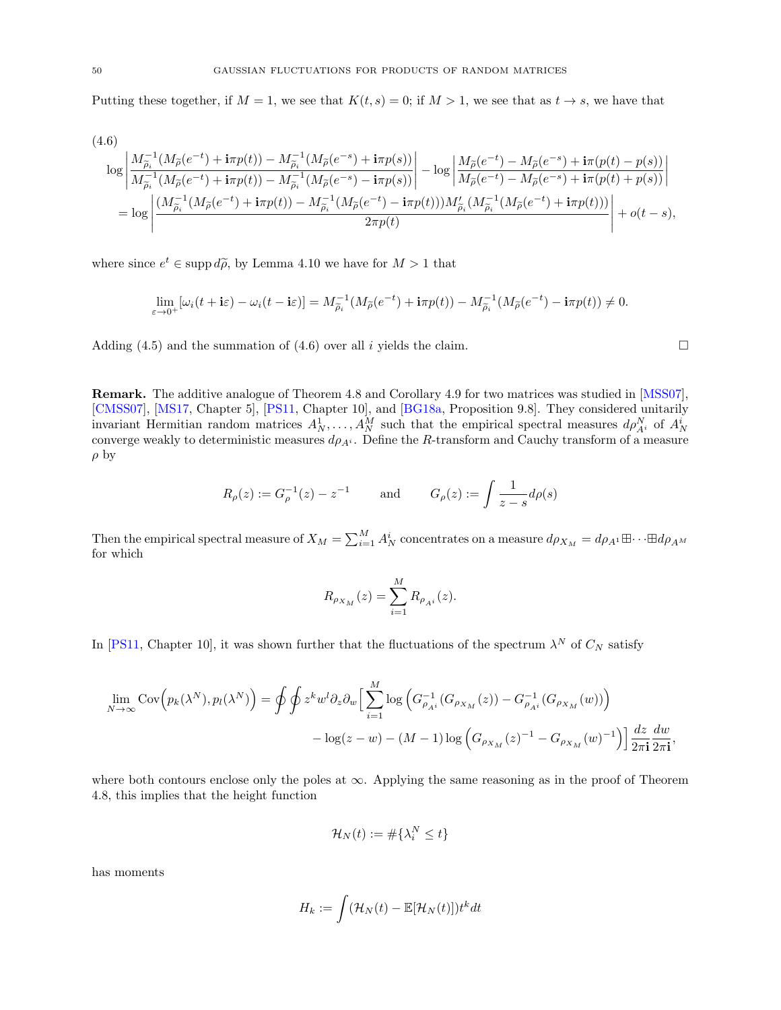Putting these together, if  $M = 1$ , we see that  $K(t, s) = 0$ ; if  $M > 1$ , we see that as  $t \to s$ , we have that

<span id="page-49-0"></span>
$$
(4.6)
$$
\n
$$
\log \left| \frac{M_{\tilde{\rho}_{i}}^{-1}(M_{\tilde{\rho}}(e^{-t}) + i\pi p(t)) - M_{\tilde{\rho}_{i}}^{-1}(M_{\tilde{\rho}}(e^{-s}) + i\pi p(s))}{M_{\tilde{\rho}_{i}}^{-1}(M_{\tilde{\rho}}(e^{-t}) + i\pi p(t)) - M_{\tilde{\rho}_{i}}^{-1}(M_{\tilde{\rho}}(e^{-s}) - i\pi p(s))} \right| - \log \left| \frac{M_{\tilde{\rho}}(e^{-t}) - M_{\tilde{\rho}}(e^{-s}) + i\pi (p(t) - p(s))}{M_{\tilde{\rho}}(e^{-t}) - M_{\tilde{\rho}}(e^{-s}) + i\pi (p(t) + p(s))} \right|
$$
\n
$$
= \log \left| \frac{(M_{\tilde{\rho}_{i}}^{-1}(M_{\tilde{\rho}}(e^{-t}) + i\pi p(t)) - M_{\tilde{\rho}_{i}}^{-1}(M_{\tilde{\rho}}(e^{-t}) - i\pi p(t)))M_{\tilde{\rho}_{i}}'(M_{\tilde{\rho}_{i}}^{-1}(M_{\tilde{\rho}}(e^{-t}) + i\pi p(t)))}{2\pi p(t)} \right| + o(t - s),
$$

where since  $e^t \in \text{supp } d\tilde{\rho}$ , by Lemma [4.10](#page-47-0) we have for  $M > 1$  that

$$
\lim_{\varepsilon \to 0^+} [\omega_i(t + i\varepsilon) - \omega_i(t - i\varepsilon)] = M_{\widetilde{\rho}_i}^{-1} (M_{\widetilde{\rho}}(e^{-t}) + i\pi p(t)) - M_{\widetilde{\rho}_i}^{-1} (M_{\widetilde{\rho}}(e^{-t}) - i\pi p(t)) \neq 0.
$$

Adding [\(4.5\)](#page-48-1) and the summation of [\(4.6\)](#page-49-0) over all i yields the claim.

Remark. The additive analogue of Theorem [4.8](#page-45-0) and Corollary [4.9](#page-46-0) for two matrices was studied in [\[MSS07\]](#page-68-18), [\[CMSS07\]](#page-66-5), [\[MS17,](#page-68-19) Chapter 5], [\[PS11,](#page-68-16) Chapter 10], and [\[BG18a,](#page-66-10) Proposition 9.8]. They considered unitarily invariant Hermitian random matrices  $A_N^1, \ldots, A_N^M$  such that the empirical spectral measures  $d\rho_{A^i}^N$  of  $A_N^i$  converge weakly to deterministic measures  $d\rho_{A^i}$ . Define the R-transform and Cauchy transform of a m  $\rho$  by

$$
R_{\rho}(z) := G_{\rho}^{-1}(z) - z^{-1}
$$
 and  $G_{\rho}(z) := \int \frac{1}{z - s} d\rho(s)$ 

Then the empirical spectral measure of  $X_M = \sum_{i=1}^M A_N^i$  concentrates on a measure  $d\rho_{X_M} = d\rho_{A^1} \boxplus \cdots \boxplus d\rho_{A^M}$ for which

$$
R_{\rho_{X_M}}(z) = \sum_{i=1}^{M} R_{\rho_{A^i}}(z).
$$

In [\[PS11,](#page-68-16) Chapter 10], it was shown further that the fluctuations of the spectrum  $\lambda^N$  of  $C_N$  satisfy

$$
\lim_{N \to \infty} \text{Cov}\Big(p_k(\lambda^N), p_l(\lambda^N)\Big) = \oint \oint z^k w^l \partial_z \partial_w \Big[\sum_{i=1}^M \log \Big(G_{\rho_{Ai}}^{-1}(G_{\rho_{X_M}}(z)) - G_{\rho_{Ai}}^{-1}(G_{\rho_{X_M}}(w))\Big) - \log(z - w) - (M - 1)\log \Big(G_{\rho_{X_M}}(z)^{-1} - G_{\rho_{X_M}}(w)^{-1}\Big)\Big] \frac{dz}{2\pi i} \frac{dw}{2\pi i},
$$

where both contours enclose only the poles at  $\infty$ . Applying the same reasoning as in the proof of Theorem [4.8,](#page-45-0) this implies that the height function

$$
\mathcal{H}_N(t) := \#\{\lambda_i^N \le t\}
$$

has moments

$$
H_k := \int (\mathcal{H}_N(t) - \mathbb{E}[\mathcal{H}_N(t)]) t^k dt
$$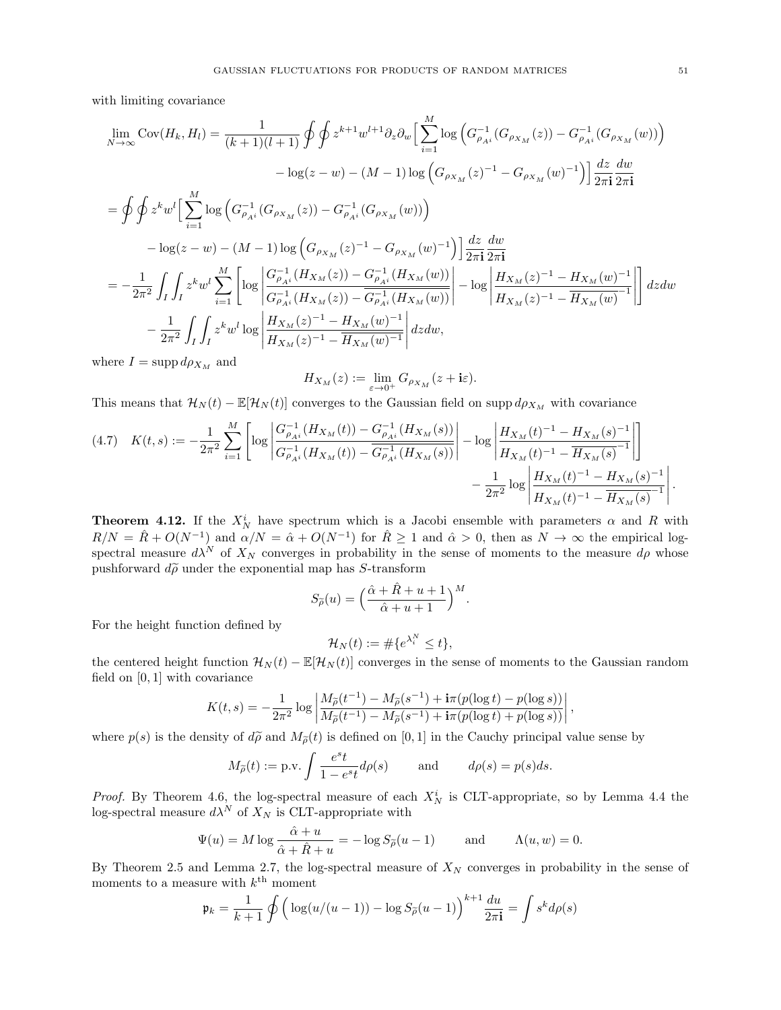with limiting covariance

$$
\lim_{N \to \infty} \text{Cov}(H_k, H_l) = \frac{1}{(k+1)(l+1)} \oint \oint z^{k+1} w^{l+1} \partial_z \partial_w \Big[ \sum_{i=1}^M \log \Big( G_{\rho_{Ai}}^{-1} (G_{\rho_{X_M}}(z)) - G_{\rho_{Ai}}^{-1} (G_{\rho_{X_M}}(w)) \Big) \Big] \n- \log(z-w) - (M-1) \log \Big( G_{\rho_{X_M}}(z)^{-1} - G_{\rho_{X_M}}(w)^{-1} \Big) \Big] \frac{dz}{2\pi \mathbf{i}} \frac{dw}{2\pi \mathbf{i}} \n= \oint \oint z^k w^l \Big[ \sum_{i=1}^M \log \Big( G_{\rho_{Ai}}^{-1} (G_{\rho_{X_M}}(z)) - G_{\rho_{Ai}}^{-1} (G_{\rho_{X_M}}(w)) \Big) \Big] \n- \log(z-w) - (M-1) \log \Big( G_{\rho_{X_M}}(z)^{-1} - G_{\rho_{X_M}}(w)^{-1} \Big) \Big] \frac{dz}{2\pi \mathbf{i}} \frac{dw}{2\pi \mathbf{i}} \n= -\frac{1}{2\pi^2} \int_I \int_I z^k w^l \sum_{i=1}^M \Big[ \log \Big| \frac{G_{\rho_{Ai}}^{-1} (H_{X_M}(z)) - G_{\rho_{Ai}}^{-1} (H_{X_M}(w))}{G_{\rho_{Ai}}^{-1} (H_{X_M}(z)) - G_{\rho_{Ai}}^{-1} (H_{X_M}(w))} \Big| \Big] - \log \Big| \frac{H_{X_M}(z)^{-1} - H_{X_M}(w)^{-1}}{H_{X_M}(z)^{-1} - H_{X_M}(w)^{-1}} \Big| \Big] \, dzdw \n- \frac{1}{2\pi^2} \int_I \int_I z^k w^l \log \Big| \frac{H_{X_M}(z)^{-1} - H_{X_M}(w)^{-1}}{H_{X_M}(z)^{-1} - H_{X_M}(w)^{-1}} \Big| \, dzdw,
$$

where  $I = \text{supp } d\rho_{X_M}$  and

$$
H_{X_M}(z) := \lim_{\varepsilon \to 0^+} G_{\rho_{X_M}}(z + i\varepsilon).
$$

This means that  $\mathcal{H}_N(t) - \mathbb{E}[\mathcal{H}_N(t)]$  converges to the Gaussian field on supp  $d\rho_{X_M}$  with covariance

$$
(4.7) \quad K(t,s) := -\frac{1}{2\pi^2} \sum_{i=1}^{M} \left[ \log \left| \frac{G_{\rho_{A^i}}^{-1} (H_{X_M}(t)) - G_{\rho_{A^i}}^{-1} (H_{X_M}(s))}{G_{\rho_{A^i}}^{-1} (H_{X_M}(t)) - \overline{G_{\rho_{A^i}}^{-1} (H_{X_M}(s))}} \right| - \log \left| \frac{H_{X_M}(t)^{-1} - H_{X_M}(s)^{-1}}{H_{X_M}(t)^{-1} - \overline{H_{X_M}(s)^{-1}}} \right| \right] - \frac{1}{2\pi^2} \log \left| \frac{H_{X_M}(t)^{-1} - H_{X_M}(s)^{-1}}{H_{X_M}(t)^{-1} - \overline{H_{X_M}(s)^{-1}}} \right|.
$$

<span id="page-50-0"></span>**Theorem 4.12.** If the  $X_N^i$  have spectrum which is a Jacobi ensemble with parameters  $\alpha$  and R with  $R/N = \hat{R} + O(N^{-1})$  and  $\alpha/N = \hat{\alpha} + O(N^{-1})$  for  $\hat{R} \ge 1$  and  $\hat{\alpha} > 0$ , then as  $N \to \infty$  the empirical logspectral measure  $d\lambda^N$  of  $X_N$  converges in probability in the sense of moments to the measure  $d\rho$  whose pushforward  $d\tilde{\rho}$  under the exponential map has S-transform

$$
S_{\widetilde{\rho}}(u) = \left(\frac{\widehat{\alpha} + \widehat{R} + u + 1}{\widehat{\alpha} + u + 1}\right)^M.
$$

For the height function defined by

$$
\mathcal{H}_N(t) := \# \{ e^{\lambda_i^N} \le t \},
$$

the centered height function  $\mathcal{H}_N(t) - \mathbb{E}[\mathcal{H}_N(t)]$  converges in the sense of moments to the Gaussian random field on  $[0, 1]$  with covariance

$$
K(t,s) = -\frac{1}{2\pi^2} \log \left| \frac{M_{\tilde{\rho}}(t^{-1}) - M_{\tilde{\rho}}(s^{-1}) + i\pi(p(\log t) - p(\log s))}{M_{\tilde{\rho}}(t^{-1}) - M_{\tilde{\rho}}(s^{-1}) + i\pi(p(\log t) + p(\log s))} \right|,
$$

where  $p(s)$  is the density of  $d\tilde{\rho}$  and  $M_{\tilde{\rho}}(t)$  is defined on [0, 1] in the Cauchy principal value sense by

$$
M_{\tilde{\rho}}(t) := \text{p.v.} \int \frac{e^s t}{1 - e^s t} d\rho(s)
$$
 and  $d\rho(s) = p(s)ds$ .

*Proof.* By Theorem [4.6,](#page-43-2) the log-spectral measure of each  $X_N^i$  is CLT-appropriate, so by Lemma [4.4](#page-42-1) the log-spectral measure  $d\lambda^N$  of  $X_N$  is CLT-appropriate with

$$
\Psi(u) = M \log \frac{\hat{\alpha} + u}{\hat{\alpha} + \hat{R} + u} = -\log S_{\tilde{\rho}}(u - 1) \quad \text{and} \quad \Lambda(u, w) = 0.
$$

By Theorem [2.5](#page-10-1) and Lemma [2.7,](#page-11-3) the log-spectral measure of  $X_N$  converges in probability in the sense of moments to a measure with  $k^{\text{th}}$  moment

$$
\mathfrak{p}_k = \frac{1}{k+1} \oint \left( \log(u/(u-1)) - \log S_{\tilde{\rho}}(u-1) \right)^{k+1} \frac{du}{2\pi \mathbf{i}} = \int s^k d\rho(s)
$$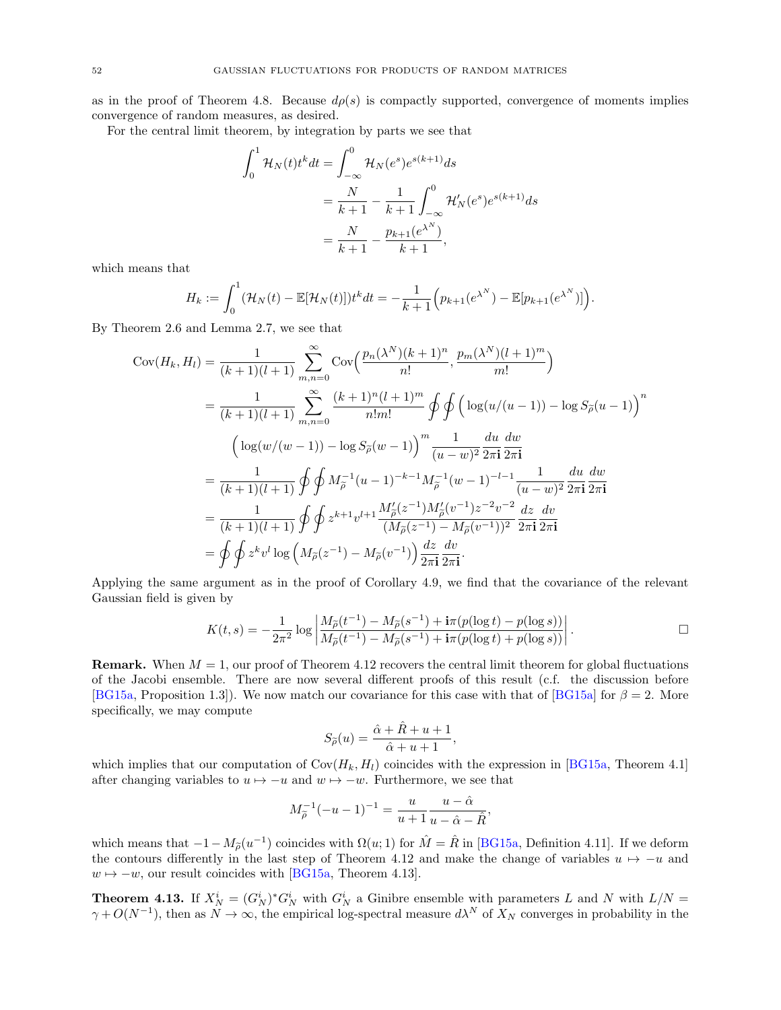as in the proof of Theorem [4.8.](#page-45-0) Because  $d\rho(s)$  is compactly supported, convergence of moments implies convergence of random measures, as desired.

For the central limit theorem, by integration by parts we see that

$$
\int_0^1 \mathcal{H}_N(t) t^k dt = \int_{-\infty}^0 \mathcal{H}_N(e^s) e^{s(k+1)} ds
$$
  
= 
$$
\frac{N}{k+1} - \frac{1}{k+1} \int_{-\infty}^0 \mathcal{H}'_N(e^s) e^{s(k+1)} ds
$$
  
= 
$$
\frac{N}{k+1} - \frac{p_{k+1}(e^{\lambda^N})}{k+1},
$$

which means that

$$
H_k := \int_0^1 (\mathcal{H}_N(t) - \mathbb{E}[\mathcal{H}_N(t)]) t^k dt = -\frac{1}{k+1} \Big( p_{k+1} (e^{\lambda^N}) - \mathbb{E}[\mathbf{p}_{k+1} (e^{\lambda^N})] \Big).
$$

By Theorem [2.6](#page-11-1) and Lemma [2.7,](#page-11-3) we see that

$$
Cov(H_k, H_l) = \frac{1}{(k+1)(l+1)} \sum_{m,n=0}^{\infty} Cov\left(\frac{p_n(\lambda^N)(k+1)^n}{n!}, \frac{p_m(\lambda^N)(l+1)^m}{m!}\right)
$$
  
\n
$$
= \frac{1}{(k+1)(l+1)} \sum_{m,n=0}^{\infty} \frac{(k+1)^n(l+1)^m}{n!m!} \oint \oint \left(\log(u/(u-1)) - \log S_{\tilde{\rho}}(u-1)\right)^n
$$
  
\n
$$
\left(\log(w/(w-1)) - \log S_{\tilde{\rho}}(w-1)\right)^m \frac{1}{(u-w)^2} \frac{du}{2\pi \mathbf{i}} \frac{dw}{2\pi \mathbf{i}}
$$
  
\n
$$
= \frac{1}{(k+1)(l+1)} \oint \oint M_{\tilde{\rho}}^{-1} (u-1)^{-k-1} M_{\tilde{\rho}}^{-1} (w-1)^{-l-1} \frac{1}{(u-w)^2} \frac{du}{2\pi \mathbf{i}} \frac{dw}{2\pi \mathbf{i}}
$$
  
\n
$$
= \frac{1}{(k+1)(l+1)} \oint \oint z^{k+1} v^{l+1} \frac{M_{\tilde{\rho}}'(z^{-1})M_{\tilde{\rho}}'(v^{-1})z^{-2}v^{-2}}{(M_{\tilde{\rho}}(z^{-1}) - M_{\tilde{\rho}}(v^{-1}))^2} \frac{dz}{2\pi \mathbf{i}} \frac{dv}{2\pi \mathbf{i}}
$$
  
\n
$$
= \oint \oint z^k v^l \log \left(M_{\tilde{\rho}}(z^{-1}) - M_{\tilde{\rho}}(v^{-1})\right) \frac{dz}{2\pi \mathbf{i}} \frac{dv}{2\pi \mathbf{i}}.
$$

Applying the same argument as in the proof of Corollary [4.9,](#page-46-0) we find that the covariance of the relevant Gaussian field is given by

$$
K(t,s) = -\frac{1}{2\pi^2} \log \left| \frac{M_{\tilde{\rho}}(t^{-1}) - M_{\tilde{\rho}}(s^{-1}) + i\pi (p(\log t) - p(\log s))}{M_{\tilde{\rho}}(t^{-1}) - M_{\tilde{\rho}}(s^{-1}) + i\pi (p(\log t) + p(\log s))} \right|.
$$

**Remark.** When  $M = 1$ , our proof of Theorem [4.12](#page-50-0) recovers the central limit theorem for global fluctuations of the Jacobi ensemble. There are now several different proofs of this result (c.f. the discussion before [\[BG15a,](#page-66-17) Proposition 1.3]). We now match our covariance for this case with that of [\[BG15a\]](#page-66-17) for  $\beta = 2$ . More specifically, we may compute

$$
S_{\widetilde{\rho}}(u)=\frac{\widehat{\alpha}+\widehat{R}+u+1}{\widehat{\alpha}+u+1},
$$

which implies that our computation of  $Cov(H_k, H_l)$  coincides with the expression in [\[BG15a,](#page-66-17) Theorem 4.1] after changing variables to  $u \mapsto -u$  and  $w \mapsto -w$ . Furthermore, we see that

$$
M_{\tilde{\rho}}^{-1}(-u-1)^{-1} = \frac{u}{u+1} \frac{u-\hat{\alpha}}{u-\hat{\alpha}-\hat{R}},
$$

which means that  $-1 - M_{\tilde{\rho}}(u^{-1})$  coincides with  $\Omega(u; 1)$  for  $\hat{M} = \hat{R}$  in [\[BG15a,](#page-66-17) Definition 4.11]. If we deform the contours differently in the last step of Theorem [4.12](#page-50-0) and make the change of variables  $u \mapsto -u$  and  $w \mapsto -w$ , our result coincides with [\[BG15a,](#page-66-17) Theorem 4.13].

<span id="page-51-0"></span>**Theorem 4.13.** If  $X_N^i = (G_N^i)^* G_N^i$  with  $G_N^i$  a Ginibre ensemble with parameters L and N with  $L/N =$  $\gamma + O(N^{-1})$ , then as  $N \to \infty$ , the empirical log-spectral measure  $d\lambda^N$  of  $X_N$  converges in probability in the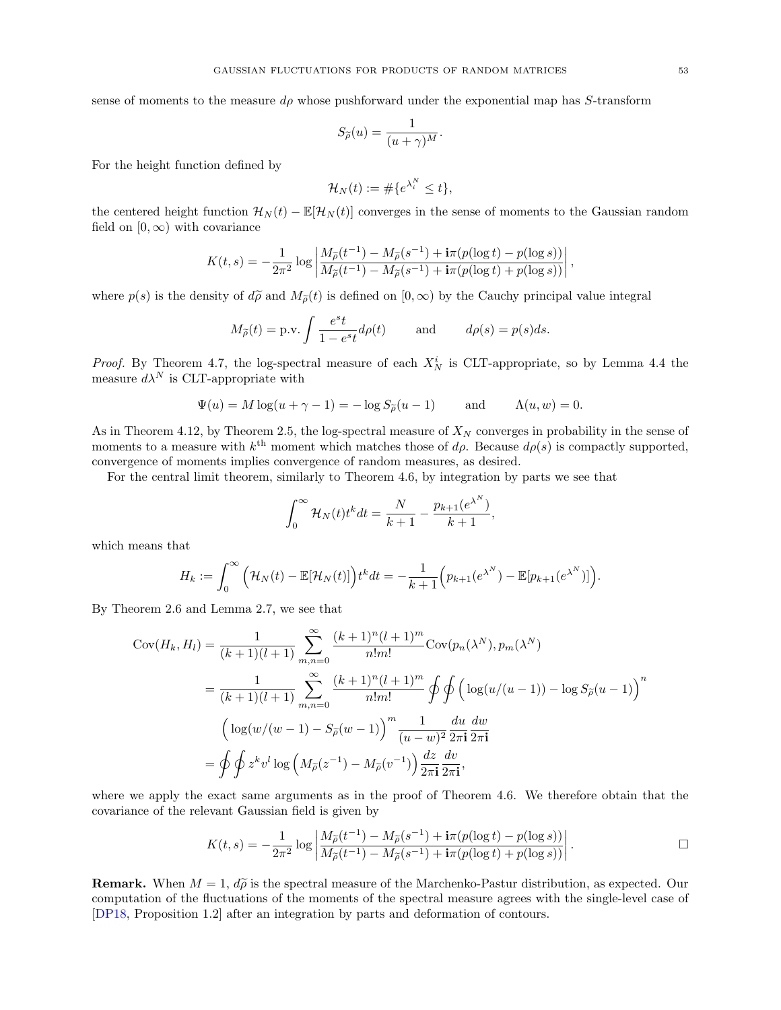sense of moments to the measure  $d\rho$  whose pushforward under the exponential map has S-transform

$$
S_{\widetilde{\rho}}(u)=\frac{1}{(u+\gamma)^M}.
$$

For the height function defined by

$$
\mathcal{H}_N(t) := \# \{ e^{\lambda_i^N} \le t \},
$$

the centered height function  $\mathcal{H}_N(t) - \mathbb{E}[\mathcal{H}_N(t)]$  converges in the sense of moments to the Gaussian random field on  $[0, \infty)$  with covariance

$$
K(t,s) = -\frac{1}{2\pi^2} \log \left| \frac{M_{\tilde{\rho}}(t^{-1}) - M_{\tilde{\rho}}(s^{-1}) + i\pi(p(\log t) - p(\log s))}{M_{\tilde{\rho}}(t^{-1}) - M_{\tilde{\rho}}(s^{-1}) + i\pi(p(\log t) + p(\log s))} \right|,
$$

where  $p(s)$  is the density of  $d\tilde{\rho}$  and  $M_{\tilde{\rho}}(t)$  is defined on  $[0,\infty)$  by the Cauchy principal value integral

$$
M_{\tilde{\rho}}(t) = \text{p.v.} \int \frac{e^s t}{1 - e^s t} d\rho(t)
$$
 and  $d\rho(s) = p(s)ds$ .

*Proof.* By Theorem [4.7,](#page-44-1) the log-spectral measure of each  $X_N^i$  is CLT-appropriate, so by Lemma [4.4](#page-42-1) the measure  $d\lambda^N$  is CLT-appropriate with

$$
\Psi(u) = M \log(u + \gamma - 1) = -\log S_{\widetilde{\rho}}(u - 1) \quad \text{and} \quad \Lambda(u, w) = 0.
$$

As in Theorem [4.12,](#page-50-0) by Theorem [2.5,](#page-10-1) the log-spectral measure of  $X_N$  converges in probability in the sense of moments to a measure with  $k^{\text{th}}$  moment which matches those of  $d\rho$ . Because  $d\rho(s)$  is compactly supported, convergence of moments implies convergence of random measures, as desired.

For the central limit theorem, similarly to Theorem [4.6,](#page-43-2) by integration by parts we see that

$$
\int_0^{\infty} \mathcal{H}_N(t) t^k dt = \frac{N}{k+1} - \frac{p_{k+1}(e^{\lambda^N})}{k+1},
$$

which means that

$$
H_k := \int_0^\infty \left( \mathcal{H}_N(t) - \mathbb{E}[\mathcal{H}_N(t)] \right) t^k dt = -\frac{1}{k+1} \left( p_{k+1}(e^{\lambda^N}) - \mathbb{E}[p_{k+1}(e^{\lambda^N})] \right).
$$

By Theorem [2.6](#page-11-1) and Lemma [2.7,](#page-11-3) we see that

$$
Cov(H_k, H_l) = \frac{1}{(k+1)(l+1)} \sum_{m,n=0}^{\infty} \frac{(k+1)^n (l+1)^m}{n! m!} Cov(p_n(\lambda^N), p_m(\lambda^N))
$$
  
= 
$$
\frac{1}{(k+1)(l+1)} \sum_{m,n=0}^{\infty} \frac{(k+1)^n (l+1)^m}{n! m!} \oint \oint \left( \log(u/(u-1)) - \log S_{\tilde{\rho}}(u-1) \right)^n
$$
  

$$
\left( \log(w/(w-1) - S_{\tilde{\rho}}(w-1)) \right)^m \frac{1}{(u-w)^2} \frac{du}{2\pi i} \frac{dw}{2\pi i}
$$
  
= 
$$
\oint \oint z^k v^l \log \left( M_{\tilde{\rho}}(z^{-1}) - M_{\tilde{\rho}}(v^{-1}) \right) \frac{dz}{2\pi i} \frac{dv}{2\pi i},
$$

where we apply the exact same arguments as in the proof of Theorem [4.6.](#page-43-2) We therefore obtain that the covariance of the relevant Gaussian field is given by

$$
K(t,s) = -\frac{1}{2\pi^2} \log \left| \frac{M_{\tilde{\rho}}(t^{-1}) - M_{\tilde{\rho}}(s^{-1}) + i\pi(p(\log t) - p(\log s))}{M_{\tilde{\rho}}(t^{-1}) - M_{\tilde{\rho}}(s^{-1}) + i\pi(p(\log t) + p(\log s))} \right|.
$$

**Remark.** When  $M = 1$ ,  $d\tilde{\rho}$  is the spectral measure of the Marchenko-Pastur distribution, as expected. Our computation of the fluctuations of the moments of the spectral measure agrees with the single-level case of [\[DP18,](#page-67-19) Proposition 1.2] after an integration by parts and deformation of contours.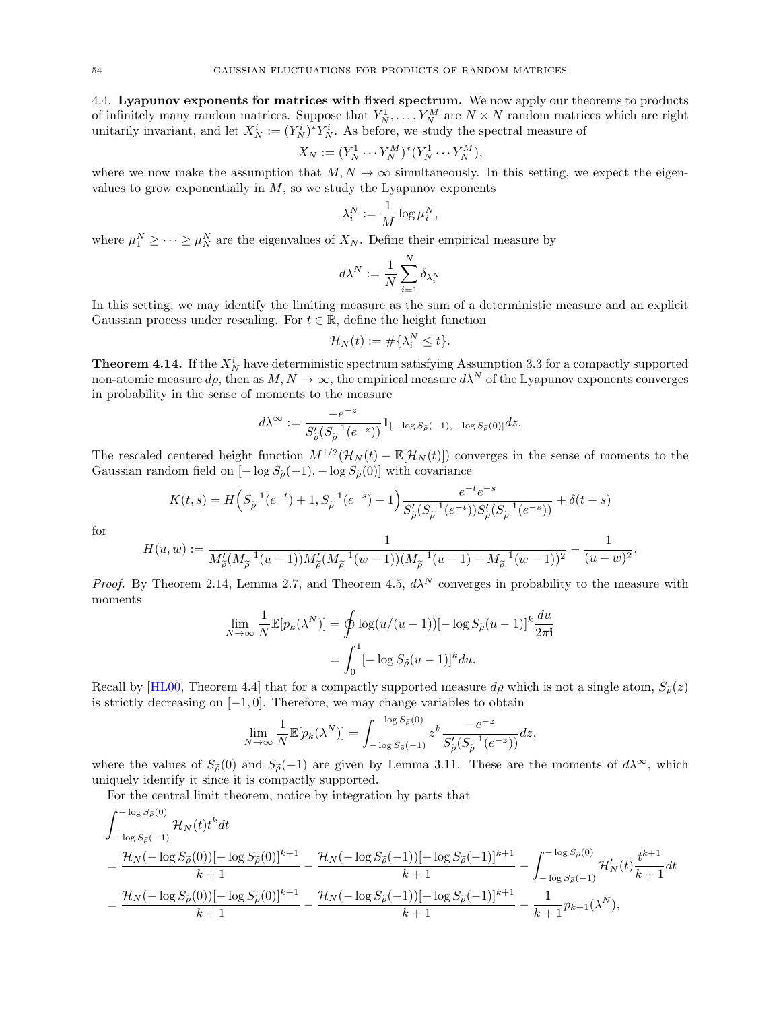<span id="page-53-0"></span>4.4. Lyapunov exponents for matrices with fixed spectrum. We now apply our theorems to products of infinitely many random matrices. Suppose that  $Y_N^1, \ldots, Y_N^M$  are  $N \times N$  random matrices which are right unitarily invariant, and let  $X_N^i := (Y_N^i)^* Y_N^i$ . As before, we study the spectral measure of

$$
X_N := (Y_N^1 \cdots Y_N^M)^* (Y_N^1 \cdots Y_N^M),
$$

where we now make the assumption that  $M, N \to \infty$  simultaneously. In this setting, we expect the eigenvalues to grow exponentially in  $M$ , so we study the Lyapunov exponents

$$
\lambda_i^N := \frac{1}{M} \log \mu_i^N,
$$

where  $\mu_1^N \geq \cdots \geq \mu_N^N$  are the eigenvalues of  $X_N$ . Define their empirical measure by

$$
d\lambda^N:=\frac{1}{N}\sum_{i=1}^N\delta_{\lambda_i^N}
$$

In this setting, we may identify the limiting measure as the sum of a deterministic measure and an explicit Gaussian process under rescaling. For  $t \in \mathbb{R}$ , define the height function

$$
\mathcal{H}_N(t) := \#\{\lambda_i^N \le t\}.
$$

<span id="page-53-1"></span>**Theorem 4.14.** If the  $X_N^i$  have deterministic spectrum satisfying Assumption [3.3](#page-25-1) for a compactly supported non-atomic measure  $d\rho$ , then as  $M, N \to \infty$ , the empirical measure  $d\lambda^N$  of the Lyapunov exponents converges in probability in the sense of moments to the measure

$$
d\lambda^{\infty} := \frac{-e^{-z}}{S'_{\widetilde{\rho}}(S_{\widetilde{\rho}}^{-1}(e^{-z}))} \mathbf{1}_{[-\log S_{\widetilde{\rho}}(-1), -\log S_{\widetilde{\rho}}(0)]} dz.
$$

The rescaled centered height function  $M^{1/2}(\mathcal{H}_N(t) - \mathbb{E}[\mathcal{H}_N(t)])$  converges in the sense of moments to the Gaussian random field on  $[-\log S_{{\widetilde\rho}}(-1), -\log S_{{\widetilde\rho}}(0)]$  with covariance

$$
K(t,s) = H\left(S_{\tilde{\rho}}^{-1}(e^{-t}) + 1, S_{\tilde{\rho}}^{-1}(e^{-s}) + 1\right) \frac{e^{-t}e^{-s}}{S_{\tilde{\rho}}'(S_{\tilde{\rho}}^{-1}(e^{-t}))S_{\tilde{\rho}}'(S_{\tilde{\rho}}^{-1}(e^{-s}))} + \delta(t-s)
$$

$$
H(u,w) := \frac{1}{M_{\tilde{\rho}}'(M_{\tilde{\rho}}^{-1}(u-1))M_{\tilde{\rho}}'(M_{\tilde{\rho}}^{-1}(w-1))(M_{\tilde{\rho}}^{-1}(u-1) - M_{\tilde{\rho}}^{-1}(w-1))^2} - \frac{1}{(u-w)^2}
$$

.

for

*Proof.* By Theorem 2.14, Lemma 2.7, and Theorem 4.5, 
$$
d\lambda^N
$$
 converges in probability to the measure with moments

$$
\lim_{N \to \infty} \frac{1}{N} \mathbb{E}[p_k(\lambda^N)] = \oint \log(u/(u-1))[-\log S_{\tilde{\rho}}(u-1)]^k \frac{du}{2\pi \mathbf{i}} \n= \int_0^1 [-\log S_{\tilde{\rho}}(u-1)]^k du.
$$

Recall by [\[HL00,](#page-67-33) Theorem 4.4] that for a compactly supported measure  $d\rho$  which is not a single atom,  $S_{\tilde{\rho}}(z)$ is strictly decreasing on  $[-1, 0]$ . Therefore, we may change variables to obtain

$$
\lim_{N \to \infty} \frac{1}{N} \mathbb{E}[p_k(\lambda^N)] = \int_{-\log S_{\tilde{\rho}}(-1)}^{-\log S_{\tilde{\rho}}(0)} z^k \frac{-e^{-z}}{S_{\tilde{\rho}}'(S_{\tilde{\rho}}^{-1}(e^{-z}))} dz,
$$

where the values of  $S_{\tilde{\rho}}(0)$  and  $S_{\tilde{\rho}}(-1)$  are given by Lemma [3.11.](#page-30-1) These are the moments of  $d\lambda^{\infty}$ , which uniquely identify it since it is compactly supported.

For the central limit theorem, notice by integration by parts that

$$
\begin{split} & \int_{-\log S_{\tilde{\rho}}(0)}^{-\log S_{\tilde{\rho}}(0)} \mathcal{H}_N(t) t^k dt \\ & = \frac{\mathcal{H}_N(-\log S_{\tilde{\rho}}(0))[-\log S_{\tilde{\rho}}(0)]^{k+1}}{k+1} - \frac{\mathcal{H}_N(-\log S_{\tilde{\rho}}(-1))[-\log S_{\tilde{\rho}}(-1)]^{k+1}}{k+1} - \int_{-\log S_{\tilde{\rho}}(-1)}^{-\log S_{\tilde{\rho}}(0)} \mathcal{H}'_N(t) \frac{t^{k+1}}{k+1} dt \\ & = \frac{\mathcal{H}_N(-\log S_{\tilde{\rho}}(0))[-\log S_{\tilde{\rho}}(0)]^{k+1}}{k+1} - \frac{\mathcal{H}_N(-\log S_{\tilde{\rho}}(-1))[-\log S_{\tilde{\rho}}(-1)]^{k+1}}{k+1} - \frac{1}{k+1} p_{k+1}(\lambda^N), \end{split}
$$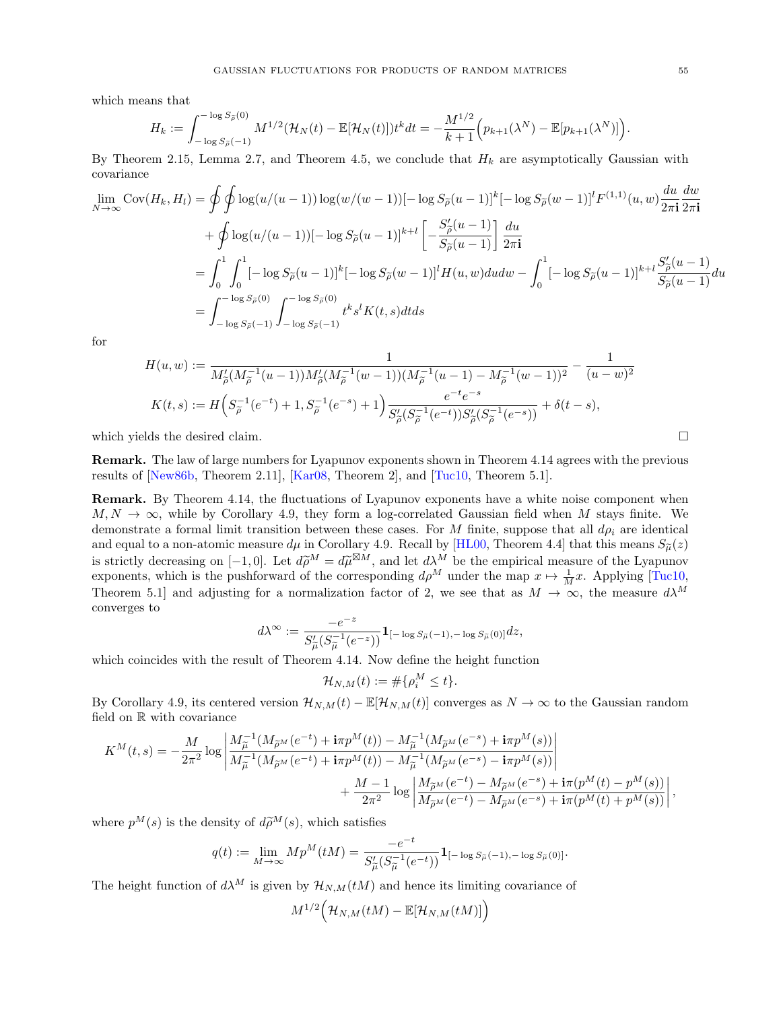which means that

$$
H_k := \int_{-\log S_{\tilde{\rho}}(-1)}^{-\log S_{\tilde{\rho}}(0)} M^{1/2} (\mathcal{H}_N(t) - \mathbb{E}[\mathcal{H}_N(t)]) t^k dt = -\frac{M^{1/2}}{k+1} \Big( p_{k+1}(\lambda^N) - \mathbb{E}[p_{k+1}(\lambda^N)] \Big).
$$

By Theorem [2.15,](#page-23-0) Lemma [2.7,](#page-11-3) and Theorem [4.5,](#page-42-0) we conclude that  $H_k$  are asymptotically Gaussian with covariance

$$
\lim_{N \to \infty} \text{Cov}(H_k, H_l) = \oint \oint \log(u/(u-1)) \log(w/(w-1)) [-\log S_{\tilde{\rho}}(u-1)]^k [-\log S_{\tilde{\rho}}(w-1)]^l F^{(1,1)}(u, w) \frac{du}{2\pi \mathbf{i}} \frac{dw}{2\pi \mathbf{i}} \n+ \oint \log(u/(u-1)) [-\log S_{\tilde{\rho}}(u-1)]^{k+l} \left[ -\frac{S'_{\tilde{\rho}}(u-1)}{S_{\tilde{\rho}}(u-1)} \right] \frac{du}{2\pi \mathbf{i}} \n= \int_0^1 \int_0^1 [-\log S_{\tilde{\rho}}(u-1)]^k [-\log S_{\tilde{\rho}}(w-1)]^l H(u, w) du dw - \int_0^1 [-\log S_{\tilde{\rho}}(u-1)]^{k+l} \frac{S'_{\tilde{\rho}}(u-1)}{S_{\tilde{\rho}}(u-1)} du \n= \int_{-\log S_{\tilde{\rho}}(-1)}^{-\log S_{\tilde{\rho}}(0)} \int_{-\log S_{\tilde{\rho}}(-1)}^{-\log S_{\tilde{\rho}}(-1)} t^k s^l K(t, s) dt ds
$$

for

$$
H(u, w) := \frac{1}{M_{\tilde{\rho}}'(M_{\tilde{\rho}}^{-1}(u-1))M_{\tilde{\rho}}'(M_{\tilde{\rho}}^{-1}(w-1))(M_{\tilde{\rho}}^{-1}(u-1) - M_{\tilde{\rho}}^{-1}(w-1))^2} - \frac{1}{(u-w)^2}
$$
  

$$
K(t, s) := H\left(S_{\tilde{\rho}}^{-1}(e^{-t}) + 1, S_{\tilde{\rho}}^{-1}(e^{-s}) + 1\right) \frac{e^{-t}e^{-s}}{S_{\tilde{\rho}}'(S_{\tilde{\rho}}^{-1}(e^{-t}))S_{\tilde{\rho}}'(S_{\tilde{\rho}}^{-1}(e^{-s}))} + \delta(t - s),
$$

which yields the desired claim.  $\Box$ 

Remark. The law of large numbers for Lyapunov exponents shown in Theorem [4.14](#page-53-1) agrees with the previous results of [\[New86b,](#page-68-10) Theorem 2.11], [\[Kar08,](#page-67-20) Theorem 2], and [\[Tuc10,](#page-68-21) Theorem 5.1].

Remark. By Theorem [4.14,](#page-53-1) the fluctuations of Lyapunov exponents have a white noise component when  $M, N \to \infty$ , while by Corollary [4.9,](#page-46-0) they form a log-correlated Gaussian field when M stays finite. We demonstrate a formal limit transition between these cases. For M finite, suppose that all  $d\rho_i$  are identical and equal to a non-atomic measure  $d\mu$  in Corollary [4.9.](#page-46-0) Recall by [\[HL00,](#page-67-33) Theorem 4.4] that this means  $S_{\tilde{\mu}}(z)$ is strictly decreasing on  $[-1, 0]$ . Let  $d\widetilde{\rho}^M = d\widetilde{\mu}^{\boxtimes M}$ , and let  $d\lambda^M$  be the empirical measure of the Lyapunov exponents, which is the pushforward of the corresponding  $d\rho^M$  under the map  $x \mapsto \frac{1}{M}x$ . Applying [\[Tuc10,](#page-68-21) Theorem 5.1] and adjusting for a normalization factor of 2, we see that as  $M \to \infty$ , the measure  $d\lambda^M$ converges to

$$
d\lambda^\infty := \frac{-e^{-z}}{S'_{\widetilde{\mu}}(S_{\widetilde{\mu}}^{-1}(e^{-z}))} \mathbf{1}_{[-\log S_{\widetilde{\mu}}(-1), -\log S_{\widetilde{\mu}}(0)]} dz,
$$

which coincides with the result of Theorem [4.14.](#page-53-1) Now define the height function

$$
\mathcal{H}_{N,M}(t):=\#\{\rho_i^M\leq t\}.
$$

By Corollary [4.9,](#page-46-0) its centered version  $\mathcal{H}_{N,M}(t) - \mathbb{E}[\mathcal{H}_{N,M}(t)]$  converges as  $N \to \infty$  to the Gaussian random field on  $\mathbb R$  with covariance

$$
\begin{split} K^M(t,s) = -\frac{M}{2\pi^2} \log \left| \frac{M_{\widetilde{\mu}}^{-1}(M_{\widetilde{\rho}^M}(e^{-t}) + \textbf{i}\pi p^M(t)) - M_{\widetilde{\mu}}^{-1}(M_{\widetilde{\rho}^M}(e^{-s}) + \textbf{i}\pi p^M(s))}{M_{\widetilde{\mu}}^{-1}(M_{\widetilde{\rho}^M}(e^{-t}) + \textbf{i}\pi p^M(t)) - M_{\widetilde{\mu}}^{-1}(M_{\widetilde{\rho}^M}(e^{-s}) - \textbf{i}\pi p^M(s))} \right| \\ &\qquad\qquad + \frac{M-1}{2\pi^2} \log \left| \frac{M_{\widetilde{\rho}^M}(e^{-t}) - M_{\widetilde{\rho}^M}(e^{-s}) + \textbf{i}\pi(p^M(t) - p^M(s))}{M_{\widetilde{\rho}^M}(e^{-t}) - M_{\widetilde{\rho}^M}(e^{-s}) + \textbf{i}\pi(p^M(t) + p^M(s))} \right|, \end{split}
$$

where  $p^{M}(s)$  is the density of  $d\widetilde{\rho}^{M}(s)$ , which satisfies

$$
q(t) := \lim_{M \to \infty} M p^M(tM) = \frac{-e^{-t}}{S_{\widetilde{\mu}}'(S_{\widetilde{\mu}}^{-1}(e^{-t}))} \mathbf{1}_{[-\log S_{\widetilde{\mu}}(-1), -\log S_{\widetilde{\mu}}(0)]}.
$$

The height function of  $d\lambda^M$  is given by  $\mathcal{H}_{N,M}(tM)$  and hence its limiting covariance of

$$
M^{1/2}\Big(\mathcal{H}_{N,M}(tM)-\mathbb{E}[\mathcal{H}_{N,M}(tM)]\Big)
$$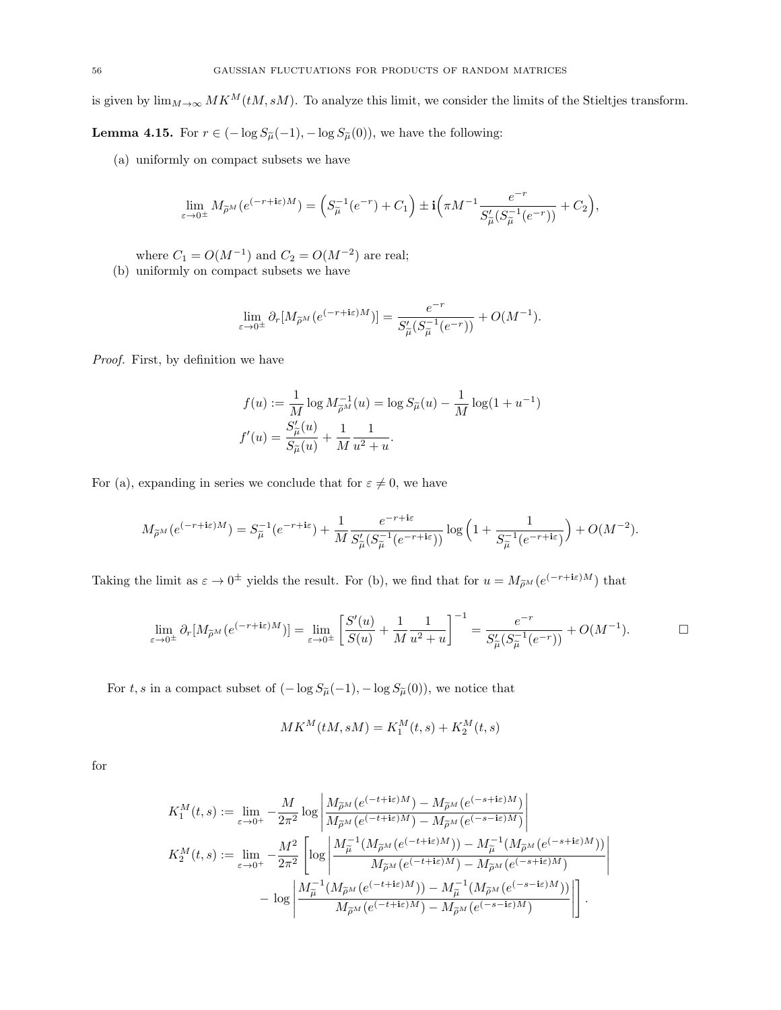is given by  $\lim_{M\to\infty} MK^M(tM, sM)$ . To analyze this limit, we consider the limits of the Stieltjes transform.

<span id="page-55-0"></span>**Lemma 4.15.** For  $r \in (-\log S_{\tilde{\mu}}(-1), -\log S_{\tilde{\mu}}(0))$ , we have the following:

(a) uniformly on compact subsets we have

$$
\lim_{\varepsilon \to 0^{\pm}} M_{\widetilde{\rho}^{M}}(e^{(-r + i\varepsilon)M}) = \left( S_{\widetilde{\mu}}^{-1}(e^{-r}) + C_{1} \right) \pm \mathbf{i} \left( \pi M^{-1} \frac{e^{-r}}{S_{\widetilde{\mu}}'(S_{\widetilde{\mu}}^{-1}(e^{-r}))} + C_{2} \right),
$$

where  $C_1 = O(M^{-1})$  and  $C_2 = O(M^{-2})$  are real;

(b) uniformly on compact subsets we have

$$
\lim_{\varepsilon \to 0^{\pm}} \partial_r [M_{\widetilde{\rho}^M}(e^{(-r+i\varepsilon)M})] = \frac{e^{-r}}{S'_{\widetilde{\mu}}(S_{\widetilde{\mu}}^{-1}(e^{-r}))} + O(M^{-1}).
$$

Proof. First, by definition we have

$$
f(u) := \frac{1}{M} \log M_{\tilde{\rho}^M}^{-1}(u) = \log S_{\tilde{\mu}}(u) - \frac{1}{M} \log(1 + u^{-1})
$$
  

$$
f'(u) = \frac{S_{\tilde{\mu}}'(u)}{S_{\tilde{\mu}}(u)} + \frac{1}{M} \frac{1}{u^2 + u}.
$$

For (a), expanding in series we conclude that for  $\varepsilon \neq 0$ , we have

$$
M_{\widetilde{\rho}^M}(e^{(-r+\mathbf{i}\varepsilon)M}) = S_{\widetilde{\mu}}^{-1}(e^{-r+\mathbf{i}\varepsilon}) + \frac{1}{M} \frac{e^{-r+\mathbf{i}\varepsilon}}{S_{\widetilde{\mu}}'(S_{\widetilde{\mu}}^{-1}(e^{-r+\mathbf{i}\varepsilon}))} \log\left(1 + \frac{1}{S_{\widetilde{\mu}}^{-1}(e^{-r+\mathbf{i}\varepsilon})}\right) + O(M^{-2}).
$$

Taking the limit as  $\varepsilon \to 0^{\pm}$  yields the result. For (b), we find that for  $u = M_{\tilde{\rho}^M}(e^{(-r+i\varepsilon)M})$  that

$$
\lim_{\varepsilon \to 0^{\pm}} \partial_r [M_{\widetilde{\rho}^M}(e^{(-r+i\varepsilon)M})] = \lim_{\varepsilon \to 0^{\pm}} \left[ \frac{S'(u)}{S(u)} + \frac{1}{M} \frac{1}{u^2 + u} \right]^{-1} = \frac{e^{-r}}{S'_{\widetilde{\mu}}(S_{\widetilde{\mu}}^{-1}(e^{-r}))} + O(M^{-1}).
$$

For t, s in a compact subset of  $(-\log S_{\widetilde{\mu}}(-1), -\log S_{\widetilde{\mu}}(0)),$  we notice that

$$
MK^M(tM, sM) = K_1^M(t, s) + K_2^M(t, s)
$$

for

$$
\begin{split} K_1^M(t,s) &:= \lim_{\varepsilon\to 0^+} -\frac{M}{2\pi^2}\log\left|\frac{M_{\widetilde{\rho}^M}\big(e^{(-t+\mathbf{i}\varepsilon)M}\big)-M_{\widetilde{\rho}^M}\big(e^{(-s+\mathbf{i}\varepsilon)M}\big)}{M_{\widetilde{\rho}^M}\big(e^{(-t+\mathbf{i}\varepsilon)M}\big)-M_{\widetilde{\rho}^M}\big(e^{(-s-\mathbf{i}\varepsilon)M}\big)}\right| \\ K_2^M(t,s) &:= \lim_{\varepsilon\to 0^+} -\frac{M^2}{2\pi^2}\left[\log\left|\frac{M_{\widetilde{\mu}}^{-1}\big(M_{\widetilde{\rho}^M}\big(e^{(-t+\mathbf{i}\varepsilon)M}\big)\big)-M_{\widetilde{\mu}}^{-1}\big(M_{\widetilde{\rho}^M}\big(e^{(-s+\mathbf{i}\varepsilon)M}\big)\big)}{M_{\widetilde{\rho}^M}\big(e^{(-t+\mathbf{i}\varepsilon)M}\big)-M_{\widetilde{\mu}}^{-1}\big(M_{\widetilde{\rho}^M}\big(e^{(-s+\mathbf{i}\varepsilon)M}\big)\right)}\right| \\ &- \log\left|\frac{M_{\widetilde{\mu}}^{-1}\big(M_{\widetilde{\rho}^M}\big(e^{(-t+\mathbf{i}\varepsilon)M}\big)\big)-M_{\widetilde{\mu}}^{-1}\big(M_{\widetilde{\rho}^M}\big(e^{(-s-\mathbf{i}\varepsilon)M}\big)\big)}{M_{\widetilde{\rho}^M}\big(e^{(-t+\mathbf{i}\varepsilon)M}\big)-M_{\widetilde{\rho}^M}\big(e^{(-s-\mathbf{i}\varepsilon)M}\big)}\right|\right]. \end{split}
$$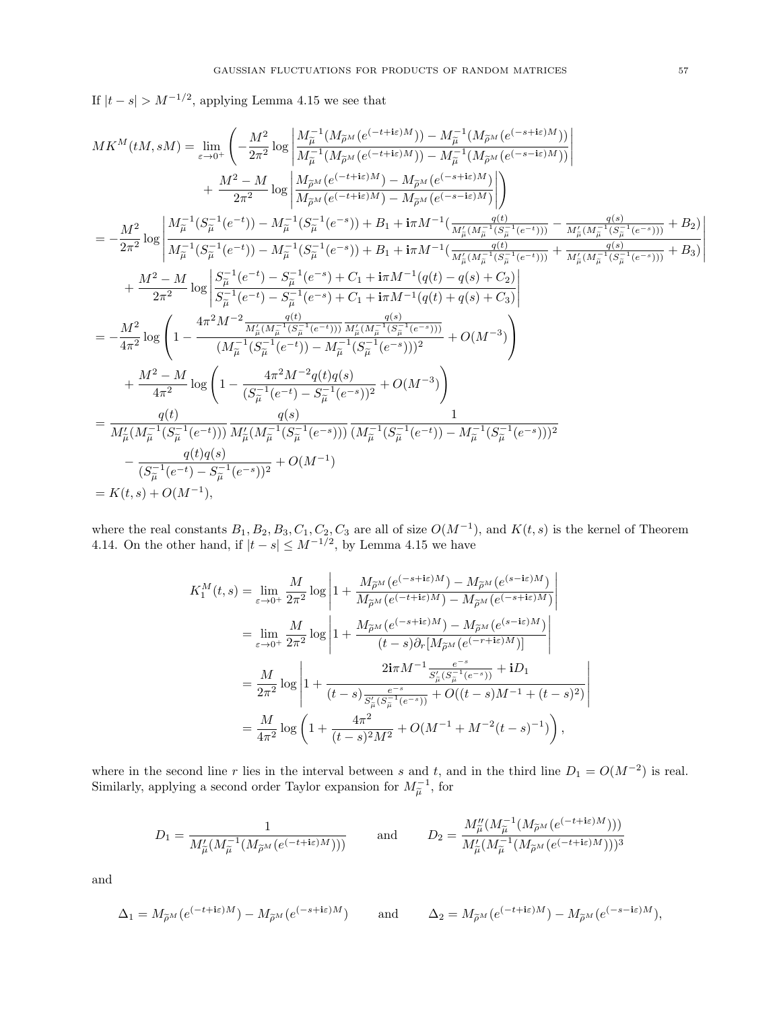If  $|t - s| > M^{-1/2}$ , applying Lemma [4.15](#page-55-0) we see that

$$
\begin{split} M K^M(tM,sM) &= \lim_{\varepsilon\to 0^+} \left( -\frac{M^2}{2\pi^2} \log\left| \frac{M_{\tilde{\mu}}^{-1}(M_{\tilde{\mu}^M}(e^{(-t+\textbf{i}\varepsilon)M})) - M_{\tilde{\mu}}^{-1}(M_{\tilde{\mu}^M}(e^{(-s+\textbf{i}\varepsilon)M})) }{M_{\tilde{\mu}}^{-1}(M_{\tilde{\mu}^M}(e^{(-s-\textbf{i}\varepsilon)M}))} \right| \\ &+ \frac{M^2-M}{2\pi^2} \log\left| \frac{M_{\tilde{\mu}^M}(e^{(-t+\textbf{i}\varepsilon)M}) - M_{\tilde{\mu}^M}(e^{(-s+\textbf{i}\varepsilon)M}) }{M_{\tilde{\mu}^M}(e^{(-t+\textbf{i}\varepsilon)M}) - M_{\tilde{\mu}^M}(e^{(-s-\textbf{i}\varepsilon)M}) } \right| \right) \\ &= -\frac{M^2}{2\pi^2} \log\left| \frac{M_{\tilde{\mu}}^{-1}(S_{\tilde{\mu}}^{-1}(e^{-t})) - M_{\tilde{\mu}}^{-1}(S_{\tilde{\mu}}^{-1}(e^{-s})) + B_1 + \textbf{i}\pi M^{-1}(\frac{q(t)}{M_{\tilde{\mu}}'(M_{\tilde{\mu}}^{-1}(S_{\tilde{\mu}}^{-1}(e^{-t})))} - \frac{q(s)}{M_{\tilde{\mu}}'(M_{\tilde{\mu}}^{-1}(S_{\tilde{\mu}}^{-1}(e^{-s})))} + B_2) \right| \\ &+ \frac{M^2-M}{2\pi^2} \log\left| \frac{S_{\tilde{\mu}}^{-1}(e^{-t}) - S_{\tilde{\mu}}^{-1}(e^{-s}) + C_1 + \textbf{i}\pi M^{-1}(q(t) - q(s) + C_2)}{M_{\tilde{\mu}}'(M_{\tilde{\mu}}^{-1}(S_{\tilde{\mu}}^{-1}(e^{-s})))} + B_3 \right| \\ &+ \frac{M^2-M}{2\pi^2} \log\left| \frac{S_{\tilde{\mu}}^{-1}(e^{-t}) - S_{\tilde{\mu}}^{-1}(e^{-s}) + C_1 + \textbf{i}\pi M^{-1}(q(t) - q(s) + C_2)}{M_{\tilde{\mu}}'(M_{\tilde{\mu}}^{-1}(S_{\tilde{\mu}}^{-1}(e^{-s})))} + B_3 \right| \right|
$$

where the real constants  $B_1, B_2, B_3, C_1, C_2, C_3$  are all of size  $O(M^{-1})$ , and  $K(t, s)$  is the kernel of Theorem [4.14.](#page-53-1) On the other hand, if  $|t - s| \le M^{-1/2}$ , by Lemma [4.15](#page-55-0) we have

$$
\begin{split} K_1^M(t,s) &= \lim_{\varepsilon \to 0^+} \frac{M}{2\pi^2} \log \left| 1 + \frac{M_{\widetilde{\rho}^M}(e^{(-s + \textbf{i}\varepsilon)M}) - M_{\widetilde{\rho}^M}(e^{(s - \textbf{i}\varepsilon)M})}{M_{\widetilde{\rho}^M}(e^{(-t + \textbf{i}\varepsilon)M}) - M_{\widetilde{\rho}^M}(e^{(-s + \textbf{i}\varepsilon)M})} \right| \\ &= \lim_{\varepsilon \to 0^+} \frac{M}{2\pi^2} \log \left| 1 + \frac{M_{\widetilde{\rho}^M}(e^{(-s + \textbf{i}\varepsilon)M}) - M_{\widetilde{\rho}^M}(e^{(s - \textbf{i}\varepsilon)M})}{(t - s)\partial_r[M_{\widetilde{\rho}^M}(e^{(-r + \textbf{i}\varepsilon)M})]} \right| \\ &= \frac{M}{2\pi^2} \log \left| 1 + \frac{2\textbf{i}\pi M^{-1} \frac{e^{-s}}{S'_{\widetilde{\mu}}(S_{\widetilde{\mu}}^{-1}(e^{-s}))} + \textbf{i}D_1}{(t - s)\frac{e^{-s}}{S'_{\widetilde{\mu}}(S_{\widetilde{\mu}}^{-1}(e^{-s}))} + O((t - s)M^{-1} + (t - s)^2)} \right| \\ &= \frac{M}{4\pi^2} \log \left( 1 + \frac{4\pi^2}{(t - s)^2 M^2} + O(M^{-1} + M^{-2}(t - s)^{-1}) \right), \end{split}
$$

where in the second line r lies in the interval between s and t, and in the third line  $D_1 = O(M^{-2})$  is real. Similarly, applying a second order Taylor expansion for  $M_{\tilde{\mu}}^{-1}$ , for

$$
D_1 = \frac{1}{M'_{\widetilde{\mu}}(M_{\widetilde{\mu}}^{-1}(M_{\widetilde{\rho}^M}(e^{(-t+\mathbf{i}\varepsilon)M})))} \qquad \text{and} \qquad D_2 = \frac{M''_{\widetilde{\mu}}(M_{\widetilde{\mu}}^{-1}(M_{\widetilde{\rho}^M}(e^{(-t+\mathbf{i}\varepsilon)M})))}{M'_{\widetilde{\mu}}(M_{\widetilde{\mu}}^{-1}(M_{\widetilde{\rho}^M}(e^{(-t+\mathbf{i}\varepsilon)M})))^3}
$$

and

$$
\Delta_1 = M_{\widetilde{\rho}^M}(e^{(-t+\mathrm{i}\varepsilon)M}) - M_{\widetilde{\rho}^M}(e^{(-s+\mathrm{i}\varepsilon)M}) \qquad \text{and} \qquad \Delta_2 = M_{\widetilde{\rho}^M}(e^{(-t+\mathrm{i}\varepsilon)M}) - M_{\widetilde{\rho}^M}(e^{(-s-\mathrm{i}\varepsilon)M}),
$$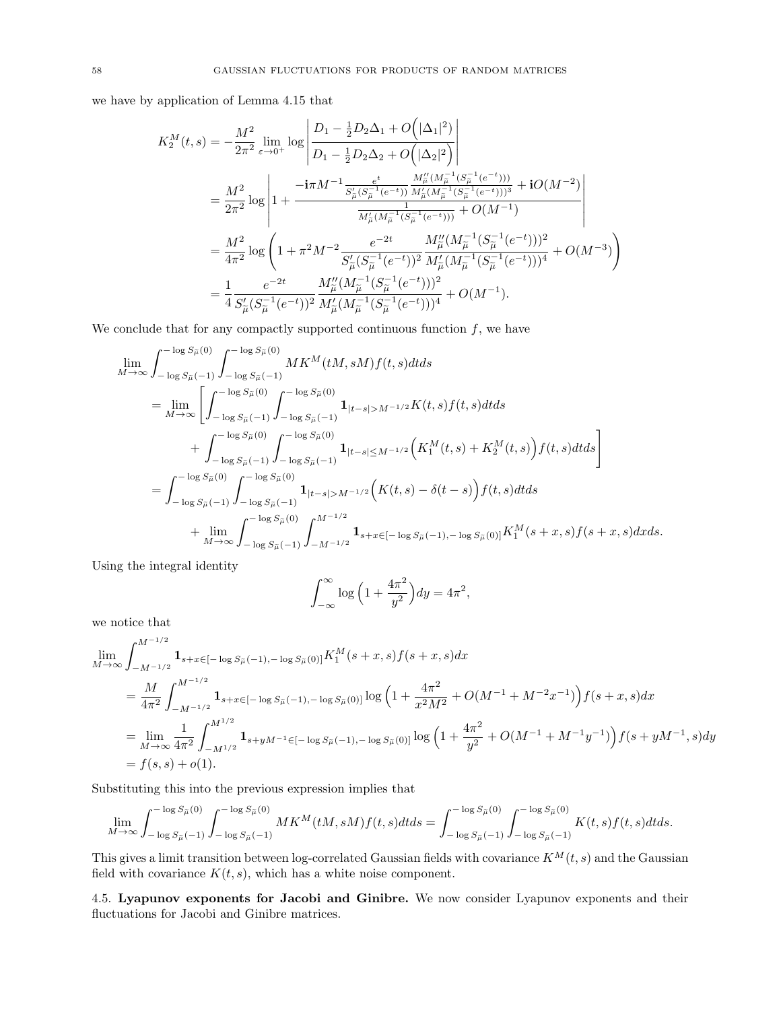we have by application of Lemma [4.15](#page-55-0) that

$$
\begin{split} K_{2}^{M}(t,s) &= -\frac{M^{2}}{2\pi^{2}}\lim_{\varepsilon\rightarrow0^{+}}\log\left|\frac{D_{1}-\frac{1}{2}D_{2}\Delta_{1}+O\left(|\Delta_{1}|^{2}\right)}{D_{1}-\frac{1}{2}D_{2}\Delta_{2}+O\left(|\Delta_{2}|^{2}\right)}\right| \\ &= \frac{M^{2}}{2\pi^{2}}\log\left|1+\frac{-\textrm{i}\pi M^{-1}\frac{e^{t}}{S_{\tilde{\mu}}^{\prime}(S_{\tilde{\mu}}^{-1}(e^{-t}))}\frac{M_{\tilde{\mu}}^{\prime\prime}(M_{\tilde{\mu}}^{-1}(S_{\tilde{\mu}}^{-1}(e^{-t})))}{M_{\tilde{\mu}}^{\prime}(M_{\tilde{\mu}}^{-1}(S_{\tilde{\mu}}^{-1}(e^{-t})))}+{\rm i} O(M^{-2})}{\frac{1}{M_{\tilde{\mu}}^{\prime}(M_{\tilde{\mu}}^{-1}(S_{\tilde{\mu}}^{-1}(e^{-t})))}+O(M^{-1})}{\frac{e^{-2t}}{M_{\tilde{\mu}}^{\prime}(S_{\tilde{\mu}}^{-1}(e^{-t})))}+O(M^{-1})}}\right| \\ &= \frac{M^{2}}{4\pi^{2}}\log\left(1+\pi^{2}M^{-2}\frac{e^{-2t}}{S_{\tilde{\mu}}^{\prime}(S_{\tilde{\mu}}^{-1}(e^{-t}))^{2}}\frac{M_{\tilde{\mu}}^{\prime\prime}(M_{\tilde{\mu}}^{-1}(S_{\tilde{\mu}}^{-1}(e^{-t})))^{2}}{M_{\tilde{\mu}}^{\prime}(M_{\tilde{\mu}}^{-1}(S_{\tilde{\mu}}^{-1}(e^{-t})))^{4}}+O(M^{-3})\right) \\ &= \frac{1}{4}\frac{e^{-2t}}{S_{\tilde{\mu}}^{\prime}(S_{\tilde{\mu}}^{-1}(e^{-t}))^{2}}\frac{M_{\tilde{\mu}}^{\prime\prime}(M_{\tilde{\mu}}^{-1}(S_{\tilde{\mu}}^{-1}(e^{-t})))^{2}}{M_{\tilde{\mu}}^{\prime}(M_{\tilde{\mu}}^{-1}(S_{\tilde{\mu}}^{-1}(e^{-t})))^{4}}+O(M^{-1}). \end{split}
$$

We conclude that for any compactly supported continuous function  $f$ , we have

$$
\lim_{M \to \infty} \int_{-\log S_{\tilde{\mu}}(0)}^{\log S_{\tilde{\mu}}(0)} \int_{-\log S_{\tilde{\mu}}(0)}^{\log S_{\tilde{\mu}}(0)} MK^{M}(tM, sM) f(t, s) dt ds \n= \lim_{M \to \infty} \left[ \int_{-\log S_{\tilde{\mu}}(0)}^{\log S_{\tilde{\mu}}(0)} \int_{-\log S_{\tilde{\mu}}(0)}^{\log S_{\tilde{\mu}}(0)} \mathbf{1}_{|t-s| > M^{-1/2}} K(t, s) f(t, s) dt ds \n+ \int_{-\log S_{\tilde{\mu}}(0)}^{\log S_{\tilde{\mu}}(0)} \int_{-\log S_{\tilde{\mu}}(0)}^{\log S_{\tilde{\mu}}(0)} \mathbf{1}_{|t-s| \le M^{-1/2}} (K_{1}^{M}(t, s) + K_{2}^{M}(t, s)) f(t, s) dt ds \right] \n= \int_{-\log S_{\tilde{\mu}}(0)}^{\log S_{\tilde{\mu}}(0)} \int_{-\log S_{\tilde{\mu}}(0)}^{\log S_{\tilde{\mu}}(0)} \mathbf{1}_{|t-s| > M^{-1/2}} (K(t, s) - \delta(t - s)) f(t, s) dt ds \n+ \lim_{M \to \infty} \int_{-\log S_{\tilde{\mu}}(0)}^{\log S_{\tilde{\mu}}(0)} \int_{-M^{-1/2}}^{M^{-1/2}} \mathbf{1}_{s+x \in [-\log S_{\tilde{\mu}}(0), -\log S_{\tilde{\mu}}(0)]} K_{1}^{M}(s+x, s) f(s+x, s) dx ds.
$$

Using the integral identity

$$
\int_{-\infty}^{\infty} \log \left( 1 + \frac{4\pi^2}{y^2} \right) dy = 4\pi^2,
$$

we notice that

$$
\lim_{M \to \infty} \int_{-M^{-1/2}}^{M^{-1/2}} \mathbf{1}_{s+x \in [-\log S_{\tilde{\mu}}(-1), -\log S_{\tilde{\mu}}(0)]} K_1^M(s+x, s) f(s+x, s) dx
$$
\n
$$
= \frac{M}{4\pi^2} \int_{-M^{-1/2}}^{M^{-1/2}} \mathbf{1}_{s+x \in [-\log S_{\tilde{\mu}}(-1), -\log S_{\tilde{\mu}}(0)]} \log \left(1 + \frac{4\pi^2}{x^2 M^2} + O(M^{-1} + M^{-2}x^{-1})\right) f(s+x, s) dx
$$
\n
$$
= \lim_{M \to \infty} \frac{1}{4\pi^2} \int_{-M^{1/2}}^{M^{1/2}} \mathbf{1}_{s+yM^{-1} \in [-\log S_{\tilde{\mu}}(-1), -\log S_{\tilde{\mu}}(0)]} \log \left(1 + \frac{4\pi^2}{y^2} + O(M^{-1} + M^{-1}y^{-1})\right) f(s+yM^{-1}, s) dy
$$
\n
$$
= f(s, s) + o(1).
$$

Substituting this into the previous expression implies that

$$
\lim_{M \to \infty} \int_{-\log S_{\tilde{\mu}}(-1)}^{-\log S_{\tilde{\mu}}(0)} \int_{-\log S_{\tilde{\mu}}(-1)}^{-\log S_{\tilde{\mu}}(0)} MK^M(tM, sM) f(t, s) dt ds = \int_{-\log S_{\tilde{\mu}}(-1)}^{-\log S_{\tilde{\mu}}(0)} \int_{-\log S_{\tilde{\mu}}(-1)}^{-\log S_{\tilde{\mu}}(0)} K(t, s) f(t, s) dt ds.
$$

This gives a limit transition between log-correlated Gaussian fields with covariance  $K^M(t, s)$  and the Gaussian field with covariance  $K(t, s)$ , which has a white noise component.

<span id="page-57-0"></span>4.5. Lyapunov exponents for Jacobi and Ginibre. We now consider Lyapunov exponents and their fluctuations for Jacobi and Ginibre matrices.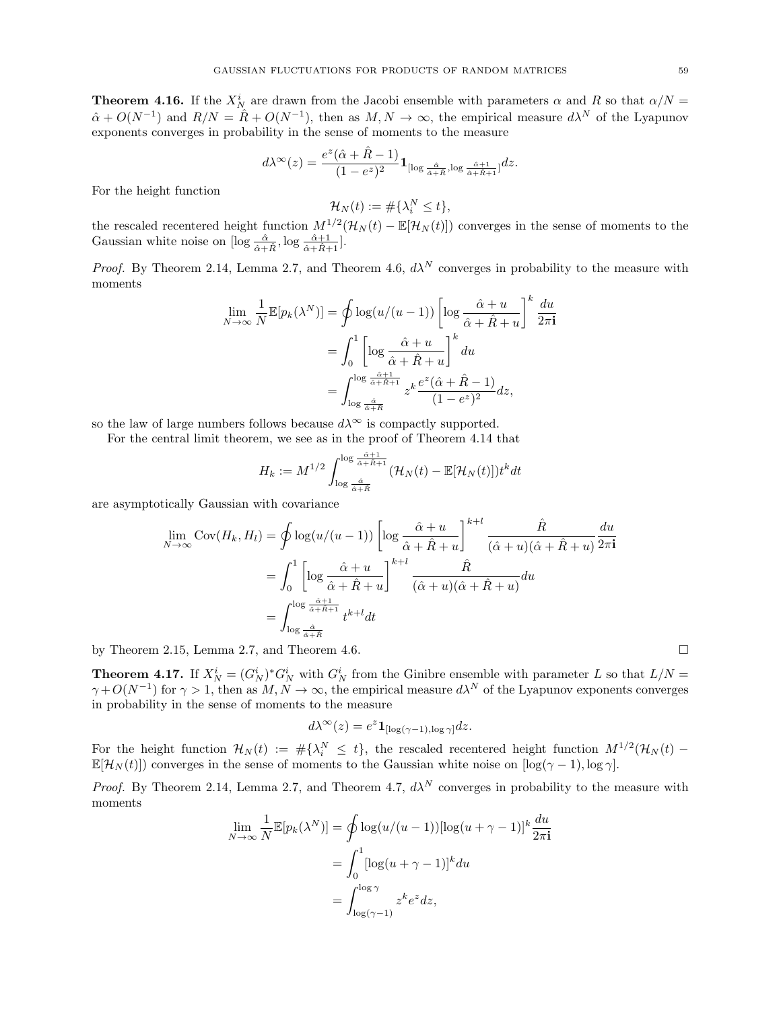<span id="page-58-0"></span>**Theorem 4.16.** If the  $X_N^i$  are drawn from the Jacobi ensemble with parameters  $\alpha$  and R so that  $\alpha/N =$  $\hat{\alpha} + O(N^{-1})$  and  $R/N = \hat{R} + O(N^{-1})$ , then as  $M, N \to \infty$ , the empirical measure  $d\lambda^N$  of the Lyapunov exponents converges in probability in the sense of moments to the measure

$$
d\lambda^\infty(z)=\frac{e^z(\hat\alpha+\hat R-1)}{(1-e^z)^2}{\bf 1}_{[\log \frac{\hat\alpha}{\hat\alpha+\hat R},\log \frac{\hat\alpha+1}{\hat\alpha+\hat R+1}]}dz.
$$

For the height function

$$
\mathcal{H}_N(t) := \#\{\lambda_i^N \le t\},\
$$

the rescaled recentered height function  $M^{1/2}(\mathcal{H}_N(t) - \mathbb{E}[\mathcal{H}_N(t)])$  converges in the sense of moments to the Gaussian white noise on  $[\log \frac{\hat{\alpha}}{\hat{\alpha} + \hat{R}}, \log \frac{\hat{\alpha} + 1}{\hat{\alpha} + \hat{R} + 1}].$ 

*Proof.* By Theorem [2.14,](#page-22-1) Lemma [2.7,](#page-11-3) and Theorem [4.6,](#page-43-2)  $d\lambda^N$  converges in probability to the measure with moments

$$
\lim_{N \to \infty} \frac{1}{N} \mathbb{E}[p_k(\lambda^N)] = \oint \log(u/(u-1)) \left[ \log \frac{\hat{\alpha} + u}{\hat{\alpha} + \hat{R} + u} \right]^k \frac{du}{2\pi \mathbf{i}}
$$

$$
= \int_0^1 \left[ \log \frac{\hat{\alpha} + u}{\hat{\alpha} + \hat{R} + u} \right]^k du
$$

$$
= \int_{\log \frac{\hat{\alpha} + 1}{\hat{\alpha} + \hat{R}}} \frac{e^z(\hat{\alpha} + \hat{R} - 1)}{(1 - e^z)^2} dz,
$$

so the law of large numbers follows because  $d\lambda^{\infty}$  is compactly supported.

For the central limit theorem, we see as in the proof of Theorem [4.14](#page-53-1) that

$$
H_k := M^{1/2} \int_{\log \frac{\hat{\alpha}}{\hat{\alpha} + \hat{R}} \atop \hat{\alpha} + \hat{R}}^{\log \frac{\hat{\alpha} + 1}{\hat{\alpha} + \hat{R}}} (\mathcal{H}_N(t) - \mathbb{E}[\mathcal{H}_N(t)]) t^k dt
$$

are asymptotically Gaussian with covariance

$$
\lim_{N \to \infty} \text{Cov}(H_k, H_l) = \oint \log(u/(u-1)) \left[ \log \frac{\hat{\alpha} + u}{\hat{\alpha} + \hat{R} + u} \right]^{k+l} \frac{\hat{R}}{(\hat{\alpha} + u)(\hat{\alpha} + \hat{R} + u)} \frac{du}{2\pi \mathbf{i}} \n= \int_0^1 \left[ \log \frac{\hat{\alpha} + u}{\hat{\alpha} + \hat{R} + u} \right]^{k+l} \frac{\hat{R}}{(\hat{\alpha} + u)(\hat{\alpha} + \hat{R} + u)} du \n= \int_{\log \frac{\hat{\alpha}}{\hat{\alpha} + \hat{R}} t}^{\log \frac{\hat{\alpha} + 1}{\hat{\alpha} + \hat{R} + u}} t^{k+l} dt
$$

by Theorem [2.15,](#page-23-0) Lemma [2.7,](#page-11-3) and Theorem [4.6.](#page-43-2)

<span id="page-58-1"></span>**Theorem 4.17.** If  $X_N^i = (G_N^i)^* G_N^i$  with  $G_N^i$  from the Ginibre ensemble with parameter L so that  $L/N =$  $\gamma + O(N^{-1})$  for  $\gamma > 1$ , then as  $M, N \to \infty$ , the empirical measure  $d\lambda^N$  of the Lyapunov exponents converges in probability in the sense of moments to the measure

$$
d\lambda^{\infty}(z) = e^z \mathbf{1}_{[\log(\gamma - 1), \log \gamma]} dz.
$$

For the height function  $\mathcal{H}_N(t) := \# \{ \lambda_i^N \leq t \}$ , the rescaled recentered height function  $M^{1/2}(\mathcal{H}_N(t))$  $\mathbb{E}[\mathcal{H}_N(t)]$  converges in the sense of moments to the Gaussian white noise on  $\log(\gamma - 1)$ ,  $\log \gamma$ .

*Proof.* By Theorem [2.14,](#page-22-1) Lemma [2.7,](#page-11-3) and Theorem [4.7,](#page-44-1)  $d\lambda^N$  converges in probability to the measure with moments

$$
\lim_{N \to \infty} \frac{1}{N} \mathbb{E}[p_k(\lambda^N)] = \oint \log(u/(u-1)) [\log(u+\gamma-1)]^k \frac{du}{2\pi \mathbf{i}}
$$

$$
= \int_0^1 [\log(u+\gamma-1)]^k du
$$

$$
= \int_{\log(\gamma-1)}^{\log \gamma} z^k e^z dz,
$$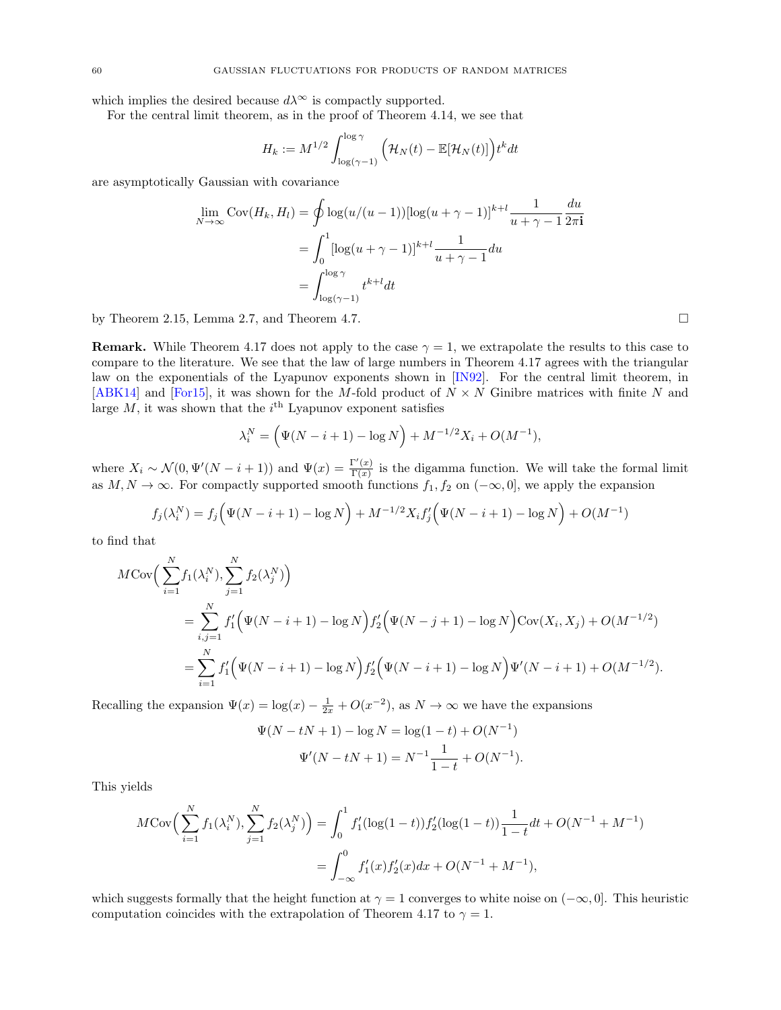which implies the desired because  $d\lambda^{\infty}$  is compactly supported.

For the central limit theorem, as in the proof of Theorem [4.14,](#page-53-1) we see that

$$
H_k := M^{1/2} \int_{\log(\gamma - 1)}^{\log \gamma} \left( \mathcal{H}_N(t) - \mathbb{E}[\mathcal{H}_N(t)] \right) t^k dt
$$

are asymptotically Gaussian with covariance

$$
\lim_{N \to \infty} \text{Cov}(H_k, H_l) = \oint \log(u/(u-1)) [\log(u+\gamma-1)]^{k+l} \frac{1}{u+\gamma-1} \frac{du}{2\pi \mathbf{i}}
$$

$$
= \int_0^1 [\log(u+\gamma-1)]^{k+l} \frac{1}{u+\gamma-1} du
$$

$$
= \int_{\log(\gamma-1)}^{\log \gamma} t^{k+l} dt
$$

by Theorem [2.15,](#page-23-0) Lemma [2.7,](#page-11-3) and Theorem [4.7.](#page-44-1)  $\Box$ 

**Remark.** While Theorem [4.17](#page-58-1) does not apply to the case  $\gamma = 1$ , we extrapolate the results to this case to compare to the literature. We see that the law of large numbers in Theorem [4.17](#page-58-1) agrees with the triangular law on the exponentials of the Lyapunov exponents shown in [\[IN92\]](#page-67-2). For the central limit theorem, in [\[ABK14\]](#page-66-20) and [\[For15\]](#page-67-22), it was shown for the M-fold product of  $N \times N$  Ginibre matrices with finite N and large  $M$ , it was shown that the  $i<sup>th</sup>$  Lyapunov exponent satisfies

$$
\lambda_i^N = \left(\Psi(N - i + 1) - \log N\right) + M^{-1/2}X_i + O(M^{-1}),
$$

where  $X_i \sim \mathcal{N}(0, \Psi'(N - i + 1))$  and  $\Psi(x) = \frac{\Gamma'(x)}{\Gamma(x)}$  $\frac{\Gamma(x)}{\Gamma(x)}$  is the digamma function. We will take the formal limit as  $M, N \to \infty$ . For compactly supported smooth functions  $f_1, f_2$  on  $(-\infty, 0]$ , we apply the expansion

$$
f_j(\lambda_i^N) = f_j(\Psi(N - i + 1) - \log N) + M^{-1/2} X_i f'_j(\Psi(N - i + 1) - \log N) + O(M^{-1})
$$

to find that

$$
M \text{Cov}\Big(\sum_{i=1}^{N} f_1(\lambda_i^N), \sum_{j=1}^{N} f_2(\lambda_j^N)\Big)
$$
  
= 
$$
\sum_{i,j=1}^{N} f'_1(\Psi(N-i+1) - \log N) f'_2(\Psi(N-j+1) - \log N) \text{Cov}(X_i, X_j) + O(M^{-1/2})
$$
  
= 
$$
\sum_{i=1}^{N} f'_1(\Psi(N-i+1) - \log N) f'_2(\Psi(N-i+1) - \log N) \Psi'(N-i+1) + O(M^{-1/2}).
$$

Recalling the expansion  $\Psi(x) = \log(x) - \frac{1}{2x} + O(x^{-2})$ , as  $N \to \infty$  we have the expansions

$$
\Psi(N - tN + 1) - \log N = \log(1 - t) + O(N^{-1})
$$

$$
\Psi'(N - tN + 1) = N^{-1} \frac{1}{1 - t} + O(N^{-1}).
$$

This yields

$$
M \text{Cov}\Big(\sum_{i=1}^{N} f_1(\lambda_i^N), \sum_{j=1}^{N} f_2(\lambda_j^N)\Big) = \int_0^1 f_1'(\log(1-t)) f_2'(\log(1-t)) \frac{1}{1-t} dt + O(N^{-1} + M^{-1})
$$
  
= 
$$
\int_{-\infty}^0 f_1'(x) f_2'(x) dx + O(N^{-1} + M^{-1}),
$$

which suggests formally that the height function at  $\gamma = 1$  converges to white noise on  $(-\infty, 0]$ . This heuristic computation coincides with the extrapolation of Theorem [4.17](#page-58-1) to  $\gamma = 1$ .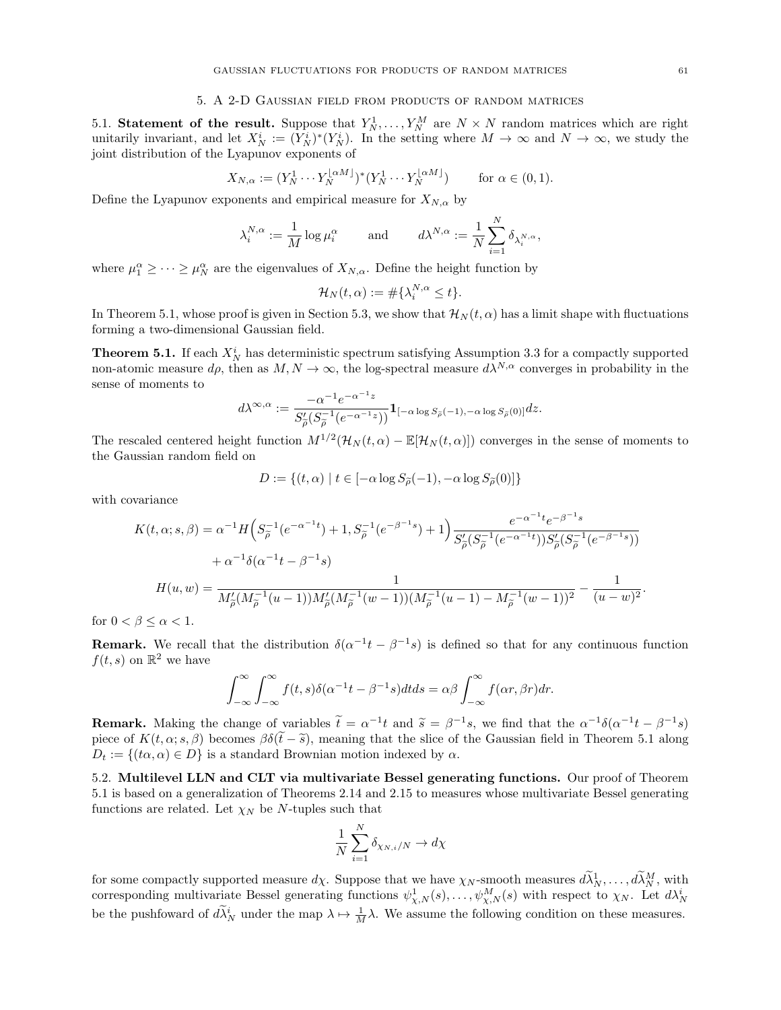#### 5. A 2-D Gaussian field from products of random matrices

<span id="page-60-1"></span><span id="page-60-0"></span>5.1. Statement of the result. Suppose that  $Y_N^1, \ldots, Y_N^M$  are  $N \times N$  random matrices which are right unitarily invariant, and let  $X_N^i := (Y_N^i)^*(Y_N^i)$ . In the setting where  $M \to \infty$  and  $N \to \infty$ , we study the joint distribution of the Lyapunov exponents of

$$
X_{N,\alpha} := (Y_N^1 \cdots Y_N^{ \lfloor \alpha M \rfloor})^* (Y_N^1 \cdots Y_N^{ \lfloor \alpha M \rfloor}) \qquad \text{for } \alpha \in (0,1).
$$

Define the Lyapunov exponents and empirical measure for  $X_{N,\alpha}$  by

$$
\lambda_i^{N,\alpha}:=\frac{1}{M}\log\mu_i^\alpha\qquad\text{ and }\qquad d\lambda^{N,\alpha}:=\frac{1}{N}\sum_{i=1}^N\delta_{\lambda_i^{N,\alpha}},
$$

where  $\mu_1^{\alpha} \geq \cdots \geq \mu_N^{\alpha}$  are the eigenvalues of  $X_{N,\alpha}$ . Define the height function by

$$
\mathcal{H}_N(t,\alpha) := \#\{\lambda_i^{N,\alpha} \le t\}.
$$

In Theorem [5.1,](#page-60-3) whose proof is given in Section [5.3,](#page-62-0) we show that  $\mathcal{H}_N(t, \alpha)$  has a limit shape with fluctuations forming a two-dimensional Gaussian field.

<span id="page-60-3"></span>**Theorem 5.1.** If each  $X_N^i$  has deterministic spectrum satisfying Assumption [3.3](#page-25-1) for a compactly supported non-atomic measure  $d\rho$ , then as  $M, N \to \infty$ , the log-spectral measure  $d\lambda^{N,\alpha}$  converges in probability in the sense of moments to

$$
d\lambda^{\infty,\alpha} := \frac{-\alpha^{-1}e^{-\alpha^{-1}z}}{S'_{\widetilde{\rho}}(S_{\widetilde{\rho}}^{-1}(e^{-\alpha^{-1}z}))}\mathbf{1}_{[-\alpha\log S_{\widetilde{\rho}}(-1),-\alpha\log S_{\widetilde{\rho}}(0)]}dz.
$$

The rescaled centered height function  $M^{1/2}(\mathcal{H}_N(t,\alpha)-\mathbb{E}[\mathcal{H}_N(t,\alpha)])$  converges in the sense of moments to the Gaussian random field on

$$
D := \{ (t, \alpha) \mid t \in [-\alpha \log S_{\widetilde{\rho}}(-1), -\alpha \log S_{\widetilde{\rho}}(0)] \}
$$

with covariance

$$
K(t, \alpha; s, \beta) = \alpha^{-1} H \Big( S_{\tilde{\rho}}^{-1} (e^{-\alpha^{-1}t}) + 1, S_{\tilde{\rho}}^{-1} (e^{-\beta^{-1}s}) + 1 \Big) \frac{e^{-\alpha^{-1}t} e^{-\beta^{-1}s}}{S_{\tilde{\rho}}'(S_{\tilde{\rho}}^{-1} (e^{-\alpha^{-1}t})) S_{\tilde{\rho}}'(S_{\tilde{\rho}}^{-1} (e^{-\beta^{-1}s}))}
$$
  
+  $\alpha^{-1} \delta(\alpha^{-1}t - \beta^{-1}s)$   

$$
H(u, w) = \frac{1}{M_{\tilde{\rho}}'(M_{\tilde{\rho}}^{-1} (u - 1)) M_{\tilde{\rho}}'(M_{\tilde{\rho}}^{-1} (w - 1)) (M_{\tilde{\rho}}^{-1} (u - 1) - M_{\tilde{\rho}}^{-1} (w - 1))^2} - \frac{1}{(u - w)^2}.
$$

for  $0 < \beta \leq \alpha < 1$ .

**Remark.** We recall that the distribution  $\delta(\alpha^{-1}t - \beta^{-1}s)$  is defined so that for any continuous function  $f(t, s)$  on  $\mathbb{R}^2$  we have

$$
\int_{-\infty}^{\infty} \int_{-\infty}^{\infty} f(t,s)\delta(\alpha^{-1}t - \beta^{-1}s)dtds = \alpha\beta \int_{-\infty}^{\infty} f(\alpha r, \beta r)dr.
$$

**Remark.** Making the change of variables  $\tilde{t} = \alpha^{-1}t$  and  $\tilde{s} = \beta^{-1}s$ , we find that the  $\alpha^{-1}\delta(\alpha^{-1}t - \beta^{-1}s)$ piece of  $K(t, \alpha; s, \beta)$  becomes  $\beta \delta(\tilde{t} - \tilde{s})$ , meaning that the slice of the Gaussian field in Theorem [5.1](#page-60-3) along  $D_t := \{(t\alpha, \alpha) \in D\}$  is a standard Brownian motion indexed by  $\alpha$ .

<span id="page-60-2"></span>5.2. Multilevel LLN and CLT via multivariate Bessel generating functions. Our proof of Theorem [5.1](#page-60-3) is based on a generalization of Theorems [2.14](#page-22-1) and [2.15](#page-23-0) to measures whose multivariate Bessel generating functions are related. Let  $\chi_N$  be N-tuples such that

$$
\frac{1}{N}\sum_{i=1}^N \delta_{\chi_{N,i}/N} \to d\chi
$$

for some compactly supported measure  $d\chi$ . Suppose that we have  $\chi_N$ -smooth measures  $d\tilde{\lambda}_N^1,\ldots,d\tilde{\lambda}_N^M$ , with corresponding multivariate Bessel generating functions  $\psi_{\chi,N}^1(s),\ldots,\psi_{\chi,N}^M(s)$  with respect to  $\chi_N$ . Let  $d\lambda_N^i$ be the pushfoward of  $d\tilde{\lambda}_N^i$  under the map  $\lambda \mapsto \frac{1}{M}\lambda$ . We assume the following condition on these measures.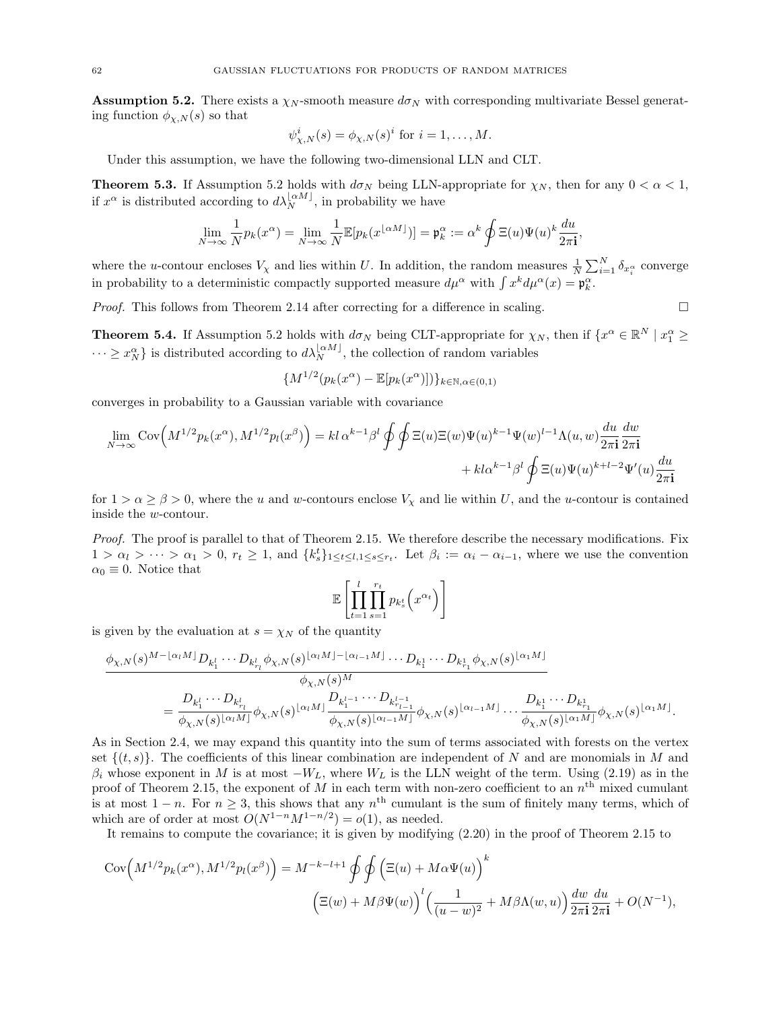<span id="page-61-0"></span>**Assumption 5.2.** There exists a  $\chi_N$ -smooth measure  $d\sigma_N$  with corresponding multivariate Bessel generating function  $\phi_{\chi,N}(s)$  so that

$$
\psi_{\chi,N}^i(s) = \phi_{\chi,N}(s)^i \text{ for } i = 1,\ldots,M.
$$

Under this assumption, we have the following two-dimensional LLN and CLT.

<span id="page-61-1"></span>**Theorem 5.3.** If Assumption [5.2](#page-61-0) holds with  $d\sigma_N$  being LLN-appropriate for  $\chi_N$ , then for any  $0 < \alpha < 1$ , if  $x^{\alpha}$  is distributed according to  $d\lambda_N^{\lfloor \alpha M \rfloor}$ , in probability we have

$$
\lim_{N \to \infty} \frac{1}{N} p_k(x^{\alpha}) = \lim_{N \to \infty} \frac{1}{N} \mathbb{E}[p_k(x^{\lfloor \alpha M \rfloor})] = \mathfrak{p}_k^{\alpha} := \alpha^k \oint \Xi(u) \Psi(u)^k \frac{du}{2\pi \mathbf{i}},
$$

where the u-contour encloses  $V_\chi$  and lies within U. In addition, the random measures  $\frac{1}{N} \sum_{i=1}^N \delta_{x_i^\alpha}$  converge in probability to a deterministic compactly supported measure  $d\mu^{\alpha}$  with  $\int x^{k} d\mu^{\alpha}(x) = \mathfrak{p}_{k}^{\alpha}$ .

*Proof.* This follows from Theorem [2.14](#page-22-1) after correcting for a difference in scaling.  $\square$ 

<span id="page-61-2"></span>**Theorem 5.4.** If Assumption [5.2](#page-61-0) holds with  $d\sigma_N$  being CLT-appropriate for  $\chi_N$ , then if  $\{x^\alpha \in \mathbb{R}^N \mid x_1^\alpha \geq 0\}$  $\cdots \geq x_N^{\alpha}$  is distributed according to  $d\lambda_N^{\lfloor \alpha M \rfloor}$ , the collection of random variables

$$
\{M^{1/2}(p_k(x^{\alpha}) - \mathbb{E}[p_k(x^{\alpha})])\}_{k \in \mathbb{N}, \alpha \in (0,1)}
$$

converges in probability to a Gaussian variable with covariance

$$
\lim_{N \to \infty} \text{Cov}\Big(M^{1/2}p_k(x^{\alpha}), M^{1/2}p_l(x^{\beta})\Big) = kl \alpha^{k-1} \beta^l \oint \oint \Xi(u) \Xi(w) \Psi(u)^{k-1} \Psi(w)^{l-1} \Lambda(u, w) \frac{du}{2\pi \mathbf{i}} \frac{dw}{2\pi \mathbf{i}} + kl \alpha^{k-1} \beta^l \oint \Xi(u) \Psi(u)^{k+l-2} \Psi'(u) \frac{du}{2\pi \mathbf{i}}
$$

for  $1 > \alpha \ge \beta > 0$ , where the u and w-contours enclose  $V_\chi$  and lie within U, and the u-contour is contained inside the w-contour.

Proof. The proof is parallel to that of Theorem [2.15.](#page-23-0) We therefore describe the necessary modifications. Fix  $1 > \alpha_l > \cdots > \alpha_1 > 0, r_t \geq 1$ , and  $\{k_s^t\}_{1 \leq t \leq l, 1 \leq s \leq r_t}$ . Let  $\beta_i := \alpha_i - \alpha_{i-1}$ , where we use the convention  $\alpha_0 \equiv 0$ . Notice that

$$
\mathbb{E}\left[\prod_{t=1}^l\prod_{s=1}^{r_t} p_{k_s^t}\left(x^{\alpha_t}\right)\right]
$$

is given by the evaluation at  $s = \chi_N$  of the quantity

$$
\frac{\phi_{\chi,N}(s)^{M-\lfloor \alpha_l M \rfloor} D_{k_1^l} \cdots D_{k_{r_l}^l} \phi_{\chi,N}(s)^{\lfloor \alpha_l M \rfloor - \lfloor \alpha_{l-1} M \rfloor} \cdots D_{k_1^1} \cdots D_{k_{r_1}^1} \phi_{\chi,N}(s)^{\lfloor \alpha_1 M \rfloor}}{\phi_{\chi,N}(s)^M}
$$
\n
$$
= \frac{D_{k_1^l} \cdots D_{k_{r_l}^l}}{\phi_{\chi,N}(s)^{\lfloor \alpha_l M \rfloor}} \phi_{\chi,N}(s)^{\lfloor \alpha_l M \rfloor} \frac{D_{k_1^{l-1}} \cdots D_{k_{r_{l-1}}^{l-1}}}{\phi_{\chi,N}(s)^{\lfloor \alpha_l M \rfloor}} \phi_{\chi,N}(s)^{\lfloor \alpha_{l-1} M \rfloor} \cdots \frac{D_{k_1^1} \cdots D_{k_{r_1}^1}}{\phi_{\chi,N}(s)^{\lfloor \alpha_l M \rfloor}} \phi_{\chi,N}(s)^{\lfloor \alpha_1 M \rfloor}.
$$

As in Section [2.4,](#page-12-0) we may expand this quantity into the sum of terms associated with forests on the vertex set  $\{(t, s)\}\.$  The coefficients of this linear combination are independent of N and are monomials in M and  $\beta_i$  whose exponent in M is at most  $-W_L$ , where  $W_L$  is the LLN weight of the term. Using [\(2.19\)](#page-23-1) as in the proof of Theorem [2.15,](#page-23-0) the exponent of M in each term with non-zero coefficient to an  $n<sup>th</sup>$  mixed cumulant is at most  $1 - n$ . For  $n \geq 3$ , this shows that any  $n^{\text{th}}$  cumulant is the sum of finitely many terms, which of which are of order at most  $O(N^{1-n}M^{1-n/2}) = o(1)$ , as needed.

It remains to compute the covariance; it is given by modifying [\(2.20\)](#page-23-2) in the proof of Theorem [2.15](#page-23-0) to

$$
Cov\left(M^{1/2}p_k(x^{\alpha}), M^{1/2}p_l(x^{\beta})\right) = M^{-k-l+1} \oint \oint \left(\Xi(u) + M\alpha\Psi(u)\right)^k
$$

$$
\left(\Xi(w) + M\beta\Psi(w)\right)^l \left(\frac{1}{(u-w)^2} + M\beta\Lambda(w, u)\right) \frac{dw}{2\pi i} \frac{du}{2\pi i} + O(N^{-1}),
$$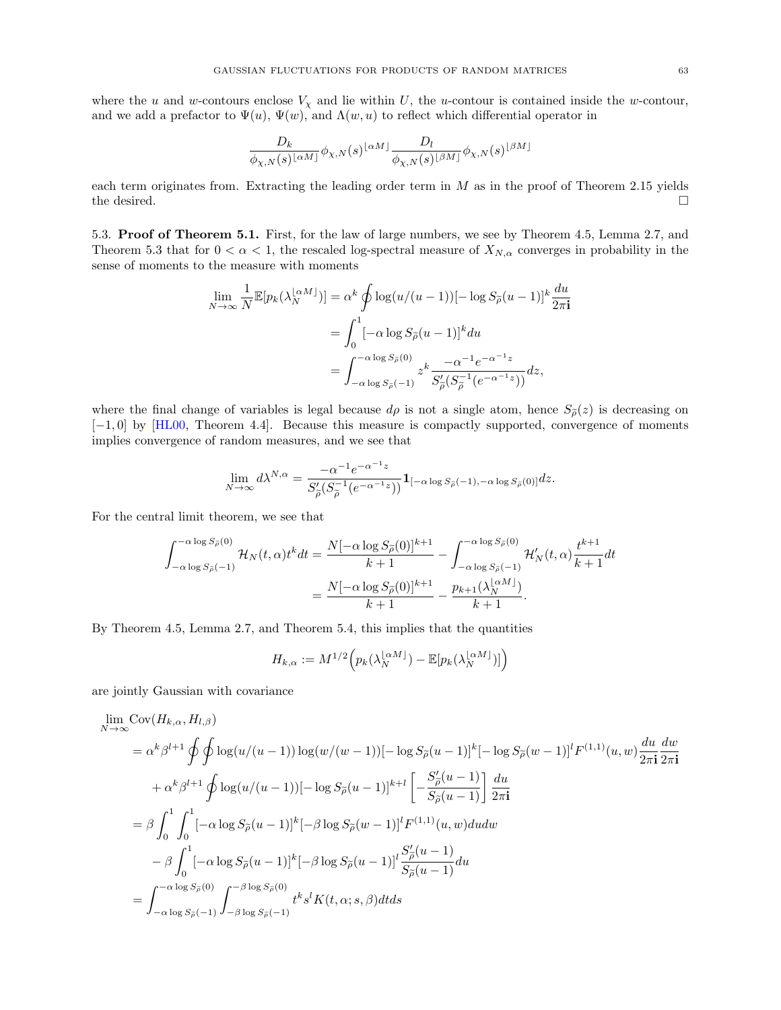where the u and w-contours enclose  $V_\chi$  and lie within U, the u-contour is contained inside the w-contour, and we add a prefactor to  $\Psi(u)$ ,  $\Psi(w)$ , and  $\Lambda(w, u)$  to reflect which differential operator in

$$
\frac{D_k}{\phi_{\chi,N}(s)^{\lfloor \alpha M \rfloor}} \phi_{\chi,N}(s)^{\lfloor \alpha M \rfloor} \frac{D_l}{\phi_{\chi,N}(s)^{\lfloor \beta M \rfloor}} \phi_{\chi,N}(s)^{\lfloor \beta M \rfloor}
$$

each term originates from. Extracting the leading order term in  $M$  as in the proof of Theorem [2.15](#page-23-0) yields the desired.  $\Box$ 

<span id="page-62-0"></span>5.3. Proof of Theorem [5.1.](#page-60-3) First, for the law of large numbers, we see by Theorem [4.5,](#page-42-0) Lemma [2.7,](#page-11-3) and Theorem [5.3](#page-61-1) that for  $0 < \alpha < 1$ , the rescaled log-spectral measure of  $X_{N,\alpha}$  converges in probability in the sense of moments to the measure with moments

$$
\lim_{N \to \infty} \frac{1}{N} \mathbb{E}[p_k(\lambda_N^{\lfloor \alpha M \rfloor})] = \alpha^k \oint \log(u/(u-1)) [-\log S_{\tilde{\rho}}(u-1)]^k \frac{du}{2\pi \mathbf{i}}
$$

$$
= \int_0^1 [-\alpha \log S_{\tilde{\rho}}(u-1)]^k du
$$

$$
= \int_{-\alpha \log S_{\tilde{\rho}}(-1)}^{-\alpha \log S_{\tilde{\rho}}(0)} z^k \frac{-\alpha^{-1} e^{-\alpha^{-1} z}}{S_{\tilde{\rho}}'(S_{\tilde{\rho}}^{-1}(e^{-\alpha^{-1} z}))} dz,
$$

where the final change of variables is legal because  $d\rho$  is not a single atom, hence  $S_{\rho}(z)$  is decreasing on [−1, 0] by [\[HL00,](#page-67-33) Theorem 4.4]. Because this measure is compactly supported, convergence of moments implies convergence of random measures, and we see that

$$
\lim_{N \to \infty} d\lambda^{N,\alpha} = \frac{-\alpha^{-1} e^{-\alpha^{-1} z}}{S'_{\widetilde{\rho}}(S_{\widetilde{\rho}}^{-1} (e^{-\alpha^{-1} z}))} \mathbf{1}_{[-\alpha \log S_{\widetilde{\rho}}(-1), -\alpha \log S_{\widetilde{\rho}}(0)]} dz.
$$

For the central limit theorem, we see that

$$
\int_{-\alpha \log S_{\tilde{\rho}}(0)}^{-\alpha \log S_{\tilde{\rho}}(0)} \mathcal{H}_N(t, \alpha) t^k dt = \frac{N[-\alpha \log S_{\tilde{\rho}}(0)]^{k+1}}{k+1} - \int_{-\alpha \log S_{\tilde{\rho}}(0)}^{-\alpha \log S_{\tilde{\rho}}(0)} \mathcal{H}'_N(t, \alpha) \frac{t^{k+1}}{k+1} dt \n= \frac{N[-\alpha \log S_{\tilde{\rho}}(0)]^{k+1}}{k+1} - \frac{p_{k+1}(\lambda_N^{\lfloor \alpha M \rfloor})}{k+1}.
$$

By Theorem [4.5,](#page-42-0) Lemma [2.7,](#page-11-3) and Theorem [5.4,](#page-61-2) this implies that the quantities

$$
H_{k,\alpha}:=M^{1/2}\Big(p_k(\lambda_N^{\lfloor \alpha M\rfloor})-\mathbb{E}[p_k(\lambda_N^{\lfloor \alpha M\rfloor})]\Big)
$$

are jointly Gaussian with covariance

$$
\lim_{N \to \infty} \text{Cov}(H_{k,\alpha}, H_{l,\beta})
$$
\n
$$
= \alpha^{k} \beta^{l+1} \oint \oint \log(u/(u-1)) \log(w/(w-1)) [-\log S_{\tilde{\rho}}(u-1)]^{k} [-\log S_{\tilde{\rho}}(w-1)]^{l} F^{(1,1)}(u, w) \frac{du}{2\pi i} \frac{dw}{2\pi i}
$$
\n
$$
+ \alpha^{k} \beta^{l+1} \oint \log(u/(u-1)) [-\log S_{\tilde{\rho}}(u-1)]^{k+l} \left[ -\frac{S_{\tilde{\rho}}'(u-1)}{S_{\tilde{\rho}}(u-1)} \right] \frac{du}{2\pi i}
$$
\n
$$
= \beta \int_{0}^{1} \int_{0}^{1} [-\alpha \log S_{\tilde{\rho}}(u-1)]^{k} [-\beta \log S_{\tilde{\rho}}(w-1)]^{l} F^{(1,1)}(u, w) du dw
$$
\n
$$
- \beta \int_{0}^{1} [-\alpha \log S_{\tilde{\rho}}(u-1)]^{k} [-\beta \log S_{\tilde{\rho}}(u-1)]^{l} \frac{S_{\tilde{\rho}}'(u-1)}{S_{\tilde{\rho}}(u-1)} du
$$
\n
$$
= \int_{-\alpha \log S_{\tilde{\rho}}(-1)}^{-\alpha \log S_{\tilde{\rho}}(0)} \int_{-\beta \log S_{\tilde{\rho}}(-1)}^{-\beta \log S_{\tilde{\rho}}(-1)} t^{k} s^{l} K(t, \alpha; s, \beta) dt ds
$$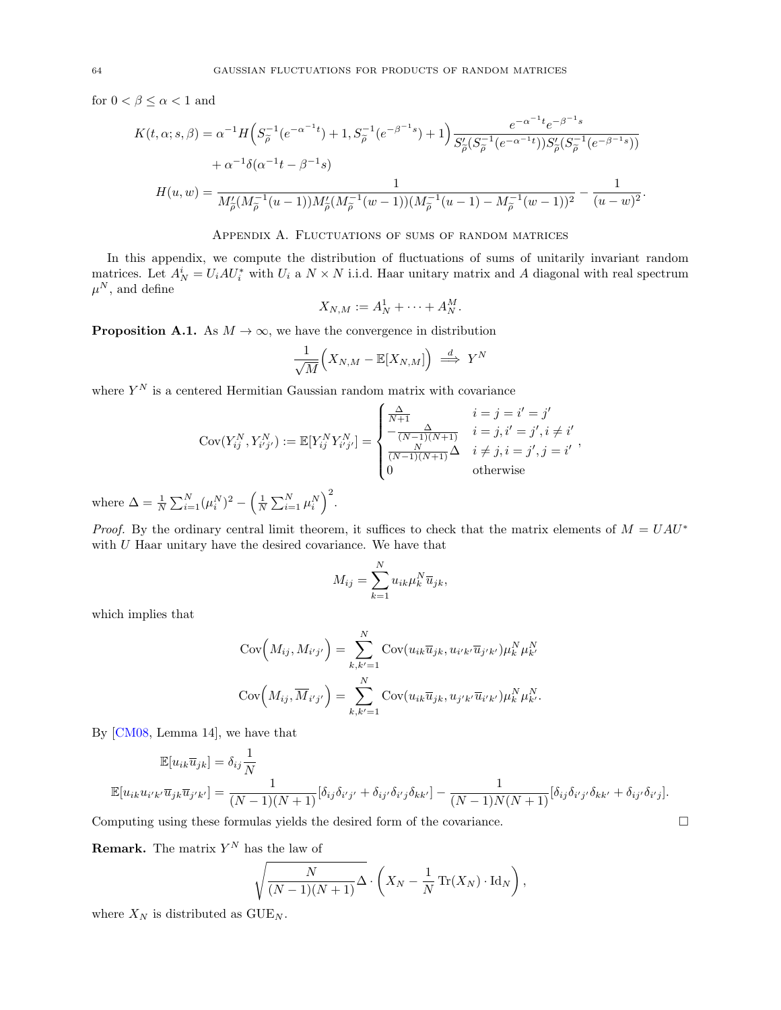for  $0 < \beta \leq \alpha < 1$  and

$$
K(t, \alpha; s, \beta) = \alpha^{-1} H\left(S_{\tilde{\rho}}^{-1}(e^{-\alpha^{-1}t}) + 1, S_{\tilde{\rho}}^{-1}(e^{-\beta^{-1}s}) + 1\right) \frac{e^{-\alpha^{-1}t}e^{-\beta^{-1}s}}{S_{\tilde{\rho}}'(S_{\tilde{\rho}}^{-1}(e^{-\alpha^{-1}t}))S_{\tilde{\rho}}'(S_{\tilde{\rho}}^{-1}(e^{-\beta^{-1}s}))} + \alpha^{-1}\delta(\alpha^{-1}t - \beta^{-1}s)
$$
  

$$
H(u, w) = \frac{1}{M_{\tilde{\rho}}'(M_{\tilde{\rho}}^{-1}(u-1))M_{\tilde{\rho}}'(M_{\tilde{\rho}}^{-1}(w-1))(M_{\tilde{\rho}}^{-1}(u-1) - M_{\tilde{\rho}}^{-1}(w-1))^2} - \frac{1}{(u-w)^2}.
$$

## Appendix A. Fluctuations of sums of random matrices

<span id="page-63-0"></span>In this appendix, we compute the distribution of fluctuations of sums of unitarily invariant random matrices. Let  $A_N^i = U_i A U_i^*$  with  $U_i$  a  $N \times N$  i.i.d. Haar unitary matrix and A diagonal with real spectrum  $\mu^N$ , and define

$$
X_{N,M} := A_N^1 + \cdots + A_N^M.
$$

**Proposition A.1.** As  $M \to \infty$ , we have the convergence in distribution

$$
\frac{1}{\sqrt{M}}\Big(X_{N,M}-\mathbb{E}[X_{N,M}]\Big)\ \stackrel{d}{\Longrightarrow}\ Y^N
$$

where  $Y^N$  is a centered Hermitian Gaussian random matrix with covariance

$$
Cov(Y_{ij}^N, Y_{i'j'}^N) := \mathbb{E}[Y_{ij}^N Y_{i'j'}^N] = \begin{cases} \frac{\Delta}{N+1} & i = j = i' = j' \\ -\frac{\Delta}{(N-1)(N+1)} & i = j, i' = j', i \neq i' \\ \frac{N}{(N-1)(N+1)}\Delta & i \neq j, i = j', j = i' \\ 0 & \text{otherwise} \end{cases}
$$

where  $\Delta = \frac{1}{N} \sum_{i=1}^{N} (\mu_i^N)^2 - \left(\frac{1}{N} \sum_{i=1}^{N} \mu_i^N\right)^2$ .

*Proof.* By the ordinary central limit theorem, it suffices to check that the matrix elements of  $M = UAU^*$ with  $U$  Haar unitary have the desired covariance. We have that

$$
M_{ij} = \sum_{k=1}^{N} u_{ik} \mu_k^N \overline{u}_{jk},
$$

which implies that

$$
Cov(M_{ij}, M_{i'j'}) = \sum_{k,k'=1}^{N} Cov(u_{ik}\overline{u}_{jk}, u_{i'k'}\overline{u}_{j'k'})\mu_k^N \mu_{k'}^N
$$

$$
Cov(M_{ij}, \overline{M}_{i'j'}) = \sum_{k,k'=1}^{N} Cov(u_{ik}\overline{u}_{jk}, u_{j'k'}\overline{u}_{i'k'})\mu_k^N \mu_{k'}^N.
$$

By [\[CM08,](#page-66-31) Lemma 14], we have that

$$
\mathbb{E}[u_{ik}\overline{u}_{jk}] = \delta_{ij}\frac{1}{N}
$$
  

$$
\mathbb{E}[u_{ik}u_{i'k'}\overline{u}_{jk}\overline{u}_{j'k'}] = \frac{1}{(N-1)(N+1)}[\delta_{ij}\delta_{i'j'} + \delta_{ij'}\delta_{i'j}\delta_{kk'}] - \frac{1}{(N-1)N(N+1)}[\delta_{ij}\delta_{i'j'}\delta_{kk'} + \delta_{ij'}\delta_{i'j}].
$$

Computing using these formulas yields the desired form of the covariance.  $\Box$ 

**Remark.** The matrix  $Y^N$  has the law of

$$
\sqrt{\frac{N}{(N-1)(N+1)}}\Delta \cdot \left(X_N - \frac{1}{N}\operatorname{Tr}(X_N) \cdot \operatorname{Id}_N\right),\,
$$

where  $X_N$  is distributed as  $\text{GUE}_N$ .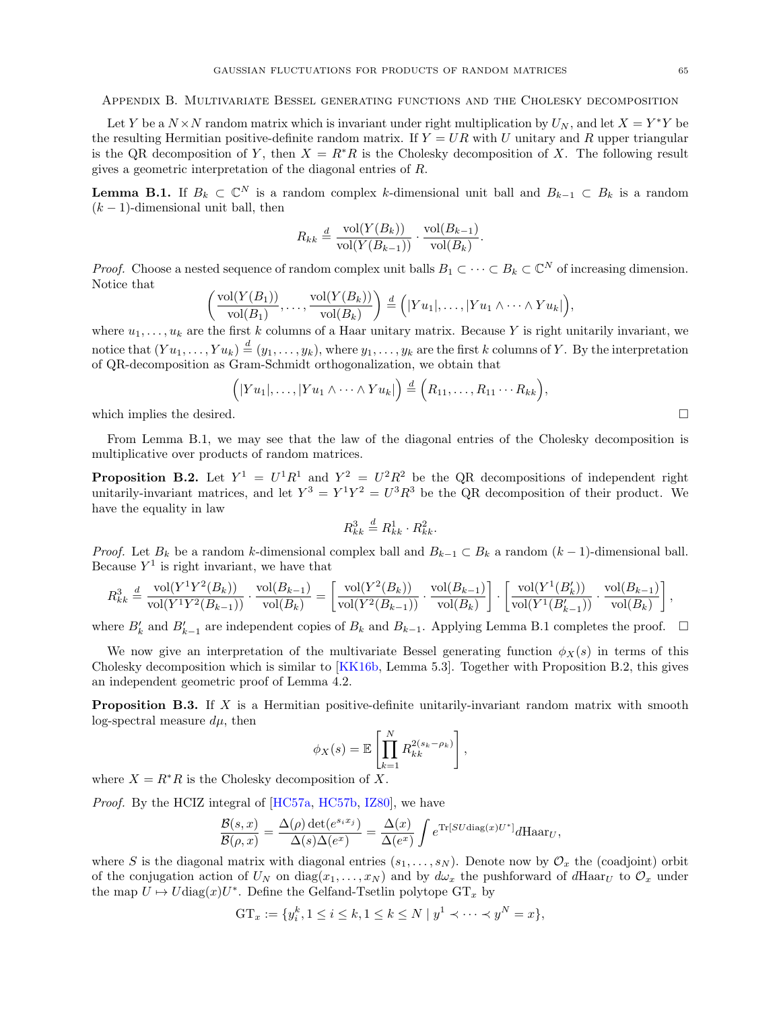<span id="page-64-0"></span>Appendix B. Multivariate Bessel generating functions and the Cholesky decomposition

Let Y be a  $N \times N$  random matrix which is invariant under right multiplication by  $U_N$ , and let  $X = Y^*Y$  be the resulting Hermitian positive-definite random matrix. If  $Y = UR$  with U unitary and R upper triangular is the QR decomposition of Y, then  $X = R^*R$  is the Cholesky decomposition of X. The following result gives a geometric interpretation of the diagonal entries of R.

<span id="page-64-3"></span>**Lemma B.1.** If  $B_k \subset \mathbb{C}^N$  is a random complex k-dimensional unit ball and  $B_{k-1} \subset B_k$  is a random  $(k-1)$ -dimensional unit ball, then

$$
R_{kk} \stackrel{d}{=} \frac{\text{vol}(Y(B_k))}{\text{vol}(Y(B_{k-1}))} \cdot \frac{\text{vol}(B_{k-1})}{\text{vol}(B_k)}.
$$

*Proof.* Choose a nested sequence of random complex unit balls  $B_1 \subset \cdots \subset B_k \subset \mathbb{C}^N$  of increasing dimension. Notice that

$$
\left(\frac{\text{vol}(Y(B_1))}{\text{vol}(B_1)},\ldots,\frac{\text{vol}(Y(B_k))}{\text{vol}(B_k)}\right) \stackrel{d}{=} \left(|Yu_1|,\ldots,|Yu_1 \wedge \cdots \wedge Yu_k|\right),
$$

where  $u_1, \ldots, u_k$  are the first k columns of a Haar unitary matrix. Because Y is right unitarily invariant, we notice that  $(Yu_1,\ldots,Yu_k)\stackrel{d}{=} (y_1,\ldots,y_k)$ , where  $y_1,\ldots,y_k$  are the first k columns of Y. By the interpretation of QR-decomposition as Gram-Schmidt orthogonalization, we obtain that

$$
([Yu_1],\ldots,[Yu_1\wedge\cdots\wedge Yu_k])\stackrel{d}{=} (R_{11},\ldots,R_{11}\cdots R_{kk}),
$$

which implies the desired.  $\square$ 

From Lemma [B.1,](#page-64-3) we may see that the law of the diagonal entries of the Cholesky decomposition is multiplicative over products of random matrices.

<span id="page-64-2"></span>**Proposition B.2.** Let  $Y^1 = U^1 R^1$  and  $Y^2 = U^2 R^2$  be the QR decompositions of independent right unitarily-invariant matrices, and let  $Y^3 = Y^1Y^2 = U^3R^3$  be the QR decomposition of their product. We have the equality in law

$$
R_{kk}^3 \stackrel{d}{=} R_{kk}^1 \cdot R_{kk}^2.
$$

*Proof.* Let  $B_k$  be a random k-dimensional complex ball and  $B_{k-1} \subset B_k$  a random  $(k-1)$ -dimensional ball. Because  $Y^1$  is right invariant, we have that

$$
R_{kk}^3 \stackrel{d}{=} \frac{\text{vol}(Y^1 Y^2 (B_k))}{\text{vol}(Y^1 Y^2 (B_{k-1}))} \cdot \frac{\text{vol}(B_{k-1})}{\text{vol}(B_k)} = \left[ \frac{\text{vol}(Y^2 (B_k))}{\text{vol}(Y^2 (B_{k-1}))} \cdot \frac{\text{vol}(B_{k-1})}{\text{vol}(B_k)} \right] \cdot \left[ \frac{\text{vol}(Y^1 (B_k'))}{\text{vol}(Y^1 (B_{k-1}'))} \cdot \frac{\text{vol}(B_{k-1})}{\text{vol}(B_k)} \right],
$$

where  $B'_k$  and  $B'_{k-1}$  are independent copies of  $B_k$  and  $B_{k-1}$ . Applying Lemma [B.1](#page-64-3) completes the proof. □

We now give an interpretation of the multivariate Bessel generating function  $\phi_X(s)$  in terms of this Cholesky decomposition which is similar to [\[KK16b,](#page-67-14) Lemma 5.3]. Together with Proposition [B.2,](#page-64-2) this gives an independent geometric proof of Lemma [4.2.](#page-41-1)

<span id="page-64-1"></span>**Proposition B.3.** If X is a Hermitian positive-definite unitarily-invariant random matrix with smooth log-spectral measure  $d\mu$ , then

$$
\phi_X(s) = \mathbb{E}\left[\prod_{k=1}^N R_{kk}^{2(s_k - \rho_k)}\right],
$$

where  $X = R^*R$  is the Cholesky decomposition of X.

Proof. By the HCIZ integral of [\[HC57a,](#page-67-34) [HC57b,](#page-67-35) [IZ80\]](#page-67-36), we have

$$
\frac{\mathcal{B}(s,x)}{\mathcal{B}(\rho,x)} = \frac{\Delta(\rho) \det(e^{s_ix_j})}{\Delta(s)\Delta(e^x)} = \frac{\Delta(x)}{\Delta(e^x)} \int e^{\text{Tr}[SU\text{diag}(x)U^*]} d\text{Haar}_U,
$$

where S is the diagonal matrix with diagonal entries  $(s_1, \ldots, s_N)$ . Denote now by  $\mathcal{O}_x$  the (coadjoint) orbit of the conjugation action of  $U_N$  on  $diag(x_1, \ldots, x_N)$  and by  $d\omega_x$  the pushforward of  $d\text{Haar}_U$  to  $\mathcal{O}_x$  under the map  $U \mapsto U \text{diag}(x)U^*$ . Define the Gelfand-Tsetlin polytope  $\text{GT}_x$  by

$$
GT_x := \{y_i^k, 1 \le i \le k, 1 \le k \le N \mid y^1 \prec \cdots \prec y^N = x\},\
$$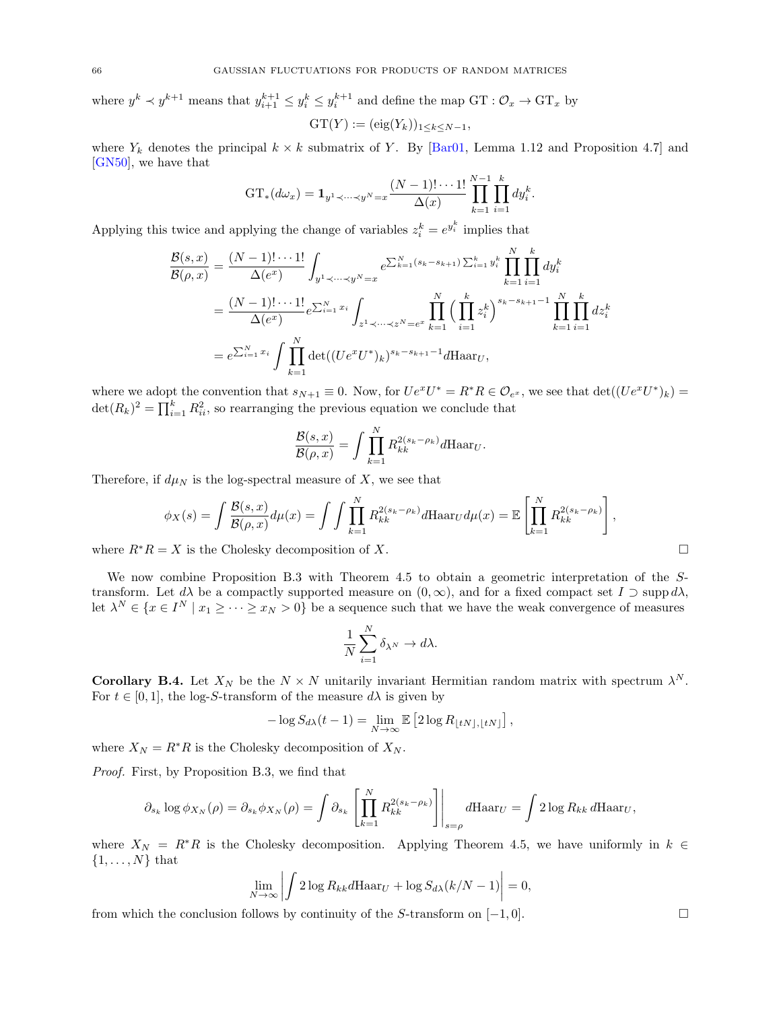where  $y^k \prec y^{k+1}$  means that  $y_{i+1}^{k+1} \leq y_i^k \leq y_i^{k+1}$  and define the map  $GT : \mathcal{O}_x \to GT_x$  by  $\mathrm{GT}(Y) := (\mathrm{eig}(Y_k))_{1 \leq k \leq N-1},$ 

where  $Y_k$  denotes the principal  $k \times k$  submatrix of Y. By [\[Bar01,](#page-66-32) Lemma 1.12 and Proposition 4.7] and [\[GN50\]](#page-67-37), we have that

$$
GT_*(d\omega_x) = \mathbf{1}_{y^1 \prec \dots \prec y^N = x} \frac{(N-1)! \cdots 1!}{\Delta(x)} \prod_{k=1}^{N-1} \prod_{i=1}^k dy_i^k
$$

.

Applying this twice and applying the change of variables  $z_i^k = e^{y_i^k}$  implies that

$$
\frac{\mathcal{B}(s,x)}{\mathcal{B}(\rho,x)} = \frac{(N-1)!\cdots 1!}{\Delta(e^x)} \int_{y^1 \prec \cdots \prec y^N = x} e^{\sum_{k=1}^N (s_k - s_{k+1}) \sum_{i=1}^k y_i^k} \prod_{k=1}^N \prod_{i=1}^k dy_i^k
$$
  
= 
$$
\frac{(N-1)!\cdots 1!}{\Delta(e^x)} e^{\sum_{i=1}^N x_i} \int_{z^1 \prec \cdots \prec z^N = e^x} \prod_{k=1}^N \left(\prod_{i=1}^k z_i^k\right)^{s_k - s_{k+1} - 1} \prod_{k=1}^N \prod_{i=1}^k dz_i^k
$$
  
= 
$$
e^{\sum_{i=1}^N x_i} \int \prod_{k=1}^N \det((Ue^x U^*)_k)^{s_k - s_{k+1} - 1} d\text{Haar}_U,
$$

where we adopt the convention that  $s_{N+1} \equiv 0$ . Now, for  $Ue^xU^* = R^*R \in \mathcal{O}_{e^x}$ , we see that  $\det((Ue^xU^*)_k) =$  $\det(R_k)^2 = \prod_{i=1}^k R_{ii}^2$ , so rearranging the previous equation we conclude that

$$
\frac{\mathcal{B}(s,x)}{\mathcal{B}(\rho,x)} = \int \prod_{k=1}^{N} R_{kk}^{2(s_k - \rho_k)} d\text{Haar}_U.
$$

Therefore, if  $d\mu_N$  is the log-spectral measure of X, we see that

$$
\phi_X(s) = \int \frac{\mathcal{B}(s,x)}{\mathcal{B}(\rho,x)} d\mu(x) = \int \int \prod_{k=1}^N R_{kk}^{2(s_k - \rho_k)} d\text{Haar}_U d\mu(x) = \mathbb{E} \left[ \prod_{k=1}^N R_{kk}^{2(s_k - \rho_k)} \right],
$$

where  $R^*R = X$  is the Cholesky decomposition of X.

We now combine Proposition [B.3](#page-64-1) with Theorem [4.5](#page-42-0) to obtain a geometric interpretation of the Stransform. Let  $d\lambda$  be a compactly supported measure on  $(0, \infty)$ , and for a fixed compact set  $I \supset \text{supp } d\lambda$ , let  $\lambda^N \in \{x \in I^N \mid x_1 \geq \cdots \geq x_N > 0\}$  be a sequence such that we have the weak convergence of measures

$$
\frac{1}{N}\sum_{i=1}^N \delta_{\lambda^N} \to d\lambda.
$$

<span id="page-65-0"></span>**Corollary B.4.** Let  $X_N$  be the  $N \times N$  unitarily invariant Hermitian random matrix with spectrum  $\lambda^N$ . For  $t \in [0, 1]$ , the log-S-transform of the measure  $d\lambda$  is given by

$$
-\log S_{d\lambda}(t-1) = \lim_{N \to \infty} \mathbb{E} \left[ 2 \log R_{\lfloor tN \rfloor, \lfloor tN \rfloor} \right],
$$

where  $X_N = R^*R$  is the Cholesky decomposition of  $X_N$ .

Proof. First, by Proposition [B.3,](#page-64-1) we find that

$$
\partial_{s_k} \log \phi_{X_N}(\rho) = \partial_{s_k} \phi_{X_N}(\rho) = \int \partial_{s_k} \left[ \prod_{k=1}^N R_{kk}^{2(s_k - \rho_k)} \right] \Big|_{s=\rho} d\text{Haar}_U = \int 2 \log R_{kk} d\text{Haar}_U,
$$

where  $X_N = R^*R$  is the Cholesky decomposition. Applying Theorem [4.5,](#page-42-0) we have uniformly in  $k \in \mathbb{Z}$  $\{1, \ldots, N\}$  that

$$
\lim_{N \to \infty} \left| \int 2 \log R_{kk} d\text{Haar}_U + \log S_{d\lambda}(k/N - 1) \right| = 0,
$$

from which the conclusion follows by continuity of the S-transform on  $[-1, 0]$ .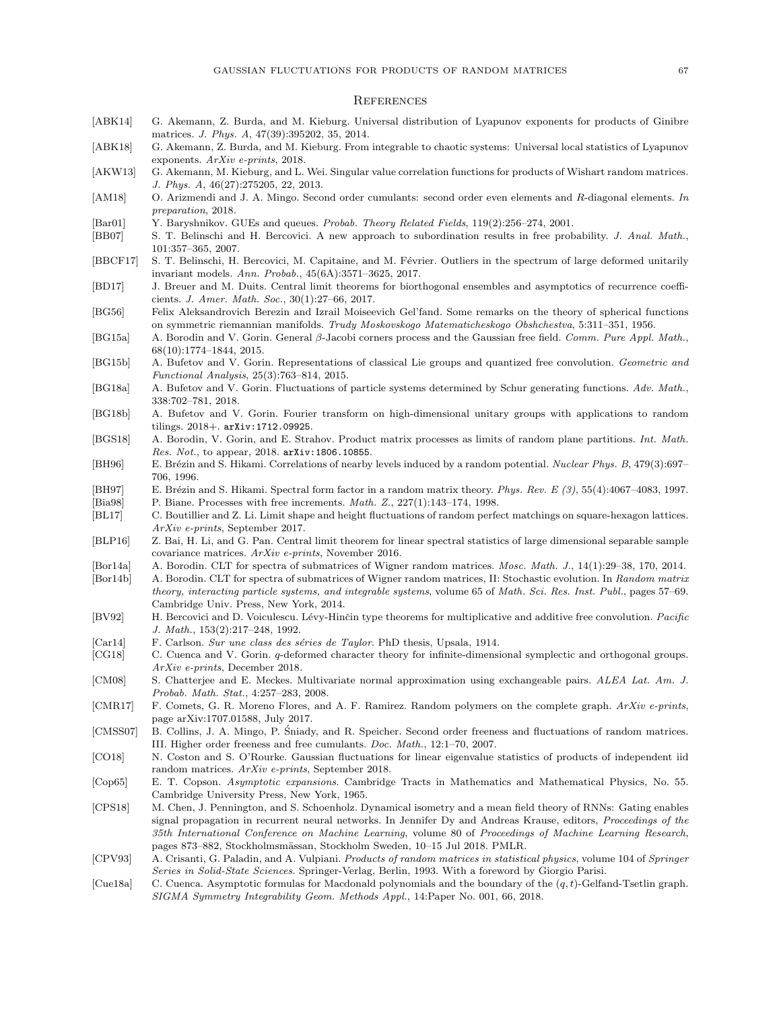#### <span id="page-66-0"></span>**REFERENCES**

- <span id="page-66-20"></span>[ABK14] G. Akemann, Z. Burda, and M. Kieburg. Universal distribution of Lyapunov exponents for products of Ginibre matrices. J. Phys. A, 47(39):395202, 35, 2014.
- <span id="page-66-4"></span>[ABK18] G. Akemann, Z. Burda, and M. Kieburg. From integrable to chaotic systems: Universal local statistics of Lyapunov exponents. ArXiv e-prints, 2018.
- <span id="page-66-6"></span>[AKW13] G. Akemann, M. Kieburg, and L. Wei. Singular value correlation functions for products of Wishart random matrices. J. Phys. A, 46(27):275205, 22, 2013.
- <span id="page-66-13"></span>[AM18] O. Arizmendi and J. A. Mingo. Second order cumulants: second order even elements and R-diagonal elements. In preparation, 2018.
- <span id="page-66-32"></span>[Bar01] Y. Baryshnikov. GUEs and queues. Probab. Theory Related Fields, 119(2):256–274, 2001.
- <span id="page-66-29"></span>[BB07] S. T. Belinschi and H. Bercovici. A new approach to subordination results in free probability. J. Anal. Math., 101:357–365, 2007.
- <span id="page-66-30"></span>[BBCF17] S. T. Belinschi, H. Bercovici, M. Capitaine, and M. Février. Outliers in the spectrum of large deformed unitarily invariant models. Ann. Probab., 45(6A):3571–3625, 2017.
- <span id="page-66-19"></span>[BD17] J. Breuer and M. Duits. Central limit theorems for biorthogonal ensembles and asymptotics of recurrence coefficients. J. Amer. Math. Soc., 30(1):27–66, 2017.
- <span id="page-66-21"></span>[BG56] Felix Aleksandrovich Berezin and Izrail Moiseevich Gel'fand. Some remarks on the theory of spherical functions on symmetric riemannian manifolds. Trudy Moskovskogo Matematicheskogo Obshchestva, 5:311–351, 1956.
- <span id="page-66-17"></span>[BG15a] A. Borodin and V. Gorin. General β-Jacobi corners process and the Gaussian free field. Comm. Pure Appl. Math., 68(10):1774–1844, 2015.
- <span id="page-66-9"></span>[BG15b] A. Bufetov and V. Gorin. Representations of classical Lie groups and quantized free convolution. Geometric and Functional Analysis, 25(3):763–814, 2015.
- <span id="page-66-10"></span>[BG18a] A. Bufetov and V. Gorin. Fluctuations of particle systems determined by Schur generating functions. Adv. Math., 338:702–781, 2018.
- <span id="page-66-11"></span>[BG18b] A. Bufetov and V. Gorin. Fourier transform on high-dimensional unitary groups with applications to random tilings. 2018+. <arXiv:1712.09925>.
- <span id="page-66-22"></span>[BGS18] A. Borodin, V. Gorin, and E. Strahov. Product matrix processes as limits of random plane partitions. Int. Math. Res. Not., to appear, 2018. <arXiv:1806.10855>.
- <span id="page-66-7"></span>[BH96] E. Brézin and S. Hikami. Correlations of nearby levels induced by a random potential. Nuclear Phys. B, 479(3):697– 706, 1996.
- <span id="page-66-28"></span><span id="page-66-8"></span>[BH97] E. Brézin and S. Hikami. Spectral form factor in a random matrix theory. Phys. Rev. E (3), 55(4):4067-4083, 1997. [Bia98] P. Biane. Processes with free increments. *Math. Z.*, 227(1):143–174, 1998.
- <span id="page-66-23"></span>
- [BL17] C. Boutillier and Z. Li. Limit shape and height fluctuations of random perfect matchings on square-hexagon lattices. ArXiv e-prints, September 2017.
- <span id="page-66-18"></span>[BLP16] Z. Bai, H. Li, and G. Pan. Central limit theorem for linear spectral statistics of large dimensional separable sample covariance matrices. ArXiv e-prints, November 2016.
- <span id="page-66-15"></span>[Bor14a] A. Borodin. CLT for spectra of submatrices of Wigner random matrices. Mosc. Math. J., 14(1):29–38, 170, 2014.
- <span id="page-66-16"></span>[Bor14b] A. Borodin. CLT for spectra of submatrices of Wigner random matrices, II: Stochastic evolution. In Random matrix theory, interacting particle systems, and integrable systems, volume 65 of Math. Sci. Res. Inst. Publ., pages 57–69. Cambridge Univ. Press, New York, 2014.
- <span id="page-66-26"></span>[BV92] H. Bercovici and D. Voiculescu. Lévy-Hinčin type theorems for multiplicative and additive free convolution. Pacific J. Math., 153(2):217–248, 1992.
- <span id="page-66-25"></span>[Car14] F. Carlson. Sur une class des séries de Taylor. PhD thesis, Upsala, 1914.
- <span id="page-66-24"></span>[CG18] C. Cuenca and V. Gorin. q-deformed character theory for infinite-dimensional symplectic and orthogonal groups. ArXiv e-prints, December 2018.
- <span id="page-66-31"></span>[CM08] S. Chatterjee and E. Meckes. Multivariate normal approximation using exchangeable pairs. ALEA Lat. Am. J. Probab. Math. Stat., 4:257–283, 2008.
- <span id="page-66-2"></span>[CMR17] F. Comets, G. R. Moreno Flores, and A. F. Ramirez. Random polymers on the complete graph. ArXiv e-prints, page arXiv:1707.01588, July 2017.
- <span id="page-66-5"></span>[CMSS07] B. Collins, J. A. Mingo, P. Sniady, and R. Speicher. Second order freeness and fluctuations of random matrices. ´ III. Higher order freeness and free cumulants. Doc. Math., 12:1–70, 2007.
- <span id="page-66-14"></span>[CO18] N. Coston and S. O'Rourke. Gaussian fluctuations for linear eigenvalue statistics of products of independent iid random matrices. ArXiv e-prints, September 2018.
- <span id="page-66-27"></span>[Cop65] E. T. Copson. Asymptotic expansions. Cambridge Tracts in Mathematics and Mathematical Physics, No. 55. Cambridge University Press, New York, 1965.
- <span id="page-66-3"></span>[CPS18] M. Chen, J. Pennington, and S. Schoenholz. Dynamical isometry and a mean field theory of RNNs: Gating enables signal propagation in recurrent neural networks. In Jennifer Dy and Andreas Krause, editors, Proceedings of the 35th International Conference on Machine Learning, volume 80 of Proceedings of Machine Learning Research, pages 873–882, Stockholmsmässan, Stockholm Sweden, 10–15 Jul 2018. PMLR.
- <span id="page-66-1"></span>[CPV93] A. Crisanti, G. Paladin, and A. Vulpiani. Products of random matrices in statistical physics, volume 104 of Springer Series in Solid-State Sciences. Springer-Verlag, Berlin, 1993. With a foreword by Giorgio Parisi.
- <span id="page-66-12"></span>[Cue18a] C. Cuenca. Asymptotic formulas for Macdonald polynomials and the boundary of the  $(q, t)$ -Gelfand-Tsetlin graph. SIGMA Symmetry Integrability Geom. Methods Appl., 14:Paper No. 001, 66, 2018.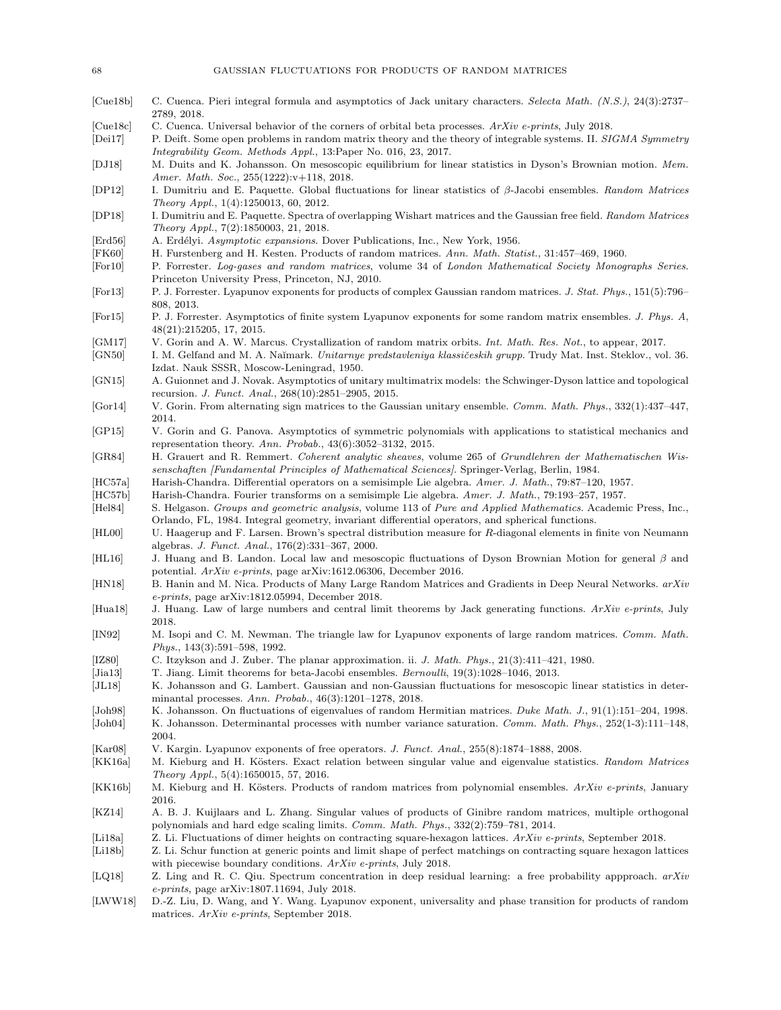- <span id="page-67-12"></span>[Cue18b] C. Cuenca. Pieri integral formula and asymptotics of Jack unitary characters. Selecta Math. (N.S.), 24(3):2737– 2789, 2018.
- <span id="page-67-13"></span>[Cue18c] C. Cuenca. Universal behavior of the corners of orbital beta processes. ArXiv e-prints, July 2018.
- <span id="page-67-3"></span>[Dei17] P. Deift. Some open problems in random matrix theory and the theory of integrable systems. II. SIGMA Symmetry Integrability Geom. Methods Appl., 13:Paper No. 016, 23, 2017.
- <span id="page-67-8"></span>[DJ18] M. Duits and K. Johansson. On mesoscopic equilibrium for linear statistics in Dyson's Brownian motion. Mem. Amer. Math. Soc., 255(1222):v+118, 2018.
- <span id="page-67-17"></span>[DP12] I. Dumitriu and E. Paquette. Global fluctuations for linear statistics of β-Jacobi ensembles. Random Matrices Theory Appl., 1(4):1250013, 60, 2012.
- <span id="page-67-19"></span>[DP18] I. Dumitriu and E. Paquette. Spectra of overlapping Wishart matrices and the Gaussian free field. Random Matrices Theory Appl., 7(2):1850003, 21, 2018.
- <span id="page-67-31"></span>[Erd56] A. Erdélyi. Asymptotic expansions. Dover Publications, Inc., New York, 1956.
- <span id="page-67-0"></span>[FK60] H. Furstenberg and H. Kesten. Products of random matrices. Ann. Math. Statist., 31:457–469, 1960.
- <span id="page-67-32"></span>[For10] P. Forrester. Log-gases and random matrices, volume 34 of London Mathematical Society Monographs Series. Princeton University Press, Princeton, NJ, 2010.
- <span id="page-67-21"></span>[For13] P. J. Forrester. Lyapunov exponents for products of complex Gaussian random matrices. J. Stat. Phys., 151(5):796– 808, 2013.
- <span id="page-67-22"></span>[For15] P. J. Forrester. Asymptotics of finite system Lyapunov exponents for some random matrix ensembles. J. Phys. A, 48(21):215205, 17, 2015.
- <span id="page-67-26"></span>[GM17] V. Gorin and A. W. Marcus. Crystallization of random matrix orbits. Int. Math. Res. Not., to appear, 2017.
- <span id="page-67-37"></span>[GN50] I. M. Gelfand and M. A. Naĭmark. Unitarnye predstavleniya klassičeskih grupp. Trudy Mat. Inst. Steklov., vol. 36. Izdat. Nauk SSSR, Moscow-Leningrad, 1950.
- <span id="page-67-16"></span>[GN15] A. Guionnet and J. Novak. Asymptotics of unitary multimatrix models: the Schwinger-Dyson lattice and topological recursion. J. Funct. Anal., 268(10):2851–2905, 2015.
- <span id="page-67-15"></span>[Gor14] V. Gorin. From alternating sign matrices to the Gaussian unitary ensemble. Comm. Math. Phys., 332(1):437–447, 2014.
- <span id="page-67-11"></span>[GP15] V. Gorin and G. Panova. Asymptotics of symmetric polynomials with applications to statistical mechanics and representation theory. Ann. Probab., 43(6):3052–3132, 2015.
- <span id="page-67-30"></span>[GR84] H. Grauert and R. Remmert. Coherent analytic sheaves, volume 265 of Grundlehren der Mathematischen Wissenschaften [Fundamental Principles of Mathematical Sciences]. Springer-Verlag, Berlin, 1984.
- <span id="page-67-34"></span>[HC57a] Harish-Chandra. Differential operators on a semisimple Lie algebra. Amer. J. Math., 79:87–120, 1957.
- <span id="page-67-35"></span>[HC57b] Harish-Chandra. Fourier transforms on a semisimple Lie algebra. Amer. J. Math., 79:193–257, 1957.

<span id="page-67-24"></span>[Hel84] S. Helgason. Groups and geometric analysis, volume 113 of Pure and Applied Mathematics. Academic Press, Inc., Orlando, FL, 1984. Integral geometry, invariant differential operators, and spherical functions.

- <span id="page-67-33"></span>[HL00] U. Haagerup and F. Larsen. Brown's spectral distribution measure for R-diagonal elements in finite von Neumann algebras. J. Funct. Anal., 176(2):331–367, 2000.
- <span id="page-67-9"></span>[HL16] J. Huang and B. Landon. Local law and mesoscopic fluctuations of Dyson Brownian Motion for general β and potential. ArXiv e-prints, page arXiv:1612.06306, December 2016.
- <span id="page-67-23"></span>[HN18] B. Hanin and M. Nica. Products of Many Large Random Matrices and Gradients in Deep Neural Networks. arXiv e-prints, page arXiv:1812.05994, December 2018.
- <span id="page-67-27"></span>[Hua18] J. Huang. Law of large numbers and central limit theorems by Jack generating functions. ArXiv e-prints, July 2018.
- <span id="page-67-2"></span>[IN92] M. Isopi and C. M. Newman. The triangle law for Lyapunov exponents of large random matrices. Comm. Math. Phys., 143(3):591–598, 1992.
- <span id="page-67-36"></span>[IZ80] C. Itzykson and J. Zuber. The planar approximation. ii. J. Math. Phys., 21(3):411-421, 1980.
- <span id="page-67-18"></span>[Jia13] T. Jiang. Limit theorems for beta-Jacobi ensembles. *Bernoulli*, 19(3):1028–1046, 2013.
- <span id="page-67-10"></span>[JL18] K. Johansson and G. Lambert. Gaussian and non-Gaussian fluctuations for mesoscopic linear statistics in determinantal processes. Ann. Probab., 46(3):1201–1278, 2018.
- <span id="page-67-7"></span><span id="page-67-5"></span>[Joh98] K. Johansson. On fluctuations of eigenvalues of random Hermitian matrices. Duke Math. J., 91(1):151–204, 1998. [Joh04] K. Johansson. Determinantal processes with number variance saturation. Comm. Math. Phys., 252(1-3):111–148, 2004.
- <span id="page-67-20"></span>[Kar08] V. Kargin. Lyapunov exponents of free operators. J. Funct. Anal., 255(8):1874–1888, 2008.
- <span id="page-67-25"></span>[KK16a] M. Kieburg and H. Kösters. Exact relation between singular value and eigenvalue statistics. Random Matrices Theory Appl., 5(4):1650015, 57, 2016.
- <span id="page-67-14"></span>[KK16b] M. Kieburg and H. Kösters. Products of random matrices from polynomial ensembles. ArXiv e-prints, January 2016.
- <span id="page-67-6"></span>[KZ14] A. B. J. Kuijlaars and L. Zhang. Singular values of products of Ginibre random matrices, multiple orthogonal polynomials and hard edge scaling limits. Comm. Math. Phys., 332(2):759–781, 2014.
- <span id="page-67-28"></span>[Li18a] Z. Li. Fluctuations of dimer heights on contracting square-hexagon lattices. ArXiv e-prints, September 2018.
- <span id="page-67-29"></span>[Li18b] Z. Li. Schur function at generic points and limit shape of perfect matchings on contracting square hexagon lattices with piecewise boundary conditions. ArXiv e-prints, July 2018.
- <span id="page-67-1"></span>[LQ18] Z. Ling and R. C. Qiu. Spectrum concentration in deep residual learning: a free probability appproach. arXiv e-prints, page arXiv:1807.11694, July 2018.
- <span id="page-67-4"></span>[LWW18] D.-Z. Liu, D. Wang, and Y. Wang. Lyapunov exponent, universality and phase transition for products of random matrices. ArXiv e-prints, September 2018.